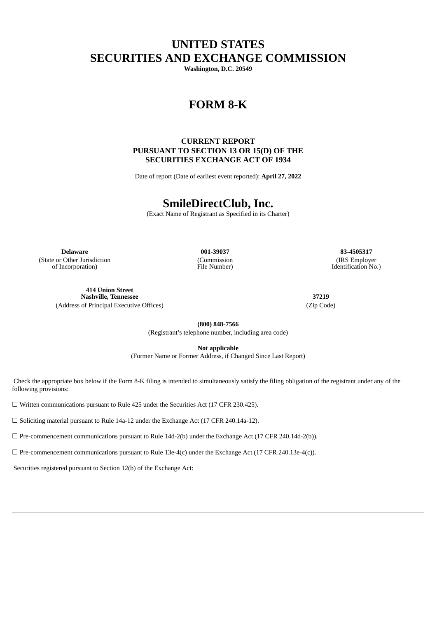# **UNITED STATES SECURITIES AND EXCHANGE COMMISSION**

**Washington, D.C. 20549**

# **FORM 8-K**

# **CURRENT REPORT PURSUANT TO SECTION 13 OR 15(D) OF THE SECURITIES EXCHANGE ACT OF 1934**

Date of report (Date of earliest event reported): **April 27, 2022**

# **SmileDirectClub, Inc.**

(Exact Name of Registrant as Specified in its Charter)

**Delaware 001-39037 83-4505317** (State or Other Jurisdiction of Incorporation)

(Commission File Number)

(IRS Employer Identification No.)

**414 Union Street Nashville, Tennessee 37219**

(Address of Principal Executive Offices) (Zip Code)

**(800) 848-7566** (Registrant's telephone number, including area code)

**Not applicable**

(Former Name or Former Address, if Changed Since Last Report)

Check the appropriate box below if the Form 8-K filing is intended to simultaneously satisfy the filing obligation of the registrant under any of the following provisions:

☐ Written communications pursuant to Rule 425 under the Securities Act (17 CFR 230.425).

☐ Soliciting material pursuant to Rule 14a-12 under the Exchange Act (17 CFR 240.14a-12).

 $\Box$  Pre-commencement communications pursuant to Rule 14d-2(b) under the Exchange Act (17 CFR 240.14d-2(b)).

☐ Pre-commencement communications pursuant to Rule 13e-4(c) under the Exchange Act (17 CFR 240.13e-4(c)).

Securities registered pursuant to Section 12(b) of the Exchange Act: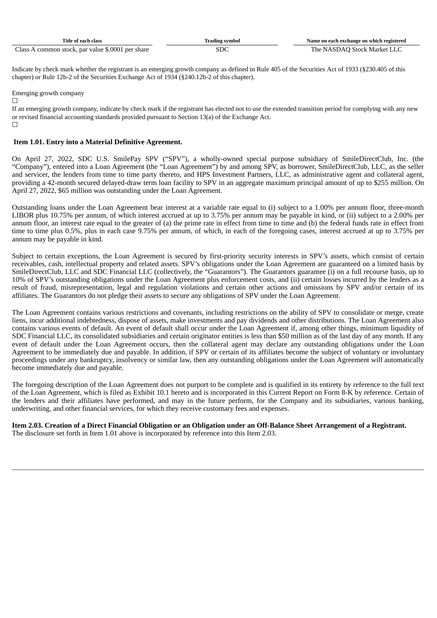| Fitle of each class                               | Irading svmbol | Name on each exchange on which registered |
|---------------------------------------------------|----------------|-------------------------------------------|
| Class A common stock, par value \$.0001 per share |                | The NASDAO Stock Market LLC               |

Indicate by check mark whether the registrant is an emerging growth company as defined in Rule 405 of the Securities Act of 1933 (§230.405 of this chapter) or Rule 12b-2 of the Securities Exchange Act of 1934 (§240.12b-2 of this chapter).

Emerging growth company

 $\Box$ 

If an emerging growth company, indicate by check mark if the registrant has elected not to use the extended transition period for complying with any new or revised financial accounting standards provided pursuant to Section 13(a) of the Exchange Act.  $\Box$ 

### **Item 1.01. Entry into a Material Definitive Agreement.**

On April 27, 2022, SDC U.S. SmilePay SPV ("SPV"), a wholly-owned special purpose subsidiary of SmileDirectClub, Inc. (the "Company"), entered into a Loan Agreement (the "Loan Agreement") by and among SPV, as borrower, SmileDirectClub, LLC, as the seller and servicer, the lenders from time to time party thereto, and HPS Investment Partners, LLC, as administrative agent and collateral agent, providing a 42-month secured delayed-draw term loan facility to SPV in an aggregate maximum principal amount of up to \$255 million. On April 27, 2022, \$65 million was outstanding under the Loan Agreement.

Outstanding loans under the Loan Agreement bear interest at a variable rate equal to (i) subject to a 1.00% per annum floor, three-month LIBOR plus 10.75% per annum, of which interest accrued at up to 3.75% per annum may be payable in kind, or (ii) subject to a 2.00% per annum floor, an interest rate equal to the greater of (a) the prime rate in effect from time to time and (b) the federal funds rate in effect from time to time plus 0.5%, plus in each case 9.75% per annum, of which, in each of the foregoing cases, interest accrued at up to 3.75% per annum may be payable in kind.

Subject to certain exceptions, the Loan Agreement is secured by first-priority security interests in SPV's assets, which consist of certain receivables, cash, intellectual property and related assets. SPV's obligations under the Loan Agreement are guaranteed on a limited basis by SmileDirectClub, LLC and SDC Financial LLC (collectively, the "Guarantors"). The Guarantors guarantee (i) on a full recourse basis, up to 10% of SPV's outstanding obligations under the Loan Agreement plus enforcement costs, and (ii) certain losses incurred by the lenders as a result of fraud, misrepresentation, legal and regulation violations and certain other actions and omissions by SPV and/or certain of its affiliates. The Guarantors do not pledge their assets to secure any obligations of SPV under the Loan Agreement.

The Loan Agreement contains various restrictions and covenants, including restrictions on the ability of SPV to consolidate or merge, create liens, incur additional indebtedness, dispose of assets, make investments and pay dividends and other distributions. The Loan Agreement also contains various events of default. An event of default shall occur under the Loan Agreement if, among other things, minimum liquidity of SDC Financial LLC, its consolidated subsidiaries and certain originator entities is less than \$50 million as of the last day of any month. If any event of default under the Loan Agreement occurs, then the collateral agent may declare any outstanding obligations under the Loan Agreement to be immediately due and payable. In addition, if SPV or certain of its affiliates become the subject of voluntary or involuntary proceedings under any bankruptcy, insolvency or similar law, then any outstanding obligations under the Loan Agreement will automatically become immediately due and payable.

The foregoing description of the Loan Agreement does not purport to be complete and is qualified in its entirety by reference to the full text of the Loan Agreement, which is filed as Exhibit 10.1 hereto and is incorporated in this Current Report on Form 8-K by reference. Certain of the lenders and their affiliates have performed, and may in the future perform, for the Company and its subsidiaries, various banking, underwriting, and other financial services, for which they receive customary fees and expenses.

Item 2.03. Creation of a Direct Financial Obligation or an Obligation under an Off-Balance Sheet Arrangement of a Registrant. The disclosure set forth in Item 1.01 above is incorporated by reference into this Item 2.03.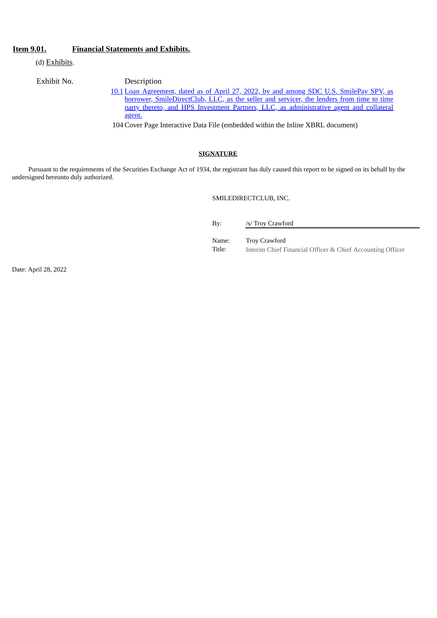## **Item 9.01. Financial Statements and Exhibits.**

(d) Exhibits.

Exhibit No. Description

[10.1](#page-3-0) Loan Agreement, dated as of April 27, 2022, by and among SDC U.S. SmilePay SPV, as borrower, [SmileDirectClub,](#page-3-0) LLC, as the seller and servicer, the lenders from time to time party thereto, and HPS Investment Partners, LLC, as administrative agent and collateral agent.

104 Cover Page Interactive Data File (embedded within the Inline XBRL document)

### **SIGNATURE**

Pursuant to the requirements of the Securities Exchange Act of 1934, the registrant has duly caused this report to be signed on its behalf by the undersigned hereunto duly authorized.

SMILEDIRECTCLUB, INC.

By: /s/ Troy Crawford

Name: Troy Crawford

Title: Interim Chief Financial Officer & Chief Accounting Officer

Date: April 28, 2022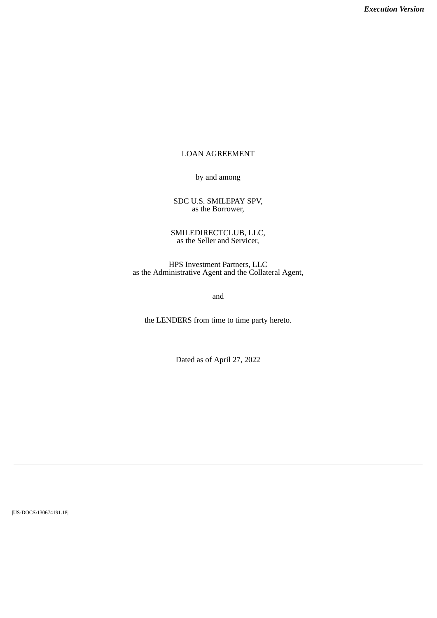# <span id="page-3-0"></span>LOAN AGREEMENT

by and among

SDC U.S. SMILEPAY SPV, as the Borrower,

SMILEDIRECTCLUB, LLC, as the Seller and Servicer,

HPS Investment Partners, LLC as the Administrative Agent and the Collateral Agent,

and

the LENDERS from time to time party hereto.

Dated as of April 27, 2022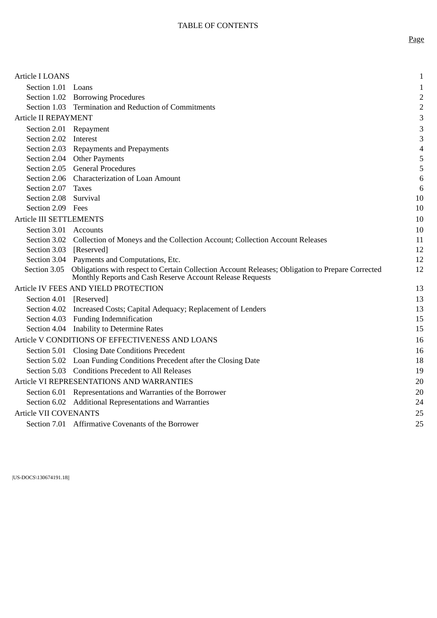| Article I LOANS                |                                                                                                                                                                            | $\mathbf{1}$             |
|--------------------------------|----------------------------------------------------------------------------------------------------------------------------------------------------------------------------|--------------------------|
| Section 1.01 Loans             |                                                                                                                                                                            | $\mathbf{1}$             |
|                                | Section 1.02 Borrowing Procedures                                                                                                                                          | $\overline{2}$           |
|                                | Section 1.03 Termination and Reduction of Commitments                                                                                                                      | $\overline{2}$           |
| <b>Article II REPAYMENT</b>    |                                                                                                                                                                            | 3                        |
| Section 2.01 Repayment         |                                                                                                                                                                            | 3                        |
| Section 2.02 Interest          |                                                                                                                                                                            | 3                        |
|                                | Section 2.03 Repayments and Prepayments                                                                                                                                    | $\overline{\mathcal{A}}$ |
|                                | Section 2.04 Other Payments                                                                                                                                                | 5                        |
|                                | Section 2.05 General Procedures                                                                                                                                            | 5                        |
|                                | Section 2.06 Characterization of Loan Amount                                                                                                                               | $\,6\,$                  |
| Section 2.07                   | <b>Taxes</b>                                                                                                                                                               | 6                        |
| Section 2.08 Survival          |                                                                                                                                                                            | 10                       |
| Section 2.09 Fees              |                                                                                                                                                                            | 10                       |
| <b>Article III SETTLEMENTS</b> |                                                                                                                                                                            | 10                       |
| Section 3.01 Accounts          |                                                                                                                                                                            | 10                       |
|                                | Section 3.02 Collection of Moneys and the Collection Account; Collection Account Releases                                                                                  | 11                       |
| Section 3.03 [Reserved]        |                                                                                                                                                                            | 12                       |
|                                | Section 3.04 Payments and Computations, Etc.                                                                                                                               | 12                       |
|                                | Section 3.05 Obligations with respect to Certain Collection Account Releases; Obligation to Prepare Corrected<br>Monthly Reports and Cash Reserve Account Release Requests | 12                       |
|                                | Article IV FEES AND YIELD PROTECTION                                                                                                                                       | 13                       |
| Section 4.01 [Reserved]        |                                                                                                                                                                            | 13                       |
|                                | Section 4.02 Increased Costs; Capital Adequacy; Replacement of Lenders                                                                                                     | 13                       |
|                                | Section 4.03 Funding Indemnification                                                                                                                                       | 15                       |
|                                | Section 4.04 Inability to Determine Rates                                                                                                                                  | 15                       |
|                                | Article V CONDITIONS OF EFFECTIVENESS AND LOANS                                                                                                                            | 16                       |
|                                | Section 5.01 Closing Date Conditions Precedent                                                                                                                             | 16                       |
|                                | Section 5.02 Loan Funding Conditions Precedent after the Closing Date                                                                                                      | 18                       |
|                                | Section 5.03 Conditions Precedent to All Releases                                                                                                                          | 19                       |
|                                | Article VI REPRESENTATIONS AND WARRANTIES                                                                                                                                  | 20                       |
|                                | Section 6.01 Representations and Warranties of the Borrower                                                                                                                | 20                       |
|                                | Section 6.02 Additional Representations and Warranties                                                                                                                     | 24                       |
| <b>Article VII COVENANTS</b>   |                                                                                                                                                                            | 25                       |
|                                | Section 7.01 Affirmative Covenants of the Borrower                                                                                                                         | 25                       |
|                                |                                                                                                                                                                            |                          |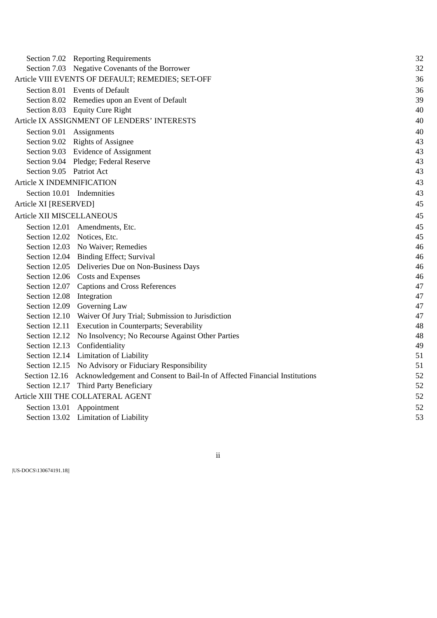|                                  | Section 7.02 Reporting Requirements                                                     | 32 |
|----------------------------------|-----------------------------------------------------------------------------------------|----|
|                                  | Section 7.03 Negative Covenants of the Borrower                                         | 32 |
|                                  | Article VIII EVENTS OF DEFAULT; REMEDIES; SET-OFF                                       | 36 |
|                                  | Section 8.01 Events of Default                                                          | 36 |
|                                  | Section 8.02 Remedies upon an Event of Default                                          | 39 |
|                                  | Section 8.03 Equity Cure Right                                                          | 40 |
|                                  | Article IX ASSIGNMENT OF LENDERS' INTERESTS                                             | 40 |
| Section 9.01 Assignments         |                                                                                         | 40 |
|                                  | Section 9.02 Rights of Assignee                                                         | 43 |
|                                  | Section 9.03 Evidence of Assignment                                                     | 43 |
|                                  | Section 9.04 Pledge; Federal Reserve                                                    | 43 |
| Section 9.05 Patriot Act         |                                                                                         | 43 |
| <b>Article X INDEMNIFICATION</b> |                                                                                         | 43 |
| Section 10.01 Indemnities        |                                                                                         | 43 |
| Article XI [RESERVED]            |                                                                                         | 45 |
| Article XII MISCELLANEOUS        |                                                                                         | 45 |
|                                  | Section 12.01 Amendments, Etc.                                                          | 45 |
| Section 12.02 Notices, Etc.      |                                                                                         | 45 |
|                                  | Section 12.03 No Waiver; Remedies                                                       | 46 |
|                                  | Section 12.04 Binding Effect; Survival                                                  | 46 |
|                                  | Section 12.05 Deliveries Due on Non-Business Days                                       | 46 |
|                                  | Section 12.06 Costs and Expenses                                                        | 46 |
|                                  | Section 12.07 Captions and Cross References                                             | 47 |
| Section 12.08 Integration        |                                                                                         | 47 |
|                                  | Section 12.09 Governing Law                                                             | 47 |
|                                  | Section 12.10 Waiver Of Jury Trial; Submission to Jurisdiction                          | 47 |
|                                  | Section 12.11 Execution in Counterparts; Severability                                   | 48 |
|                                  | Section 12.12 No Insolvency; No Recourse Against Other Parties                          | 48 |
|                                  | Section 12.13 Confidentiality                                                           | 49 |
|                                  | Section 12.14 Limitation of Liability                                                   | 51 |
|                                  | Section 12.15 No Advisory or Fiduciary Responsibility                                   | 51 |
|                                  | Section 12.16 Acknowledgement and Consent to Bail-In of Affected Financial Institutions | 52 |
|                                  | Section 12.17 Third Party Beneficiary                                                   | 52 |
|                                  | Article XIII THE COLLATERAL AGENT                                                       | 52 |
|                                  | Section 13.01 Appointment                                                               | 52 |
|                                  | Section 13.02 Limitation of Liability                                                   | 53 |
|                                  |                                                                                         |    |

ii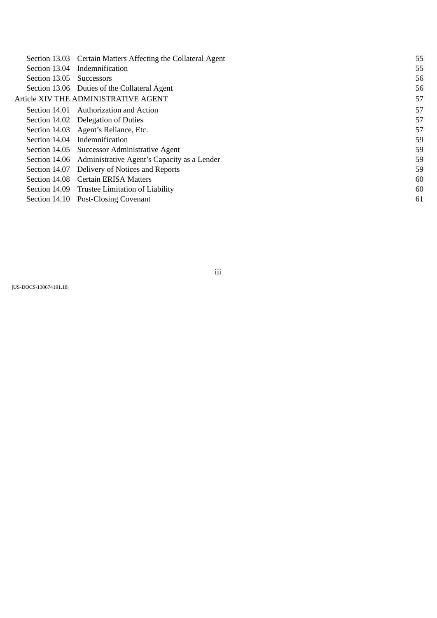| Section 13.03            | Certain Matters Affecting the Collateral Agent            | 55 |
|--------------------------|-----------------------------------------------------------|----|
| Section 13.04            | Indemnification                                           | 55 |
| Section 13.05 Successors |                                                           | 56 |
|                          | Section 13.06 Duties of the Collateral Agent              | 56 |
|                          | Article XIV THE ADMINISTRATIVE AGENT                      | 57 |
|                          | Section 14.01 Authorization and Action                    | 57 |
|                          | Section 14.02 Delegation of Duties                        | 57 |
|                          | Section 14.03 Agent's Reliance, Etc.                      | 57 |
|                          | Section 14.04 Indemnification                             | 59 |
|                          | Section 14.05 Successor Administrative Agent              | 59 |
|                          | Section 14.06 Administrative Agent's Capacity as a Lender | 59 |
| Section 14.07            | Delivery of Notices and Reports                           | 59 |
|                          | Section 14.08 Certain ERISA Matters                       | 60 |
|                          | Section 14.09 Trustee Limitation of Liability             | 60 |
|                          | Section 14.10 Post-Closing Covenant                       | 61 |
|                          |                                                           |    |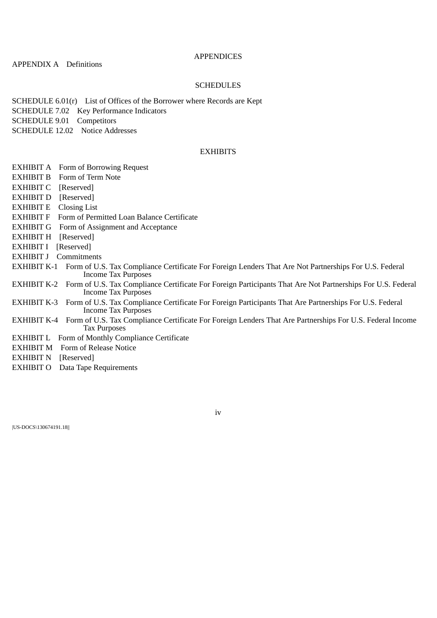## **APPENDICES**

APPENDIX A Definitions

# **SCHEDULES**

SCHEDULE 6.01(r) List of Offices of the Borrower where Records are Kept SCHEDULE 7.02 Key Performance Indicators SCHEDULE 9.01 Competitors SCHEDULE 12.02 Notice Addresses

# **EXHIBITS**

- EXHIBIT A Form of Borrowing Request EXHIBIT B Form of Term Note EXHIBIT C [Reserved] EXHIBIT D [Reserved] EXHIBIT E Closing List EXHIBIT F Form of Permitted Loan Balance Certificate EXHIBIT G Form of Assignment and Acceptance EXHIBIT H [Reserved] EXHIBIT I [Reserved] EXHIBIT J Commitments EXHIBIT K-1 Form of U.S. Tax Compliance Certificate For Foreign Lenders That Are Not Partnerships For U.S. Federal Income Tax Purposes EXHIBIT K-2 Form of U.S. Tax Compliance Certificate For Foreign Participants That Are Not Partnerships For U.S. Federal Income Tax Purposes EXHIBIT K-3 Form of U.S. Tax Compliance Certificate For Foreign Participants That Are Partnerships For U.S. Federal Income Tax Purposes EXHIBIT K-4 Form of U.S. Tax Compliance Certificate For Foreign Lenders That Are Partnerships For U.S. Federal Income Tax Purposes EXHIBIT L Form of Monthly Compliance Certificate
	- EXHIBIT M Form of Release Notice
	- EXHIBIT N [Reserved]
	- EXHIBIT O Data Tape Requirements

|US-DOCS\130674191.18||

#### iv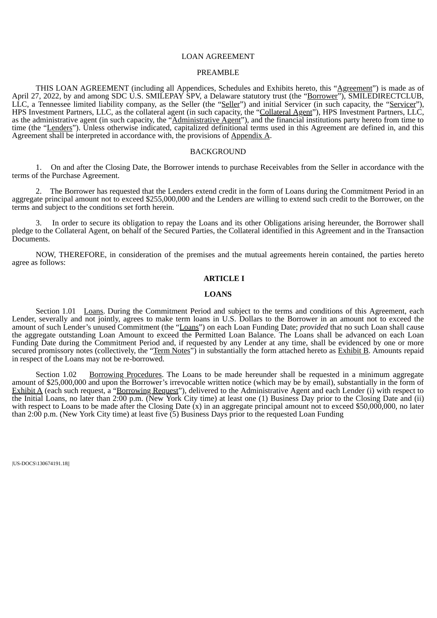#### LOAN AGREEMENT

#### PREAMBLE

THIS LOAN AGREEMENT (including all Appendices, Schedules and Exhibits hereto, this "Agreement") is made as of April 27, 2022, by and among SDC U.S. SMILEPAY SPV, a Delaware statutory trust (the "Borrower"), SMILEDIRECTCLUB, LLC, a Tennessee limited liability company, as the Seller (the "Seller") and initial Servicer (in such capacity, the "Servicer"), HPS Investment Partners, LLC, as the collateral agent (in such capacity, the "Collateral Agent"), HPS Investment Partners, LLC, as the administrative agent (in such capacity, the "Administrative Agent"), and the financial institutions party hereto from time to time (the "Lenders"). Unless otherwise indicated, capitalized definitional terms used in this Agreement are defined in, and this Agreement shall be interpreted in accordance with, the provisions of Appendix A.

## **BACKGROUND**

1. On and after the Closing Date, the Borrower intends to purchase Receivables from the Seller in accordance with the terms of the Purchase Agreement.

2. The Borrower has requested that the Lenders extend credit in the form of Loans during the Commitment Period in an aggregate principal amount not to exceed \$255,000,000 and the Lenders are willing to extend such credit to the Borrower, on the terms and subject to the conditions set forth herein.

3. In order to secure its obligation to repay the Loans and its other Obligations arising hereunder, the Borrower shall pledge to the Collateral Agent, on behalf of the Secured Parties, the Collateral identified in this Agreement and in the Transaction Documents.

<span id="page-8-0"></span>NOW, THEREFORE, in consideration of the premises and the mutual agreements herein contained, the parties hereto agree as follows:

## **ARTICLE I**

### **LOANS**

Section 1.01 Loans. During the Commitment Period and subject to the terms and conditions of this Agreement, each Lender, severally and not jointly, agrees to make term loans in U.S. Dollars to the Borrower in an amount not to exceed the amount of such Lender's unused Commitment (the "Loans") on each Loan Funding Date; *provided* that no such Loan shall cause the aggregate outstanding Loan Amount to exceed the Permitted Loan Balance. The Loans shall be advanced on each Loan Funding Date during the Commitment Period and, if requested by any Lender at any time, shall be evidenced by one or more secured promissory notes (collectively, the "Term Notes") in substantially the form attached hereto as **Exhibit B**. Amounts repaid in respect of the Loans may not be re-borrowed.

<span id="page-8-1"></span>Section 1.02 Borrowing Procedures. The Loans to be made hereunder shall be requested in a minimum aggregate amount of \$25,000,000 and upon the Borrower's irrevocable written notice (which may be by email), substantially in the form of Exhibit A (each such request, a "Borrowing Request"), delivered to the Administrative Agent and each Lender (i) with respect to the Initial Loans, no later than 2:00 p.m. (New York City time) at least one (1) Business Day prior to the Closing Date and (ii) with respect to Loans to be made after the Closing Date (x) in an aggregate principal amount not to exceed \$50,000,000, no later than 2:00 p.m. (New York City time) at least five (5) Business Days prior to the requested Loan Funding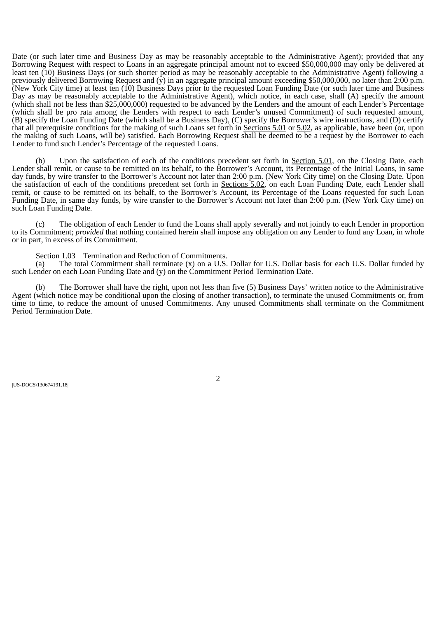Date (or such later time and Business Day as may be reasonably acceptable to the Administrative Agent); provided that any Borrowing Request with respect to Loans in an aggregate principal amount not to exceed \$50,000,000 may only be delivered at least ten (10) Business Days (or such shorter period as may be reasonably acceptable to the Administrative Agent) following a previously delivered Borrowing Request and  $(\hat{y})$  in an aggregate principal amount exceeding \$50,000,000, no later than 2:00 p.m. (New York City time) at least ten (10) Business Days prior to the requested Loan Funding Date (or such later time and Business Day as may be reasonably acceptable to the Administrative Agent), which notice, in each case, shall (A) specify the amount (which shall not be less than \$25,000,000) requested to be advanced by the Lenders and the amount of each Lender's Percentage (which shall be pro rata among the Lenders with respect to each Lender's unused Commitment) of such requested amount, (B) specify the Loan Funding Date (which shall be a Business Day), (C) specify the Borrower's wire instructions, and (D) certify that all prerequisite conditions for the making of such Loans set forth in **Sections 5.01** or 5.02, as applicable, have been (or, upon the making of such Loans, will be) satisfied. Each Borrowing Request shall be deemed to be a request by the Borrower to each Lender to fund such Lender's Percentage of the requested Loans.

(b) Upon the satisfaction of each of the conditions precedent set forth in **Section 5.01**, on the Closing Date, each Lender shall remit, or cause to be remitted on its behalf, to the Borrower's Account, its Percentage of the Initial Loans, in same day funds, by wire transfer to the Borrower's Account not later than 2:00 p.m. (New York City time) on the Closing Date. Upon the satisfaction of each of the conditions precedent set forth in Sections 5.02, on each Loan Funding Date, each Lender shall remit, or cause to be remitted on its behalf, to the Borrower's Account, its Percentage of the Loans requested for such Loan Funding Date, in same day funds, by wire transfer to the Borrower's Account not later than 2:00 p.m. (New York City time) on such Loan Funding Date.

(c) The obligation of each Lender to fund the Loans shall apply severally and not jointly to each Lender in proportion to its Commitment; *provided* that nothing contained herein shall impose any obligation on any Lender to fund any Loan, in whole or in part, in excess of its Commitment.

#### Section 1.03 Termination and Reduction of Commitments.

<span id="page-9-0"></span>(a) The total Commitment shall terminate (x) on a U.S. Dollar for U.S. Dollar basis for each U.S. Dollar funded by such Lender on each Loan Funding Date and (y) on the Commitment Period Termination Date.

(b) The Borrower shall have the right, upon not less than five (5) Business Days' written notice to the Administrative Agent (which notice may be conditional upon the closing of another transaction), to terminate the unused Commitments or, from time to time, to reduce the amount of unused Commitments. Any unused Commitments shall terminate on the Commitment Period Termination Date.

<span id="page-9-1"></span>|US-DOCS\130674191.18||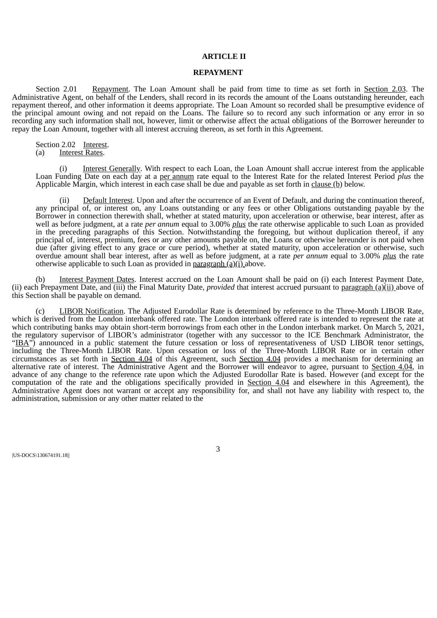#### **ARTICLE II**

#### **REPAYMENT**

Section 2.01 Repayment. The Loan Amount shall be paid from time to time as set forth in Section 2.03. The Administrative Agent, on behalf of the Lenders, shall record in its records the amount of the Loans outstanding hereunder, each repayment thereof, and other information it deems appropriate. The Loan Amount so recorded shall be presumptive evidence of the principal amount owing and not repaid on the Loans. The failure so to record any such information or any error in so recording any such information shall not, however, limit or otherwise affect the actual obligations of the Borrower hereunder to repay the Loan Amount, together with all interest accruing thereon, as set forth in this Agreement.

<span id="page-10-0"></span>Section 2.02 Interest. (a) Interest Rates.

(i) Interest Generally. With respect to each Loan, the Loan Amount shall accrue interest from the applicable Loan Funding Date on each day at a per annum rate equal to the Interest Rate for the related Interest Period *plus* the Applicable Margin, which interest in each case shall be due and payable as set forth in clause (b) below.

(ii) Default Interest. Upon and after the occurrence of an Event of Default, and during the continuation thereof, any principal of, or interest on, any Loans outstanding or any fees or other Obligations outstanding payable by the Borrower in connection therewith shall, whether at stated maturity, upon acceleration or otherwise, bear interest, after as well as before judgment, at a rate *per annum* equal to 3.00% *plus* the rate otherwise applicable to such Loan as provided in the preceding paragraphs of this Section. Notwithstanding the foregoing, but without duplication thereof, if any principal of, interest, premium, fees or any other amounts payable on, the Loans or otherwise hereunder is not paid when due (after giving effect to any grace or cure period), whether at stated maturity, upon acceleration or otherwise, such overdue amount shall bear interest, after as well as before judgment, at a rate *per annum* equal to 3.00% *plus* the rate otherwise applicable to such Loan as provided in paragraph (a)(i) above.

(b) Interest Payment Dates. Interest accrued on the Loan Amount shall be paid on (i) each Interest Payment Date, (ii) each Prepayment Date, and (iii) the Final Maturity Date, *provided* that interest accrued pursuant to paragraph (a)(ii) above of this Section shall be payable on demand.

(c) LIBOR Notification. The Adjusted Eurodollar Rate is determined by reference to the Three-Month LIBOR Rate, which is derived from the London interbank offered rate. The London interbank offered rate is intended to represent the rate at which contributing banks may obtain short-term borrowings from each other in the London interbank market. On March 5, 2021, the regulatory supervisor of LIBOR's administrator (together with any successor to the ICE Benchmark Administrator, the "IBA") announced in a public statement the future cessation or loss of representativeness of USD LIBOR tenor settings, including the Three-Month LIBOR Rate. Upon cessation or loss of the Three-Month LIBOR Rate or in certain other circumstances as set forth in Section 4.04 of this Agreement, such Section 4.04 provides a mechanism for determining an alternative rate of interest. The Administrative Agent and the Borrower will endeavor to agree, pursuant to Section 4.04, in advance of any change to the reference rate upon which the Adjusted Eurodollar Rate is based. However (and except for the computation of the rate and the obligations specifically provided in Section 4.04 and elsewhere in this Agreement), the Administrative Agent does not warrant or accept any responsibility for, and shall not have any liability with respect to, the administration, submission or any other matter related to the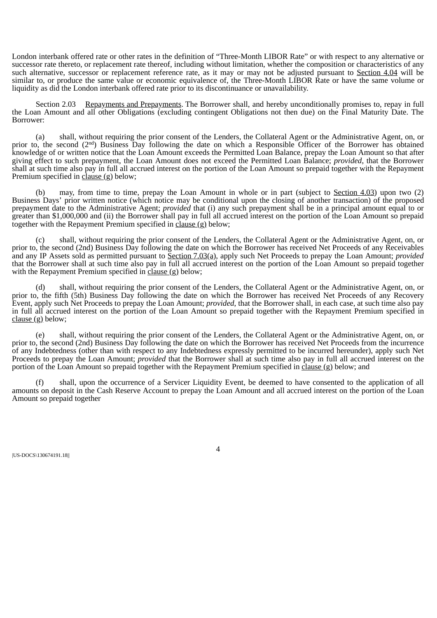London interbank offered rate or other rates in the definition of "Three-Month LIBOR Rate" or with respect to any alternative or successor rate thereto, or replacement rate thereof, including without limitation, whether the composition or characteristics of any such alternative, successor or replacement reference rate, as it may or may not be adjusted pursuant to Section 4.04 will be similar to, or produce the same value or economic equivalence of, the Three-Month LIBOR Rate or have the same volume or liquidity as did the London interbank offered rate prior to its discontinuance or unavailability.

<span id="page-11-0"></span>Section 2.03 Repayments and Prepayments. The Borrower shall, and hereby unconditionally promises to, repay in full the Loan Amount and all other Obligations (excluding contingent Obligations not then due) on the Final Maturity Date. The Borrower:

(a) shall, without requiring the prior consent of the Lenders, the Collateral Agent or the Administrative Agent, on, or prior to, the second (2<sup>nd</sup>) Business Day following the date on which a Responsible Officer of the Borrower has obtained knowledge of or written notice that the Loan Amount exceeds the Permitted Loan Balance, prepay the Loan Amount so that after giving effect to such prepayment, the Loan Amount does not exceed the Permitted Loan Balance; *provided*, that the Borrower shall at such time also pay in full all accrued interest on the portion of the Loan Amount so prepaid together with the Repayment Premium specified in clause (g) below; nd

(b) may, from time to time, prepay the Loan Amount in whole or in part (subject to Section 4.03) upon two (2) Business Days' prior written notice (which notice may be conditional upon the closing of another transaction) of the proposed prepayment date to the Administrative Agent; *provided* that (i) any such prepayment shall be in a principal amount equal to or greater than \$1,000,000 and (ii) the Borrower shall pay in full all accrued interest on the portion of the Loan Amount so prepaid together with the Repayment Premium specified in clause (g) below;

(c) shall, without requiring the prior consent of the Lenders, the Collateral Agent or the Administrative Agent, on, or prior to, the second (2nd) Business Day following the date on which the Borrower has received Net Proceeds of any Receivables and any IP Assets sold as permitted pursuant to Section 7.03(a), apply such Net Proceeds to prepay the Loan Amount; *provided* that the Borrower shall at such time also pay in full all accrued interest on the portion of the Loan Amount so prepaid together with the Repayment Premium specified in clause (g) below;

(d) shall, without requiring the prior consent of the Lenders, the Collateral Agent or the Administrative Agent, on, or prior to, the fifth (5th) Business Day following the date on which the Borrower has received Net Proceeds of any Recovery Event, apply such Net Proceeds to prepay the Loan Amount; *provided*, that the Borrower shall, in each case, at such time also pay in full all accrued interest on the portion of the Loan Amount so prepaid together with the Repayment Premium specified in clause (g) below;

(e) shall, without requiring the prior consent of the Lenders, the Collateral Agent or the Administrative Agent, on, or prior to, the second (2nd) Business Day following the date on which the Borrower has received Net Proceeds from the incurrence of any Indebtedness (other than with respect to any Indebtedness expressly permitted to be incurred hereunder), apply such Net Proceeds to prepay the Loan Amount; *provided* that the Borrower shall at such time also pay in full all accrued interest on the portion of the Loan Amount so prepaid together with the Repayment Premium specified in clause (g) below; and

(f) shall, upon the occurrence of a Servicer Liquidity Event, be deemed to have consented to the application of all amounts on deposit in the Cash Reserve Account to prepay the Loan Amount and all accrued interest on the portion of the Loan Amount so prepaid together

|US-DOCS\130674191.18||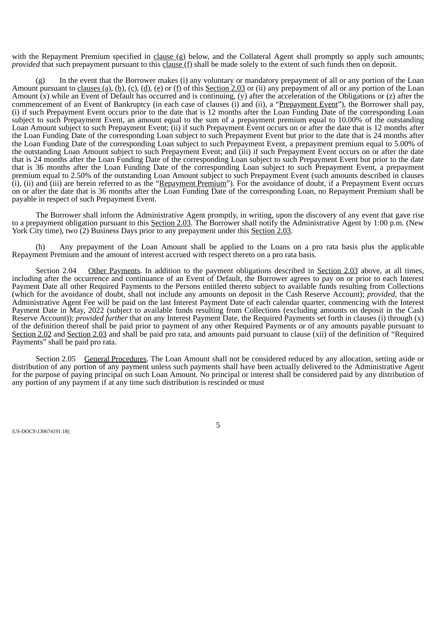with the Repayment Premium specified in clause (g) below, and the Collateral Agent shall promptly so apply such amounts; *provided* that such prepayment pursuant to this clause (f) shall be made solely to the extent of such funds then on deposit.

(g) In the event that the Borrower makes (i) any voluntary or mandatory prepayment of all or any portion of the Loan Amount pursuant to clauses (a), (b), (c), (d), (e) or (f) of this Section 2.03 or (ii) any prepayment of all or any portion of the Loan Amount (x) while an Event of Default has occurred and is continuing, (y) after the acceleration of the Obligations or (z) after the commencement of an Event of Bankruptcy (in each case of clauses (i) and (ii), a "Prepayment Event"), the Borrower shall pay, (i) if such Prepayment Event occurs prior to the date that is 12 months after the Loan Funding Date of the corresponding Loan subject to such Prepayment Event, an amount equal to the sum of a prepayment premium equal to 10.00% of the outstanding Loan Amount subject to such Prepayment Event; (ii) if such Prepayment Event occurs on or after the date that is 12 months after the Loan Funding Date of the corresponding Loan subject to such Prepayment Event but prior to the date that is 24 months after the Loan Funding Date of the corresponding Loan subject to such Prepayment Event, a prepayment premium equal to 5.00% of the outstanding Loan Amount subject to such Prepayment Event; and (iii) if such Prepayment Event occurs on or after the date that is 24 months after the Loan Funding Date of the corresponding Loan subject to such Prepayment Event but prior to the date that is 36 months after the Loan Funding Date of the corresponding Loan subject to such Prepayment Event, a prepayment premium equal to 2.50% of the outstanding Loan Amount subject to such Prepayment Event (such amounts described in clauses (i), (ii) and (iii) are herein referred to as the "Repayment Premium"). For the avoidance of doubt, if a Prepayment Event occurs on or after the date that is 36 months after the Loan Funding Date of the corresponding Loan, no Repayment Premium shall be payable in respect of such Prepayment Event.

The Borrower shall inform the Administrative Agent promptly, in writing, upon the discovery of any event that gave rise to a prepayment obligation pursuant to this **Section 2.03**. The Borrower shall notify the Administrative Agent by 1:00 p.m. (New York City time), two (2) Business Days prior to any prepayment under this Section 2.03.

(h) Any prepayment of the Loan Amount shall be applied to the Loans on a pro rata basis plus the applicable Repayment Premium and the amount of interest accrued with respect thereto on a pro rata basis.

<span id="page-12-0"></span>Section 2.04 Other Payments. In addition to the payment obligations described in Section 2.03 above, at all times, including after the occurrence and continuance of an Event of Default, the Borrower agrees to pay on or prior to each Interest Payment Date all other Required Payments to the Persons entitled thereto subject to available funds resulting from Collections (which for the avoidance of doubt, shall not include any amounts on deposit in the Cash Reserve Account); *provided,* that the Administrative Agent Fee will be paid on the last Interest Payment Date of each calendar quarter, commencing with the Interest Payment Date in May, 2022 (subject to available funds resulting from Collections (excluding amounts on deposit in the Cash Reserve Account)); *provided further* that on any Interest Payment Date, the Required Payments set forth in clauses (i) through (x) of the definition thereof shall be paid prior to payment of any other Required Payments or of any amounts payable pursuant to Section 2.02 and Section 2.03 and shall be paid pro rata, and amounts paid pursuant to clause (xii) of the definition of "Required Payments" shall be paid pro rata.

<span id="page-12-1"></span>Section 2.05 General Procedures. The Loan Amount shall not be considered reduced by any allocation, setting aside or distribution of any portion of any payment unless such payments shall have been actually delivered to the Administrative Agent for the purpose of paying principal on such Loan Amount. No principal or interest shall be considered paid by any distribution of any portion of any payment if at any time such distribution is rescinded or must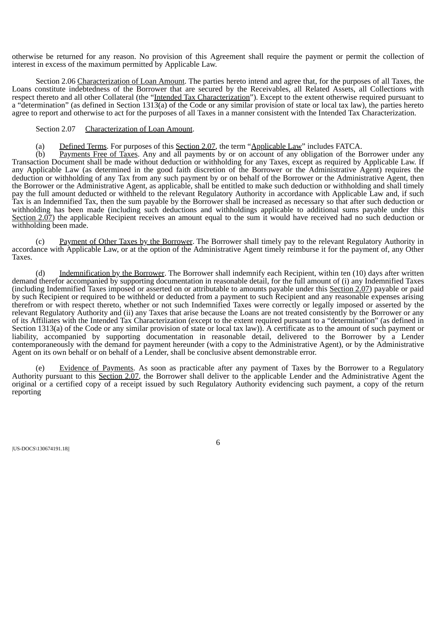otherwise be returned for any reason. No provision of this Agreement shall require the payment or permit the collection of interest in excess of the maximum permitted by Applicable Law.

<span id="page-13-0"></span>Section 2.06 Characterization of Loan Amount. The parties hereto intend and agree that, for the purposes of all Taxes, the Loans constitute indebtedness of the Borrower that are secured by the Receivables, all Related Assets, all Collections with respect thereto and all other Collateral (the "Intended Tax Characterization"). Except to the extent otherwise required pursuant to a "determination" (as defined in Section 1313(a) of the Code or any similar provision of state or local tax law), the parties hereto agree to report and otherwise to act for the purposes of all Taxes in a manner consistent with the Intended Tax Characterization.

### <span id="page-13-1"></span>Section 2.07 Characterization of Loan Amount.

(a) Defined Terms. For purposes of this Section 2.07, the term "Applicable Law" includes FATCA.

(b) Payments Free of Taxes. Any and all payments by or on account of any obligation of the Borrower under any Transaction Document shall be made without deduction or withholding for any Taxes, except as required by Applicable Law. If any Applicable Law (as determined in the good faith discretion of the Borrower or the Administrative Agent) requires the deduction or withholding of any Tax from any such payment by or on behalf of the Borrower or the Administrative Agent, then the Borrower or the Administrative Agent, as applicable, shall be entitled to make such deduction or withholding and shall timely pay the full amount deducted or withheld to the relevant Regulatory Authority in accordance with Applicable Law and, if such Tax is an Indemnified Tax, then the sum payable by the Borrower shall be increased as necessary so that after such deduction or withholding has been made (including such deductions and withholdings applicable to additional sums payable under this Section 2.07) the applicable Recipient receives an amount equal to the sum it would have received had no such deduction or withholding been made.

(c) Payment of Other Taxes by the Borrower. The Borrower shall timely pay to the relevant Regulatory Authority in accordance with Applicable Law, or at the option of the Administrative Agent timely reimburse it for the payment of, any Other Taxes.

(d) Indemnification by the Borrower. The Borrower shall indemnify each Recipient, within ten (10) days after written demand therefor accompanied by supporting documentation in reasonable detail, for the full amount of (i) any Indemnified Taxes (including Indemnified Taxes imposed or asserted on or attributable to amounts payable under this Section 2.07) payable or paid by such Recipient or required to be withheld or deducted from a payment to such Recipient and any reasonable expenses arising therefrom or with respect thereto, whether or not such Indemnified Taxes were correctly or legally imposed or asserted by the relevant Regulatory Authority and (ii) any Taxes that arise because the Loans are not treated consistently by the Borrower or any of its Affiliates with the Intended Tax Characterization (except to the extent required pursuant to a "determination" (as defined in Section 1313(a) of the Code or any similar provision of state or local tax law)). A certificate as to the amount of such payment or liability, accompanied by supporting documentation in reasonable detail, delivered to the Borrower by a Lender contemporaneously with the demand for payment hereunder (with a copy to the Administrative Agent), or by the Administrative Agent on its own behalf or on behalf of a Lender, shall be conclusive absent demonstrable error.

(e) Evidence of Payments. As soon as practicable after any payment of Taxes by the Borrower to a Regulatory Authority pursuant to this Section 2.07, the Borrower shall deliver to the applicable Lender and the Administrative Agent the original or a certified copy of a receipt issued by such Regulatory Authority evidencing such payment, a copy of the return reporting

|US-DOCS\130674191.18||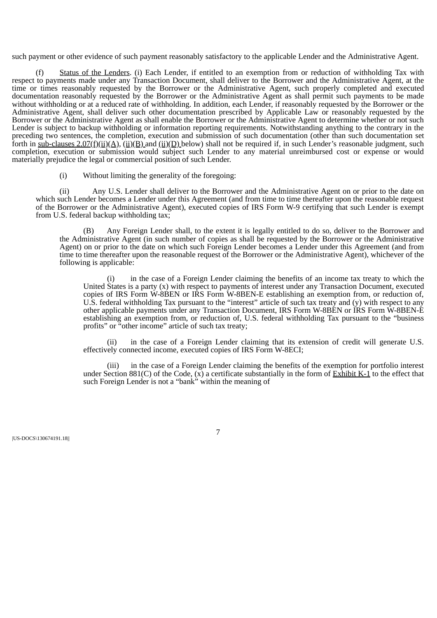such payment or other evidence of such payment reasonably satisfactory to the applicable Lender and the Administrative Agent.

(f) Status of the Lenders. (i) Each Lender, if entitled to an exemption from or reduction of withholding Tax with respect to payments made under any Transaction Document, shall deliver to the Borrower and the Administrative Agent, at the time or times reasonably requested by the Borrower or the Administrative Agent, such properly completed and executed documentation reasonably requested by the Borrower or the Administrative Agent as shall permit such payments to be made without withholding or at a reduced rate of withholding. In addition, each Lender, if reasonably requested by the Borrower or the Administrative Agent, shall deliver such other documentation prescribed by Applicable Law or reasonably requested by the Borrower or the Administrative Agent as shall enable the Borrower or the Administrative Agent to determine whether or not such Lender is subject to backup withholding or information reporting requirements. Notwithstanding anything to the contrary in the preceding two sentences, the completion, execution and submission of such documentation (other than such documentation set forth in sub-clauses  $2.07(f)(ii)(A)$ ,  $(ii)(B)$  and  $(ii)(D)$  below) shall not be required if, in such Lender's reasonable judgment, such completion, execution or submission would subject such Lender to any material unreimbursed cost or expense or would materially prejudice the legal or commercial position of such Lender.

(i) Without limiting the generality of the foregoing:

(ii) Any U.S. Lender shall deliver to the Borrower and the Administrative Agent on or prior to the date on which such Lender becomes a Lender under this Agreement (and from time to time thereafter upon the reasonable request of the Borrower or the Administrative Agent), executed copies of IRS Form W-9 certifying that such Lender is exempt from U.S. federal backup withholding tax;

(B) Any Foreign Lender shall, to the extent it is legally entitled to do so, deliver to the Borrower and the Administrative Agent (in such number of copies as shall be requested by the Borrower or the Administrative Agent) on or prior to the date on which such Foreign Lender becomes a Lender under this Agreement (and from time to time thereafter upon the reasonable request of the Borrower or the Administrative Agent), whichever of the following is applicable:

in the case of a Foreign Lender claiming the benefits of an income tax treaty to which the United States is a party (x) with respect to payments of interest under any Transaction Document, executed copies of IRS Form W-8BEN or IRS Form W-8BEN-E establishing an exemption from, or reduction of, U.S. federal withholding Tax pursuant to the "interest" article of such tax treaty and (y) with respect to any other applicable payments under any Transaction Document, IRS Form W-8BEN or IRS Form W-8BEN-E establishing an exemption from, or reduction of, U.S. federal withholding Tax pursuant to the "business profits" or "other income" article of such tax treaty;

(ii) in the case of a Foreign Lender claiming that its extension of credit will generate U.S. effectively connected income, executed copies of IRS Form W-8ECI;

(iii) in the case of a Foreign Lender claiming the benefits of the exemption for portfolio interest under Section 881(C) of the Code,  $(\bar{x})$  a certificate substantially in the form of  $\underline{\text{Exhibit K-1}}$  to the effect that such Foreign Lender is not a "bank" within the meaning of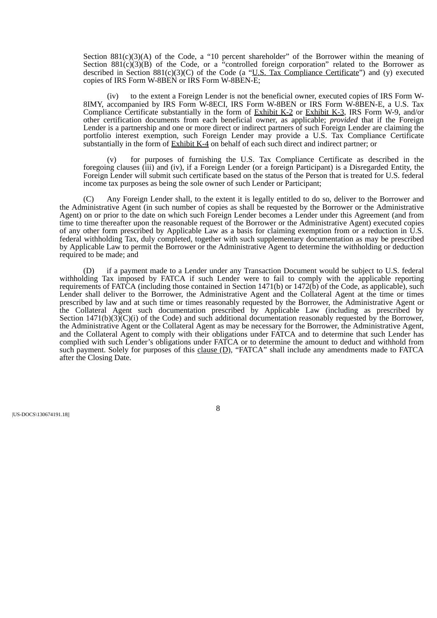Section 881(c)(3)(A) of the Code, a "10 percent shareholder" of the Borrower within the meaning of Section 881(c)(3)(B) of the Code, or a "controlled foreign corporation" related to the Borrower as described in Section  $881(c)(3)(C)$  of the Code (a "U.S. Tax Compliance Certificate") and (y) executed copies of IRS Form W-8BEN or IRS Form W-8BEN-E;

(iv) to the extent a Foreign Lender is not the beneficial owner, executed copies of IRS Form W-8IMY, accompanied by IRS Form W-8ECI, IRS Form W-8BEN or IRS Form W-8BEN-E, a U.S. Tax Compliance Certificate substantially in the form of Exhibit K-2 or Exhibit K-3, IRS Form W-9, and/or other certification documents from each beneficial owner, as applicable; *provided* that if the Foreign Lender is a partnership and one or more direct or indirect partners of such Foreign Lender are claiming the portfolio interest exemption, such Foreign Lender may provide a U.S. Tax Compliance Certificate substantially in the form of Exhibit K-4 on behalf of each such direct and indirect partner; or

for purposes of furnishing the U.S. Tax Compliance Certificate as described in the foregoing clauses (iii) and (iv), if a Foreign Lender (or a foreign Participant) is a Disregarded Entity, the Foreign Lender will submit such certificate based on the status of the Person that is treated for U.S. federal income tax purposes as being the sole owner of such Lender or Participant;

(C) Any Foreign Lender shall, to the extent it is legally entitled to do so, deliver to the Borrower and the Administrative Agent (in such number of copies as shall be requested by the Borrower or the Administrative Agent) on or prior to the date on which such Foreign Lender becomes a Lender under this Agreement (and from time to time thereafter upon the reasonable request of the Borrower or the Administrative Agent) executed copies of any other form prescribed by Applicable Law as a basis for claiming exemption from or a reduction in U.S. federal withholding Tax, duly completed, together with such supplementary documentation as may be prescribed by Applicable Law to permit the Borrower or the Administrative Agent to determine the withholding or deduction required to be made; and

(D) if a payment made to a Lender under any Transaction Document would be subject to U.S. federal withholding Tax imposed by FATCA if such Lender were to fail to comply with the applicable reporting requirements of FATCA (including those contained in Section  $1471(b)$  or  $1472(b)$  of the Code, as applicable), such Lender shall deliver to the Borrower, the Administrative Agent and the Collateral Agent at the time or times prescribed by law and at such time or times reasonably requested by the Borrower, the Administrative Agent or the Collateral Agent such documentation prescribed by Applicable Law (including as prescribed by Section 1471(b)(3)(C)(i) of the Code) and such additional documentation reasonably requested by the Borrower, the Administrative Agent or the Collateral Agent as may be necessary for the Borrower, the Administrative Agent, and the Collateral Agent to comply with their obligations under FATCA and to determine that such Lender has complied with such Lender's obligations under FATCA or to determine the amount to deduct and withhold from such payment. Solely for purposes of this clause  $(D)$ , "FATCA" shall include any amendments made to FATCA after the Closing Date.

|US-DOCS\130674191.18||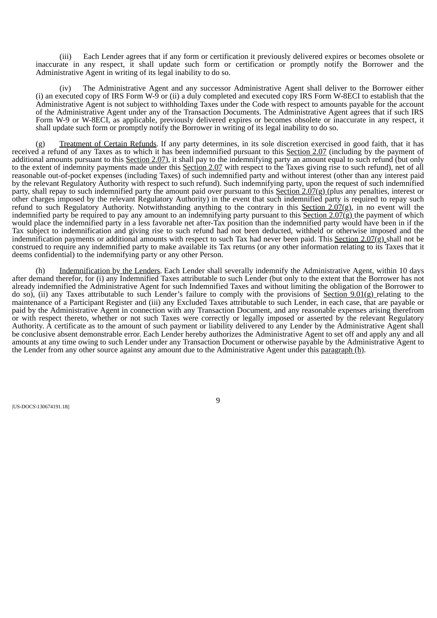(iii) Each Lender agrees that if any form or certification it previously delivered expires or becomes obsolete or inaccurate in any respect, it shall update such form or certification or promptly notify the Borrower and the Administrative Agent in writing of its legal inability to do so.

(iv) The Administrative Agent and any successor Administrative Agent shall deliver to the Borrower either (i) an executed copy of IRS Form W-9 or (ii) a duly completed and executed copy IRS Form W-8ECI to establish that the Administrative Agent is not subject to withholding Taxes under the Code with respect to amounts payable for the account of the Administrative Agent under any of the Transaction Documents. The Administrative Agent agrees that if such IRS Form W-9 or W-8ECI, as applicable, previously delivered expires or becomes obsolete or inaccurate in any respect, it shall update such form or promptly notify the Borrower in writing of its legal inability to do so.

(g) Treatment of Certain Refunds. If any party determines, in its sole discretion exercised in good faith, that it has received a refund of any Taxes as to which it has been indemnified pursuant to this Section 2.07 (including by the payment of additional amounts pursuant to this Section 2.07), it shall pay to the indemnifying party an amount equal to such refund (but only to the extent of indemnity payments made under this Section 2.07 with respect to the Taxes giving rise to such refund), net of all reasonable out-of-pocket expenses (including Taxes) of such indemnified party and without interest (other than any interest paid by the relevant Regulatory Authority with respect to such refund). Such indemnifying party, upon the request of such indemnified party, shall repay to such indemnified party the amount paid over pursuant to this Section 2.07(g) (plus any penalties, interest or other charges imposed by the relevant Regulatory Authority) in the event that such indemnified party is required to repay such refund to such Regulatory Authority. Notwithstanding anything to the contrary in this Section 2.07(g), in no event will the indemnified party be required to pay any amount to an indemnifying party pursuant to this  $\overline{\text{Section 2.07(g)}}$  the payment of which would place the indemnified party in a less favorable net after-Tax position than the indemnified party would have been in if the Tax subject to indemnification and giving rise to such refund had not been deducted, withheld or otherwise imposed and the indemnification payments or additional amounts with respect to such Tax had never been paid. This Section 2.07(g) shall not be construed to require any indemnified party to make available its Tax returns (or any other information relating to its Taxes that it deems confidential) to the indemnifying party or any other Person.

<span id="page-16-0"></span>(h) Indemnification by the Lenders. Each Lender shall severally indemnify the Administrative Agent, within 10 days after demand therefor, for (i) any Indemnified Taxes attributable to such Lender (but only to the extent that the Borrower has not already indemnified the Administrative Agent for such Indemnified Taxes and without limiting the obligation of the Borrower to do so), (ii) any Taxes attributable to such Lender's failure to comply with the provisions of Section 9.01(g) relating to the maintenance of a Participant Register and (iii) any Excluded Taxes attributable to such Lender, in each case, that are payable or paid by the Administrative Agent in connection with any Transaction Document, and any reasonable expenses arising therefrom or with respect thereto, whether or not such Taxes were correctly or legally imposed or asserted by the relevant Regulatory Authority. A certificate as to the amount of such payment or liability delivered to any Lender by the Administrative Agent shall be conclusive absent demonstrable error. Each Lender hereby authorizes the Administrative Agent to set off and apply any and all amounts at any time owing to such Lender under any Transaction Document or otherwise payable by the Administrative Agent to the Lender from any other source against any amount due to the Administrative Agent under this paragraph (h).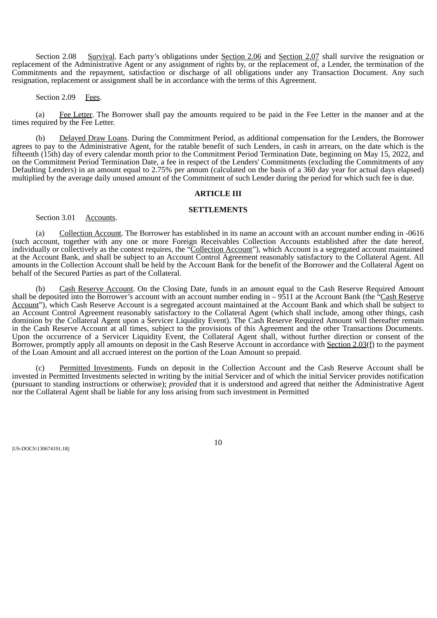Section 2.08 Survival. Each party's obligations under Section 2.06 and Section 2.07 shall survive the resignation or replacement of the Administrative Agent or any assignment of rights by, or the replacement of, a Lender, the termination of the Commitments and the repayment, satisfaction or discharge of all obligations under any Transaction Document. Any such resignation, replacement or assignment shall be in accordance with the terms of this Agreement.

#### Section 2.09 Fees.

<span id="page-17-0"></span>(a) Fee Letter. The Borrower shall pay the amounts required to be paid in the Fee Letter in the manner and at the times required by the Fee Letter.

(b) Delayed Draw Loans. During the Commitment Period, as additional compensation for the Lenders, the Borrower agrees to pay to the Administrative Agent, for the ratable benefit of such Lenders, in cash in arrears, on the date which is the fifteenth (15th) day of every calendar month prior to the Commitment Period Termination Date, beginning on May 15, 2022, and on the Commitment Period Termination Date, a fee in respect of the Lenders' Commitments (excluding the Commitments of any Defaulting Lenders) in an amount equal to 2.75% per annum (calculated on the basis of a 360 day year for actual days elapsed) multiplied by the average daily unused amount of the Commitment of such Lender during the period for which such fee is due.

#### **ARTICLE III**

#### **SETTLEMENTS**

<span id="page-17-1"></span>Section 3.01 Accounts.

(a) Collection Account. The Borrower has established in its name an account with an account number ending in -0616 (such account, together with any one or more Foreign Receivables Collection Accounts established after the date hereof, individually or collectively as the context requires, the "Collection Account"), which Account is a segregated account maintained at the Account Bank, and shall be subject to an Account Control Agreement reasonably satisfactory to the Collateral Agent. All amounts in the Collection Account shall be held by the Account Bank for the benefit of the Borrower and the Collateral Agent on behalf of the Secured Parties as part of the Collateral.

(b) Cash Reserve Account. On the Closing Date, funds in an amount equal to the Cash Reserve Required Amount shall be deposited into the Borrower's account with an account number ending in  $-9511$  at the Account Bank (the "Cash Reserve Account"), which Cash Reserve Account is a segregated account maintained at the Account Bank and which shall be subject to an Account Control Agreement reasonably satisfactory to the Collateral Agent (which shall include, among other things, cash dominion by the Collateral Agent upon a Servicer Liquidity Event). The Cash Reserve Required Amount will thereafter remain in the Cash Reserve Account at all times, subject to the provisions of this Agreement and the other Transactions Documents. Upon the occurrence of a Servicer Liquidity Event, the Collateral Agent shall, without further direction or consent of the Borrower, promptly apply all amounts on deposit in the Cash Reserve Account in accordance with Section  $2.03(f)$  to the payment of the Loan Amount and all accrued interest on the portion of the Loan Amount so prepaid.

(c) Permitted Investments. Funds on deposit in the Collection Account and the Cash Reserve Account shall be invested in Permitted Investments selected in writing by the initial Servicer and of which the initial Servicer provides notification (pursuant to standing instructions or otherwise); *provided* that it is understood and agreed that neither the Administrative Agent nor the Collateral Agent shall be liable for any loss arising from such investment in Permitted

|US-DOCS\130674191.18||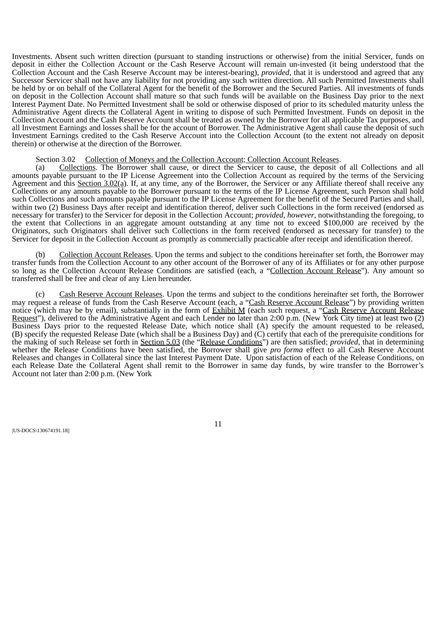Investments. Absent such written direction (pursuant to standing instructions or otherwise) from the initial Servicer, funds on deposit in either the Collection Account or the Cash Reserve Account will remain un-invested (it being understood that the Collection Account and the Cash Reserve Account may be interest-bearing), *provided*, that it is understood and agreed that any Successor Servicer shall not have any liability for not providing any such written direction. All such Permitted Investments shall be held by or on behalf of the Collateral Agent for the benefit of the Borrower and the Secured Parties. All investments of funds on deposit in the Collection Account shall mature so that such funds will be available on the Business Day prior to the next Interest Payment Date. No Permitted Investment shall be sold or otherwise disposed of prior to its scheduled maturity unless the Administrative Agent directs the Collateral Agent in writing to dispose of such Permitted Investment. Funds on deposit in the Collection Account and the Cash Reserve Account shall be treated as owned by the Borrower for all applicable Tax purposes, and all Investment Earnings and losses shall be for the account of Borrower. The Administrative Agent shall cause the deposit of such Investment Earnings credited to the Cash Reserve Account into the Collection Account (to the extent not already on deposit therein) or otherwise at the direction of the Borrower.

#### Section 3.02 Collection of Moneys and the Collection Account; Collection Account Releases.

<span id="page-18-0"></span>(a) Collections. The Borrower shall cause, or direct the Servicer to cause, the deposit of all Collections and all amounts payable pursuant to the IP License Agreement into the Collection Account as required by the terms of the Servicing Agreement and this Section 3.02(a). If, at any time, any of the Borrower, the Servicer or any Affiliate thereof shall receive any Collections or any amounts payable to the Borrower pursuant to the terms of the IP License Agreement, such Person shall hold such Collections and such amounts payable pursuant to the IP License Agreement for the benefit of the Secured Parties and shall, within two (2) Business Days after receipt and identification thereof, deliver such Collections in the form received (endorsed as necessary for transfer) to the Servicer for deposit in the Collection Account; *provided*, *however*, notwithstanding the foregoing, to the extent that Collections in an aggregate amount outstanding at any time not to exceed \$100,000 are received by the Originators, such Originators shall deliver such Collections in the form received (endorsed as necessary for transfer) to the Servicer for deposit in the Collection Account as promptly as commercially practicable after receipt and identification thereof.

Collection Account Releases. Upon the terms and subject to the conditions hereinafter set forth, the Borrower may transfer funds from the Collection Account to any other account of the Borrower of any of its Affiliates or for any other purpose so long as the Collection Account Release Conditions are satisfied (each, a "Collection Account Release"). Any amount so transferred shall be free and clear of any Lien hereunder.

(c) Cash Reserve Account Releases. Upon the terms and subject to the conditions hereinafter set forth, the Borrower may request a release of funds from the Cash Reserve Account (each, a "Cash Reserve Account Release") by providing written notice (which may be by email), substantially in the form of Exhibit M (each such request, a "Cash Reserve Account Release Request"), delivered to the Administrative Agent and each Lender no later than 2:00 p.m. (New York City time) at least two (2) Business Days prior to the requested Release Date, which notice shall (A) specify the amount requested to be released, (B) specify the requested Release Date (which shall be a Business Day) and (C) certify that each of the prerequisite conditions for the making of such Release set forth in Section 5.03 (the "Release Conditions") are then satisfied; *provided*, that in determining whether the Release Conditions have been satisfied, the Borrower shall give *pro forma* effect to all Cash Reserve Account Releases and changes in Collateral since the last Interest Payment Date. Upon satisfaction of each of the Release Conditions, on each Release Date the Collateral Agent shall remit to the Borrower in same day funds, by wire transfer to the Borrower's Account not later than 2:00 p.m. (New York

|US-DOCS\130674191.18||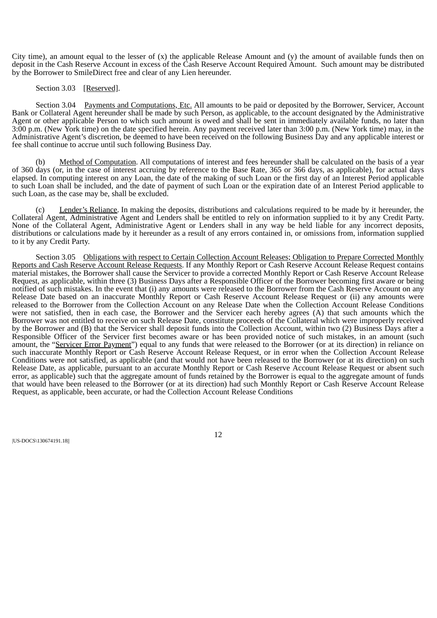City time), an amount equal to the lesser of (x) the applicable Release Amount and (y) the amount of available funds then on deposit in the Cash Reserve Account in excess of the Cash Reserve Account Required Amount. Such amount may be distributed by the Borrower to SmileDirect free and clear of any Lien hereunder.

#### Section 3.03 [Reserved].

<span id="page-19-1"></span><span id="page-19-0"></span>Section 3.04 Payments and Computations, Etc. All amounts to be paid or deposited by the Borrower, Servicer, Account Bank or Collateral Agent hereunder shall be made by such Person, as applicable, to the account designated by the Administrative Agent or other applicable Person to which such amount is owed and shall be sent in immediately available funds, no later than 3:00 p.m. (New York time) on the date specified herein. Any payment received later than 3:00 p.m. (New York time) may, in the Administrative Agent's discretion, be deemed to have been received on the following Business Day and any applicable interest or fee shall continue to accrue until such following Business Day.

Method of Computation. All computations of interest and fees hereunder shall be calculated on the basis of a year of 360 days (or, in the case of interest accruing by reference to the Base Rate, 365 or 366 days, as applicable), for actual days elapsed. In computing interest on any Loan, the date of the making of such Loan or the first day of an Interest Period applicable to such Loan shall be included, and the date of payment of such Loan or the expiration date of an Interest Period applicable to such Loan, as the case may be, shall be excluded.

Lender's Reliance. In making the deposits, distributions and calculations required to be made by it hereunder, the Collateral Agent, Administrative Agent and Lenders shall be entitled to rely on information supplied to it by any Credit Party. None of the Collateral Agent, Administrative Agent or Lenders shall in any way be held liable for any incorrect deposits, distributions or calculations made by it hereunder as a result of any errors contained in, or omissions from, information supplied to it by any Credit Party.

<span id="page-19-2"></span>Section 3.05 Obligations with respect to Certain Collection Account Releases; Obligation to Prepare Corrected Monthly Reports and Cash Reserve Account Release Requests. If any Monthly Report or Cash Reserve Account Release Request contains material mistakes, the Borrower shall cause the Servicer to provide a corrected Monthly Report or Cash Reserve Account Release Request, as applicable, within three (3) Business Days after a Responsible Officer of the Borrower becoming first aware or being notified of such mistakes. In the event that (i) any amounts were released to the Borrower from the Cash Reserve Account on any Release Date based on an inaccurate Monthly Report or Cash Reserve Account Release Request or (ii) any amounts were released to the Borrower from the Collection Account on any Release Date when the Collection Account Release Conditions were not satisfied, then in each case, the Borrower and the Servicer each hereby agrees (A) that such amounts which the Borrower was not entitled to receive on such Release Date, constitute proceeds of the Collateral which were improperly received by the Borrower and (B) that the Servicer shall deposit funds into the Collection Account, within two (2) Business Days after a Responsible Officer of the Servicer first becomes aware or has been provided notice of such mistakes, in an amount (such amount, the "Servicer Error Payment") equal to any funds that were released to the Borrower (or at its direction) in reliance on such inaccurate Monthly Report or Cash Reserve Account Release Request, or in error when the Collection Account Release Conditions were not satisfied, as applicable (and that would not have been released to the Borrower (or at its direction) on such Release Date, as applicable, pursuant to an accurate Monthly Report or Cash Reserve Account Release Request or absent such error, as applicable) such that the aggregate amount of funds retained by the Borrower is equal to the aggregate amount of funds that would have been released to the Borrower (or at its direction) had such Monthly Report or Cash Reserve Account Release Request, as applicable, been accurate, or had the Collection Account Release Conditions

|US-DOCS\130674191.18||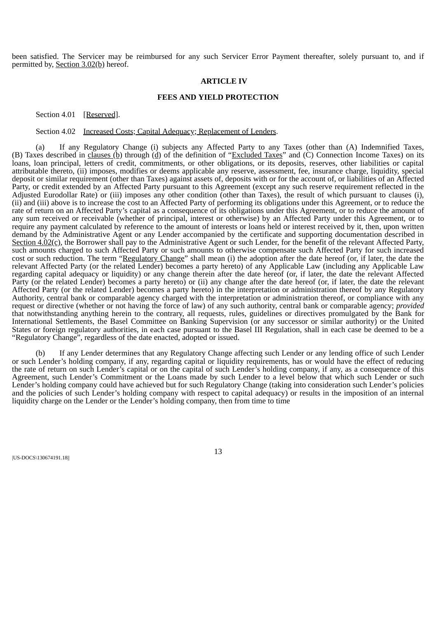<span id="page-20-0"></span>been satisfied. The Servicer may be reimbursed for any such Servicer Error Payment thereafter, solely pursuant to, and if permitted by, Section 3.02(b) hereof.

#### **ARTICLE IV**

## **FEES AND YIELD PROTECTION**

<span id="page-20-1"></span>Section 4.01 [Reserved].

#### Section 4.02 Increased Costs; Capital Adequacy; Replacement of Lenders.

(a) If any Regulatory Change (i) subjects any Affected Party to any Taxes (other than (A) Indemnified Taxes, (B) Taxes described in clauses  $(b)$  through  $(d)$  of the definition of "Excluded Taxes" and (C) Connection Income Taxes) on its loans, loan principal, letters of credit, commitments, or other obligations, or its deposits, reserves, other liabilities or capital attributable thereto, (ii) imposes, modifies or deems applicable any reserve, assessment, fee, insurance charge, liquidity, special deposit or similar requirement (other than Taxes) against assets of, deposits with or for the account of, or liabilities of an Affected Party, or credit extended by an Affected Party pursuant to this Agreement (except any such reserve requirement reflected in the Adjusted Eurodollar Rate) or (iii) imposes any other condition (other than Taxes), the result of which pursuant to clauses (i), (ii) and (iii) above is to increase the cost to an Affected Party of performing its obligations under this Agreement, or to reduce the rate of return on an Affected Party's capital as a consequence of its obligations under this Agreement, or to reduce the amount of any sum received or receivable (whether of principal, interest or otherwise) by an Affected Party under this Agreement, or to require any payment calculated by reference to the amount of interests or loans held or interest received by it, then, upon written demand by the Administrative Agent or any Lender accompanied by the certificate and supporting documentation described in Section  $4.02(c)$ , the Borrower shall pay to the Administrative Agent or such Lender, for the benefit of the relevant Affected Party, such amounts charged to such Affected Party or such amounts to otherwise compensate such Affected Party for such increased cost or such reduction. The term "Regulatory Change" shall mean (i) the adoption after the date hereof (or, if later, the date the relevant Affected Party (or the related Lender) becomes a party hereto) of any Applicable Law (including any Applicable Law regarding capital adequacy or liquidity) or any change therein after the date hereof (or, if later, the date the relevant Affected Party (or the related Lender) becomes a party hereto) or (ii) any change after the date hereof (or, if later, the date the relevant Affected Party (or the related Lender) becomes a party hereto) in the interpretation or administration thereof by any Regulatory Authority, central bank or comparable agency charged with the interpretation or administration thereof, or compliance with any request or directive (whether or not having the force of law) of any such authority, central bank or comparable agency; *provided* that notwithstanding anything herein to the contrary, all requests, rules, guidelines or directives promulgated by the Bank for International Settlements, the Basel Committee on Banking Supervision (or any successor or similar authority) or the United States or foreign regulatory authorities, in each case pursuant to the Basel III Regulation, shall in each case be deemed to be a "Regulatory Change", regardless of the date enacted, adopted or issued.

If any Lender determines that any Regulatory Change affecting such Lender or any lending office of such Lender or such Lender's holding company, if any, regarding capital or liquidity requirements, has or would have the effect of reducing the rate of return on such Lender's capital or on the capital of such Lender's holding company, if any, as a consequence of this Agreement, such Lender's Commitment or the Loans made by such Lender to a level below that which such Lender or such Lender's holding company could have achieved but for such Regulatory Change (taking into consideration such Lender's policies and the policies of such Lender's holding company with respect to capital adequacy) or results in the imposition of an internal liquidity charge on the Lender or the Lender's holding company, then from time to time

|US-DOCS\130674191.18||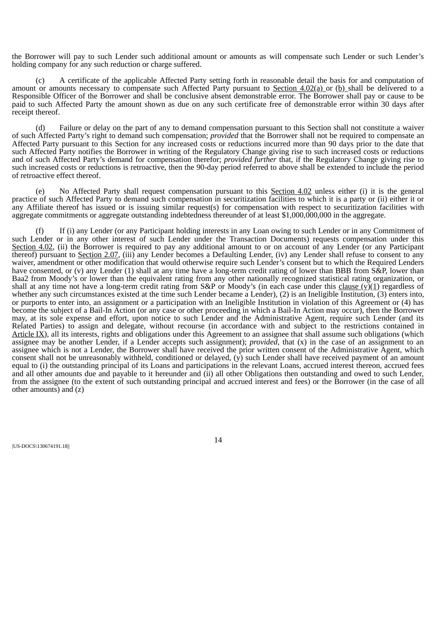the Borrower will pay to such Lender such additional amount or amounts as will compensate such Lender or such Lender's holding company for any such reduction or charge suffered.

(c) A certificate of the applicable Affected Party setting forth in reasonable detail the basis for and computation of amount or amounts necessary to compensate such Affected Party pursuant to Section  $4.02(a)$  or (b) shall be delivered to a Responsible Officer of the Borrower and shall be conclusive absent demonstrable error. The Borrower shall pay or cause to be paid to such Affected Party the amount shown as due on any such certificate free of demonstrable error within 30 days after receipt thereof.

(d) Failure or delay on the part of any to demand compensation pursuant to this Section shall not constitute a waiver of such Affected Party's right to demand such compensation; *provided* that the Borrower shall not be required to compensate an Affected Party pursuant to this Section for any increased costs or reductions incurred more than 90 days prior to the date that such Affected Party notifies the Borrower in writing of the Regulatory Change giving rise to such increased costs or reductions and of such Affected Party's demand for compensation therefor; *provided further* that, if the Regulatory Change giving rise to such increased costs or reductions is retroactive, then the 90-day period referred to above shall be extended to include the period of retroactive effect thereof.

(e) No Affected Party shall request compensation pursuant to this Section 4.02 unless either (i) it is the general practice of such Affected Party to demand such compensation in securitization facilities to which it is a party or (ii) either it or any Affiliate thereof has issued or is issuing similar request(s) for compensation with respect to securitization facilities with aggregate commitments or aggregate outstanding indebtedness thereunder of at least \$1,000,000,000 in the aggregate.

(f) If (i) any Lender (or any Participant holding interests in any Loan owing to such Lender or in any Commitment of such Lender or in any other interest of such Lender under the Transaction Documents) requests compensation under this Section 4.02, (ii) the Borrower is required to pay any additional amount to or on account of any Lender (or any Participant thereof) pursuant to Section 2.07, (iii) any Lender becomes a Defaulting Lender, (iv) any Lender shall refuse to consent to any waiver, amendment or other modification that would otherwise require such Lender's consent but to which the Required Lenders have consented, or (v) any Lender (1) shall at any time have a long-term credit rating of lower than BBB from S&P, lower than Baa2 from Moody's or lower than the equivalent rating from any other nationally recognized statistical rating organization, or shall at any time not have a long-term credit rating from S&P or Moody's (in each case under this clause  $(v)(1)$  regardless of whether any such circumstances existed at the time such Lender became a Lender), (2) is an Ineligible Institution, (3) enters into, or purports to enter into, an assignment or a participation with an Ineligible Institution in violation of this Agreement or (4) has become the subject of a Bail-In Action (or any case or other proceeding in which a Bail-In Action may occur), then the Borrower may, at its sole expense and effort, upon notice to such Lender and the Administrative Agent, require such Lender (and its Related Parties) to assign and delegate, without recourse (in accordance with and subject to the restrictions contained in Article IX), all its interests, rights and obligations under this Agreement to an assignee that shall assume such obligations (which assignee may be another Lender, if a Lender accepts such assignment); *provided*, that (x) in the case of an assignment to an assignee which is not a Lender, the Borrower shall have received the prior written consent of the Administrative Agent, which consent shall not be unreasonably withheld, conditioned or delayed,  $(\hat{v})$  such Lender shall have received payment of an amount equal to (i) the outstanding principal of its Loans and participations in the relevant Loans, accrued interest thereon, accrued fees and all other amounts due and payable to it hereunder and (ii) all other Obligations then outstanding and owed to such Lender, from the assignee (to the extent of such outstanding principal and accrued interest and fees) or the Borrower (in the case of all other amounts) and (z)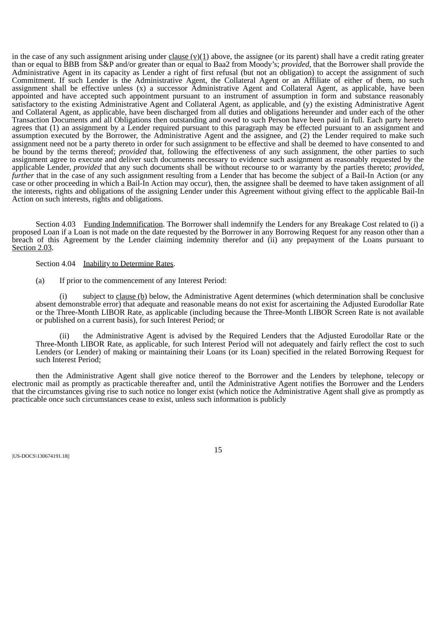in the case of any such assignment arising under clause  $(v)(1)$  above, the assignee (or its parent) shall have a credit rating greater than or equal to BBB from S&P and/or greater than or equal to Baa2 from Moody's; *provided*, that the Borrower shall provide the Administrative Agent in its capacity as Lender a right of first refusal (but not an obligation) to accept the assignment of such Commitment. If such Lender is the Administrative Agent, the Collateral Agent or an Affiliate of either of them, no such assignment shall be effective unless (x) a successor Administrative Agent and Collateral Agent, as applicable, have been appointed and have accepted such appointment pursuant to an instrument of assumption in form and substance reasonably satisfactory to the existing Administrative Agent and Collateral Agent, as applicable, and (y) the existing Administrative Agent and Collateral Agent, as applicable, have been discharged from all duties and obligations hereunder and under each of the other Transaction Documents and all Obligations then outstanding and owed to such Person have been paid in full. Each party hereto agrees that (1) an assignment by a Lender required pursuant to this paragraph may be effected pursuant to an assignment and assumption executed by the Borrower, the Administrative Agent and the assignee, and (2) the Lender required to make such assignment need not be a party thereto in order for such assignment to be effective and shall be deemed to have consented to and be bound by the terms thereof; *provided* that, following the effectiveness of any such assignment, the other parties to such assignment agree to execute and deliver such documents necessary to evidence such assignment as reasonably requested by the applicable Lender, *provided* that any such documents shall be without recourse to or warranty by the parties thereto; *provided*, *further* that in the case of any such assignment resulting from a Lender that has become the subject of a Bail-In Action (or any case or other proceeding in which a Bail-In Action may occur), then, the assignee shall be deemed to have taken assignment of all the interests, rights and obligations of the assigning Lender under this Agreement without giving effect to the applicable Bail-In Action on such interests, rights and obligations.

<span id="page-22-0"></span>Section 4.03 Funding Indemnification. The Borrower shall indemnify the Lenders for any Breakage Cost related to (i) a proposed Loan if a Loan is not made on the date requested by the Borrower in any Borrowing Request for any reason other than a breach of this Agreement by the Lender claiming indemnity therefor and (ii) any prepayment of the Loans pursuant to Section 2.03.

#### <span id="page-22-1"></span>Section 4.04 Inability to Determine Rates.

(a) If prior to the commencement of any Interest Period:

(i) subject to clause (b) below, the Administrative Agent determines (which determination shall be conclusive absent demonstrable error) that adequate and reasonable means do not exist for ascertaining the Adjusted Eurodollar Rate or the Three-Month LIBOR Rate, as applicable (including because the Three-Month LIBOR Screen Rate is not available or published on a current basis), for such Interest Period; or

(ii) the Administrative Agent is advised by the Required Lenders that the Adjusted Eurodollar Rate or the Three-Month LIBOR Rate, as applicable, for such Interest Period will not adequately and fairly reflect the cost to such Lenders (or Lender) of making or maintaining their Loans (or its Loan) specified in the related Borrowing Request for such Interest Period;

then the Administrative Agent shall give notice thereof to the Borrower and the Lenders by telephone, telecopy or electronic mail as promptly as practicable thereafter and, until the Administrative Agent notifies the Borrower and the Lenders that the circumstances giving rise to such notice no longer exist (which notice the Administrative Agent shall give as promptly as practicable once such circumstances cease to exist, unless such information is publicly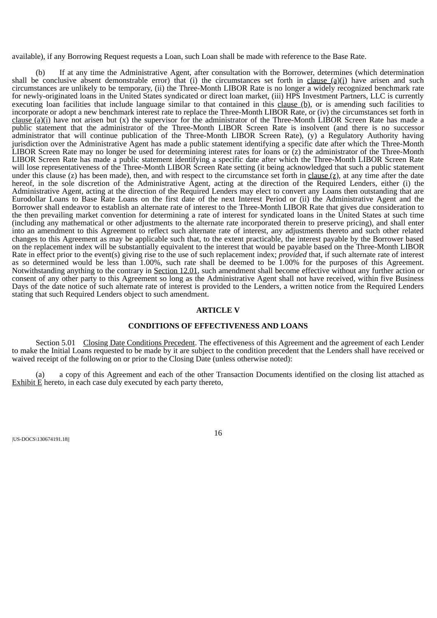available), if any Borrowing Request requests a Loan, such Loan shall be made with reference to the Base Rate.

(b) If at any time the Administrative Agent, after consultation with the Borrower, determines (which determination shall be conclusive absent demonstrable error) that (i) the circumstances set forth in clause  $(a)(i)$  have arisen and such circumstances are unlikely to be temporary, (ii) the Three-Month LIBOR Rate is no longer a widely recognized benchmark rate for newly-originated loans in the United States syndicated or direct loan market, (iii) HPS Investment Partners, LLC is currently executing loan facilities that include language similar to that contained in this clause (b), or is amending such facilities to incorporate or adopt a new benchmark interest rate to replace the Three-Month LIBOR Rate, or (iv) the circumstances set forth in clause (a)(i) have not arisen but (x) the supervisor for the administrator of the Three-Month LIBOR Screen Rate has made a public statement that the administrator of the Three-Month LIBOR Screen Rate is insolvent (and there is no successor administrator that will continue publication of the Three-Month LIBOR Screen Rate), (y) a Regulatory Authority having jurisdiction over the Administrative Agent has made a public statement identifying a specific date after which the Three-Month LIBOR Screen Rate may no longer be used for determining interest rates for loans or (z) the administrator of the Three-Month LIBOR Screen Rate has made a public statement identifying a specific date after which the Three-Month LIBOR Screen Rate will lose representativeness of the Three-Month LIBOR Screen Rate setting (it being acknowledged that such a public statement under this clause (z) has been made), then, and with respect to the circumstance set forth in clause  $(z)$ , at any time after the date hereof, in the sole discretion of the Administrative Agent, acting at the direction of the Required Lenders, either (i) the Administrative Agent, acting at the direction of the Required Lenders may elect to convert any Loans then outstanding that are Eurodollar Loans to Base Rate Loans on the first date of the next Interest Period or (ii) the Administrative Agent and the Borrower shall endeavor to establish an alternate rate of interest to the Three-Month LIBOR Rate that gives due consideration to the then prevailing market convention for determining a rate of interest for syndicated loans in the United States at such time (including any mathematical or other adjustments to the alternate rate incorporated therein to preserve pricing), and shall enter into an amendment to this Agreement to reflect such alternate rate of interest, any adjustments thereto and such other related changes to this Agreement as may be applicable such that, to the extent practicable, the interest payable by the Borrower based on the replacement index will be substantially equivalent to the interest that would be payable based on the Three-Month LIBOR Rate in effect prior to the event(s) giving rise to the use of such replacement index; *provided* that, if such alternate rate of interest as so determined would be less than 1.00%, such rate shall be deemed to be 1.00% for the purposes of this Agreement. Notwithstanding anything to the contrary in Section 12.01, such amendment shall become effective without any further action or consent of any other party to this Agreement so long as the Administrative Agent shall not have received, within five Business Days of the date notice of such alternate rate of interest is provided to the Lenders, a written notice from the Required Lenders stating that such Required Lenders object to such amendment.

# **ARTICLE V**

## **CONDITIONS OF EFFECTIVENESS AND LOANS**

<span id="page-23-0"></span>Section 5.01 Closing Date Conditions Precedent. The effectiveness of this Agreement and the agreement of each Lender to make the Initial Loans requested to be made by it are subject to the condition precedent that the Lenders shall have received or waived receipt of the following on or prior to the Closing Date (unless otherwise noted):

(a) a copy of this Agreement and each of the other Transaction Documents identified on the closing list attached as Exhibit E hereto, in each case duly executed by each party thereto,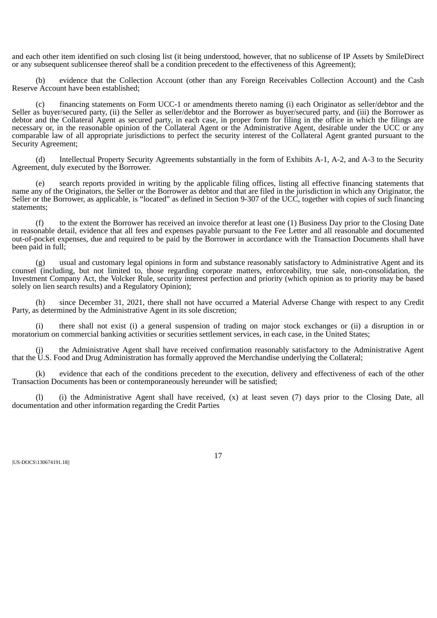and each other item identified on such closing list (it being understood, however, that no sublicense of IP Assets by SmileDirect or any subsequent sublicensee thereof shall be a condition precedent to the effectiveness of this Agreement);

(b) evidence that the Collection Account (other than any Foreign Receivables Collection Account) and the Cash Reserve Account have been established;

(c) financing statements on Form UCC-1 or amendments thereto naming (i) each Originator as seller/debtor and the Seller as buyer/secured party, (ii) the Seller as seller/debtor and the Borrower as buyer/secured party, and (iii) the Borrower as debtor and the Collateral Agent as secured party, in each case, in proper form for filing in the office in which the filings are necessary or, in the reasonable opinion of the Collateral Agent or the Administrative Agent, desirable under the UCC or any comparable law of all appropriate jurisdictions to perfect the security interest of the Collateral Agent granted pursuant to the Security Agreement;

(d) Intellectual Property Security Agreements substantially in the form of Exhibits A-1, A-2, and A-3 to the Security Agreement, duly executed by the Borrower.

(e) search reports provided in writing by the applicable filing offices, listing all effective financing statements that name any of the Originators, the Seller or the Borrower as debtor and that are filed in the jurisdiction in which any Originator, the Seller or the Borrower, as applicable, is "located" as defined in Section 9-307 of the UCC, together with copies of such financing statements;

(f) to the extent the Borrower has received an invoice therefor at least one (1) Business Day prior to the Closing Date in reasonable detail, evidence that all fees and expenses payable pursuant to the Fee Letter and all reasonable and documented out-of-pocket expenses, due and required to be paid by the Borrower in accordance with the Transaction Documents shall have been paid in full;

usual and customary legal opinions in form and substance reasonably satisfactory to Administrative Agent and its counsel (including, but not limited to, those regarding corporate matters, enforceability, true sale, non-consolidation, the Investment Company Act, the Volcker Rule, security interest perfection and priority (which opinion as to priority may be based solely on lien search results) and a Regulatory Opinion);

(h) since December 31, 2021, there shall not have occurred a Material Adverse Change with respect to any Credit Party, as determined by the Administrative Agent in its sole discretion;

(i) there shall not exist (i) a general suspension of trading on major stock exchanges or (ii) a disruption in or moratorium on commercial banking activities or securities settlement services, in each case, in the United States;

the Administrative Agent shall have received confirmation reasonably satisfactory to the Administrative Agent that the U.S. Food and Drug Administration has formally approved the Merchandise underlying the Collateral;

(k) evidence that each of the conditions precedent to the execution, delivery and effectiveness of each of the other Transaction Documents has been or contemporaneously hereunder will be satisfied;

(l) (i) the Administrative Agent shall have received, (x) at least seven (7) days prior to the Closing Date, all documentation and other information regarding the Credit Parties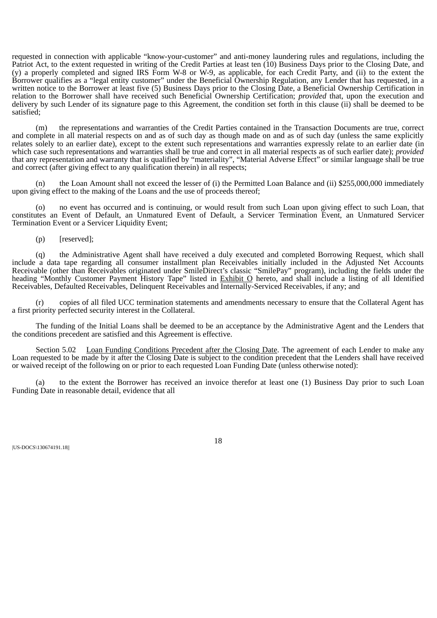requested in connection with applicable "know-your-customer" and anti-money laundering rules and regulations, including the Patriot Act, to the extent requested in writing of the Credit Parties at least ten (10) Business Days prior to the Closing Date, and (y) a properly completed and signed IRS Form W-8 or W-9, as applicable, for each Credit Party, and (ii) to the extent the Borrower qualifies as a "legal entity customer" under the Beneficial Ownership Regulation, any Lender that has requested, in a written notice to the Borrower at least five (5) Business Days prior to the Closing Date, a Beneficial Ownership Certification in relation to the Borrower shall have received such Beneficial Ownership Certification; *provided* that, upon the execution and delivery by such Lender of its signature page to this Agreement, the condition set forth in this clause (ii) shall be deemed to be satisfied;

(m) the representations and warranties of the Credit Parties contained in the Transaction Documents are true, correct and complete in all material respects on and as of such day as though made on and as of such day (unless the same explicitly relates solely to an earlier date), except to the extent such representations and warranties expressly relate to an earlier date (in which case such representations and warranties shall be true and correct in all material respects as of such earlier date); *provided* that any representation and warranty that is qualified by "materiality", "Material Adverse Effect" or similar language shall be true and correct (after giving effect to any qualification therein) in all respects;

(n) the Loan Amount shall not exceed the lesser of (i) the Permitted Loan Balance and (ii) \$255,000,000 immediately upon giving effect to the making of the Loans and the use of proceeds thereof;

(o) no event has occurred and is continuing, or would result from such Loan upon giving effect to such Loan, that constitutes an Event of Default, an Unmatured Event of Default, a Servicer Termination Event, an Unmatured Servicer Termination Event or a Servicer Liquidity Event;

(p) [reserved];

(q) the Administrative Agent shall have received a duly executed and completed Borrowing Request, which shall include a data tape regarding all consumer installment plan Receivables initially included in the Adjusted Net Accounts Receivable (other than Receivables originated under SmileDirect's classic "SmilePay" program), including the fields under the heading "Monthly Customer Payment History Tape" listed in Exhibit O hereto, and shall include a listing of all Identified Receivables, Defaulted Receivables, Delinquent Receivables and Internally-Serviced Receivables, if any; and

(r) copies of all filed UCC termination statements and amendments necessary to ensure that the Collateral Agent has a first priority perfected security interest in the Collateral.

The funding of the Initial Loans shall be deemed to be an acceptance by the Administrative Agent and the Lenders that the conditions precedent are satisfied and this Agreement is effective.

<span id="page-25-0"></span>Section 5.02 Loan Funding Conditions Precedent after the Closing Date. The agreement of each Lender to make any Loan requested to be made by it after the Closing Date is subject to the condition precedent that the Lenders shall have received or waived receipt of the following on or prior to each requested Loan Funding Date (unless otherwise noted):

(a) to the extent the Borrower has received an invoice therefor at least one (1) Business Day prior to such Loan Funding Date in reasonable detail, evidence that all

|US-DOCS\130674191.18||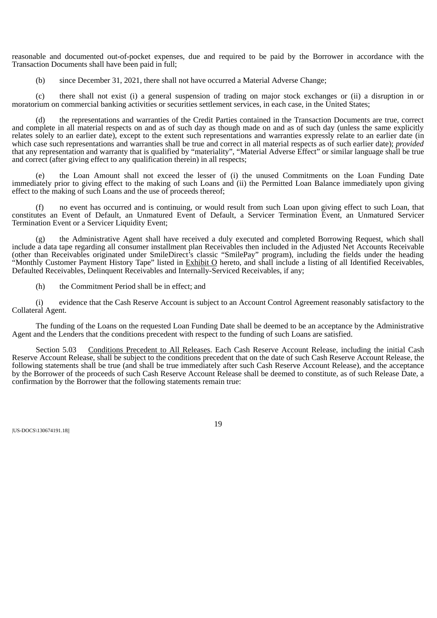reasonable and documented out-of-pocket expenses, due and required to be paid by the Borrower in accordance with the Transaction Documents shall have been paid in full;

(b) since December 31, 2021, there shall not have occurred a Material Adverse Change;

(c) there shall not exist (i) a general suspension of trading on major stock exchanges or (ii) a disruption in or moratorium on commercial banking activities or securities settlement services, in each case, in the United States;

(d) the representations and warranties of the Credit Parties contained in the Transaction Documents are true, correct and complete in all material respects on and as of such day as though made on and as of such day (unless the same explicitly relates solely to an earlier date), except to the extent such representations and warranties expressly relate to an earlier date (in which case such representations and warranties shall be true and correct in all material respects as of such earlier date); *provided* that any representation and warranty that is qualified by "materiality", "Material Adverse Effect" or similar language shall be true and correct (after giving effect to any qualification therein) in all respects;

(e) the Loan Amount shall not exceed the lesser of (i) the unused Commitments on the Loan Funding Date immediately prior to giving effect to the making of such Loans and (ii) the Permitted Loan Balance immediately upon giving effect to the making of such Loans and the use of proceeds thereof;

(f) no event has occurred and is continuing, or would result from such Loan upon giving effect to such Loan, that constitutes an Event of Default, an Unmatured Event of Default, a Servicer Termination Event, an Unmatured Servicer Termination Event or a Servicer Liquidity Event;

(g) the Administrative Agent shall have received a duly executed and completed Borrowing Request, which shall include a data tape regarding all consumer installment plan Receivables then included in the Adjusted Net Accounts Receivable (other than Receivables originated under SmileDirect's classic "SmilePay" program), including the fields under the heading "Monthly Customer Payment History Tape" listed in **Exhibit O** hereto, and shall include a listing of all Identified Receivables, Defaulted Receivables, Delinquent Receivables and Internally-Serviced Receivables, if any;

(h) the Commitment Period shall be in effect; and

(i) evidence that the Cash Reserve Account is subject to an Account Control Agreement reasonably satisfactory to the Collateral Agent.

The funding of the Loans on the requested Loan Funding Date shall be deemed to be an acceptance by the Administrative Agent and the Lenders that the conditions precedent with respect to the funding of such Loans are satisfied.

<span id="page-26-0"></span>Section 5.03 Conditions Precedent to All Releases. Each Cash Reserve Account Release, including the initial Cash Reserve Account Release, shall be subject to the conditions precedent that on the date of such Cash Reserve Account Release, the following statements shall be true (and shall be true immediately after such Cash Reserve Account Release), and the acceptance by the Borrower of the proceeds of such Cash Reserve Account Release shall be deemed to constitute, as of such Release Date, a confirmation by the Borrower that the following statements remain true:

|US-DOCS\130674191.18||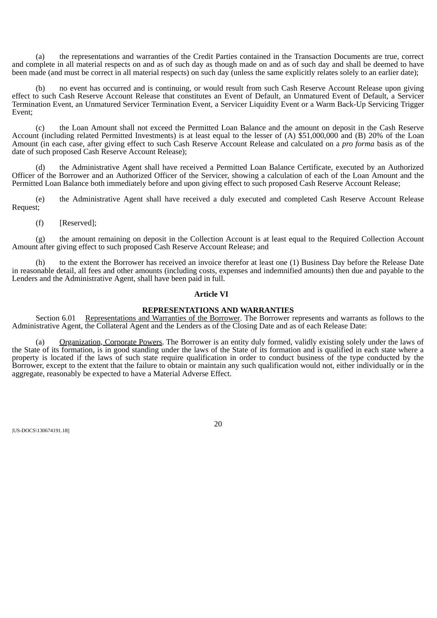(a) the representations and warranties of the Credit Parties contained in the Transaction Documents are true, correct and complete in all material respects on and as of such day as though made on and as of such day and shall be deemed to have been made (and must be correct in all material respects) on such day (unless the same explicitly relates solely to an earlier date);

(b) no event has occurred and is continuing, or would result from such Cash Reserve Account Release upon giving effect to such Cash Reserve Account Release that constitutes an Event of Default, an Unmatured Event of Default, a Servicer Termination Event, an Unmatured Servicer Termination Event, a Servicer Liquidity Event or a Warm Back-Up Servicing Trigger Event;

(c) the Loan Amount shall not exceed the Permitted Loan Balance and the amount on deposit in the Cash Reserve Account (including related Permitted Investments) is at least equal to the lesser of (A) \$51,000,000 and (B) 20% of the Loan Amount (in each case, after giving effect to such Cash Reserve Account Release and calculated on a *pro forma* basis as of the date of such proposed Cash Reserve Account Release);

(d) the Administrative Agent shall have received a Permitted Loan Balance Certificate, executed by an Authorized Officer of the Borrower and an Authorized Officer of the Servicer, showing a calculation of each of the Loan Amount and the Permitted Loan Balance both immediately before and upon giving effect to such proposed Cash Reserve Account Release;

(e) the Administrative Agent shall have received a duly executed and completed Cash Reserve Account Release Request;

(f) [Reserved];

(g) the amount remaining on deposit in the Collection Account is at least equal to the Required Collection Account Amount after giving effect to such proposed Cash Reserve Account Release; and

to the extent the Borrower has received an invoice therefor at least one (1) Business Day before the Release Date in reasonable detail, all fees and other amounts (including costs, expenses and indemnified amounts) then due and payable to the Lenders and the Administrative Agent, shall have been paid in full.

#### **Article VI**

# **REPRESENTATIONS AND WARRANTIES**

<span id="page-27-0"></span>Section 6.01 Representations and Warranties of the Borrower. The Borrower represents and warrants as follows to the Administrative Agent, the Collateral Agent and the Lenders as of the Closing Date and as of each Release Date:

(a) Organization, Corporate Powers. The Borrower is an entity duly formed, validly existing solely under the laws of the State of its formation, is in good standing under the laws of the State of its formation and is qualified in each state where a property is located if the laws of such state require qualification in order to conduct business of the type conducted by the Borrower, except to the extent that the failure to obtain or maintain any such qualification would not, either individually or in the aggregate, reasonably be expected to have a Material Adverse Effect.

|US-DOCS\130674191.18||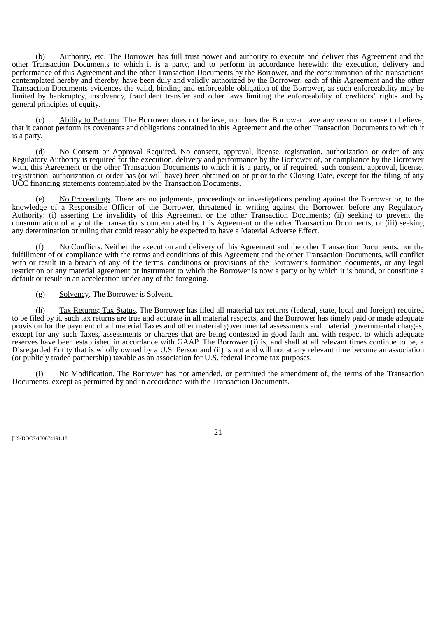(b) Authority, etc. The Borrower has full trust power and authority to execute and deliver this Agreement and the other Transaction Documents to which it is a party, and to perform in accordance herewith; the execution, delivery and performance of this Agreement and the other Transaction Documents by the Borrower, and the consummation of the transactions contemplated hereby and thereby, have been duly and validly authorized by the Borrower; each of this Agreement and the other Transaction Documents evidences the valid, binding and enforceable obligation of the Borrower, as such enforceability may be limited by bankruptcy, insolvency, fraudulent transfer and other laws limiting the enforceability of creditors' rights and by general principles of equity.

(c) Ability to Perform. The Borrower does not believe, nor does the Borrower have any reason or cause to believe, that it cannot perform its covenants and obligations contained in this Agreement and the other Transaction Documents to which it is a party.

(d) No Consent or Approval Required. No consent, approval, license, registration, authorization or order of any Regulatory Authority is required for the execution, delivery and performance by the Borrower of, or compliance by the Borrower with, this Agreement or the other Transaction Documents to which it is a party, or if required, such consent, approval, license, registration, authorization or order has (or will have) been obtained on or prior to the Closing Date, except for the filing of any UCC financing statements contemplated by the Transaction Documents.

(e) No Proceedings. There are no judgments, proceedings or investigations pending against the Borrower or, to the knowledge of a Responsible Officer of the Borrower, threatened in writing against the Borrower, before any Regulatory Authority: (i) asserting the invalidity of this Agreement or the other Transaction Documents; (ii) seeking to prevent the consummation of any of the transactions contemplated by this Agreement or the other Transaction Documents; or (iii) seeking any determination or ruling that could reasonably be expected to have a Material Adverse Effect.

(f) No Conflicts. Neither the execution and delivery of this Agreement and the other Transaction Documents, nor the fulfillment of or compliance with the terms and conditions of this Agreement and the other Transaction Documents, will conflict with or result in a breach of any of the terms, conditions or provisions of the Borrower's formation documents, or any legal restriction or any material agreement or instrument to which the Borrower is now a party or by which it is bound, or constitute a default or result in an acceleration under any of the foregoing.

(g) Solvency. The Borrower is Solvent.

(h) Tax Returns; Tax Status. The Borrower has filed all material tax returns (federal, state, local and foreign) required to be filed by it, such tax returns are true and accurate in all material respects, and the Borrower has timely paid or made adequate provision for the payment of all material Taxes and other material governmental assessments and material governmental charges, except for any such Taxes, assessments or charges that are being contested in good faith and with respect to which adequate reserves have been established in accordance with GAAP. The Borrower (i) is, and shall at all relevant times continue to be, a Disregarded Entity that is wholly owned by a U.S. Person and (ii) is not and will not at any relevant time become an association (or publicly traded partnership) taxable as an association for U.S. federal income tax purposes.

(i) No Modification. The Borrower has not amended, or permitted the amendment of, the terms of the Transaction Documents, except as permitted by and in accordance with the Transaction Documents.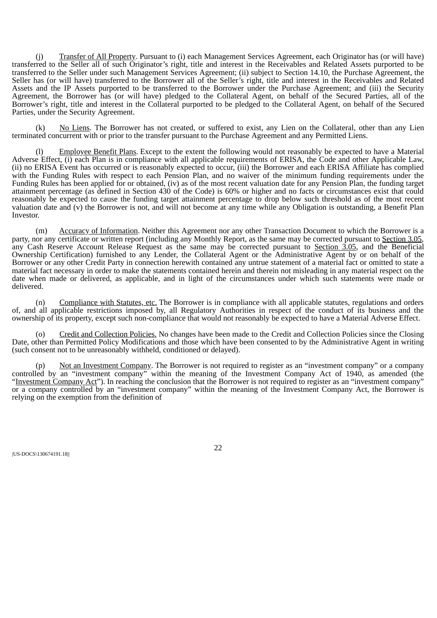(j) Transfer of All Property. Pursuant to (i) each Management Services Agreement, each Originator has (or will have) transferred to the Seller all of such Originator's right, title and interest in the Receivables and Related Assets purported to be transferred to the Seller under such Management Services Agreement; (ii) subject to Section 14.10, the Purchase Agreement, the Seller has (or will have) transferred to the Borrower all of the Seller's right, title and interest in the Receivables and Related Assets and the IP Assets purported to be transferred to the Borrower under the Purchase Agreement; and (iii) the Security Agreement, the Borrower has (or will have) pledged to the Collateral Agent, on behalf of the Secured Parties, all of the Borrower's right, title and interest in the Collateral purported to be pledged to the Collateral Agent, on behalf of the Secured Parties, under the Security Agreement.

(k) No Liens. The Borrower has not created, or suffered to exist, any Lien on the Collateral, other than any Lien terminated concurrent with or prior to the transfer pursuant to the Purchase Agreement and any Permitted Liens.

(l) Employee Benefit Plans. Except to the extent the following would not reasonably be expected to have a Material Adverse Effect, (i) each Plan is in compliance with all applicable requirements of ERISA, the Code and other Applicable Law, (ii) no ERISA Event has occurred or is reasonably expected to occur, (iii) the Borrower and each ERISA Affiliate has complied with the Funding Rules with respect to each Pension Plan, and no waiver of the minimum funding requirements under the Funding Rules has been applied for or obtained, (iv) as of the most recent valuation date for any Pension Plan, the funding target attainment percentage (as defined in Section 430 of the Code) is 60% or higher and no facts or circumstances exist that could reasonably be expected to cause the funding target attainment percentage to drop below such threshold as of the most recent valuation date and (v) the Borrower is not, and will not become at any time while any Obligation is outstanding, a Benefit Plan Investor.

(m) Accuracy of Information. Neither this Agreement nor any other Transaction Document to which the Borrower is a party, nor any certificate or written report (including any Monthly Report, as the same may be corrected pursuant to Section 3.05, any Cash Reserve Account Release Request as the same may be corrected pursuant to Section 3.05, and the Beneficial Ownership Certification) furnished to any Lender, the Collateral Agent or the Administrative Agent by or on behalf of the Borrower or any other Credit Party in connection herewith contained any untrue statement of a material fact or omitted to state a material fact necessary in order to make the statements contained herein and therein not misleading in any material respect on the date when made or delivered, as applicable, and in light of the circumstances under which such statements were made or delivered.

(n) Compliance with Statutes, etc. The Borrower is in compliance with all applicable statutes, regulations and orders of, and all applicable restrictions imposed by, all Regulatory Authorities in respect of the conduct of its business and the ownership of its property, except such non-compliance that would not reasonably be expected to have a Material Adverse Effect.

(o) Credit and Collection Policies. No changes have been made to the Credit and Collection Policies since the Closing Date, other than Permitted Policy Modifications and those which have been consented to by the Administrative Agent in writing (such consent not to be unreasonably withheld, conditioned or delayed).

(p) Not an Investment Company. The Borrower is not required to register as an "investment company" or a company controlled by an "investment company" within the meaning of the Investment Company Act of 1940, as amended (the "Investment Company Act"). In reaching the conclusion that the Borrower is not required to register as an "investment company" or a company controlled by an "investment company" within the meaning of the Investment Company Act, the Borrower is relying on the exemption from the definition of

|US-DOCS\130674191.18||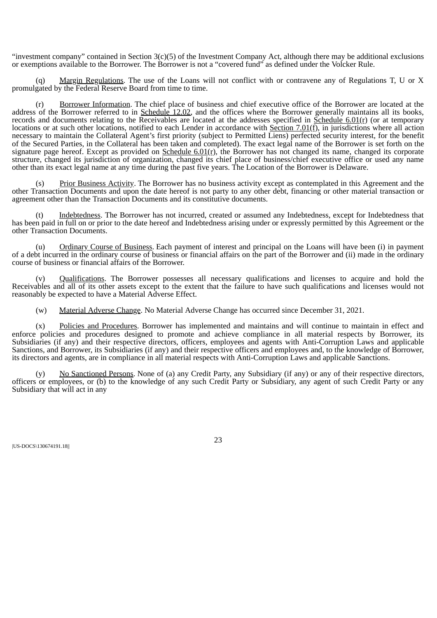"investment company" contained in Section 3(c)(5) of the Investment Company Act, although there may be additional exclusions or exemptions available to the Borrower. The Borrower is not a "covered fund" as defined under the Volcker Rule.

(q) Margin Regulations. The use of the Loans will not conflict with or contravene any of Regulations T, U or X promulgated by the Federal Reserve Board from time to time.

(r) Borrower Information. The chief place of business and chief executive office of the Borrower are located at the address of the Borrower referred to in Schedule 12.02, and the offices where the Borrower generally maintains all its books, records and documents relating to the Receivables are located at the addresses specified in <u>Schedule 6.01(r)</u> (or at temporary locations or at such other locations, notified to each Lender in accordance with Section 7.01(f), in jurisdictions where all action necessary to maintain the Collateral Agent's first priority (subject to Permitted Liens) perfected security interest, for the benefit of the Secured Parties, in the Collateral has been taken and completed). The exact legal name of the Borrower is set forth on the signature page hereof. Except as provided on Schedule  $6.01(r)$ , the Borrower has not changed its name, changed its corporate structure, changed its jurisdiction of organization, changed its chief place of business/chief executive office or used any name other than its exact legal name at any time during the past five years. The Location of the Borrower is Delaware.

(s) Prior Business Activity. The Borrower has no business activity except as contemplated in this Agreement and the other Transaction Documents and upon the date hereof is not party to any other debt, financing or other material transaction or agreement other than the Transaction Documents and its constitutive documents.

Indebtedness. The Borrower has not incurred, created or assumed any Indebtedness, except for Indebtedness that has been paid in full on or prior to the date hereof and Indebtedness arising under or expressly permitted by this Agreement or the other Transaction Documents.

(u) Ordinary Course of Business. Each payment of interest and principal on the Loans will have been (i) in payment of a debt incurred in the ordinary course of business or financial affairs on the part of the Borrower and (ii) made in the ordinary course of business or financial affairs of the Borrower.

Qualifications. The Borrower possesses all necessary qualifications and licenses to acquire and hold the Receivables and all of its other assets except to the extent that the failure to have such qualifications and licenses would not reasonably be expected to have a Material Adverse Effect.

(w) Material Adverse Change. No Material Adverse Change has occurred since December 31, 2021.

(x) Policies and Procedures. Borrower has implemented and maintains and will continue to maintain in effect and enforce policies and procedures designed to promote and achieve compliance in all material respects by Borrower, its Subsidiaries (if any) and their respective directors, officers, employees and agents with Anti-Corruption Laws and applicable Sanctions, and Borrower, its Subsidiaries (if any) and their respective officers and employees and, to the knowledge of Borrower, its directors and agents, are in compliance in all material respects with Anti-Corruption Laws and applicable Sanctions.

No Sanctioned Persons. None of (a) any Credit Party, any Subsidiary (if any) or any of their respective directors, officers or employees, or (b) to the knowledge of any such Credit Party or Subsidiary, any agent of such Credit Party or any Subsidiary that will act in any

|US-DOCS\130674191.18||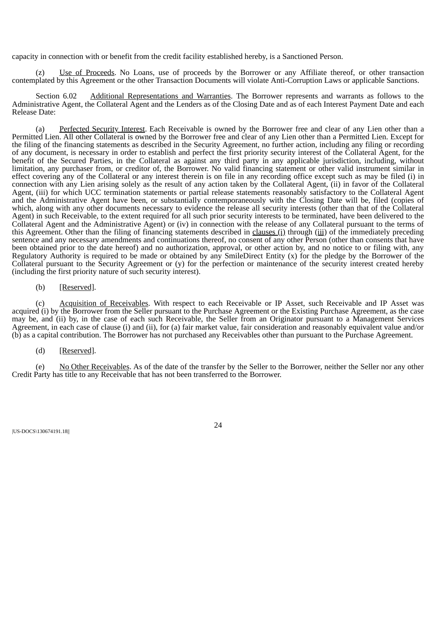capacity in connection with or benefit from the credit facility established hereby, is a Sanctioned Person.

(z) Use of Proceeds. No Loans, use of proceeds by the Borrower or any Affiliate thereof, or other transaction contemplated by this Agreement or the other Transaction Documents will violate Anti-Corruption Laws or applicable Sanctions.

<span id="page-31-0"></span>Section 6.02 Additional Representations and Warranties. The Borrower represents and warrants as follows to the Administrative Agent, the Collateral Agent and the Lenders as of the Closing Date and as of each Interest Payment Date and each Release Date:

(a) Perfected Security Interest. Each Receivable is owned by the Borrower free and clear of any Lien other than a Permitted Lien. All other Collateral is owned by the Borrower free and clear of any Lien other than a Permitted Lien. Except for the filing of the financing statements as described in the Security Agreement, no further action, including any filing or recording of any document, is necessary in order to establish and perfect the first priority security interest of the Collateral Agent, for the benefit of the Secured Parties, in the Collateral as against any third party in any applicable jurisdiction, including, without limitation, any purchaser from, or creditor of, the Borrower. No valid financing statement or other valid instrument similar in effect covering any of the Collateral or any interest therein is on file in any recording office except such as may be filed (i) in connection with any Lien arising solely as the result of any action taken by the Collateral Agent, (ii) in favor of the Collateral Agent, (iii) for which UCC termination statements or partial release statements reasonably satisfactory to the Collateral Agent and the Administrative Agent have been, or substantially contemporaneously with the Closing Date will be, filed (copies of which, along with any other documents necessary to evidence the release all security interests (other than that of the Collateral Agent) in such Receivable, to the extent required for all such prior security interests to be terminated, have been delivered to the Collateral Agent and the Administrative Agent) or (iv) in connection with the release of any Collateral pursuant to the terms of this Agreement. Other than the filing of financing statements described in clauses (i) through (iii) of the immediately preceding sentence and any necessary amendments and continuations thereof, no consent of any other Person (other than consents that have been obtained prior to the date hereof) and no authorization, approval, or other action by, and no notice to or filing with, any Regulatory Authority is required to be made or obtained by any SmileDirect Entity (x) for the pledge by the Borrower of the Collateral pursuant to the Security Agreement or (y) for the perfection or maintenance of the security interest created hereby (including the first priority nature of such security interest).

## (b) [Reserved].

(c) Acquisition of Receivables. With respect to each Receivable or IP Asset, such Receivable and IP Asset was acquired (i) by the Borrower from the Seller pursuant to the Purchase Agreement or the Existing Purchase Agreement, as the case may be, and (ii) by, in the case of each such Receivable, the Seller from an Originator pursuant to a Management Services Agreement, in each case of clause (i) and (ii), for (a) fair market value, fair consideration and reasonably equivalent value and/or (b) as a capital contribution. The Borrower has not purchased any Receivables other than pursuant to the Purchase Agreement.

## (d) [Reserved].

(e) No Other Receivables. As of the date of the transfer by the Seller to the Borrower, neither the Seller nor any other Credit Party has title to any Receivable that has not been transferred to the Borrower.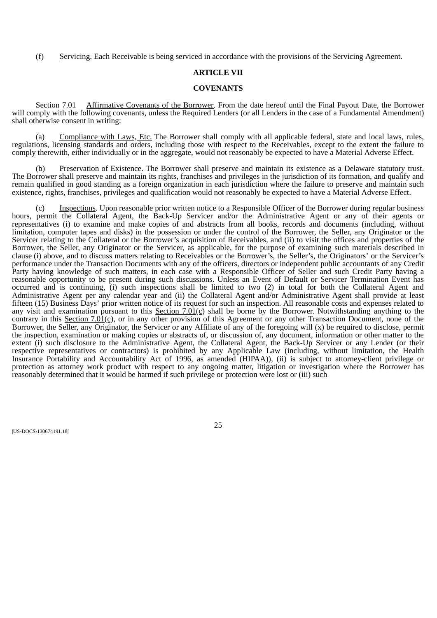<span id="page-32-0"></span>(f) Servicing. Each Receivable is being serviced in accordance with the provisions of the Servicing Agreement.

### **ARTICLE VII**

#### **COVENANTS**

Section 7.01 Affirmative Covenants of the Borrower. From the date hereof until the Final Payout Date, the Borrower will comply with the following covenants, unless the Required Lenders (or all Lenders in the case of a Fundamental Amendment) shall otherwise consent in writing:

(a) Compliance with Laws, Etc. The Borrower shall comply with all applicable federal, state and local laws, rules, regulations, licensing standards and orders, including those with respect to the Receivables, except to the extent the failure to comply therewith, either individually or in the aggregate, would not reasonably be expected to have a Material Adverse Effect.

(b) Preservation of Existence. The Borrower shall preserve and maintain its existence as a Delaware statutory trust. The Borrower shall preserve and maintain its rights, franchises and privileges in the jurisdiction of its formation, and qualify and remain qualified in good standing as a foreign organization in each jurisdiction where the failure to preserve and maintain such existence, rights, franchises, privileges and qualification would not reasonably be expected to have a Material Adverse Effect.

Inspections. Upon reasonable prior written notice to a Responsible Officer of the Borrower during regular business hours, permit the Collateral Agent, the Back-Up Servicer and/or the Administrative Agent or any of their agents or representatives (i) to examine and make copies of and abstracts from all books, records and documents (including, without limitation, computer tapes and disks) in the possession or under the control of the Borrower, the Seller, any Originator or the Servicer relating to the Collateral or the Borrower's acquisition of Receivables, and (ii) to visit the offices and properties of the Borrower, the Seller, any Originator or the Servicer, as applicable, for the purpose of examining such materials described in clause (i) above, and to discuss matters relating to Receivables or the Borrower's, the Seller's, the Originators' or the Servicer's performance under the Transaction Documents with any of the officers, directors or independent public accountants of any Credit Party having knowledge of such matters, in each case with a Responsible Officer of Seller and such Credit Party having a reasonable opportunity to be present during such discussions. Unless an Event of Default or Servicer Termination Event has occurred and is continuing, (i) such inspections shall be limited to two (2) in total for both the Collateral Agent and Administrative Agent per any calendar year and (ii) the Collateral Agent and/or Administrative Agent shall provide at least fifteen (15) Business Days' prior written notice of its request for such an inspection. All reasonable costs and expenses related to any visit and examination pursuant to this Section  $7.01(c)$  shall be borne by the Borrower. Notwithstanding anything to the contrary in this Section 7.01(c), or in any other provision of this Agreement or any other Transaction Document, none of the Borrower, the Seller, any Originator, the Servicer or any Affiliate of any of the foregoing will (x) be required to disclose, permit the inspection, examination or making copies or abstracts of, or discussion of, any document, information or other matter to the extent (i) such disclosure to the Administrative Agent, the Collateral Agent, the Back-Up Servicer or any Lender (or their respective representatives or contractors) is prohibited by any Applicable Law (including, without limitation, the Health Insurance Portability and Accountability Act of 1996, as amended (HIPAA)), (ii) is subject to attorney-client privilege or protection as attorney work product with respect to any ongoing matter, litigation or investigation where the Borrower has reasonably determined that it would be harmed if such privilege or protection were lost or (iii) such

|US-DOCS\130674191.18||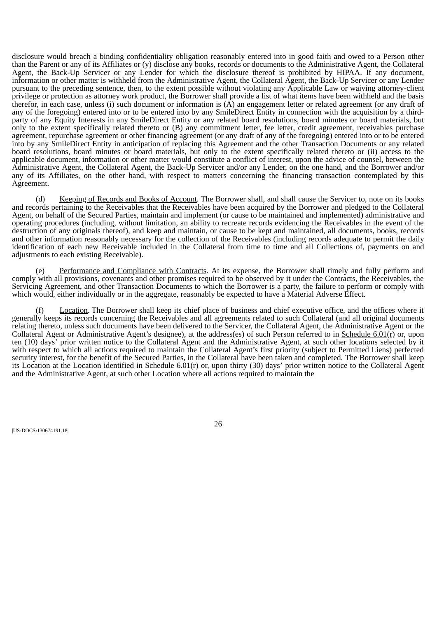disclosure would breach a binding confidentiality obligation reasonably entered into in good faith and owed to a Person other than the Parent or any of its Affiliates or (y) disclose any books, records or documents to the Administrative Agent, the Collateral Agent, the Back-Up Servicer or any Lender for which the disclosure thereof is prohibited by HIPAA. If any document, information or other matter is withheld from the Administrative Agent, the Collateral Agent, the Back-Up Servicer or any Lender pursuant to the preceding sentence, then, to the extent possible without violating any Applicable Law or waiving attorney-client privilege or protection as attorney work product, the Borrower shall provide a list of what items have been withheld and the basis therefor, in each case, unless (i) such document or information is  $(A)$  an engagement letter or related agreement (or any draft of any of the foregoing) entered into or to be entered into by any SmileDirect Entity in connection with the acquisition by a thirdparty of any Equity Interests in any SmileDirect Entity or any related board resolutions, board minutes or board materials, but only to the extent specifically related thereto or (B) any commitment letter, fee letter, credit agreement, receivables purchase agreement, repurchase agreement or other financing agreement (or any draft of any of the foregoing) entered into or to be entered into by any SmileDirect Entity in anticipation of replacing this Agreement and the other Transaction Documents or any related board resolutions, board minutes or board materials, but only to the extent specifically related thereto or (ii) access to the applicable document, information or other matter would constitute a conflict of interest, upon the advice of counsel, between the Administrative Agent, the Collateral Agent, the Back-Up Servicer and/or any Lender, on the one hand, and the Borrower and/or any of its Affiliates, on the other hand, with respect to matters concerning the financing transaction contemplated by this Agreement.

(d) Keeping of Records and Books of Account. The Borrower shall, and shall cause the Servicer to, note on its books and records pertaining to the Receivables that the Receivables have been acquired by the Borrower and pledged to the Collateral Agent, on behalf of the Secured Parties, maintain and implement (or cause to be maintained and implemented) administrative and operating procedures (including, without limitation, an ability to recreate records evidencing the Receivables in the event of the destruction of any originals thereof), and keep and maintain, or cause to be kept and maintained, all documents, books, records and other information reasonably necessary for the collection of the Receivables (including records adequate to permit the daily identification of each new Receivable included in the Collateral from time to time and all Collections of, payments on and adjustments to each existing Receivable).

(e) Performance and Compliance with Contracts. At its expense, the Borrower shall timely and fully perform and comply with all provisions, covenants and other promises required to be observed by it under the Contracts, the Receivables, the Servicing Agreement, and other Transaction Documents to which the Borrower is a party, the failure to perform or comply with which would, either individually or in the aggregate, reasonably be expected to have a Material Adverse Effect.

Location. The Borrower shall keep its chief place of business and chief executive office, and the offices where it generally keeps its records concerning the Receivables and all agreements related to such Collateral (and all original documents relating thereto, unless such documents have been delivered to the Servicer, the Collateral Agent, the Administrative Agent or the Collateral Agent or Administrative Agent's designee), at the address(es) of such Person referred to in Schedule  $6.01(\bar{r})$  or, upon ten (10) days' prior written notice to the Collateral Agent and the Administrative Agent, at such other locations selected by it with respect to which all actions required to maintain the Collateral Agent's first priority (subject to Permitted Liens) perfected security interest, for the benefit of the Secured Parties, in the Collateral have been taken and completed. The Borrower shall keep its Location at the Location identified in Schedule  $6.01(r)$  or, upon thirty (30) days' prior written notice to the Collateral Agent and the Administrative Agent, at such other Location where all actions required to maintain the

|US-DOCS\130674191.18||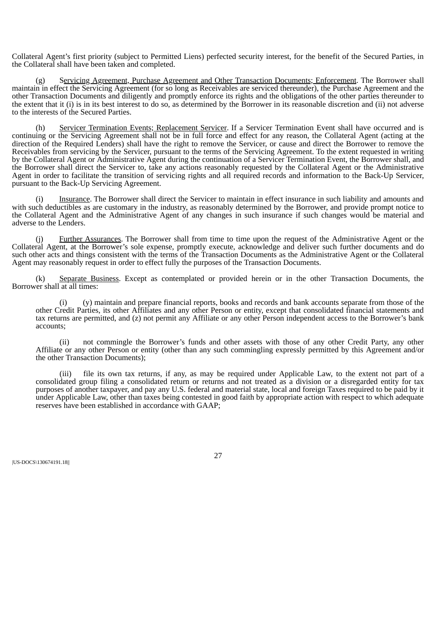Collateral Agent's first priority (subject to Permitted Liens) perfected security interest, for the benefit of the Secured Parties, in the Collateral shall have been taken and completed.

(g) Servicing Agreement, Purchase Agreement and Other Transaction Documents; Enforcement. The Borrower shall maintain in effect the Servicing Agreement (for so long as Receivables are serviced thereunder), the Purchase Agreement and the other Transaction Documents and diligently and promptly enforce its rights and the obligations of the other parties thereunder to the extent that it (i) is in its best interest to do so, as determined by the Borrower in its reasonable discretion and (ii) not adverse to the interests of the Secured Parties.

(h) Servicer Termination Events; Replacement Servicer. If a Servicer Termination Event shall have occurred and is continuing or the Servicing Agreement shall not be in full force and effect for any reason, the Collateral Agent (acting at the direction of the Required Lenders) shall have the right to remove the Servicer, or cause and direct the Borrower to remove the Receivables from servicing by the Servicer, pursuant to the terms of the Servicing Agreement. To the extent requested in writing by the Collateral Agent or Administrative Agent during the continuation of a Servicer Termination Event, the Borrower shall, and the Borrower shall direct the Servicer to, take any actions reasonably requested by the Collateral Agent or the Administrative Agent in order to facilitate the transition of servicing rights and all required records and information to the Back-Up Servicer, pursuant to the Back-Up Servicing Agreement.

Insurance. The Borrower shall direct the Servicer to maintain in effect insurance in such liability and amounts and with such deductibles as are customary in the industry, as reasonably determined by the Borrower, and provide prompt notice to the Collateral Agent and the Administrative Agent of any changes in such insurance if such changes would be material and adverse to the Lenders.

(j) Further Assurances. The Borrower shall from time to time upon the request of the Administrative Agent or the Collateral Agent, at the Borrower's sole expense, promptly execute, acknowledge and deliver such further documents and do such other acts and things consistent with the terms of the Transaction Documents as the Administrative Agent or the Collateral Agent may reasonably request in order to effect fully the purposes of the Transaction Documents.

(k) Separate Business. Except as contemplated or provided herein or in the other Transaction Documents, the Borrower shall at all times:

(i) (y) maintain and prepare financial reports, books and records and bank accounts separate from those of the other Credit Parties, its other Affiliates and any other Person or entity, except that consolidated financial statements and tax returns are permitted, and (z) not permit any Affiliate or any other Person independent access to the Borrower's bank accounts;

(ii) not commingle the Borrower's funds and other assets with those of any other Credit Party, any other Affiliate or any other Person or entity (other than any such commingling expressly permitted by this Agreement and/or the other Transaction Documents);

(iii) file its own tax returns, if any, as may be required under Applicable Law, to the extent not part of a consolidated group filing a consolidated return or returns and not treated as a division or a disregarded entity for tax purposes of another taxpayer, and pay any U.S. federal and material state, local and foreign Taxes required to be paid by it under Applicable Law, other than taxes being contested in good faith by appropriate action with respect to which adequate reserves have been established in accordance with GAAP;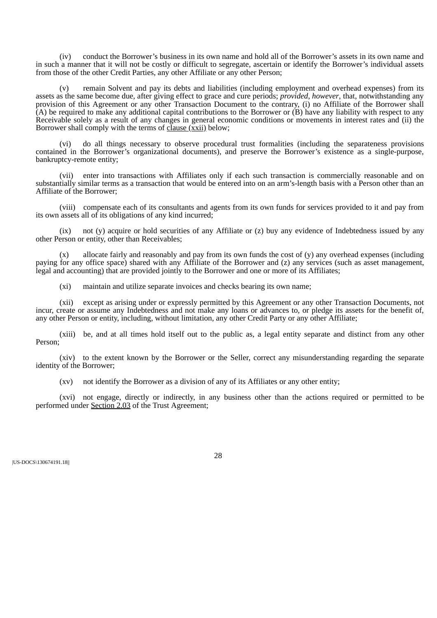(iv) conduct the Borrower's business in its own name and hold all of the Borrower's assets in its own name and in such a manner that it will not be costly or difficult to segregate, ascertain or identify the Borrower's individual assets from those of the other Credit Parties, any other Affiliate or any other Person;

(v) remain Solvent and pay its debts and liabilities (including employment and overhead expenses) from its assets as the same become due, after giving effect to grace and cure periods; *provided*, *however*, that, notwithstanding any provision of this Agreement or any other Transaction Document to the contrary, (i) no Affiliate of the Borrower shall (A) be required to make any additional capital contributions to the Borrower or (B) have any liability with respect to any Receivable solely as a result of any changes in general economic conditions or movements in interest rates and (ii) the Borrower shall comply with the terms of clause (xxii) below;

(vi) do all things necessary to observe procedural trust formalities (including the separateness provisions contained in the Borrower's organizational documents), and preserve the Borrower's existence as a single-purpose, bankruptcy-remote entity;

(vii) enter into transactions with Affiliates only if each such transaction is commercially reasonable and on substantially similar terms as a transaction that would be entered into on an arm's-length basis with a Person other than an Affiliate of the Borrower;

(viii) compensate each of its consultants and agents from its own funds for services provided to it and pay from its own assets all of its obligations of any kind incurred;

(ix) not (y) acquire or hold securities of any Affiliate or (z) buy any evidence of Indebtedness issued by any other Person or entity, other than Receivables;

allocate fairly and reasonably and pay from its own funds the cost of  $(y)$  any overhead expenses (including paying for any office space) shared with any Affiliate of the Borrower and (z) any services (such as asset management, legal and accounting) that are provided jointly to the Borrower and one or more of its Affiliates;

(xi) maintain and utilize separate invoices and checks bearing its own name;

(xii) except as arising under or expressly permitted by this Agreement or any other Transaction Documents, not incur, create or assume any Indebtedness and not make any loans or advances to, or pledge its assets for the benefit of, any other Person or entity, including, without limitation, any other Credit Party or any other Affiliate;

(xiii) be, and at all times hold itself out to the public as, a legal entity separate and distinct from any other Person;

(xiv) to the extent known by the Borrower or the Seller, correct any misunderstanding regarding the separate identity of the Borrower;

(xv) not identify the Borrower as a division of any of its Affiliates or any other entity;

(xvi) not engage, directly or indirectly, in any business other than the actions required or permitted to be performed under Section 2.03 of the Trust Agreement;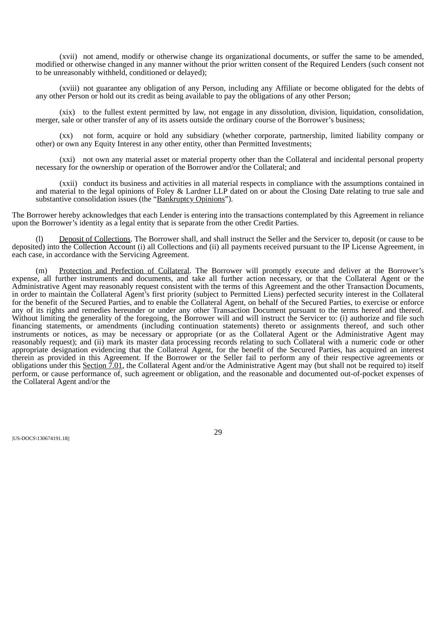(xvii) not amend, modify or otherwise change its organizational documents, or suffer the same to be amended, modified or otherwise changed in any manner without the prior written consent of the Required Lenders (such consent not to be unreasonably withheld, conditioned or delayed);

(xviii) not guarantee any obligation of any Person, including any Affiliate or become obligated for the debts of any other Person or hold out its credit as being available to pay the obligations of any other Person;

(xix) to the fullest extent permitted by law, not engage in any dissolution, division, liquidation, consolidation, merger, sale or other transfer of any of its assets outside the ordinary course of the Borrower's business;

(xx) not form, acquire or hold any subsidiary (whether corporate, partnership, limited liability company or other) or own any Equity Interest in any other entity, other than Permitted Investments;

(xxi) not own any material asset or material property other than the Collateral and incidental personal property necessary for the ownership or operation of the Borrower and/or the Collateral; and

(xxii) conduct its business and activities in all material respects in compliance with the assumptions contained in and material to the legal opinions of Foley & Lardner LLP dated on or about the Closing Date relating to true sale and substantive consolidation issues (the "Bankruptcy Opinions").

The Borrower hereby acknowledges that each Lender is entering into the transactions contemplated by this Agreement in reliance upon the Borrower's identity as a legal entity that is separate from the other Credit Parties.

Deposit of Collections. The Borrower shall, and shall instruct the Seller and the Servicer to, deposit (or cause to be deposited) into the Collection Account (i) all Collections and (ii) all payments received pursuant to the IP License Agreement, in each case, in accordance with the Servicing Agreement.

(m) Protection and Perfection of Collateral. The Borrower will promptly execute and deliver at the Borrower's expense, all further instruments and documents, and take all further action necessary, or that the Collateral Agent or the Administrative Agent may reasonably request consistent with the terms of this Agreement and the other Transaction Documents, in order to maintain the Collateral Agent's first priority (subject to Permitted Liens) perfected security interest in the Collateral for the benefit of the Secured Parties, and to enable the Collateral Agent, on behalf of the Secured Parties, to exercise or enforce any of its rights and remedies hereunder or under any other Transaction Document pursuant to the terms hereof and thereof. Without limiting the generality of the foregoing, the Borrower will and will instruct the Servicer to: (i) authorize and file such financing statements, or amendments (including continuation statements) thereto or assignments thereof, and such other instruments or notices, as may be necessary or appropriate (or as the Collateral Agent or the Administrative Agent may reasonably request); and (ii) mark its master data processing records relating to such Collateral with a numeric code or other appropriate designation evidencing that the Collateral Agent, for the benefit of the Secured Parties, has acquired an interest therein as provided in this Agreement. If the Borrower or the Seller fail to perform any of their respective agreements or obligations under this Section 7.01, the Collateral Agent and/or the Administrative Agent may (but shall not be required to) itself perform, or cause performance of, such agreement or obligation, and the reasonable and documented out-of-pocket expenses of the Collateral Agent and/or the

|US-DOCS\130674191.18||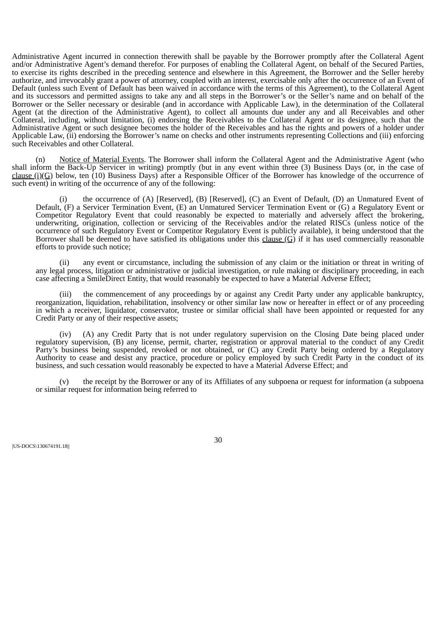Administrative Agent incurred in connection therewith shall be payable by the Borrower promptly after the Collateral Agent and/or Administrative Agent's demand therefor. For purposes of enabling the Collateral Agent, on behalf of the Secured Parties, to exercise its rights described in the preceding sentence and elsewhere in this Agreement, the Borrower and the Seller hereby authorize, and irrevocably grant a power of attorney, coupled with an interest, exercisable only after the occurrence of an Event of Default (unless such Event of Default has been waived in accordance with the terms of this Agreement), to the Collateral Agent and its successors and permitted assigns to take any and all steps in the Borrower's or the Seller's name and on behalf of the Borrower or the Seller necessary or desirable (and in accordance with Applicable Law), in the determination of the Collateral Agent (at the direction of the Administrative Agent), to collect all amounts due under any and all Receivables and other Collateral, including, without limitation, (i) endorsing the Receivables to the Collateral Agent or its designee, such that the Administrative Agent or such designee becomes the holder of the Receivables and has the rights and powers of a holder under Applicable Law, (ii) endorsing the Borrower's name on checks and other instruments representing Collections and (iii) enforcing such Receivables and other Collateral.

(n) Notice of Material Events. The Borrower shall inform the Collateral Agent and the Administrative Agent (who shall inform the Back-Up Servicer in writing) promptly (but in any event within three (3) Business Days (or, in the case of clause (i)(G) below, ten (10) Business Days) after a Responsible Officer of the Borrower has knowledge of the occurrence of such event) in writing of the occurrence of any of the following:

(i) the occurrence of (A) [Reserved], (B) [Reserved], (C) an Event of Default, (D) an Unmatured Event of Default, (F) a Servicer Termination Event, (E) an Unmatured Servicer Termination Event or (G) a Regulatory Event or Competitor Regulatory Event that could reasonably be expected to materially and adversely affect the brokering, underwriting, origination, collection or servicing of the Receivables and/or the related RISCs (unless notice of the occurrence of such Regulatory Event or Competitor Regulatory Event is publicly available), it being understood that the Borrower shall be deemed to have satisfied its obligations under this clause  $(G)$  if it has used commercially reasonable efforts to provide such notice;

(ii) any event or circumstance, including the submission of any claim or the initiation or threat in writing of any legal process, litigation or administrative or judicial investigation, or rule making or disciplinary proceeding, in each case affecting a SmileDirect Entity, that would reasonably be expected to have a Material Adverse Effect;

(iii) the commencement of any proceedings by or against any Credit Party under any applicable bankruptcy, reorganization, liquidation, rehabilitation, insolvency or other similar law now or hereafter in effect or of any proceeding in which a receiver, liquidator, conservator, trustee or similar official shall have been appointed or requested for any Credit Party or any of their respective assets;

(iv) (A) any Credit Party that is not under regulatory supervision on the Closing Date being placed under regulatory supervision, (B) any license, permit, charter, registration or approval material to the conduct of any Credit Party's business being suspended, revoked or not obtained, or (C) any Credit Party being ordered by a Regulatory Authority to cease and desist any practice, procedure or policy employed by such Credit Party in the conduct of its business, and such cessation would reasonably be expected to have a Material Adverse Effect; and

(v) the receipt by the Borrower or any of its Affiliates of any subpoena or request for information (a subpoena or similar request for information being referred to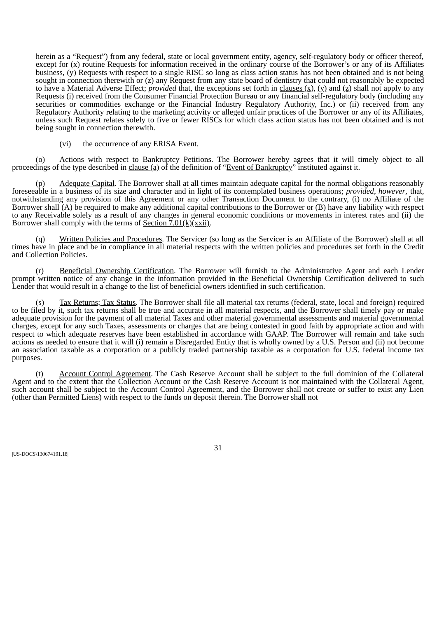herein as a "Request") from any federal, state or local government entity, agency, self-regulatory body or officer thereof, except for  $(x)$  routine Requests for information received in the ordinary course of the Borrower's or any of its Affiliates business, (y) Requests with respect to a single RISC so long as class action status has not been obtained and is not being sought in connection therewith or (z) any Request from any state board of dentistry that could not reasonably be expected to have a Material Adverse Effect; *provided* that, the exceptions set forth in clauses (x), (y) and (z) shall not apply to any Requests (i) received from the Consumer Financial Protection Bureau or any financial self-regulatory body (including any securities or commodities exchange or the Financial Industry Regulatory Authority, Inc.) or (ii) received from any Regulatory Authority relating to the marketing activity or alleged unfair practices of the Borrower or any of its Affiliates, unless such Request relates solely to five or fewer RISCs for which class action status has not been obtained and is not being sought in connection therewith.

(vi) the occurrence of any ERISA Event.

(o) Actions with respect to Bankruptcy Petitions. The Borrower hereby agrees that it will timely object to all proceedings of the type described in clause (a) of the definition of "Event of Bankruptcy" instituted against it.

(p) Adequate Capital. The Borrower shall at all times maintain adequate capital for the normal obligations reasonably foreseeable in a business of its size and character and in light of its contemplated business operations; *provided*, *however*, that, notwithstanding any provision of this Agreement or any other Transaction Document to the contrary, (i) no Affiliate of the Borrower shall (A) be required to make any additional capital contributions to the Borrower or (B) have any liability with respect to any Receivable solely as a result of any changes in general economic conditions or movements in interest rates and (ii) the Borrower shall comply with the terms of  $S_{\text{ection}}$  7.01(k)(xxii).

(q) Written Policies and Procedures. The Servicer (so long as the Servicer is an Affiliate of the Borrower) shall at all times have in place and be in compliance in all material respects with the written policies and procedures set forth in the Credit and Collection Policies.

(r) Beneficial Ownership Certification. The Borrower will furnish to the Administrative Agent and each Lender prompt written notice of any change in the information provided in the Beneficial Ownership Certification delivered to such Lender that would result in a change to the list of beneficial owners identified in such certification.

(s) Tax Returns; Tax Status. The Borrower shall file all material tax returns (federal, state, local and foreign) required to be filed by it, such tax returns shall be true and accurate in all material respects, and the Borrower shall timely pay or make adequate provision for the payment of all material Taxes and other material governmental assessments and material governmental charges, except for any such Taxes, assessments or charges that are being contested in good faith by appropriate action and with respect to which adequate reserves have been established in accordance with GAAP. The Borrower will remain and take such actions as needed to ensure that it will (i) remain a Disregarded Entity that is wholly owned by a U.S. Person and (ii) not become an association taxable as a corporation or a publicly traded partnership taxable as a corporation for U.S. federal income tax purposes.

Account Control Agreement. The Cash Reserve Account shall be subject to the full dominion of the Collateral Agent and to the extent that the Collection Account or the Cash Reserve Account is not maintained with the Collateral Agent, such account shall be subject to the Account Control Agreement, and the Borrower shall not create or suffer to exist any Lien (other than Permitted Liens) with respect to the funds on deposit therein. The Borrower shall not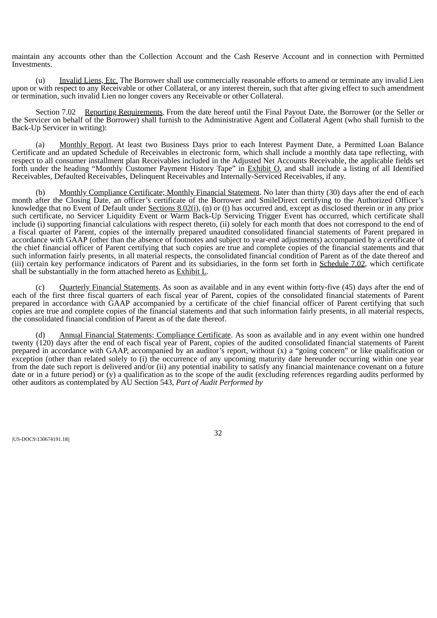maintain any accounts other than the Collection Account and the Cash Reserve Account and in connection with Permitted Investments.

(u) Invalid Liens, Etc. The Borrower shall use commercially reasonable efforts to amend or terminate any invalid Lien upon or with respect to any Receivable or other Collateral, or any interest therein, such that after giving effect to such amendment or termination, such invalid Lien no longer covers any Receivable or other Collateral.

Section 7.02 Reporting Requirements. From the date hereof until the Final Payout Date, the Borrower (or the Seller or the Servicer on behalf of the Borrower) shall furnish to the Administrative Agent and Collateral Agent (who shall furnish to the Back-Up Servicer in writing):

Monthly Report. At least two Business Days prior to each Interest Payment Date, a Permitted Loan Balance Certificate and an updated Schedule of Receivables in electronic form, which shall include a monthly data tape reflecting, with respect to all consumer installment plan Receivables included in the Adjusted Net Accounts Receivable, the applicable fields set forth under the heading "Monthly Customer Payment History Tape" in **Exhibit O**, and shall include a listing of all Identified Receivables, Defaulted Receivables, Delinquent Receivables and Internally-Serviced Receivables, if any.

(b) Monthly Compliance Certificate; Monthly Financial Statement. No later than thirty (30) days after the end of each month after the Closing Date, an officer's certificate of the Borrower and SmileDirect certifying to the Authorized Officer's knowledge that no Event of Default under Sections  $8.02(i)$ , (n) or (t) has occurred and, except as disclosed therein or in any prior such certificate, no Servicer Liquidity Event or Warm Back-Up Servicing Trigger Event has occurred, which certificate shall include (i) supporting financial calculations with respect thereto, (ii) solely for each month that does not correspond to the end of a fiscal quarter of Parent, copies of the internally prepared unaudited consolidated financial statements of Parent prepared in accordance with GAAP (other than the absence of footnotes and subject to year-end adjustments) accompanied by a certificate of the chief financial officer of Parent certifying that such copies are true and complete copies of the financial statements and that such information fairly presents, in all material respects, the consolidated financial condition of Parent as of the date thereof and (iii) certain key performance indicators of Parent and its subsidiaries, in the form set forth in Schedule 7.02, which certificate shall be substantially in the form attached hereto as Exhibit L.

Quarterly Financial Statements. As soon as available and in any event within forty-five (45) days after the end of each of the first three fiscal quarters of each fiscal year of Parent, copies of the consolidated financial statements of Parent prepared in accordance with GAAP accompanied by a certificate of the chief financial officer of Parent certifying that such copies are true and complete copies of the financial statements and that such information fairly presents, in all material respects, the consolidated financial condition of Parent as of the date thereof.

(d) Annual Financial Statements; Compliance Certificate. As soon as available and in any event within one hundred twenty (120) days after the end of each fiscal year of Parent, copies of the audited consolidated financial statements of Parent prepared in accordance with GAAP, accompanied by an auditor's report, without (x) a "going concern" or like qualification or exception (other than related solely to (i) the occurrence of any upcoming maturity date hereunder occurring within one year from the date such report is delivered and/or (ii) any potential inability to satisfy any financial maintenance covenant on a future date or in a future period) or (y) a qualification as to the scope of the audit (excluding references regarding audits performed by other auditors as contemplated by AU Section 543, *Part of Audit Performed by*

|US-DOCS\130674191.18||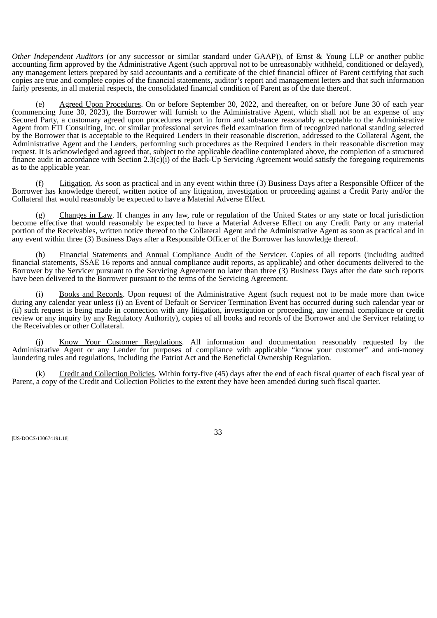*Other Independent Auditors* (or any successor or similar standard under GAAP)), of Ernst & Young LLP or another public accounting firm approved by the Administrative Agent (such approval not to be unreasonably withheld, conditioned or delayed), any management letters prepared by said accountants and a certificate of the chief financial officer of Parent certifying that such copies are true and complete copies of the financial statements, auditor's report and management letters and that such information fairly presents, in all material respects, the consolidated financial condition of Parent as of the date thereof.

Agreed Upon Procedures. On or before September 30, 2022, and thereafter, on or before June 30 of each year (commencing June 30, 2023), the Borrower will furnish to the Administrative Agent, which shall not be an expense of any Secured Party, a customary agreed upon procedures report in form and substance reasonably acceptable to the Administrative Agent from FTI Consulting, Inc. or similar professional services field examination firm of recognized national standing selected by the Borrower that is acceptable to the Required Lenders in their reasonable discretion, addressed to the Collateral Agent, the Administrative Agent and the Lenders, performing such procedures as the Required Lenders in their reasonable discretion may request. It is acknowledged and agreed that, subject to the applicable deadline contemplated above, the completion of a structured finance audit in accordance with Section  $2.3(c)(i)$  of the Back-Up Servicing Agreement would satisfy the foregoing requirements as to the applicable year.

(f) Litigation. As soon as practical and in any event within three (3) Business Days after a Responsible Officer of the Borrower has knowledge thereof, written notice of any litigation, investigation or proceeding against a Credit Party and/or the Collateral that would reasonably be expected to have a Material Adverse Effect.

 $(g)$  Changes in Law. If changes in any law, rule or regulation of the United States or any state or local jurisdiction become effective that would reasonably be expected to have a Material Adverse Effect on any Credit Party or any material portion of the Receivables, written notice thereof to the Collateral Agent and the Administrative Agent as soon as practical and in any event within three (3) Business Days after a Responsible Officer of the Borrower has knowledge thereof.

(h) Financial Statements and Annual Compliance Audit of the Servicer. Copies of all reports (including audited financial statements, SSAE 16 reports and annual compliance audit reports, as applicable) and other documents delivered to the Borrower by the Servicer pursuant to the Servicing Agreement no later than three (3) Business Days after the date such reports have been delivered to the Borrower pursuant to the terms of the Servicing Agreement.

Books and Records. Upon request of the Administrative Agent (such request not to be made more than twice during any calendar year unless (i) an Event of Default or Servicer Termination Event has occurred during such calendar year or (ii) such request is being made in connection with any litigation, investigation or proceeding, any internal compliance or credit review or any inquiry by any Regulatory Authority), copies of all books and records of the Borrower and the Servicer relating to the Receivables or other Collateral.

(j) Know Your Customer Regulations. All information and documentation reasonably requested by the Administrative Agent or any Lender for purposes of compliance with applicable "know your customer" and anti-money laundering rules and regulations, including the Patriot Act and the Beneficial Ownership Regulation.

(k) Credit and Collection Policies. Within forty-five (45) days after the end of each fiscal quarter of each fiscal year of Parent, a copy of the Credit and Collection Policies to the extent they have been amended during such fiscal quarter.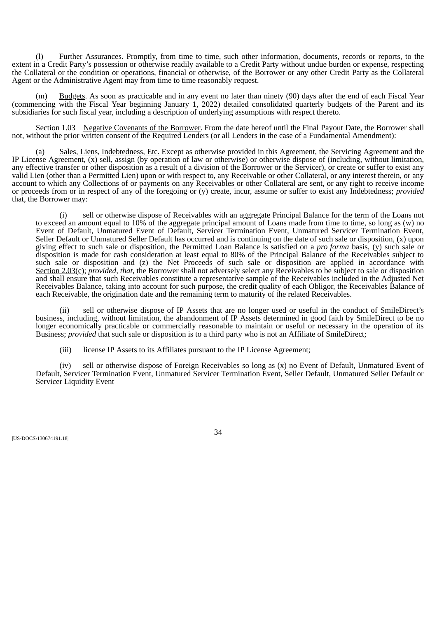(l) Further Assurances. Promptly, from time to time, such other information, documents, records or reports, to the extent in a Credit Party's possession or otherwise readily available to a Credit Party without undue burden or expense, respecting the Collateral or the condition or operations, financial or otherwise, of the Borrower or any other Credit Party as the Collateral Agent or the Administrative Agent may from time to time reasonably request.

Budgets. As soon as practicable and in any event no later than ninety (90) days after the end of each Fiscal Year (commencing with the Fiscal Year beginning January 1, 2022) detailed consolidated quarterly budgets of the Parent and its subsidiaries for such fiscal year, including a description of underlying assumptions with respect thereto.

Section 1.03 Negative Covenants of the Borrower. From the date hereof until the Final Payout Date, the Borrower shall not, without the prior written consent of the Required Lenders (or all Lenders in the case of a Fundamental Amendment):

(a) Sales, Liens, Indebtedness, Etc. Except as otherwise provided in this Agreement, the Servicing Agreement and the IP License Agreement, (x) sell, assign (by operation of law or otherwise) or otherwise dispose of (including, without limitation, any effective transfer or other disposition as a result of a division of the Borrower or the Servicer), or create or suffer to exist any valid Lien (other than a Permitted Lien) upon or with respect to, any Receivable or other Collateral, or any interest therein, or any account to which any Collections of or payments on any Receivables or other Collateral are sent, or any right to receive income or proceeds from or in respect of any of the foregoing or (y) create, incur, assume or suffer to exist any Indebtedness; *provided* that, the Borrower may:

(i) sell or otherwise dispose of Receivables with an aggregate Principal Balance for the term of the Loans not to exceed an amount equal to 10% of the aggregate principal amount of Loans made from time to time, so long as (w) no Event of Default, Unmatured Event of Default, Servicer Termination Event, Unmatured Servicer Termination Event, Seller Default or Unmatured Seller Default has occurred and is continuing on the date of such sale or disposition, (x) upon giving effect to such sale or disposition, the Permitted Loan Balance is satisfied on a *pro forma* basis, (y) such sale or disposition is made for cash consideration at least equal to 80% of the Principal Balance of the Receivables subject to such sale or disposition and (z) the Net Proceeds of such sale or disposition are applied in accordance with Section 2.03(c); *provided*, *that*, the Borrower shall not adversely select any Receivables to be subject to sale or disposition and shall ensure that such Receivables constitute a representative sample of the Receivables included in the Adjusted Net Receivables Balance, taking into account for such purpose, the credit quality of each Obligor, the Receivables Balance of each Receivable, the origination date and the remaining term to maturity of the related Receivables.

(ii) sell or otherwise dispose of IP Assets that are no longer used or useful in the conduct of SmileDirect's business, including, without limitation, the abandonment of IP Assets determined in good faith by SmileDirect to be no longer economically practicable or commercially reasonable to maintain or useful or necessary in the operation of its Business; *provided* that such sale or disposition is to a third party who is not an Affiliate of SmileDirect;

(iii) license IP Assets to its Affiliates pursuant to the IP License Agreement;

(iv) sell or otherwise dispose of Foreign Receivables so long as (x) no Event of Default, Unmatured Event of Default, Servicer Termination Event, Unmatured Servicer Termination Event, Seller Default, Unmatured Seller Default or Servicer Liquidity Event

|US-DOCS\130674191.18||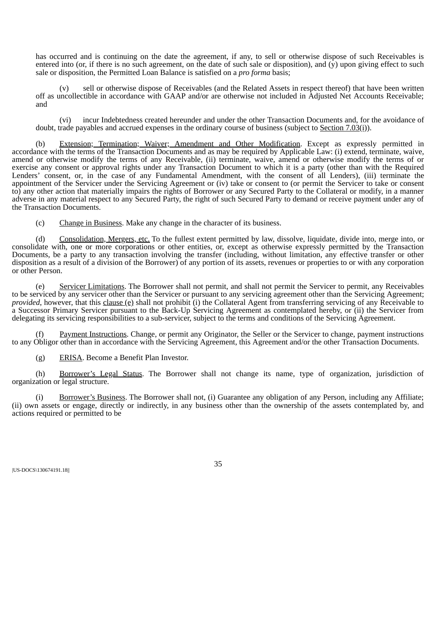has occurred and is continuing on the date the agreement, if any, to sell or otherwise dispose of such Receivables is entered into (or, if there is no such agreement, on the date of such sale or disposition), and  $(\hat{y})$  upon giving effect to such sale or disposition, the Permitted Loan Balance is satisfied on a *pro forma* basis;

(v) sell or otherwise dispose of Receivables (and the Related Assets in respect thereof) that have been written off as uncollectible in accordance with GAAP and/or are otherwise not included in Adjusted Net Accounts Receivable; and

(vi) incur Indebtedness created hereunder and under the other Transaction Documents and, for the avoidance of doubt, trade payables and accrued expenses in the ordinary course of business (subject to Section 7.03(i)).

Extension; Termination; Waiver; Amendment and Other Modification. Except as expressly permitted in accordance with the terms of the Transaction Documents and as may be required by Applicable Law: (i) extend, terminate, waive, amend or otherwise modify the terms of any Receivable, (ii) terminate, waive, amend or otherwise modify the terms of or exercise any consent or approval rights under any Transaction Document to which it is a party (other than with the Required Lenders' consent, or, in the case of any Fundamental Amendment, with the consent of all Lenders), (iii) terminate the appointment of the Servicer under the Servicing Agreement or (iv) take or consent to (or permit the Servicer to take or consent to) any other action that materially impairs the rights of Borrower or any Secured Party to the Collateral or modify, in a manner adverse in any material respect to any Secured Party, the right of such Secured Party to demand or receive payment under any of the Transaction Documents.

(c) Change in Business. Make any change in the character of its business.

(d) Consolidation, Mergers, etc. To the fullest extent permitted by law, dissolve, liquidate, divide into, merge into, or consolidate with, one or more corporations or other entities, or, except as otherwise expressly permitted by the Transaction Documents, be a party to any transaction involving the transfer (including, without limitation, any effective transfer or other disposition as a result of a division of the Borrower) of any portion of its assets, revenues or properties to or with any corporation or other Person.

(e) Servicer Limitations. The Borrower shall not permit, and shall not permit the Servicer to permit, any Receivables to be serviced by any servicer other than the Servicer or pursuant to any servicing agreement other than the Servicing Agreement; *provided*, however, that this clause (e) shall not prohibit (i) the Collateral Agent from transferring servicing of any Receivable to a Successor Primary Servicer pursuant to the Back-Up Servicing Agreement as contemplated hereby, or (ii) the Servicer from delegating its servicing responsibilities to a sub-servicer, subject to the terms and conditions of the Servicing Agreement.

Payment Instructions. Change, or permit any Originator, the Seller or the Servicer to change, payment instructions to any Obligor other than in accordance with the Servicing Agreement, this Agreement and/or the other Transaction Documents.

(g) ERISA. Become a Benefit Plan Investor.

(h) Borrower's Legal Status. The Borrower shall not change its name, type of organization, jurisdiction of organization or legal structure.

(i) Borrower's Business. The Borrower shall not, (i) Guarantee any obligation of any Person, including any Affiliate; (ii) own assets or engage, directly or indirectly, in any business other than the ownership of the assets contemplated by, and actions required or permitted to be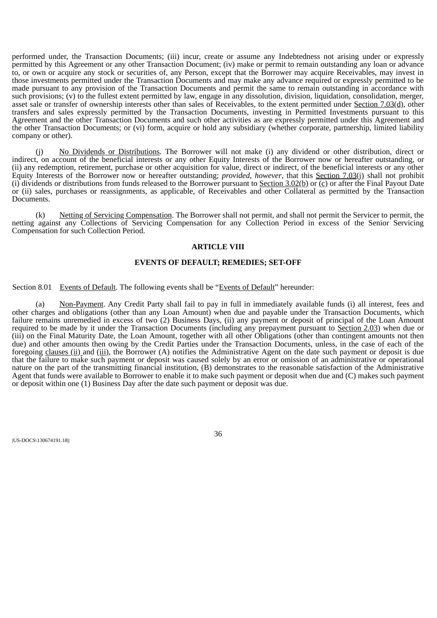performed under, the Transaction Documents; (iii) incur, create or assume any Indebtedness not arising under or expressly permitted by this Agreement or any other Transaction Document; (iv) make or permit to remain outstanding any loan or advance to, or own or acquire any stock or securities of, any Person, except that the Borrower may acquire Receivables, may invest in those investments permitted under the Transaction Documents and may make any advance required or expressly permitted to be made pursuant to any provision of the Transaction Documents and permit the same to remain outstanding in accordance with such provisions; (v) to the fullest extent permitted by law, engage in any dissolution, division, liquidation, consolidation, merger, asset sale or transfer of ownership interests other than sales of Receivables, to the extent permitted under Section 7.03(d), other transfers and sales expressly permitted by the Transaction Documents, investing in Permitted Investments pursuant to this Agreement and the other Transaction Documents and such other activities as are expressly permitted under this Agreement and the other Transaction Documents; or (vi) form, acquire or hold any subsidiary (whether corporate, partnership, limited liability company or other).

(j) No Dividends or Distributions. The Borrower will not make (i) any dividend or other distribution, direct or indirect, on account of the beneficial interests or any other Equity Interests of the Borrower now or hereafter outstanding, or (ii) any redemption, retirement, purchase or other acquisition for value, direct or indirect, of the beneficial interests or any other Equity Interests of the Borrower now or hereafter outstanding; *provided*, *however*, that this Section 7.03(j) shall not prohibit (i) dividends or distributions from funds released to the Borrower pursuant to Section  $3.02(b)$  or (c) or after the Final Payout Date or (ii) sales, purchases or reassignments, as applicable, of Receivables and other Collateral as permitted by the Transaction Documents.

(k) Netting of Servicing Compensation. The Borrower shall not permit, and shall not permit the Servicer to permit, the netting against any Collections of Servicing Compensation for any Collection Period in excess of the Senior Servicing Compensation for such Collection Period.

## **ARTICLE VIII**

# **EVENTS OF DEFAULT; REMEDIES; SET-OFF**

Section 8.01 Events of Default. The following events shall be "Events of Default" hereunder:

(a) Non-Payment. Any Credit Party shall fail to pay in full in immediately available funds (i) all interest, fees and other charges and obligations (other than any Loan Amount) when due and payable under the Transaction Documents, which failure remains unremedied in excess of two (2) Business Days, (ii) any payment or deposit of principal of the Loan Amount required to be made by it under the Transaction Documents (including any prepayment pursuant to Section 2.03) when due or (iii) on the Final Maturity Date, the Loan Amount, together with all other Obligations (other than contingent amounts not then due) and other amounts then owing by the Credit Parties under the Transaction Documents, unless, in the case of each of the foregoing clauses (ii) and (iii), the Borrower (A) notifies the Administrative Agent on the date such payment or deposit is due that the failure to make such payment or deposit was caused solely by an error or omission of an administrative or operational nature on the part of the transmitting financial institution, (B) demonstrates to the reasonable satisfaction of the Administrative Agent that funds were available to Borrower to enable it to make such payment or deposit when due and (C) makes such payment or deposit within one (1) Business Day after the date such payment or deposit was due.

|US-DOCS\130674191.18||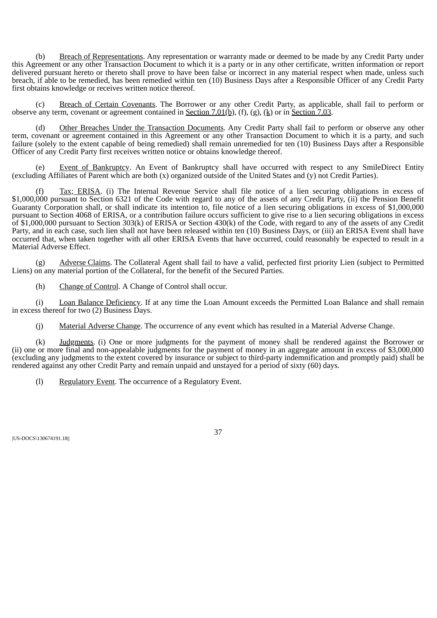(b) Breach of Representations. Any representation or warranty made or deemed to be made by any Credit Party under this Agreement or any other Transaction Document to which it is a party or in any other certificate, written information or report delivered pursuant hereto or thereto shall prove to have been false or incorrect in any material respect when made, unless such breach, if able to be remedied, has been remedied within ten (10) Business Days after a Responsible Officer of any Credit Party first obtains knowledge or receives written notice thereof.

(c) Breach of Certain Covenants. The Borrower or any other Credit Party, as applicable, shall fail to perform or observe any term, covenant or agreement contained in <u>Section 7.01(b)</u>, (f), (g), (k) or in Section 7.03.

(d) Other Breaches Under the Transaction Documents. Any Credit Party shall fail to perform or observe any other term, covenant or agreement contained in this Agreement or any other Transaction Document to which it is a party, and such failure (solely to the extent capable of being remedied) shall remain unremedied for ten (10) Business Days after a Responsible Officer of any Credit Party first receives written notice or obtains knowledge thereof.

Event of Bankruptcy. An Event of Bankruptcy shall have occurred with respect to any SmileDirect Entity (excluding Affiliates of Parent which are both (x) organized outside of the United States and (y) not Credit Parties).

(f) Tax; ERISA. (i) The Internal Revenue Service shall file notice of a lien securing obligations in excess of \$1,000,000 pursuant to Section 6321 of the Code with regard to any of the assets of any Credit Party, (ii) the Pension Benefit Guaranty Corporation shall, or shall indicate its intention to, file notice of a lien securing obligations in excess of \$1,000,000 pursuant to Section 4068 of ERISA, or a contribution failure occurs sufficient to give rise to a lien securing obligations in excess of \$1,000,000 pursuant to Section 303(k) of ERISA or Section 430(k) of the Code, with regard to any of the assets of any Credit Party, and in each case, such lien shall not have been released within ten (10) Business Days, or (iii) an ERISA Event shall have occurred that, when taken together with all other ERISA Events that have occurred, could reasonably be expected to result in a Material Adverse Effect.

(g) Adverse Claims. The Collateral Agent shall fail to have a valid, perfected first priority Lien (subject to Permitted Liens) on any material portion of the Collateral, for the benefit of the Secured Parties.

(h) Change of Control. A Change of Control shall occur.

(i) Loan Balance Deficiency. If at any time the Loan Amount exceeds the Permitted Loan Balance and shall remain in excess thereof for two (2) Business Days.

(j) Material Adverse Change. The occurrence of any event which has resulted in a Material Adverse Change.

(k) Judgments. (i) One or more judgments for the payment of money shall be rendered against the Borrower or (ii) one or more final and non-appealable judgments for the payment of money in an aggregate amount in excess of \$3,000,000 (excluding any judgments to the extent covered by insurance or subject to third-party indemnification and promptly paid) shall be rendered against any other Credit Party and remain unpaid and unstayed for a period of sixty (60) days.

(l) Regulatory Event. The occurrence of a Regulatory Event.

|US-DOCS\130674191.18||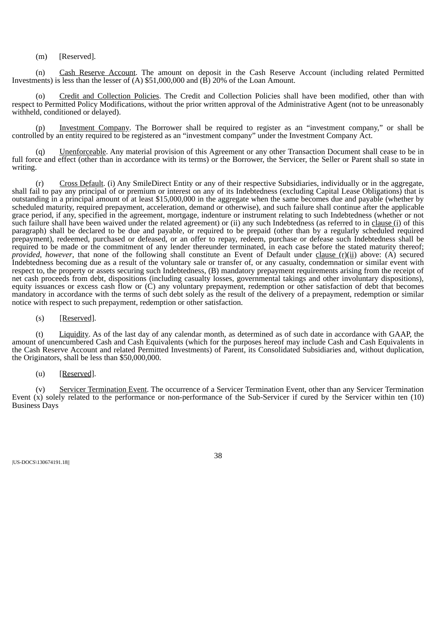(m) [Reserved].

(n) Cash Reserve Account. The amount on deposit in the Cash Reserve Account (including related Permitted Investments) is less than the lesser of (A) \$51,000,000 and (B) 20% of the Loan Amount.

(o) Credit and Collection Policies. The Credit and Collection Policies shall have been modified, other than with respect to Permitted Policy Modifications, without the prior written approval of the Administrative Agent (not to be unreasonably withheld, conditioned or delayed).

Investment Company. The Borrower shall be required to register as an "investment company," or shall be controlled by an entity required to be registered as an "investment company" under the Investment Company Act.

(q) Unenforceable. Any material provision of this Agreement or any other Transaction Document shall cease to be in full force and effect (other than in accordance with its terms) or the Borrower, the Servicer, the Seller or Parent shall so state in writing.

(r) Cross Default. (i) Any SmileDirect Entity or any of their respective Subsidiaries, individually or in the aggregate, shall fail to pay any principal of or premium or interest on any of its Indebtedness (excluding Capital Lease Obligations) that is outstanding in a principal amount of at least \$15,000,000 in the aggregate when the same becomes due and payable (whether by scheduled maturity, required prepayment, acceleration, demand or otherwise), and such failure shall continue after the applicable grace period, if any, specified in the agreement, mortgage, indenture or instrument relating to such Indebtedness (whether or not such failure shall have been waived under the related agreement) or (ii) any such Indebtedness (as referred to in clause (i) of this paragraph) shall be declared to be due and payable, or required to be prepaid (other than by a regularly scheduled required prepayment), redeemed, purchased or defeased, or an offer to repay, redeem, purchase or defease such Indebtedness shall be required to be made or the commitment of any lender thereunder terminated, in each case before the stated maturity thereof; *provided*, *however*, that none of the following shall constitute an Event of Default under clause (r)(ii) above: (A) secured Indebtedness becoming due as a result of the voluntary sale or transfer of, or any casualty, condemnation or similar event with respect to, the property or assets securing such Indebtedness, (B) mandatory prepayment requirements arising from the receipt of net cash proceeds from debt, dispositions (including casualty losses, governmental takings and other involuntary dispositions), equity issuances or excess cash flow or (C) any voluntary prepayment, redemption or other satisfaction of debt that becomes mandatory in accordance with the terms of such debt solely as the result of the delivery of a prepayment, redemption or similar notice with respect to such prepayment, redemption or other satisfaction.

(s) [Reserved].

(t) Liquidity. As of the last day of any calendar month, as determined as of such date in accordance with GAAP, the amount of unencumbered Cash and Cash Equivalents (which for the purposes hereof may include Cash and Cash Equivalents in the Cash Reserve Account and related Permitted Investments) of Parent, its Consolidated Subsidiaries and, without duplication, the Originators, shall be less than \$50,000,000.

(u) [Reserved].

(v) Servicer Termination Event. The occurrence of a Servicer Termination Event, other than any Servicer Termination Event (x) solely related to the performance or non-performance of the Sub-Servicer if cured by the Servicer within ten (10) Business Days

|US-DOCS\130674191.18||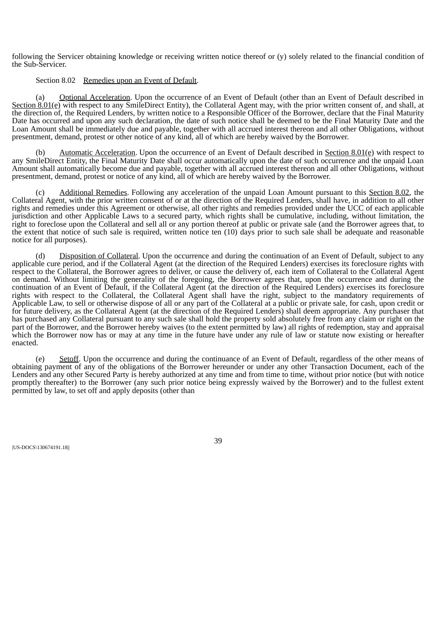following the Servicer obtaining knowledge or receiving written notice thereof or (y) solely related to the financial condition of the Sub-Servicer.

# Section 8.02 Remedies upon an Event of Default.

(a) Optional Acceleration. Upon the occurrence of an Event of Default (other than an Event of Default described in Section 8.01(e) with respect to any SmileDirect Entity), the Collateral Agent may, with the prior written consent of, and shall, at the direction of, the Required Lenders, by written notice to a Responsible Officer of the Borrower, declare that the Final Maturity Date has occurred and upon any such declaration, the date of such notice shall be deemed to be the Final Maturity Date and the Loan Amount shall be immediately due and payable, together with all accrued interest thereon and all other Obligations, without presentment, demand, protest or other notice of any kind, all of which are hereby waived by the Borrower.

(b) Automatic Acceleration. Upon the occurrence of an Event of Default described in Section  $8.01(e)$  with respect to any SmileDirect Entity, the Final Maturity Date shall occur automatically upon the date of such occurrence and the unpaid Loan Amount shall automatically become due and payable, together with all accrued interest thereon and all other Obligations, without presentment, demand, protest or notice of any kind, all of which are hereby waived by the Borrower.

(c) Additional Remedies. Following any acceleration of the unpaid Loan Amount pursuant to this Section 8.02, the Collateral Agent, with the prior written consent of or at the direction of the Required Lenders, shall have, in addition to all other rights and remedies under this Agreement or otherwise, all other rights and remedies provided under the UCC of each applicable jurisdiction and other Applicable Laws to a secured party, which rights shall be cumulative, including, without limitation, the right to foreclose upon the Collateral and sell all or any portion thereof at public or private sale (and the Borrower agrees that, to the extent that notice of such sale is required, written notice ten (10) days prior to such sale shall be adequate and reasonable notice for all purposes).

(d) Disposition of Collateral. Upon the occurrence and during the continuation of an Event of Default, subject to any applicable cure period, and if the Collateral Agent (at the direction of the Required Lenders) exercises its foreclosure rights with respect to the Collateral, the Borrower agrees to deliver, or cause the delivery of, each item of Collateral to the Collateral Agent on demand. Without limiting the generality of the foregoing, the Borrower agrees that, upon the occurrence and during the continuation of an Event of Default, if the Collateral Agent (at the direction of the Required Lenders) exercises its foreclosure rights with respect to the Collateral, the Collateral Agent shall have the right, subject to the mandatory requirements of Applicable Law, to sell or otherwise dispose of all or any part of the Collateral at a public or private sale, for cash, upon credit or for future delivery, as the Collateral Agent (at the direction of the Required Lenders) shall deem appropriate. Any purchaser that has purchased any Collateral pursuant to any such sale shall hold the property sold absolutely free from any claim or right on the part of the Borrower, and the Borrower hereby waives (to the extent permitted by law) all rights of redemption, stay and appraisal which the Borrower now has or may at any time in the future have under any rule of law or statute now existing or hereafter enacted.

(e) Setoff. Upon the occurrence and during the continuance of an Event of Default, regardless of the other means of obtaining payment of any of the obligations of the Borrower hereunder or under any other Transaction Document, each of the Lenders and any other Secured Party is hereby authorized at any time and from time to time, without prior notice (but with notice promptly thereafter) to the Borrower (any such prior notice being expressly waived by the Borrower) and to the fullest extent permitted by law, to set off and apply deposits (other than

|US-DOCS\130674191.18||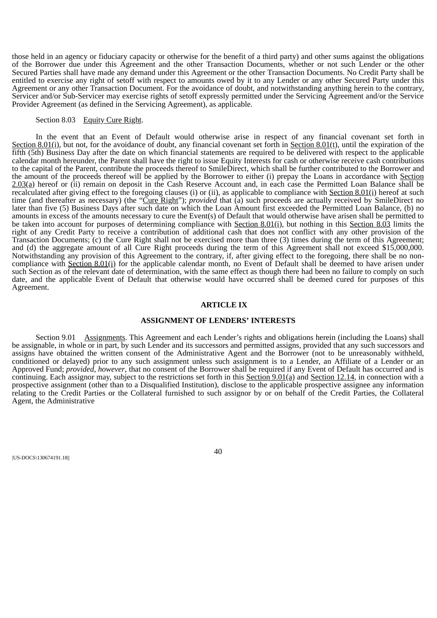those held in an agency or fiduciary capacity or otherwise for the benefit of a third party) and other sums against the obligations of the Borrower due under this Agreement and the other Transaction Documents, whether or not such Lender or the other Secured Parties shall have made any demand under this Agreement or the other Transaction Documents. No Credit Party shall be entitled to exercise any right of setoff with respect to amounts owed by it to any Lender or any other Secured Party under this Agreement or any other Transaction Document. For the avoidance of doubt, and notwithstanding anything herein to the contrary, Servicer and/or Sub-Servicer may exercise rights of setoff expressly permitted under the Servicing Agreement and/or the Service Provider Agreement (as defined in the Servicing Agreement), as applicable.

# Section 8.03 Equity Cure Right.

In the event that an Event of Default would otherwise arise in respect of any financial covenant set forth in Section 8.01(i), but not, for the avoidance of doubt, any financial covenant set forth in Section 8.01(t), until the expiration of the fifth (5th) Business Day after the date on which financial statements are required to be delivered with respect to the applicable calendar month hereunder, the Parent shall have the right to issue Equity Interests for cash or otherwise receive cash contributions to the capital of the Parent, contribute the proceeds thereof to SmileDirect, which shall be further contributed to the Borrower and the amount of the proceeds thereof will be applied by the Borrower to either (i) prepay the Loans in accordance with Section 2.03(a) hereof or (ii) remain on deposit in the Cash Reserve Account and, in each case the Permitted Loan Balance shall be recalculated after giving effect to the foregoing clauses (i) or (ii), as applicable to compliance with Section 8.01(i) hereof at such time (and thereafter as necessary) (the "Cure Right"); *provided* that (a) such proceeds are actually received by SmileDirect no later than five (5) Business Days after such date on which the Loan Amount first exceeded the Permitted Loan Balance, (b) no amounts in excess of the amounts necessary to cure the Event(s) of Default that would otherwise have arisen shall be permitted to be taken into account for purposes of determining compliance with Section 8.01(i), but nothing in this Section 8.03 limits the right of any Credit Party to receive a contribution of additional cash that does not conflict with any other provision of the Transaction Documents; (c) the Cure Right shall not be exercised more than three (3) times during the term of this Agreement; and (d) the aggregate amount of all Cure Right proceeds during the term of this Agreement shall not exceed \$15,000,000. Notwithstanding any provision of this Agreement to the contrary, if, after giving effect to the foregoing, there shall be no noncompliance with Section 8.01(i) for the applicable calendar month, no Event of Default shall be deemed to have arisen under such Section as of the relevant date of determination, with the same effect as though there had been no failure to comply on such date, and the applicable Event of Default that otherwise would have occurred shall be deemed cured for purposes of this Agreement.

#### **ARTICLE IX**

# **ASSIGNMENT OF LENDERS' INTERESTS**

Section 9.01 Assignments. This Agreement and each Lender's rights and obligations herein (including the Loans) shall be assignable, in whole or in part, by such Lender and its successors and permitted assigns, provided that any such successors and assigns have obtained the written consent of the Administrative Agent and the Borrower (not to be unreasonably withheld, conditioned or delayed) prior to any such assignment unless such assignment is to a Lender, an Affiliate of a Lender or an Approved Fund; *provided*, *however*, that no consent of the Borrower shall be required if any Event of Default has occurred and is continuing. Each assignor may, subject to the restrictions set forth in this Section 9.01(a) and Section 12.14, in connection with a prospective assignment (other than to a Disqualified Institution), disclose to the applicable prospective assignee any information relating to the Credit Parties or the Collateral furnished to such assignor by or on behalf of the Credit Parties, the Collateral Agent, the Administrative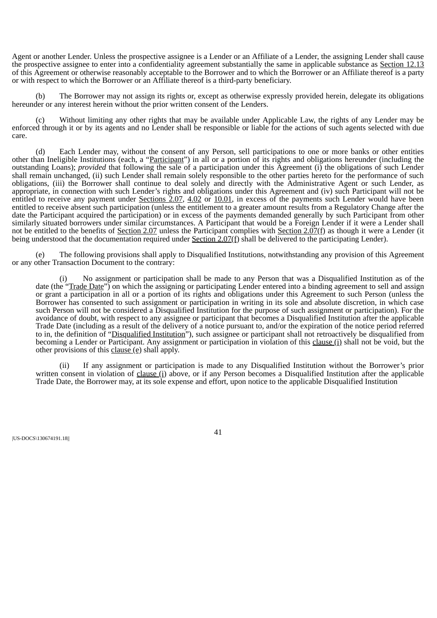Agent or another Lender. Unless the prospective assignee is a Lender or an Affiliate of a Lender, the assigning Lender shall cause the prospective assignee to enter into a confidentiality agreement substantially the same in applicable substance as Section 12.13 of this Agreement or otherwise reasonably acceptable to the Borrower and to which the Borrower or an Affiliate thereof is a party or with respect to which the Borrower or an Affiliate thereof is a third-party beneficiary.

The Borrower may not assign its rights or, except as otherwise expressly provided herein, delegate its obligations hereunder or any interest herein without the prior written consent of the Lenders.

(c) Without limiting any other rights that may be available under Applicable Law, the rights of any Lender may be enforced through it or by its agents and no Lender shall be responsible or liable for the actions of such agents selected with due care.

(d) Each Lender may, without the consent of any Person, sell participations to one or more banks or other entities other than Ineligible Institutions (each, a "Participant") in all or a portion of its rights and obligations hereunder (including the outstanding Loans); *provided* that following the sale of a participation under this Agreement (i) the obligations of such Lender shall remain unchanged, (ii) such Lender shall remain solely responsible to the other parties hereto for the performance of such obligations, (iii) the Borrower shall continue to deal solely and directly with the Administrative Agent or such Lender, as appropriate, in connection with such Lender's rights and obligations under this Agreement and (iv) such Participant will not be entitled to receive any payment under Sections 2.07, 4.02 or 10.01, in excess of the payments such Lender would have been entitled to receive absent such participation (unless the entitlement to a greater amount results from a Regulatory Change after the date the Participant acquired the participation) or in excess of the payments demanded generally by such Participant from other similarly situated borrowers under similar circumstances. A Participant that would be a Foreign Lender if it were a Lender shall not be entitled to the benefits of Section 2.07 unless the Participant complies with Section 2.07(f) as though it were a Lender (it being understood that the documentation required under Section  $2.07(f)$  shall be delivered to the participating Lender).

The following provisions shall apply to Disqualified Institutions, notwithstanding any provision of this Agreement or any other Transaction Document to the contrary:

No assignment or participation shall be made to any Person that was a Disqualified Institution as of the date (the "Trade Date") on which the assigning or participating Lender entered into a binding agreement to sell and assign or grant a participation in all or a portion of its rights and obligations under this Agreement to such Person (unless the Borrower has consented to such assignment or participation in writing in its sole and absolute discretion, in which case such Person will not be considered a Disqualified Institution for the purpose of such assignment or participation). For the avoidance of doubt, with respect to any assignee or participant that becomes a Disqualified Institution after the applicable Trade Date (including as a result of the delivery of a notice pursuant to, and/or the expiration of the notice period referred to in, the definition of "Disqualified Institution"), such assignee or participant shall not retroactively be disqualified from becoming a Lender or Participant. Any assignment or participation in violation of this clause (i) shall not be void, but the other provisions of this clause (e) shall apply.

(ii) If any assignment or participation is made to any Disqualified Institution without the Borrower's prior written consent in violation of clause (i) above, or if any Person becomes a Disqualified Institution after the applicable Trade Date, the Borrower may, at its sole expense and effort, upon notice to the applicable Disqualified Institution

|US-DOCS\130674191.18||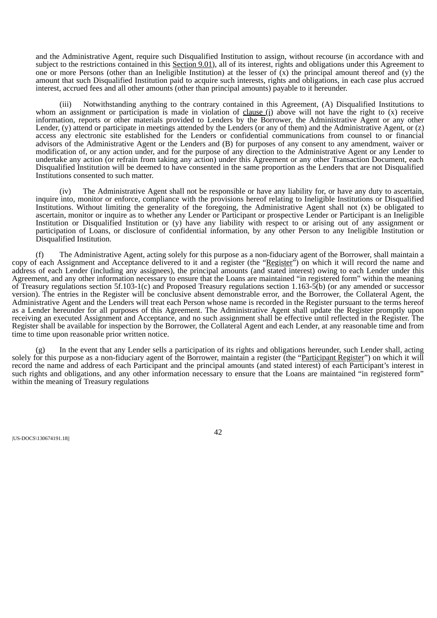and the Administrative Agent, require such Disqualified Institution to assign, without recourse (in accordance with and subject to the restrictions contained in this Section 9.01), all of its interest, rights and obligations under this Agreement to one or more Persons (other than an Ineligible Institution) at the lesser of  $\overline{X}$  the principal amount thereof and (y) the amount that such Disqualified Institution paid to acquire such interests, rights and obligations, in each case plus accrued interest, accrued fees and all other amounts (other than principal amounts) payable to it hereunder.

(iii) Notwithstanding anything to the contrary contained in this Agreement, (A) Disqualified Institutions to whom an assignment or participation is made in violation of clause  $(i)$  above will not have the right to  $(x)$  receive information, reports or other materials provided to Lenders by the Borrower, the Administrative Agent or any other Lender, (y) attend or participate in meetings attended by the Lenders (or any of them) and the Administrative Agent, or (z) access any electronic site established for the Lenders or confidential communications from counsel to or financial advisors of the Administrative Agent or the Lenders and (B) for purposes of any consent to any amendment, waiver or modification of, or any action under, and for the purpose of any direction to the Administrative Agent or any Lender to undertake any action (or refrain from taking any action) under this Agreement or any other Transaction Document, each Disqualified Institution will be deemed to have consented in the same proportion as the Lenders that are not Disqualified Institutions consented to such matter.

(iv) The Administrative Agent shall not be responsible or have any liability for, or have any duty to ascertain, inquire into, monitor or enforce, compliance with the provisions hereof relating to Ineligible Institutions or Disqualified Institutions. Without limiting the generality of the foregoing, the Administrative Agent shall not (x) be obligated to ascertain, monitor or inquire as to whether any Lender or Participant or prospective Lender or Participant is an Ineligible Institution or Disqualified Institution or (y) have any liability with respect to or arising out of any assignment or participation of Loans, or disclosure of confidential information, by any other Person to any Ineligible Institution or Disqualified Institution.

(f) The Administrative Agent, acting solely for this purpose as a non-fiduciary agent of the Borrower, shall maintain a copy of each Assignment and Acceptance delivered to it and a register (the "Register") on which it will record the name and address of each Lender (including any assignees), the principal amounts (and stated interest) owing to each Lender under this Agreement, and any other information necessary to ensure that the Loans are maintained "in registered form" within the meaning of Treasury regulations section 5f.103-1(c) and Proposed Treasury regulations section 1.163-5(b) (or any amended or successor version). The entries in the Register will be conclusive absent demonstrable error, and the Borrower, the Collateral Agent, the Administrative Agent and the Lenders will treat each Person whose name is recorded in the Register pursuant to the terms hereof as a Lender hereunder for all purposes of this Agreement. The Administrative Agent shall update the Register promptly upon receiving an executed Assignment and Acceptance, and no such assignment shall be effective until reflected in the Register. The Register shall be available for inspection by the Borrower, the Collateral Agent and each Lender, at any reasonable time and from time to time upon reasonable prior written notice.

(g) In the event that any Lender sells a participation of its rights and obligations hereunder, such Lender shall, acting solely for this purpose as a non-fiduciary agent of the Borrower, maintain a register (the "Participant Register") on which it will record the name and address of each Participant and the principal amounts (and stated interest) of each Participant's interest in such rights and obligations, and any other information necessary to ensure that the Loans are maintained "in registered form" within the meaning of Treasury regulations

|US-DOCS\130674191.18||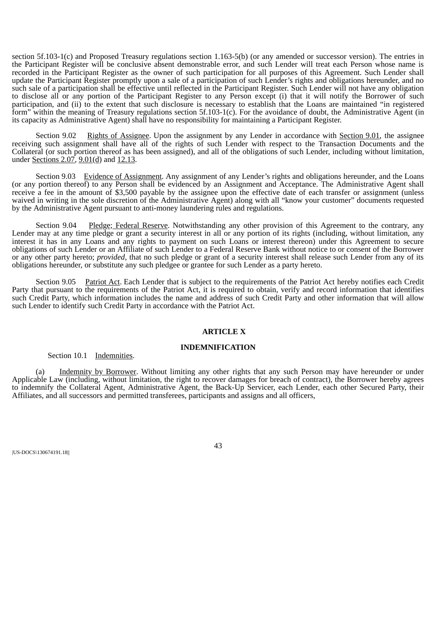section 5f.103-1(c) and Proposed Treasury regulations section 1.163-5(b) (or any amended or successor version). The entries in the Participant Register will be conclusive absent demonstrable error, and such Lender will treat each Person whose name is recorded in the Participant Register as the owner of such participation for all purposes of this Agreement. Such Lender shall update the Participant Register promptly upon a sale of a participation of such Lender's rights and obligations hereunder, and no such sale of a participation shall be effective until reflected in the Participant Register. Such Lender will not have any obligation to disclose all or any portion of the Participant Register to any Person except (i) that it will notify the Borrower of such participation, and (ii) to the extent that such disclosure is necessary to establish that the Loans are maintained "in registered form" within the meaning of Treasury regulations section 5f.103-1(c). For the avoidance of doubt, the Administrative Agent (in its capacity as Administrative Agent) shall have no responsibility for maintaining a Participant Register.

Section 9.02 Rights of Assignee. Upon the assignment by any Lender in accordance with Section 9.01, the assignee receiving such assignment shall have all of the rights of such Lender with respect to the Transaction Documents and the Collateral (or such portion thereof as has been assigned), and all of the obligations of such Lender, including without limitation, under Sections  $2.07$ ,  $9.01$ (d) and  $12.13$ .

Section 9.03 Evidence of Assignment. Any assignment of any Lender's rights and obligations hereunder, and the Loans (or any portion thereof) to any Person shall be evidenced by an Assignment and Acceptance. The Administrative Agent shall receive a fee in the amount of \$3,500 payable by the assignee upon the effective date of each transfer or assignment (unless waived in writing in the sole discretion of the Administrative Agent) along with all "know your customer" documents requested by the Administrative Agent pursuant to anti-money laundering rules and regulations.

Section 9.04 Pledge; Federal Reserve. Notwithstanding any other provision of this Agreement to the contrary, any Lender may at any time pledge or grant a security interest in all or any portion of its rights (including, without limitation, any interest it has in any Loans and any rights to payment on such Loans or interest thereon) under this Agreement to secure obligations of such Lender or an Affiliate of such Lender to a Federal Reserve Bank without notice to or consent of the Borrower or any other party hereto; *provided*, that no such pledge or grant of a security interest shall release such Lender from any of its obligations hereunder, or substitute any such pledgee or grantee for such Lender as a party hereto.

Section 9.05 Patriot Act. Each Lender that is subject to the requirements of the Patriot Act hereby notifies each Credit Party that pursuant to the requirements of the Patriot Act, it is required to obtain, verify and record information that identifies such Credit Party, which information includes the name and address of such Credit Party and other information that will allow such Lender to identify such Credit Party in accordance with the Patriot Act.

#### **ARTICLE X**

#### **INDEMNIFICATION**

#### Section 10.1 Indemnities.

(a) Indemnity by Borrower. Without limiting any other rights that any such Person may have hereunder or under Applicable Law (including, without limitation, the right to recover damages for breach of contract), the Borrower hereby agrees to indemnify the Collateral Agent, Administrative Agent, the Back-Up Servicer, each Lender, each other Secured Party, their Affiliates, and all successors and permitted transferees, participants and assigns and all officers,

|US-DOCS\130674191.18||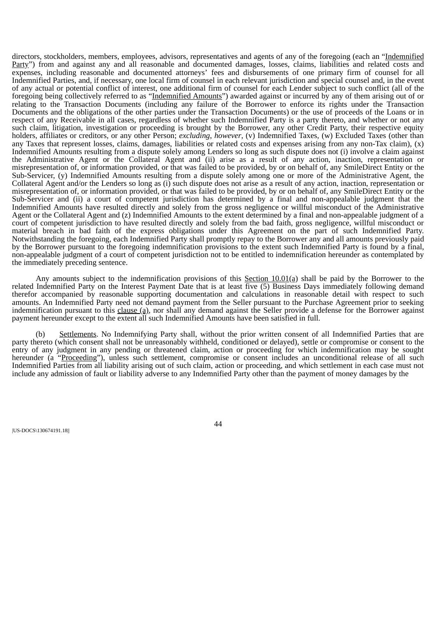directors, stockholders, members, employees, advisors, representatives and agents of any of the foregoing (each an "Indemnified Party") from and against any and all reasonable and documented damages, losses, claims, liabilities and related costs and expenses, including reasonable and documented attorneys' fees and disbursements of one primary firm of counsel for all Indemnified Parties, and, if necessary, one local firm of counsel in each relevant jurisdiction and special counsel and, in the event of any actual or potential conflict of interest, one additional firm of counsel for each Lender subject to such conflict (all of the foregoing being collectively referred to as "Indemnified Amounts") awarded against or incurred by any of them arising out of or relating to the Transaction Documents (including any failure of the Borrower to enforce its rights under the Transaction Documents and the obligations of the other parties under the Transaction Documents) or the use of proceeds of the Loans or in respect of any Receivable in all cases, regardless of whether such Indemnified Party is a party thereto, and whether or not any such claim, litigation, investigation or proceeding is brought by the Borrower, any other Credit Party, their respective equity holders, affiliates or creditors, or any other Person; *excluding*, *however*, (v) Indemnified Taxes, (w) Excluded Taxes (other than any Taxes that represent losses, claims, damages, liabilities or related costs and expenses arising from any non-Tax claim), (x) Indemnified Amounts resulting from a dispute solely among Lenders so long as such dispute does not (i) involve a claim against the Administrative Agent or the Collateral Agent and (ii) arise as a result of any action, inaction, representation or misrepresentation of, or information provided, or that was failed to be provided, by or on behalf of, any SmileDirect Entity or the Sub-Servicer, (y) Indemnified Amounts resulting from a dispute solely among one or more of the Administrative Agent, the Collateral Agent and/or the Lenders so long as (i) such dispute does not arise as a result of any action, inaction, representation or misrepresentation of, or information provided, or that was failed to be provided, by or on behalf of, any SmileDirect Entity or the Sub-Servicer and (ii) a court of competent jurisdiction has determined by a final and non-appealable judgment that the Indemnified Amounts have resulted directly and solely from the gross negligence or willful misconduct of the Administrative Agent or the Collateral Agent and (z) Indemnified Amounts to the extent determined by a final and non-appealable judgment of a court of competent jurisdiction to have resulted directly and solely from the bad faith, gross negligence, willful misconduct or material breach in bad faith of the express obligations under this Agreement on the part of such Indemnified Party. Notwithstanding the foregoing, each Indemnified Party shall promptly repay to the Borrower any and all amounts previously paid by the Borrower pursuant to the foregoing indemnification provisions to the extent such Indemnified Party is found by a final, non-appealable judgment of a court of competent jurisdiction not to be entitled to indemnification hereunder as contemplated by the immediately preceding sentence.

Any amounts subject to the indemnification provisions of this Section  $10.01(q)$  shall be paid by the Borrower to the related Indemnified Party on the Interest Payment Date that is at least five (5) Business Days immediately following demand therefor accompanied by reasonable supporting documentation and calculations in reasonable detail with respect to such amounts. An Indemnified Party need not demand payment from the Seller pursuant to the Purchase Agreement prior to seeking indemnification pursuant to this clause (a), nor shall any demand against the Seller provide a defense for the Borrower against payment hereunder except to the extent all such Indemnified Amounts have been satisfied in full.

(b) Settlements. No Indemnifying Party shall, without the prior written consent of all Indemnified Parties that are party thereto (which consent shall not be unreasonably withheld, conditioned or delayed), settle or compromise or consent to the entry of any judgment in any pending or threatened claim, action or proceeding for which indemnification may be sought hereunder (a "Proceeding"), unless such settlement, compromise or consent includes an unconditional release of all such Indemnified Parties from all liability arising out of such claim, action or proceeding, and which settlement in each case must not include any admission of fault or liability adverse to any Indemnified Party other than the payment of money damages by the

|US-DOCS\130674191.18||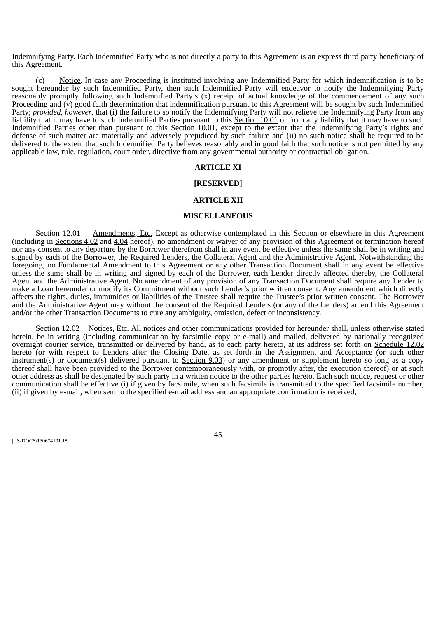Indemnifying Party. Each Indemnified Party who is not directly a party to this Agreement is an express third party beneficiary of this Agreement.

(c) Notice. In case any Proceeding is instituted involving any Indemnified Party for which indemnification is to be sought hereunder by such Indemnified Party, then such Indemnified Party will endeavor to notify the Indemnifying Party reasonably promptly following such Indemnified Party's (x) receipt of actual knowledge of the commencement of any such Proceeding and (y) good faith determination that indemnification pursuant to this Agreement will be sought by such Indemnified Party; *provided*, *however*, that (i) the failure to so notify the Indemnifying Party will not relieve the Indemnifying Party from any liability that it may have to such Indemnified Parties pursuant to this Section 10.01 or from any liability that it may have to such Indemnified Parties other than pursuant to this Section 10.01, except to the extent that the Indemnifying Party's rights and defense of such matter are materially and adversely prejudiced by such failure and (ii) no such notice shall be required to be delivered to the extent that such Indemnified Party believes reasonably and in good faith that such notice is not permitted by any applicable law, rule, regulation, court order, directive from any governmental authority or contractual obligation.

## **ARTICLE XI**

# **[RESERVED]**

# **ARTICLE XII**

#### **MISCELLANEOUS**

Section 12.01 Amendments, Etc. Except as otherwise contemplated in this Section or elsewhere in this Agreement (including in Sections 4.02 and 4.04 hereof), no amendment or waiver of any provision of this Agreement or termination hereof nor any consent to any departure by the Borrower therefrom shall in any event be effective unless the same shall be in writing and signed by each of the Borrower, the Required Lenders, the Collateral Agent and the Administrative Agent. Notwithstanding the foregoing, no Fundamental Amendment to this Agreement or any other Transaction Document shall in any event be effective unless the same shall be in writing and signed by each of the Borrower, each Lender directly affected thereby, the Collateral Agent and the Administrative Agent. No amendment of any provision of any Transaction Document shall require any Lender to make a Loan hereunder or modify its Commitment without such Lender's prior written consent. Any amendment which directly affects the rights, duties, immunities or liabilities of the Trustee shall require the Trustee's prior written consent. The Borrower and the Administrative Agent may without the consent of the Required Lenders (or any of the Lenders) amend this Agreement and/or the other Transaction Documents to cure any ambiguity, omission, defect or inconsistency.

Section 12.02 Notices, Etc. All notices and other communications provided for hereunder shall, unless otherwise stated herein, be in writing (including communication by facsimile copy or e-mail) and mailed, delivered by nationally recognized overnight courier service, transmitted or delivered by hand, as to each party hereto, at its address set forth on Schedule 12.02 hereto (or with respect to Lenders after the Closing Date, as set forth in the Assignment and Acceptance (or such other instrument(s) or document(s) delivered pursuant to Section 9.03) or any amendment or supplement hereto so long as a copy thereof shall have been provided to the Borrower contemporaneously with, or promptly after, the execution thereof) or at such other address as shall be designated by such party in a written notice to the other parties hereto. Each such notice, request or other communication shall be effective (i) if given by facsimile, when such facsimile is transmitted to the specified facsimile number, (ii) if given by e-mail, when sent to the specified e-mail address and an appropriate confirmation is received,

|US-DOCS\130674191.18||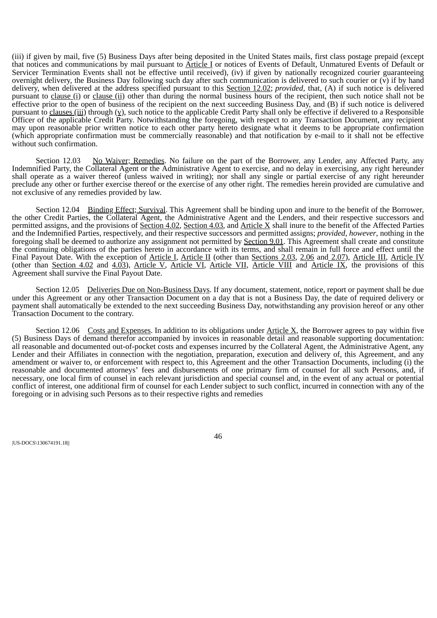(iii) if given by mail, five (5) Business Days after being deposited in the United States mails, first class postage prepaid (except that notices and communications by mail pursuant to Article I or notices of Events of Default, Unmatured Events of Default or Servicer Termination Events shall not be effective until received), (iv) if given by nationally recognized courier guaranteeing overnight delivery, the Business Day following such day after such communication is delivered to such courier or  $(\bar{v})$  if by hand delivery, when delivered at the address specified pursuant to this Section 12.02; *provided*, that, (A) if such notice is delivered pursuant to clause (i) or clause (ii) other than during the normal business hours of the recipient, then such notice shall not be effective prior to the open of business of the recipient on the next succeeding Business Day, and (B) if such notice is delivered pursuant to clauses (iii) through  $(y)$ , such notice to the applicable Credit Party shall only be effective if delivered to a Responsible Officer of the applicable Credit Party. Notwithstanding the foregoing, with respect to any Transaction Document, any recipient may upon reasonable prior written notice to each other party hereto designate what it deems to be appropriate confirmation (which appropriate confirmation must be commercially reasonable) and that notification by e-mail to it shall not be effective without such confirmation.

Section 12.03 No Waiver; Remedies. No failure on the part of the Borrower, any Lender, any Affected Party, any Indemnified Party, the Collateral Agent or the Administrative Agent to exercise, and no delay in exercising, any right hereunder shall operate as a waiver thereof (unless waived in writing); nor shall any single or partial exercise of any right hereunder preclude any other or further exercise thereof or the exercise of any other right. The remedies herein provided are cumulative and not exclusive of any remedies provided by law.

Section 12.04 Binding Effect; Survival. This Agreement shall be binding upon and inure to the benefit of the Borrower, the other Credit Parties, the Collateral Agent, the Administrative Agent and the Lenders, and their respective successors and permitted assigns, and the provisions of Section 4.02, Section 4.03, and Article X shall inure to the benefit of the Affected Parties and the Indemnified Parties, respectively, and their respective successors and permitted assigns; *provided*, *however*, nothing in the foregoing shall be deemed to authorize any assignment not permitted by Section 9.01. This Agreement shall create and constitute the continuing obligations of the parties hereto in accordance with its terms, and shall remain in full force and effect until the Final Payout Date. With the exception of Article I, Article II (other than Sections 2.03, 2.06 and 2.07), Article III, Article IV (other than Section 4.02 and 4.03), Article V, Article VI, Article VII, Article VIII and Article IX, the provisions of this Agreement shall survive the Final Payout Date.

Section 12.05 Deliveries Due on Non-Business Days. If any document, statement, notice, report or payment shall be due under this Agreement or any other Transaction Document on a day that is not a Business Day, the date of required delivery or payment shall automatically be extended to the next succeeding Business Day, notwithstanding any provision hereof or any other Transaction Document to the contrary.

Section 12.06 Costs and Expenses. In addition to its obligations under  $\Delta$ rticle  $X$ , the Borrower agrees to pay within five (5) Business Days of demand therefor accompanied by invoices in reasonable detail and reasonable supporting documentation: all reasonable and documented out-of-pocket costs and expenses incurred by the Collateral Agent, the Administrative Agent, any Lender and their Affiliates in connection with the negotiation, preparation, execution and delivery of, this Agreement, and any amendment or waiver to, or enforcement with respect to, this Agreement and the other Transaction Documents, including (i) the reasonable and documented attorneys' fees and disbursements of one primary firm of counsel for all such Persons, and, if necessary, one local firm of counsel in each relevant jurisdiction and special counsel and, in the event of any actual or potential conflict of interest, one additional firm of counsel for each Lender subject to such conflict, incurred in connection with any of the foregoing or in advising such Persons as to their respective rights and remedies

|US-DOCS\130674191.18||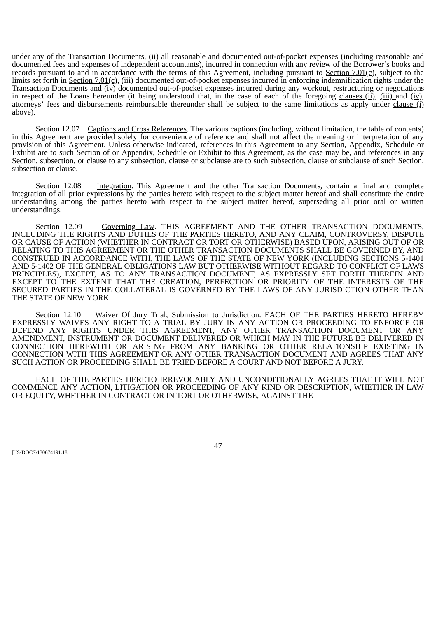under any of the Transaction Documents, (ii) all reasonable and documented out-of-pocket expenses (including reasonable and documented fees and expenses of independent accountants), incurred in connection with any review of the Borrower's books and records pursuant to and in accordance with the terms of this Agreement, including pursuant to Section 7.01(c), subject to the limits set forth in <u>Section 7.01(c),</u> (iii) documented out-of-pocket expenses incurred in enforcing indemnification rights under the Transaction Documents and (iv) documented out-of-pocket expenses incurred during any workout, restructuring or negotiations in respect of the Loans hereunder (it being understood that, in the case of each of the foregoing clauses (ii), (iii) and (iv), attorneys' fees and disbursements reimbursable thereunder shall be subject to the same limitations as apply under clause  $(i)$ above).

Section 12.07 Captions and Cross References. The various captions (including, without limitation, the table of contents) in this Agreement are provided solely for convenience of reference and shall not affect the meaning or interpretation of any provision of this Agreement. Unless otherwise indicated, references in this Agreement to any Section, Appendix, Schedule or Exhibit are to such Section of or Appendix, Schedule or Exhibit to this Agreement, as the case may be, and references in any Section, subsection, or clause to any subsection, clause or subclause are to such subsection, clause or subclause of such Section, subsection or clause.

Section 12.08 Integration. This Agreement and the other Transaction Documents, contain a final and complete integration of all prior expressions by the parties hereto with respect to the subject matter hereof and shall constitute the entire understanding among the parties hereto with respect to the subject matter hereof, superseding all prior oral or written understandings.

Section 12.09 Governing Law. THIS AGREEMENT AND THE OTHER TRANSACTION DOCUMENTS, INCLUDING THE RIGHTS AND DUTIES OF THE PARTIES HERETO, AND ANY CLAIM, CONTROVERSY, DISPUTE OR CAUSE OF ACTION (WHETHER IN CONTRACT OR TORT OR OTHERWISE) BASED UPON, ARISING OUT OF OR RELATING TO THIS AGREEMENT OR THE OTHER TRANSACTION DOCUMENTS SHALL BE GOVERNED BY, AND CONSTRUED IN ACCORDANCE WITH, THE LAWS OF THE STATE OF NEW YORK (INCLUDING SECTIONS 5-1401 AND 5-1402 OF THE GENERAL OBLIGATIONS LAW BUT OTHERWISE WITHOUT REGARD TO CONFLICT OF LAWS PRINCIPLES), EXCEPT, AS TO ANY TRANSACTION DOCUMENT, AS EXPRESSLY SET FORTH THEREIN AND EXCEPT TO THE EXTENT THAT THE CREATION, PERFECTION OR PRIORITY OF THE INTERESTS OF THE SECURED PARTIES IN THE COLLATERAL IS GOVERNED BY THE LAWS OF ANY JURISDICTION OTHER THAN THE STATE OF NEW YORK.

Section 12.10 Waiver Of Jury Trial; Submission to Jurisdiction. EACH OF THE PARTIES HERETO HEREBY EXPRESSLY WAIVES ANY RIGHT TO A TRIAL BY JURY IN ANY ACTION OR PROCEEDING TO ENFORCE OR DEFEND ANY RIGHTS UNDER THIS AGREEMENT, ANY OTHER TRANSACTION DOCUMENT OR ANY AMENDMENT, INSTRUMENT OR DOCUMENT DELIVERED OR WHICH MAY IN THE FUTURE BE DELIVERED IN CONNECTION HEREWITH OR ARISING FROM ANY BANKING OR OTHER RELATIONSHIP EXISTING IN CONNECTION WITH THIS AGREEMENT OR ANY OTHER TRANSACTION DOCUMENT AND AGREES THAT ANY SUCH ACTION OR PROCEEDING SHALL BE TRIED BEFORE A COURT AND NOT BEFORE A JURY.

EACH OF THE PARTIES HERETO IRREVOCABLY AND UNCONDITIONALLY AGREES THAT IT WILL NOT COMMENCE ANY ACTION, LITIGATION OR PROCEEDING OF ANY KIND OR DESCRIPTION, WHETHER IN LAW OR EQUITY, WHETHER IN CONTRACT OR IN TORT OR OTHERWISE, AGAINST THE

|US-DOCS\130674191.18||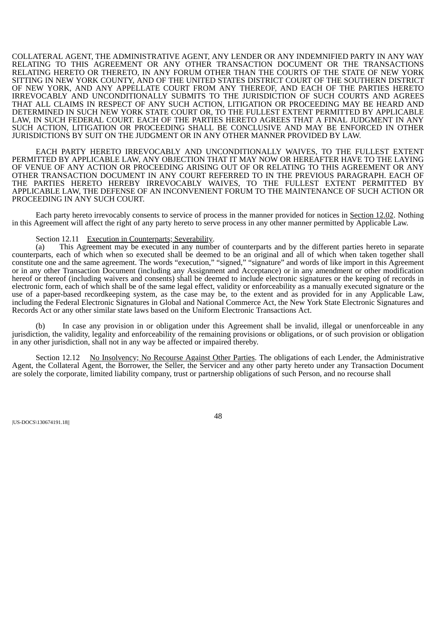COLLATERAL AGENT, THE ADMINISTRATIVE AGENT, ANY LENDER OR ANY INDEMNIFIED PARTY IN ANY WAY RELATING TO THIS AGREEMENT OR ANY OTHER TRANSACTION DOCUMENT OR THE TRANSACTIONS RELATING HERETO OR THERETO, IN ANY FORUM OTHER THAN THE COURTS OF THE STATE OF NEW YORK SITTING IN NEW YORK COUNTY, AND OF THE UNITED STATES DISTRICT COURT OF THE SOUTHERN DISTRICT OF NEW YORK, AND ANY APPELLATE COURT FROM ANY THEREOF, AND EACH OF THE PARTIES HERETO IRREVOCABLY AND UNCONDITIONALLY SUBMITS TO THE JURISDICTION OF SUCH COURTS AND AGREES THAT ALL CLAIMS IN RESPECT OF ANY SUCH ACTION, LITIGATION OR PROCEEDING MAY BE HEARD AND DETERMINED IN SUCH NEW YORK STATE COURT OR, TO THE FULLEST EXTENT PERMITTED BY APPLICABLE LAW, IN SUCH FEDERAL COURT. EACH OF THE PARTIES HERETO AGREES THAT A FINAL JUDGMENT IN ANY SUCH ACTION, LITIGATION OR PROCEEDING SHALL BE CONCLUSIVE AND MAY BE ENFORCED IN OTHER JURISDICTIONS BY SUIT ON THE JUDGMENT OR IN ANY OTHER MANNER PROVIDED BY LAW.

EACH PARTY HERETO IRREVOCABLY AND UNCONDITIONALLY WAIVES, TO THE FULLEST EXTENT PERMITTED BY APPLICABLE LAW, ANY OBJECTION THAT IT MAY NOW OR HEREAFTER HAVE TO THE LAYING OF VENUE OF ANY ACTION OR PROCEEDING ARISING OUT OF OR RELATING TO THIS AGREEMENT OR ANY OTHER TRANSACTION DOCUMENT IN ANY COURT REFERRED TO IN THE PREVIOUS PARAGRAPH. EACH OF THE PARTIES HERETO HEREBY IRREVOCABLY WAIVES, TO THE FULLEST EXTENT PERMITTED BY APPLICABLE LAW, THE DEFENSE OF AN INCONVENIENT FORUM TO THE MAINTENANCE OF SUCH ACTION OR PROCEEDING IN ANY SUCH COURT.

Each party hereto irrevocably consents to service of process in the manner provided for notices in Section 12.02. Nothing in this Agreement will affect the right of any party hereto to serve process in any other manner permitted by Applicable Law.

# Section 12.11 Execution in Counterparts; Severability.

(a) This Agreement may be executed in any number of counterparts and by the different parties hereto in separate counterparts, each of which when so executed shall be deemed to be an original and all of which when taken together shall constitute one and the same agreement. The words "execution," "signed," "signature" and words of like import in this Agreement or in any other Transaction Document (including any Assignment and Acceptance) or in any amendment or other modification hereof or thereof (including waivers and consents) shall be deemed to include electronic signatures or the keeping of records in electronic form, each of which shall be of the same legal effect, validity or enforceability as a manually executed signature or the use of a paper-based recordkeeping system, as the case may be, to the extent and as provided for in any Applicable Law, including the Federal Electronic Signatures in Global and National Commerce Act, the New York State Electronic Signatures and Records Act or any other similar state laws based on the Uniform Electronic Transactions Act.

(b) In case any provision in or obligation under this Agreement shall be invalid, illegal or unenforceable in any jurisdiction, the validity, legality and enforceability of the remaining provisions or obligations, or of such provision or obligation in any other jurisdiction, shall not in any way be affected or impaired thereby.

Section 12.12 No Insolvency; No Recourse Against Other Parties. The obligations of each Lender, the Administrative Agent, the Collateral Agent, the Borrower, the Seller, the Servicer and any other party hereto under any Transaction Document are solely the corporate, limited liability company, trust or partnership obligations of such Person, and no recourse shall

|US-DOCS\130674191.18||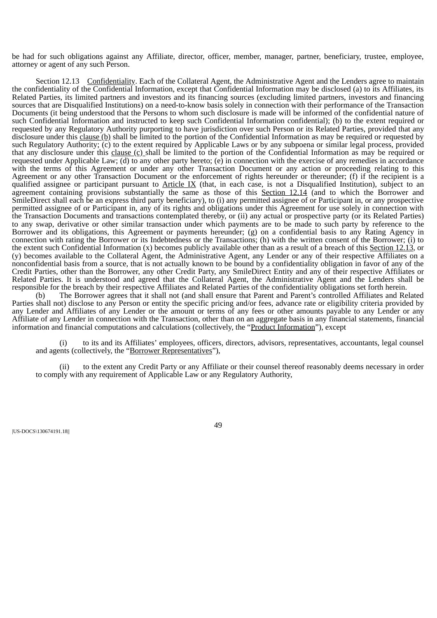be had for such obligations against any Affiliate, director, officer, member, manager, partner, beneficiary, trustee, employee, attorney or agent of any such Person.

Section 12.13 Confidentiality. Each of the Collateral Agent, the Administrative Agent and the Lenders agree to maintain the confidentiality of the Confidential Information, except that Confidential Information may be disclosed (a) to its Affiliates, its Related Parties, its limited partners and investors and its financing sources (excluding limited partners, investors and financing sources that are Disqualified Institutions) on a need-to-know basis solely in connection with their performance of the Transaction Documents (it being understood that the Persons to whom such disclosure is made will be informed of the confidential nature of such Confidential Information and instructed to keep such Confidential Information confidential); (b) to the extent required or requested by any Regulatory Authority purporting to have jurisdiction over such Person or its Related Parties, provided that any disclosure under this clause (b) shall be limited to the portion of the Confidential Information as may be required or requested by such Regulatory Authority; (c) to the extent required by Applicable Laws or by any subpoena or similar legal process, provided that any disclosure under this clause  $(c)$  shall be limited to the portion of the Confidential Information as may be required or requested under Applicable Law; (d) to any other party hereto; (e) in connection with the exercise of any remedies in accordance with the terms of this Agreement or under any other Transaction Document or any action or proceeding relating to this Agreement or any other Transaction Document or the enforcement of rights hereunder or thereunder; (f) if the recipient is a qualified assignee or participant pursuant to Article IX (that, in each case, is not a Disqualified Institution), subject to an agreement containing provisions substantially the same as those of this Section 12.14 (and to which the Borrower and SmileDirect shall each be an express third party beneficiary), to (i) any permitted assignee of or Participant in, or any prospective permitted assignee of or Participant in, any of its rights and obligations under this Agreement for use solely in connection with the Transaction Documents and transactions contemplated thereby, or (ii) any actual or prospective party (or its Related Parties) to any swap, derivative or other similar transaction under which payments are to be made to such party by reference to the Borrower and its obligations, this Agreement or payments hereunder; (g) on a confidential basis to any Rating Agency in connection with rating the Borrower or its Indebtedness or the Transactions; (h) with the written consent of the Borrower; (i) to the extent such Confidential Information (x) becomes publicly available other than as a result of a breach of this Section 12.13, or (y) becomes available to the Collateral Agent, the Administrative Agent, any Lender or any of their respective Affiliates on a nonconfidential basis from a source, that is not actually known to be bound by a confidentiality obligation in favor of any of the Credit Parties, other than the Borrower, any other Credit Party, any SmileDirect Entity and any of their respective Affiliates or Related Parties. It is understood and agreed that the Collateral Agent, the Administrative Agent and the Lenders shall be responsible for the breach by their respective Affiliates and Related Parties of the confidentiality obligations set forth herein.

(b) The Borrower agrees that it shall not (and shall ensure that Parent and Parent's controlled Affiliates and Related Parties shall not) disclose to any Person or entity the specific pricing and/or fees, advance rate or eligibility criteria provided by any Lender and Affiliates of any Lender or the amount or terms of any fees or other amounts payable to any Lender or any Affiliate of any Lender in connection with the Transaction, other than on an aggregate basis in any financial statements, financial information and financial computations and calculations (collectively, the "Product Information"), except

to its and its Affiliates' employees, officers, directors, advisors, representatives, accountants, legal counsel and agents (collectively, the "Borrower Representatives"),

(ii) to the extent any Credit Party or any Affiliate or their counsel thereof reasonably deems necessary in order to comply with any requirement of Applicable Law or any Regulatory Authority,

|US-DOCS\130674191.18||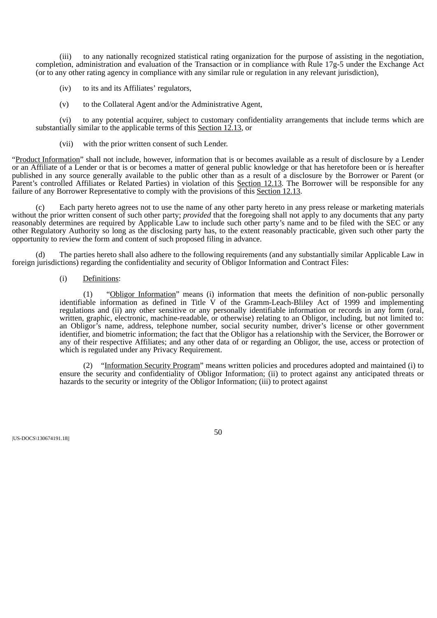(iii) to any nationally recognized statistical rating organization for the purpose of assisting in the negotiation, completion, administration and evaluation of the Transaction or in compliance with Rule 17g-5 under the Exchange Act (or to any other rating agency in compliance with any similar rule or regulation in any relevant jurisdiction),

- (iv) to its and its Affiliates' regulators,
- (v) to the Collateral Agent and/or the Administrative Agent,

(vi) to any potential acquirer, subject to customary confidentiality arrangements that include terms which are substantially similar to the applicable terms of this Section 12.13, or

(vii) with the prior written consent of such Lender.

"Product Information" shall not include, however, information that is or becomes available as a result of disclosure by a Lender or an Affiliate of a Lender or that is or becomes a matter of general public knowledge or that has heretofore been or is hereafter published in any source generally available to the public other than as a result of a disclosure by the Borrower or Parent (or Parent's controlled Affiliates or Related Parties) in violation of this Section 12.13. The Borrower will be responsible for any failure of any Borrower Representative to comply with the provisions of this Section 12.13.

(c) Each party hereto agrees not to use the name of any other party hereto in any press release or marketing materials without the prior written consent of such other party; *provided* that the foregoing shall not apply to any documents that any party reasonably determines are required by Applicable Law to include such other party's name and to be filed with the SEC or any other Regulatory Authority so long as the disclosing party has, to the extent reasonably practicable, given such other party the opportunity to review the form and content of such proposed filing in advance.

The parties hereto shall also adhere to the following requirements (and any substantially similar Applicable Law in foreign jurisdictions) regarding the confidentiality and security of Obligor Information and Contract Files:

# (i) Definitions:

(1) "Obligor Information" means (i) information that meets the definition of non-public personally identifiable information as defined in Title V of the Gramm-Leach-Bliley Act of 1999 and implementing regulations and (ii) any other sensitive or any personally identifiable information or records in any form (oral, written, graphic, electronic, machine-readable, or otherwise) relating to an Obligor, including, but not limited to: an Obligor's name, address, telephone number, social security number, driver's license or other government identifier, and biometric information; the fact that the Obligor has a relationship with the Servicer, the Borrower or any of their respective Affiliates; and any other data of or regarding an Obligor, the use, access or protection of which is regulated under any Privacy Requirement.

(2) "Information Security Program" means written policies and procedures adopted and maintained (i) to ensure the security and confidentiality of Obligor Information; (ii) to protect against any anticipated threats or hazards to the security or integrity of the Obligor Information; (iii) to protect against

|US-DOCS\130674191.18||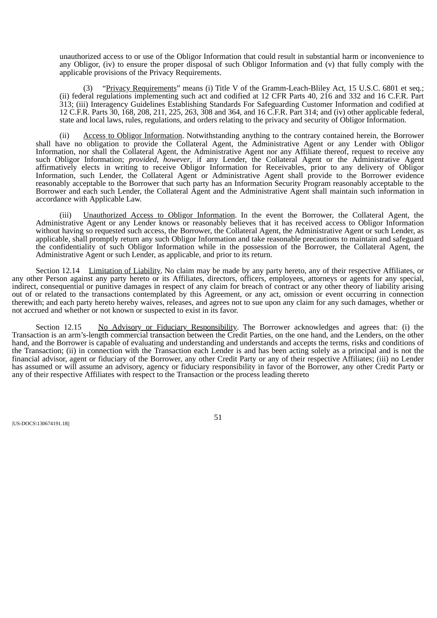unauthorized access to or use of the Obligor Information that could result in substantial harm or inconvenience to any Obligor, (iv) to ensure the proper disposal of such Obligor Information and (v) that fully comply with the applicable provisions of the Privacy Requirements.

(3) "Privacy Requirements" means (i) Title V of the Gramm-Leach-Bliley Act, 15 U.S.C. 6801 et seq.; (ii) federal regulations implementing such act and codified at 12 CFR Parts 40, 216 and 332 and 16 C.F.R. Part 313; (iii) Interagency Guidelines Establishing Standards For Safeguarding Customer Information and codified at 12 C.F.R. Parts 30, 168, 208, 211, 225, 263, 308 and 364, and 16 C.F.R. Part 314; and (iv) other applicable federal, state and local laws, rules, regulations, and orders relating to the privacy and security of Obligor Information.

(ii) Access to Obligor Information. Notwithstanding anything to the contrary contained herein, the Borrower shall have no obligation to provide the Collateral Agent, the Administrative Agent or any Lender with Obligor Information, nor shall the Collateral Agent, the Administrative Agent nor any Affiliate thereof, request to receive any such Obligor Information; *provided*, *however*, if any Lender, the Collateral Agent or the Administrative Agent affirmatively elects in writing to receive Obligor Information for Receivables, prior to any delivery of Obligor Information, such Lender, the Collateral Agent or Administrative Agent shall provide to the Borrower evidence reasonably acceptable to the Borrower that such party has an Information Security Program reasonably acceptable to the Borrower and each such Lender, the Collateral Agent and the Administrative Agent shall maintain such information in accordance with Applicable Law.

(iii) Unauthorized Access to Obligor Information. In the event the Borrower, the Collateral Agent, the Administrative Agent or any Lender knows or reasonably believes that it has received access to Obligor Information without having so requested such access, the Borrower, the Collateral Agent, the Administrative Agent or such Lender, as applicable, shall promptly return any such Obligor Information and take reasonable precautions to maintain and safeguard the confidentiality of such Obligor Information while in the possession of the Borrower, the Collateral Agent, the Administrative Agent or such Lender, as applicable, and prior to its return.

Section 12.14 Limitation of Liability. No claim may be made by any party hereto, any of their respective Affiliates, or any other Person against any party hereto or its Affiliates, directors, officers, employees, attorneys or agents for any special, indirect, consequential or punitive damages in respect of any claim for breach of contract or any other theory of liability arising out of or related to the transactions contemplated by this Agreement, or any act, omission or event occurring in connection therewith; and each party hereto hereby waives, releases, and agrees not to sue upon any claim for any such damages, whether or not accrued and whether or not known or suspected to exist in its favor.

Section 12.15 No Advisory or Fiduciary Responsibility. The Borrower acknowledges and agrees that: (i) the Transaction is an arm's-length commercial transaction between the Credit Parties, on the one hand, and the Lenders, on the other hand, and the Borrower is capable of evaluating and understanding and understands and accepts the terms, risks and conditions of the Transaction; (ii) in connection with the Transaction each Lender is and has been acting solely as a principal and is not the financial advisor, agent or fiduciary of the Borrower, any other Credit Party or any of their respective Affiliates; (iii) no Lender has assumed or will assume an advisory, agency or fiduciary responsibility in favor of the Borrower, any other Credit Party or any of their respective Affiliates with respect to the Transaction or the process leading thereto

|US-DOCS\130674191.18||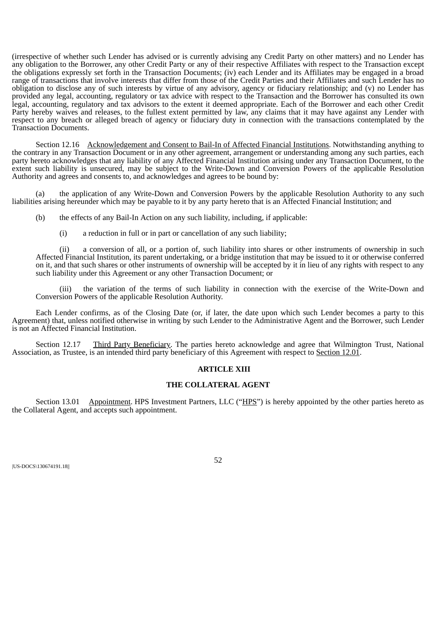(irrespective of whether such Lender has advised or is currently advising any Credit Party on other matters) and no Lender has any obligation to the Borrower, any other Credit Party or any of their respective Affiliates with respect to the Transaction except the obligations expressly set forth in the Transaction Documents; (iv) each Lender and its Affiliates may be engaged in a broad range of transactions that involve interests that differ from those of the Credit Parties and their Affiliates and such Lender has no obligation to disclose any of such interests by virtue of any advisory, agency or fiduciary relationship; and (v) no Lender has provided any legal, accounting, regulatory or tax advice with respect to the Transaction and the Borrower has consulted its own legal, accounting, regulatory and tax advisors to the extent it deemed appropriate. Each of the Borrower and each other Credit Party hereby waives and releases, to the fullest extent permitted by law, any claims that it may have against any Lender with respect to any breach or alleged breach of agency or fiduciary duty in connection with the transactions contemplated by the Transaction Documents.

Section 12.16 Acknowledgement and Consent to Bail-In of Affected Financial Institutions. Notwithstanding anything to the contrary in any Transaction Document or in any other agreement, arrangement or understanding among any such parties, each party hereto acknowledges that any liability of any Affected Financial Institution arising under any Transaction Document, to the extent such liability is unsecured, may be subject to the Write-Down and Conversion Powers of the applicable Resolution Authority and agrees and consents to, and acknowledges and agrees to be bound by:

(a) the application of any Write-Down and Conversion Powers by the applicable Resolution Authority to any such liabilities arising hereunder which may be payable to it by any party hereto that is an Affected Financial Institution; and

(b) the effects of any Bail-In Action on any such liability, including, if applicable:

(i) a reduction in full or in part or cancellation of any such liability;

(ii) a conversion of all, or a portion of, such liability into shares or other instruments of ownership in such Affected Financial Institution, its parent undertaking, or a bridge institution that may be issued to it or otherwise conferred on it, and that such shares or other instruments of ownership will be accepted by it in lieu of any rights with respect to any such liability under this Agreement or any other Transaction Document; or

(iii) the variation of the terms of such liability in connection with the exercise of the Write-Down and Conversion Powers of the applicable Resolution Authority.

Each Lender confirms, as of the Closing Date (or, if later, the date upon which such Lender becomes a party to this Agreement) that, unless notified otherwise in writing by such Lender to the Administrative Agent and the Borrower, such Lender is not an Affected Financial Institution.

Section 12.17 Third Party Beneficiary. The parties hereto acknowledge and agree that Wilmington Trust, National Association, as Trustee, is an intended third party beneficiary of this Agreement with respect to Section 12.01.

#### **ARTICLE XIII**

#### **THE COLLATERAL AGENT**

Section 13.01 Appointment. HPS Investment Partners, LLC ("HPS") is hereby appointed by the other parties hereto as the Collateral Agent, and accepts such appointment.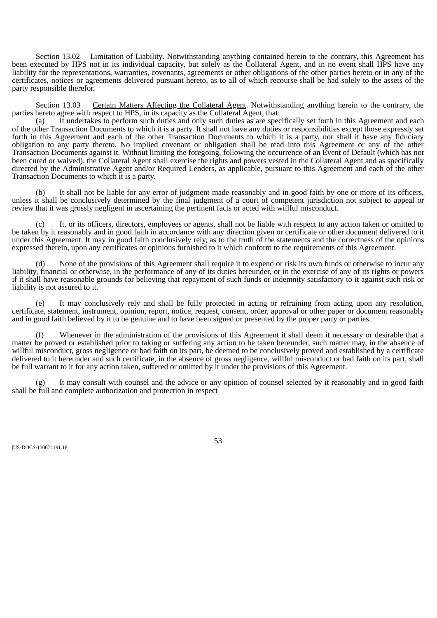Section 13.02 Limitation of Liability. Notwithstanding anything contained herein to the contrary, this Agreement has been executed by HPS not in its individual capacity, but solely as the Collateral Agent, and in no event shall HPS have any liability for the representations, warranties, covenants, agreements or other obligations of the other parties hereto or in any of the certificates, notices or agreements delivered pursuant hereto, as to all of which recourse shall be had solely to the assets of the party responsible therefor.

Section 13.03 Certain Matters Affecting the Collateral Agent. Notwithstanding anything herein to the contrary, the parties hereto agree with respect to HPS, in its capacity as the Collateral Agent, that:

(a) It undertakes to perform such duties and only such duties as are specifically set forth in this Agreement and each of the other Transaction Documents to which it is a party. It shall not have any duties or responsibilities except those expressly set forth in this Agreement and each of the other Transaction Documents to which it is a party, nor shall it have any fiduciary obligation to any party thereto. No implied covenant or obligation shall be read into this Agreement or any of the other Transaction Documents against it. Without limiting the foregoing, following the occurrence of an Event of Default (which has not been cured or waived), the Collateral Agent shall exercise the rights and powers vested in the Collateral Agent and as specifically directed by the Administrative Agent and/or Required Lenders, as applicable, pursuant to this Agreement and each of the other Transaction Documents to which it is a party.

(b) It shall not be liable for any error of judgment made reasonably and in good faith by one or more of its officers, unless it shall be conclusively determined by the final judgment of a court of competent jurisdiction not subject to appeal or review that it was grossly negligent in ascertaining the pertinent facts or acted with willful misconduct.

It, or its officers, directors, employees or agents, shall not be liable with respect to any action taken or omitted to be taken by it reasonably and in good faith in accordance with any direction given or certificate or other document delivered to it under this Agreement. It may in good faith conclusively rely, as to the truth of the statements and the correctness of the opinions expressed therein, upon any certificates or opinions furnished to it which conform to the requirements of this Agreement.

(d) None of the provisions of this Agreement shall require it to expend or risk its own funds or otherwise to incur any liability, financial or otherwise, in the performance of any of its duties hereunder, or in the exercise of any of its rights or powers if it shall have reasonable grounds for believing that repayment of such funds or indemnity satisfactory to it against such risk or liability is not assured to it.

(e) It may conclusively rely and shall be fully protected in acting or refraining from acting upon any resolution, certificate, statement, instrument, opinion, report, notice, request, consent, order, approval or other paper or document reasonably and in good faith believed by it to be genuine and to have been signed or presented by the proper party or parties.

(f) Whenever in the administration of the provisions of this Agreement it shall deem it necessary or desirable that a matter be proved or established prior to taking or suffering any action to be taken hereunder, such matter may, in the absence of willful misconduct, gross negligence or bad faith on its part, be deemed to be conclusively proved and established by a certificate delivered to it hereunder and such certificate, in the absence of gross negligence, willful misconduct or bad faith on its part, shall be full warrant to it for any action taken, suffered or omitted by it under the provisions of this Agreement.

It may consult with counsel and the advice or any opinion of counsel selected by it reasonably and in good faith shall be full and complete authorization and protection in respect

|US-DOCS\130674191.18||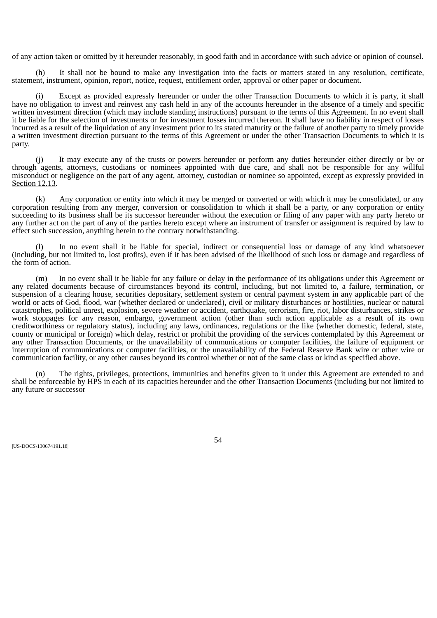of any action taken or omitted by it hereunder reasonably, in good faith and in accordance with such advice or opinion of counsel.

(h) It shall not be bound to make any investigation into the facts or matters stated in any resolution, certificate, statement, instrument, opinion, report, notice, request, entitlement order, approval or other paper or document.

Except as provided expressly hereunder or under the other Transaction Documents to which it is party, it shall have no obligation to invest and reinvest any cash held in any of the accounts hereunder in the absence of a timely and specific written investment direction (which may include standing instructions) pursuant to the terms of this Agreement. In no event shall it be liable for the selection of investments or for investment losses incurred thereon. It shall have no liability in respect of losses incurred as a result of the liquidation of any investment prior to its stated maturity or the failure of another party to timely provide a written investment direction pursuant to the terms of this Agreement or under the other Transaction Documents to which it is party.

It may execute any of the trusts or powers hereunder or perform any duties hereunder either directly or by or through agents, attorneys, custodians or nominees appointed with due care, and shall not be responsible for any willful misconduct or negligence on the part of any agent, attorney, custodian or nominee so appointed, except as expressly provided in Section 12.13.

(k) Any corporation or entity into which it may be merged or converted or with which it may be consolidated, or any corporation resulting from any merger, conversion or consolidation to which it shall be a party, or any corporation or entity succeeding to its business shall be its successor hereunder without the execution or filing of any paper with any party hereto or any further act on the part of any of the parties hereto except where an instrument of transfer or assignment is required by law to effect such succession, anything herein to the contrary notwithstanding.

In no event shall it be liable for special, indirect or consequential loss or damage of any kind whatsoever (including, but not limited to, lost profits), even if it has been advised of the likelihood of such loss or damage and regardless of the form of action.

(m) In no event shall it be liable for any failure or delay in the performance of its obligations under this Agreement or any related documents because of circumstances beyond its control, including, but not limited to, a failure, termination, or suspension of a clearing house, securities depositary, settlement system or central payment system in any applicable part of the world or acts of God, flood, war (whether declared or undeclared), civil or military disturbances or hostilities, nuclear or natural catastrophes, political unrest, explosion, severe weather or accident, earthquake, terrorism, fire, riot, labor disturbances, strikes or work stoppages for any reason, embargo, government action (other than such action applicable as a result of its own creditworthiness or regulatory status), including any laws, ordinances, regulations or the like (whether domestic, federal, state, county or municipal or foreign) which delay, restrict or prohibit the providing of the services contemplated by this Agreement or any other Transaction Documents, or the unavailability of communications or computer facilities, the failure of equipment or interruption of communications or computer facilities, or the unavailability of the Federal Reserve Bank wire or other wire or communication facility, or any other causes beyond its control whether or not of the same class or kind as specified above.

(n) The rights, privileges, protections, immunities and benefits given to it under this Agreement are extended to and shall be enforceable by HPS in each of its capacities hereunder and the other Transaction Documents (including but not limited to any future or successor

|US-DOCS\130674191.18||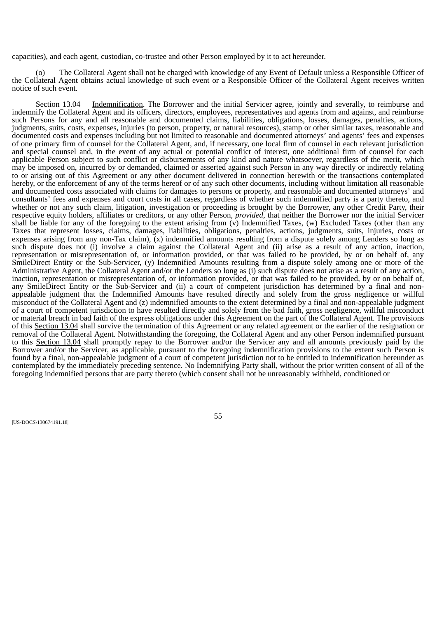capacities), and each agent, custodian, co-trustee and other Person employed by it to act hereunder.

(o) The Collateral Agent shall not be charged with knowledge of any Event of Default unless a Responsible Officer of the Collateral Agent obtains actual knowledge of such event or a Responsible Officer of the Collateral Agent receives written notice of such event.

Section 13.04 Indemnification. The Borrower and the initial Servicer agree, jointly and severally, to reimburse and indemnify the Collateral Agent and its officers, directors, employees, representatives and agents from and against, and reimburse such Persons for any and all reasonable and documented claims, liabilities, obligations, losses, damages, penalties, actions, judgments, suits, costs, expenses, injuries (to person, property, or natural resources), stamp or other similar taxes, reasonable and documented costs and expenses including but not limited to reasonable and documented attorneys' and agents' fees and expenses of one primary firm of counsel for the Collateral Agent, and, if necessary, one local firm of counsel in each relevant jurisdiction and special counsel and, in the event of any actual or potential conflict of interest, one additional firm of counsel for each applicable Person subject to such conflict or disbursements of any kind and nature whatsoever, regardless of the merit, which may be imposed on, incurred by or demanded, claimed or asserted against such Person in any way directly or indirectly relating to or arising out of this Agreement or any other document delivered in connection herewith or the transactions contemplated hereby, or the enforcement of any of the terms hereof or of any such other documents, including without limitation all reasonable and documented costs associated with claims for damages to persons or property, and reasonable and documented attorneys' and consultants' fees and expenses and court costs in all cases, regardless of whether such indemnified party is a party thereto, and whether or not any such claim, litigation, investigation or proceeding is brought by the Borrower, any other Credit Party, their respective equity holders, affiliates or creditors, or any other Person, *provided*, that neither the Borrower nor the initial Servicer shall be liable for any of the foregoing to the extent arising from  $(\nu)$  Indemnified Taxes,  $(w)$  Excluded Taxes (other than any Taxes that represent losses, claims, damages, liabilities, obligations, penalties, actions, judgments, suits, injuries, costs or expenses arising from any non-Tax claim), (x) indemnified amounts resulting from a dispute solely among Lenders so long as such dispute does not (i) involve a claim against the Collateral Agent and (ii) arise as a result of any action, inaction, representation or misrepresentation of, or information provided, or that was failed to be provided, by or on behalf of, any SmileDirect Entity or the Sub-Servicer, (y) Indemnified Amounts resulting from a dispute solely among one or more of the Administrative Agent, the Collateral Agent and/or the Lenders so long as (i) such dispute does not arise as a result of any action, inaction, representation or misrepresentation of, or information provided, or that was failed to be provided, by or on behalf of, any SmileDirect Entity or the Sub-Servicer and (ii) a court of competent jurisdiction has determined by a final and nonappealable judgment that the Indemnified Amounts have resulted directly and solely from the gross negligence or willful misconduct of the Collateral Agent and (z) indemnified amounts to the extent determined by a final and non-appealable judgment of a court of competent jurisdiction to have resulted directly and solely from the bad faith, gross negligence, willful misconduct or material breach in bad faith of the express obligations under this Agreement on the part of the Collateral Agent. The provisions of this Section 13.04 shall survive the termination of this Agreement or any related agreement or the earlier of the resignation or removal of the Collateral Agent. Notwithstanding the foregoing, the Collateral Agent and any other Person indemnified pursuant to this Section 13.04 shall promptly repay to the Borrower and/or the Servicer any and all amounts previously paid by the Borrower and/or the Servicer, as applicable, pursuant to the foregoing indemnification provisions to the extent such Person is found by a final, non-appealable judgment of a court of competent jurisdiction not to be entitled to indemnification hereunder as contemplated by the immediately preceding sentence. No Indemnifying Party shall, without the prior written consent of all of the foregoing indemnified persons that are party thereto (which consent shall not be unreasonably withheld, conditioned or

|US-DOCS\130674191.18||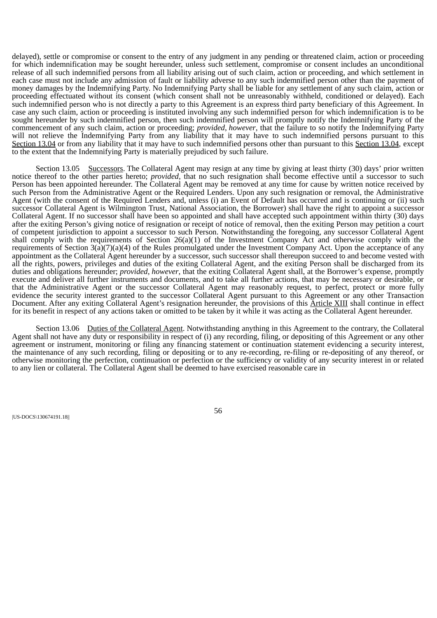delayed), settle or compromise or consent to the entry of any judgment in any pending or threatened claim, action or proceeding for which indemnification may be sought hereunder, unless such settlement, compromise or consent includes an unconditional release of all such indemnified persons from all liability arising out of such claim, action or proceeding, and which settlement in each case must not include any admission of fault or liability adverse to any such indemnified person other than the payment of money damages by the Indemnifying Party. No Indemnifying Party shall be liable for any settlement of any such claim, action or proceeding effectuated without its consent (which consent shall not be unreasonably withheld, conditioned or delayed). Each such indemnified person who is not directly a party to this Agreement is an express third party beneficiary of this Agreement. In case any such claim, action or proceeding is instituted involving any such indemnified person for which indemnification is to be sought hereunder by such indemnified person, then such indemnified person will promptly notify the Indemnifying Party of the commencement of any such claim, action or proceeding; *provided*, *however*, that the failure to so notify the Indemnifying Party will not relieve the Indemnifying Party from any liability that it may have to such indemnified persons pursuant to this Section 13.04 or from any liability that it may have to such indemnified persons other than pursuant to this Section 13.04, except to the extent that the Indemnifying Party is materially prejudiced by such failure.

Section 13.05 Successors. The Collateral Agent may resign at any time by giving at least thirty (30) days' prior written notice thereof to the other parties hereto; *provided*, that no such resignation shall become effective until a successor to such Person has been appointed hereunder. The Collateral Agent may be removed at any time for cause by written notice received by such Person from the Administrative Agent or the Required Lenders. Upon any such resignation or removal, the Administrative Agent (with the consent of the Required Lenders and, unless (i) an Event of Default has occurred and is continuing or (ii) such successor Collateral Agent is Wilmington Trust, National Association, the Borrower) shall have the right to appoint a successor Collateral Agent. If no successor shall have been so appointed and shall have accepted such appointment within thirty (30) days after the exiting Person's giving notice of resignation or receipt of notice of removal, then the exiting Person may petition a court of competent jurisdiction to appoint a successor to such Person. Notwithstanding the foregoing, any successor Collateral Agent shall comply with the requirements of Section 26(a)(1) of the Investment Company Act and otherwise comply with the requirements of Section 3(a)(7)(a)(4) of the Rules promulgated under the Investment Company Act. Upon the acceptance of any appointment as the Collateral Agent hereunder by a successor, such successor shall thereupon succeed to and become vested with all the rights, powers, privileges and duties of the exiting Collateral Agent, and the exiting Person shall be discharged from its duties and obligations hereunder; *provided*, *however*, that the exiting Collateral Agent shall, at the Borrower's expense, promptly execute and deliver all further instruments and documents, and to take all further actions, that may be necessary or desirable, or that the Administrative Agent or the successor Collateral Agent may reasonably request, to perfect, protect or more fully evidence the security interest granted to the successor Collateral Agent pursuant to this Agreement or any other Transaction Document. After any exiting Collateral Agent's resignation hereunder, the provisions of this Article XIII shall continue in effect for its benefit in respect of any actions taken or omitted to be taken by it while it was acting as the Collateral Agent hereunder.

Section 13.06 Duties of the Collateral Agent. Notwithstanding anything in this Agreement to the contrary, the Collateral Agent shall not have any duty or responsibility in respect of (i) any recording, filing, or depositing of this Agreement or any other agreement or instrument, monitoring or filing any financing statement or continuation statement evidencing a security interest, the maintenance of any such recording, filing or depositing or to any re-recording, re-filing or re-depositing of any thereof, or otherwise monitoring the perfection, continuation or perfection or the sufficiency or validity of any security interest in or related to any lien or collateral. The Collateral Agent shall be deemed to have exercised reasonable care in

|US-DOCS\130674191.18||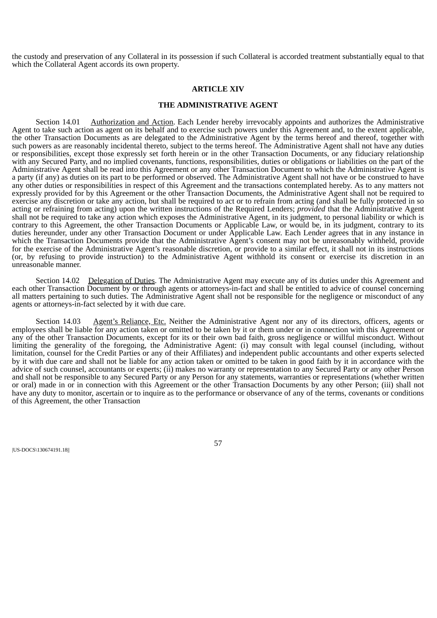the custody and preservation of any Collateral in its possession if such Collateral is accorded treatment substantially equal to that which the Collateral Agent accords its own property.

#### **ARTICLE XIV**

#### **THE ADMINISTRATIVE AGENT**

Section 14.01 Authorization and Action. Each Lender hereby irrevocably appoints and authorizes the Administrative Agent to take such action as agent on its behalf and to exercise such powers under this Agreement and, to the extent applicable, the other Transaction Documents as are delegated to the Administrative Agent by the terms hereof and thereof, together with such powers as are reasonably incidental thereto, subject to the terms hereof. The Administrative Agent shall not have any duties or responsibilities, except those expressly set forth herein or in the other Transaction Documents, or any fiduciary relationship with any Secured Party, and no implied covenants, functions, responsibilities, duties or obligations or liabilities on the part of the Administrative Agent shall be read into this Agreement or any other Transaction Document to which the Administrative Agent is a party (if any) as duties on its part to be performed or observed. The Administrative Agent shall not have or be construed to have any other duties or responsibilities in respect of this Agreement and the transactions contemplated hereby. As to any matters not expressly provided for by this Agreement or the other Transaction Documents, the Administrative Agent shall not be required to exercise any discretion or take any action, but shall be required to act or to refrain from acting (and shall be fully protected in so acting or refraining from acting) upon the written instructions of the Required Lenders; *provided* that the Administrative Agent shall not be required to take any action which exposes the Administrative Agent, in its judgment, to personal liability or which is contrary to this Agreement, the other Transaction Documents or Applicable Law, or would be, in its judgment, contrary to its duties hereunder, under any other Transaction Document or under Applicable Law. Each Lender agrees that in any instance in which the Transaction Documents provide that the Administrative Agent's consent may not be unreasonably withheld, provide for the exercise of the Administrative Agent's reasonable discretion, or provide to a similar effect, it shall not in its instructions (or, by refusing to provide instruction) to the Administrative Agent withhold its consent or exercise its discretion in an unreasonable manner.

Section 14.02 Delegation of Duties. The Administrative Agent may execute any of its duties under this Agreement and each other Transaction Document by or through agents or attorneys-in-fact and shall be entitled to advice of counsel concerning all matters pertaining to such duties. The Administrative Agent shall not be responsible for the negligence or misconduct of any agents or attorneys-in-fact selected by it with due care.

Section 14.03 Agent's Reliance, Etc. Neither the Administrative Agent nor any of its directors, officers, agents or employees shall be liable for any action taken or omitted to be taken by it or them under or in connection with this Agreement or any of the other Transaction Documents, except for its or their own bad faith, gross negligence or willful misconduct. Without limiting the generality of the foregoing, the Administrative Agent: (i) may consult with legal counsel (including, without limitation, counsel for the Credit Parties or any of their Affiliates) and independent public accountants and other experts selected by it with due care and shall not be liable for any action taken or omitted to be taken in good faith by it in accordance with the advice of such counsel, accountants or experts; (ii) makes no warranty or representation to any Secured Party or any other Person and shall not be responsible to any Secured Party or any Person for any statements, warranties or representations (whether written or oral) made in or in connection with this Agreement or the other Transaction Documents by any other Person; (iii) shall not have any duty to monitor, ascertain or to inquire as to the performance or observance of any of the terms, covenants or conditions of this Agreement, the other Transaction

|US-DOCS\130674191.18||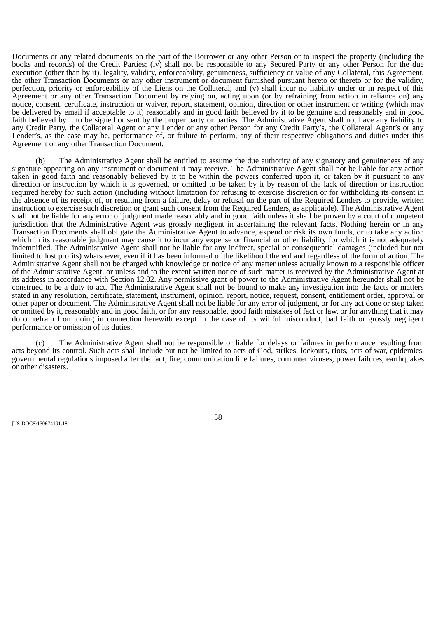Documents or any related documents on the part of the Borrower or any other Person or to inspect the property (including the books and records) of the Credit Parties; (iv) shall not be responsible to any Secured Party or any other Person for the due execution (other than by it), legality, validity, enforceability, genuineness, sufficiency or value of any Collateral, this Agreement, the other Transaction Documents or any other instrument or document furnished pursuant hereto or thereto or for the validity, perfection, priority or enforceability of the Liens on the Collateral; and (v) shall incur no liability under or in respect of this Agreement or any other Transaction Document by relying on, acting upon (or by refraining from action in reliance on) any notice, consent, certificate, instruction or waiver, report, statement, opinion, direction or other instrument or writing (which may be delivered by email if acceptable to it) reasonably and in good faith believed by it to be genuine and reasonably and in good faith believed by it to be signed or sent by the proper party or parties. The Administrative Agent shall not have any liability to any Credit Party, the Collateral Agent or any Lender or any other Person for any Credit Party's, the Collateral Agent's or any Lender's, as the case may be, performance of, or failure to perform, any of their respective obligations and duties under this Agreement or any other Transaction Document.

(b) The Administrative Agent shall be entitled to assume the due authority of any signatory and genuineness of any signature appearing on any instrument or document it may receive. The Administrative Agent shall not be liable for any action taken in good faith and reasonably believed by it to be within the powers conferred upon it, or taken by it pursuant to any direction or instruction by which it is governed, or omitted to be taken by it by reason of the lack of direction or instruction required hereby for such action (including without limitation for refusing to exercise discretion or for withholding its consent in the absence of its receipt of, or resulting from a failure, delay or refusal on the part of the Required Lenders to provide, written instruction to exercise such discretion or grant such consent from the Required Lenders, as applicable). The Administrative Agent shall not be liable for any error of judgment made reasonably and in good faith unless it shall be proven by a court of competent jurisdiction that the Administrative Agent was grossly negligent in ascertaining the relevant facts. Nothing herein or in any Transaction Documents shall obligate the Administrative Agent to advance, expend or risk its own funds, or to take any action which in its reasonable judgment may cause it to incur any expense or financial or other liability for which it is not adequately indemnified. The Administrative Agent shall not be liable for any indirect, special or consequential damages (included but not limited to lost profits) whatsoever, even if it has been informed of the likelihood thereof and regardless of the form of action. The Administrative Agent shall not be charged with knowledge or notice of any matter unless actually known to a responsible officer of the Administrative Agent, or unless and to the extent written notice of such matter is received by the Administrative Agent at its address in accordance with Section 12.02. Any permissive grant of power to the Administrative Agent hereunder shall not be construed to be a duty to act. The Administrative Agent shall not be bound to make any investigation into the facts or matters stated in any resolution, certificate, statement, instrument, opinion, report, notice, request, consent, entitlement order, approval or other paper or document. The Administrative Agent shall not be liable for any error of judgment, or for any act done or step taken or omitted by it, reasonably and in good faith, or for any reasonable, good faith mistakes of fact or law, or for anything that it may do or refrain from doing in connection herewith except in the case of its willful misconduct, bad faith or grossly negligent performance or omission of its duties.

The Administrative Agent shall not be responsible or liable for delays or failures in performance resulting from acts beyond its control. Such acts shall include but not be limited to acts of God, strikes, lockouts, riots, acts of war, epidemics, governmental regulations imposed after the fact, fire, communication line failures, computer viruses, power failures, earthquakes or other disasters.

|US-DOCS\130674191.18||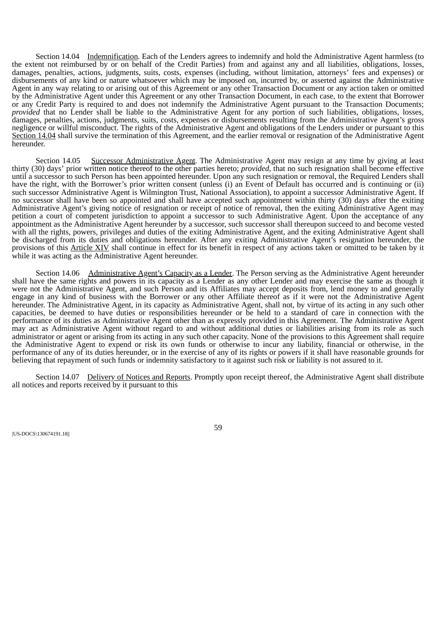Section 14.04 Indemnification. Each of the Lenders agrees to indemnify and hold the Administrative Agent harmless (to the extent not reimbursed by or on behalf of the Credit Parties) from and against any and all liabilities, obligations, losses, damages, penalties, actions, judgments, suits, costs, expenses (including, without limitation, attorneys' fees and expenses) or disbursements of any kind or nature whatsoever which may be imposed on, incurred by, or asserted against the Administrative Agent in any way relating to or arising out of this Agreement or any other Transaction Document or any action taken or omitted by the Administrative Agent under this Agreement or any other Transaction Document, in each case, to the extent that Borrower or any Credit Party is required to and does not indemnify the Administrative Agent pursuant to the Transaction Documents; *provided* that no Lender shall be liable to the Administrative Agent for any portion of such liabilities, obligations, losses, damages, penalties, actions, judgments, suits, costs, expenses or disbursements resulting from the Administrative Agent's gross negligence or willful misconduct. The rights of the Administrative Agent and obligations of the Lenders under or pursuant to this Section 14.04 shall survive the termination of this Agreement, and the earlier removal or resignation of the Administrative Agent hereunder.

Section 14.05 Successor Administrative Agent. The Administrative Agent may resign at any time by giving at least thirty (30) days' prior written notice thereof to the other parties hereto; *provided*, that no such resignation shall become effective until a successor to such Person has been appointed hereunder. Upon any such resignation or removal, the Required Lenders shall have the right, with the Borrower's prior written consent (unless (i) an Event of Default has occurred and is continuing or (ii) such successor Administrative Agent is Wilmington Trust, National Association), to appoint a successor Administrative Agent. If no successor shall have been so appointed and shall have accepted such appointment within thirty (30) days after the exiting Administrative Agent's giving notice of resignation or receipt of notice of removal, then the exiting Administrative Agent may petition a court of competent jurisdiction to appoint a successor to such Administrative Agent. Upon the acceptance of any appointment as the Administrative Agent hereunder by a successor, such successor shall thereupon succeed to and become vested with all the rights, powers, privileges and duties of the exiting Administrative Agent, and the exiting Administrative Agent shall be discharged from its duties and obligations hereunder. After any exiting Administrative Agent's resignation hereunder, the provisions of this Article XIV shall continue in effect for its benefit in respect of any actions taken or omitted to be taken by it while it was acting as the Administrative Agent hereunder.

Section 14.06 Administrative Agent's Capacity as a Lender. The Person serving as the Administrative Agent hereunder shall have the same rights and powers in its capacity as a Lender as any other Lender and may exercise the same as though it were not the Administrative Agent, and such Person and its Affiliates may accept deposits from, lend money to and generally engage in any kind of business with the Borrower or any other Affiliate thereof as if it were not the Administrative Agent hereunder. The Administrative Agent, in its capacity as Administrative Agent, shall not, by virtue of its acting in any such other capacities, be deemed to have duties or responsibilities hereunder or be held to a standard of care in connection with the performance of its duties as Administrative Agent other than as expressly provided in this Agreement. The Administrative Agent may act as Administrative Agent without regard to and without additional duties or liabilities arising from its role as such administrator or agent or arising from its acting in any such other capacity. None of the provisions to this Agreement shall require the Administrative Agent to expend or risk its own funds or otherwise to incur any liability, financial or otherwise, in the performance of any of its duties hereunder, or in the exercise of any of its rights or powers if it shall have reasonable grounds for believing that repayment of such funds or indemnity satisfactory to it against such risk or liability is not assured to it.

Section 14.07 Delivery of Notices and Reports. Promptly upon receipt thereof, the Administrative Agent shall distribute all notices and reports received by it pursuant to this

|US-DOCS\130674191.18||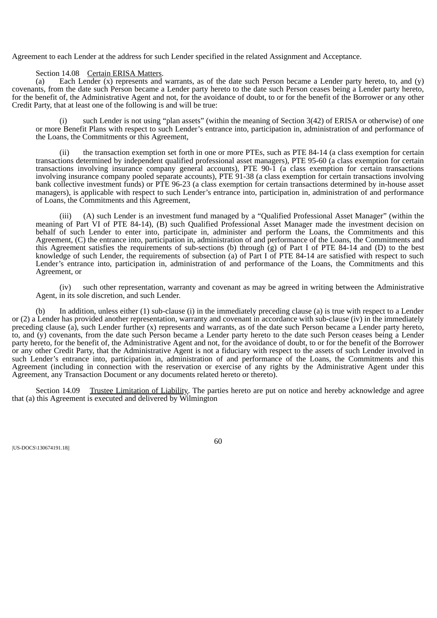Agreement to each Lender at the address for such Lender specified in the related Assignment and Acceptance.

Section 14.08 Certain ERISA Matters.

(a) Each Lender (x) represents and warrants, as of the date such Person became a Lender party hereto, to, and (y) covenants, from the date such Person became a Lender party hereto to the date such Person ceases being a Lender party hereto, for the benefit of, the Administrative Agent and not, for the avoidance of doubt, to or for the benefit of the Borrower or any other Credit Party, that at least one of the following is and will be true:

(i) such Lender is not using "plan assets" (within the meaning of Section 3(42) of ERISA or otherwise) of one or more Benefit Plans with respect to such Lender's entrance into, participation in, administration of and performance of the Loans, the Commitments or this Agreement,

(ii) the transaction exemption set forth in one or more PTEs, such as PTE 84-14 (a class exemption for certain transactions determined by independent qualified professional asset managers), PTE 95-60 (a class exemption for certain transactions involving insurance company general accounts), PTE 90-1 (a class exemption for certain transactions involving insurance company pooled separate accounts), PTE 91-38 (a class exemption for certain transactions involving bank collective investment funds) or PTE 96-23 (a class exemption for certain transactions determined by in-house asset managers), is applicable with respect to such Lender's entrance into, participation in, administration of and performance of Loans, the Commitments and this Agreement,

(iii) (A) such Lender is an investment fund managed by a "Qualified Professional Asset Manager" (within the meaning of Part VI of PTE 84-14), (B) such Qualified Professional Asset Manager made the investment decision on behalf of such Lender to enter into, participate in, administer and perform the Loans, the Commitments and this Agreement, (C) the entrance into, participation in, administration of and performance of the Loans, the Commitments and this Agreement satisfies the requirements of sub-sections (b) through (g) of Part I of PTE 84-14 and (D) to the best knowledge of such Lender, the requirements of subsection (a) of Part I of PTE 84-14 are satisfied with respect to such Lender's entrance into, participation in, administration of and performance of the Loans, the Commitments and this Agreement, or

(iv) such other representation, warranty and covenant as may be agreed in writing between the Administrative Agent, in its sole discretion, and such Lender.

(b) In addition, unless either (1) sub-clause (i) in the immediately preceding clause (a) is true with respect to a Lender or (2) a Lender has provided another representation, warranty and covenant in accordance with sub-clause (iv) in the immediately preceding clause (a), such Lender further (x) represents and warrants, as of the date such Person became a Lender party hereto, to, and (y) covenants, from the date such Person became a Lender party hereto to the date such Person ceases being a Lender party hereto, for the benefit of, the Administrative Agent and not, for the avoidance of doubt, to or for the benefit of the Borrower or any other Credit Party, that the Administrative Agent is not a fiduciary with respect to the assets of such Lender involved in such Lender's entrance into, participation in, administration of and performance of the Loans, the Commitments and this Agreement (including in connection with the reservation or exercise of any rights by the Administrative Agent under this Agreement, any Transaction Document or any documents related hereto or thereto).

Section 14.09 Trustee Limitation of Liability. The parties hereto are put on notice and hereby acknowledge and agree that (a) this Agreement is executed and delivered by Wilmington

|US-DOCS\130674191.18||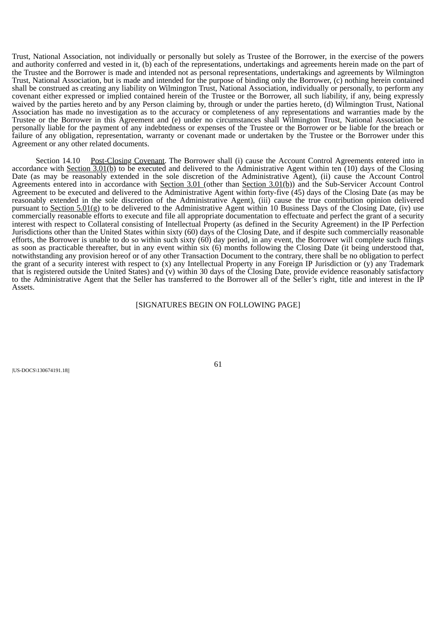Trust, National Association, not individually or personally but solely as Trustee of the Borrower, in the exercise of the powers and authority conferred and vested in it, (b) each of the representations, undertakings and agreements herein made on the part of the Trustee and the Borrower is made and intended not as personal representations, undertakings and agreements by Wilmington Trust, National Association, but is made and intended for the purpose of binding only the Borrower, (c) nothing herein contained shall be construed as creating any liability on Wilmington Trust, National Association, individually or personally, to perform any covenant either expressed or implied contained herein of the Trustee or the Borrower, all such liability, if any, being expressly waived by the parties hereto and by any Person claiming by, through or under the parties hereto, (d) Wilmington Trust, National Association has made no investigation as to the accuracy or completeness of any representations and warranties made by the Trustee or the Borrower in this Agreement and (e) under no circumstances shall Wilmington Trust, National Association be personally liable for the payment of any indebtedness or expenses of the Trustee or the Borrower or be liable for the breach or failure of any obligation, representation, warranty or covenant made or undertaken by the Trustee or the Borrower under this Agreement or any other related documents.

Section 14.10 Post-Closing Covenant. The Borrower shall (i) cause the Account Control Agreements entered into in accordance with **Section 3.01(b)** to be executed and delivered to the Administrative Agent within ten  $(10)$  days of the Closing Date (as may be reasonably extended in the sole discretion of the Administrative Agent), (ii) cause the Account Control Agreements entered into in accordance with Section 3.01 (other than Section 3.01(b)) and the Sub-Servicer Account Control Agreement to be executed and delivered to the Administrative Agent within forty-five (45) days of the Closing Date (as may be reasonably extended in the sole discretion of the Administrative Agent), (iii) cause the true contribution opinion delivered pursuant to Section  $5.01(g)$  to be delivered to the Administrative Agent within 10 Business Days of the Closing Date, (iv) use commercially reasonable efforts to execute and file all appropriate documentation to effectuate and perfect the grant of a security interest with respect to Collateral consisting of Intellectual Property (as defined in the Security Agreement) in the IP Perfection Jurisdictions other than the United States within sixty (60) days of the Closing Date, and if despite such commercially reasonable efforts, the Borrower is unable to do so within such sixty (60) day period, in any event, the Borrower will complete such filings as soon as practicable thereafter, but in any event within six (6) months following the Closing Date (it being understood that, notwithstanding any provision hereof or of any other Transaction Document to the contrary, there shall be no obligation to perfect the grant of a security interest with respect to (x) any Intellectual Property in any Foreign IP Jurisdiction or (y) any Trademark that is registered outside the United States) and (v) within 30 days of the Closing Date, provide evidence reasonably satisfactory to the Administrative Agent that the Seller has transferred to the Borrower all of the Seller's right, title and interest in the IP Assets.

# [SIGNATURES BEGIN ON FOLLOWING PAGE]

|US-DOCS\130674191.18||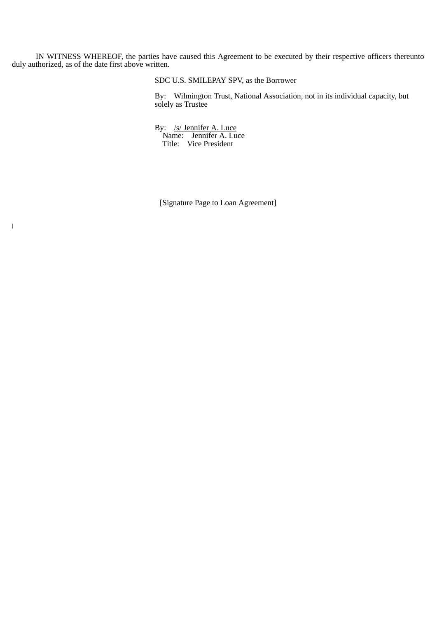IN WITNESS WHEREOF, the parties have caused this Agreement to be executed by their respective officers thereunto duly authorized, as of the date first above written.

SDC U.S. SMILEPAY SPV, as the Borrower

By: Wilmington Trust, National Association, not in its individual capacity, but solely as Trustee

By: /s/ Jennifer A. Luce Name: Jennifer A. Luce Title: Vice President

 $\|$ 

[Signature Page to Loan Agreement]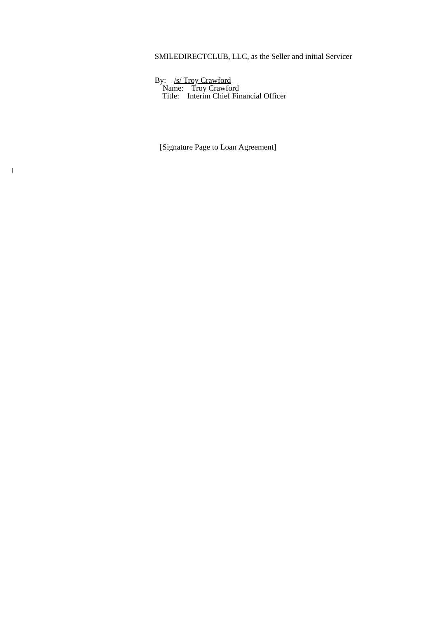# SMILEDIRECTCLUB, LLC, as the Seller and initial Servicer

By: /s/ Troy Crawford Name: Troy Crawford Title: Interim Chief Financial Officer

[Signature Page to Loan Agreement]

|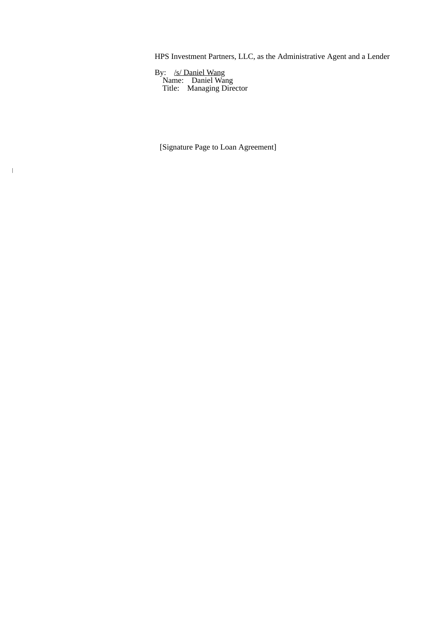HPS Investment Partners, LLC, as the Administrative Agent and a Lender

By: /s/ Daniel Wang Name: Daniel Wang Title: Managing Director

|

[Signature Page to Loan Agreement]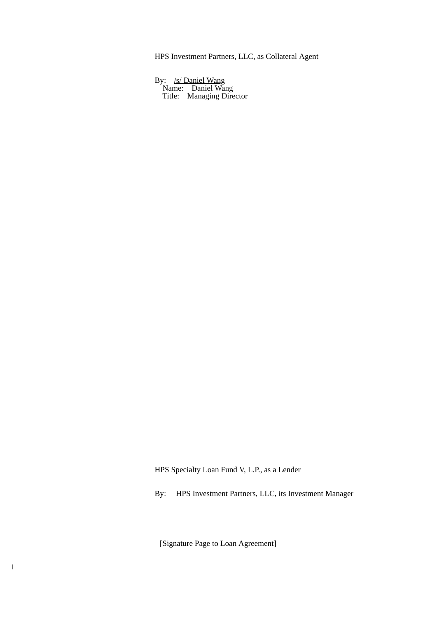HPS Investment Partners, LLC, as Collateral Agent

By: /s/ Daniel Wang Name: Daniel Wang Title: Managing Director

HPS Specialty Loan Fund V, L.P., as a Lender

By: HPS Investment Partners, LLC, its Investment Manager

[Signature Page to Loan Agreement]

 $\overline{\phantom{a}}$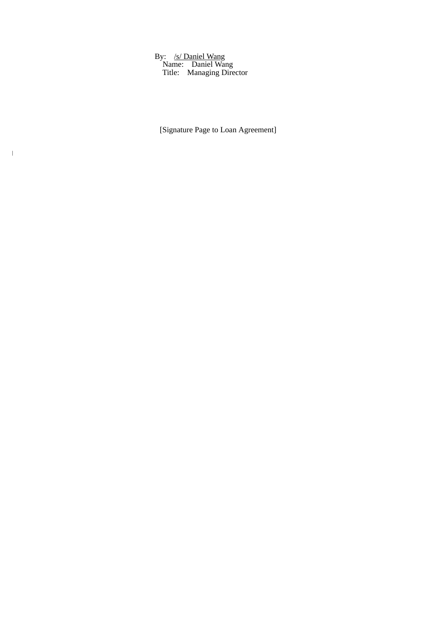By: /s/ Daniel Wang Name: Daniel Wang Title: Managing Director

|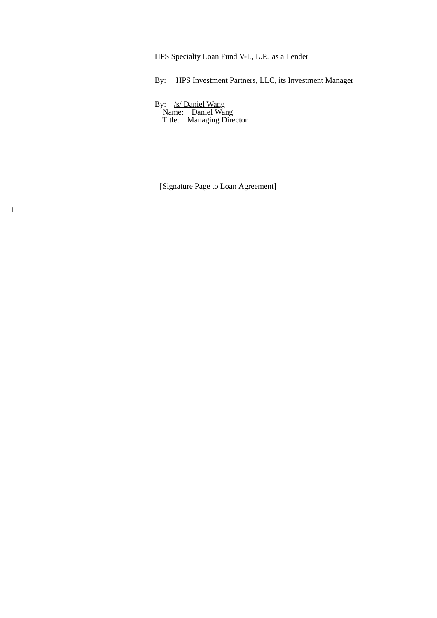HPS Specialty Loan Fund V-L, L.P., as a Lender

By: HPS Investment Partners, LLC, its Investment Manager

By: /s/ Daniel Wang Name: Daniel Wang Title: Managing Director

|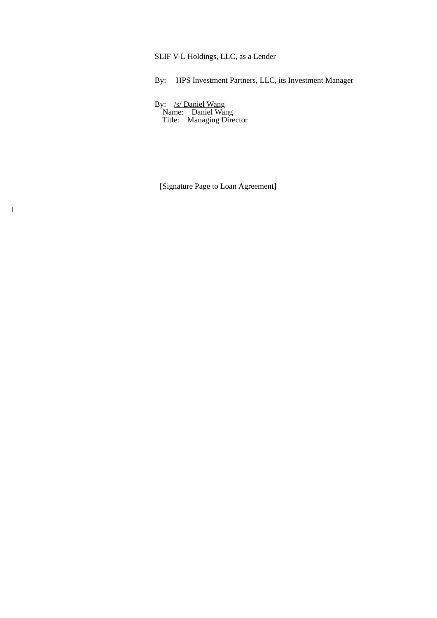SLIF V-L Holdings, LLC, as a Lender

By: HPS Investment Partners, LLC, its Investment Manager

By: /s/ Daniel Wang Name: Daniel Wang Title: Managing Director

|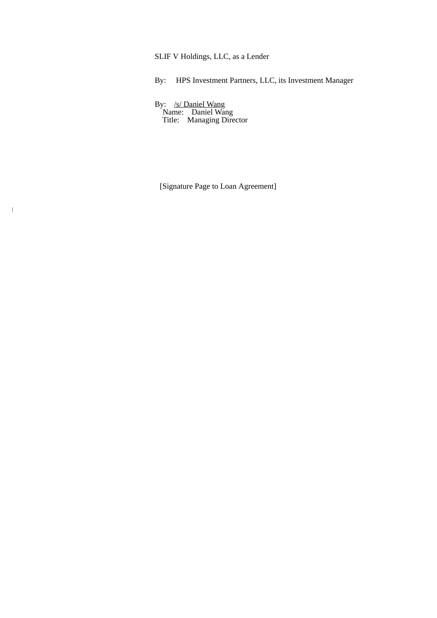SLIF V Holdings, LLC, as a Lender

By: HPS Investment Partners, LLC, its Investment Manager

By: /s/ Daniel Wang Name: Daniel Wang Title: Managing Director

|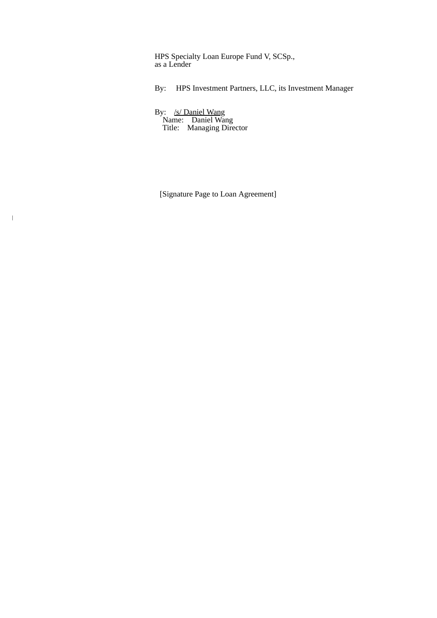HPS Specialty Loan Europe Fund V, SCSp., as a Lender

By: HPS Investment Partners, LLC, its Investment Manager

By: /s/ Daniel Wang Name: Daniel Wang Title: Managing Director

 $\overline{\phantom{a}}$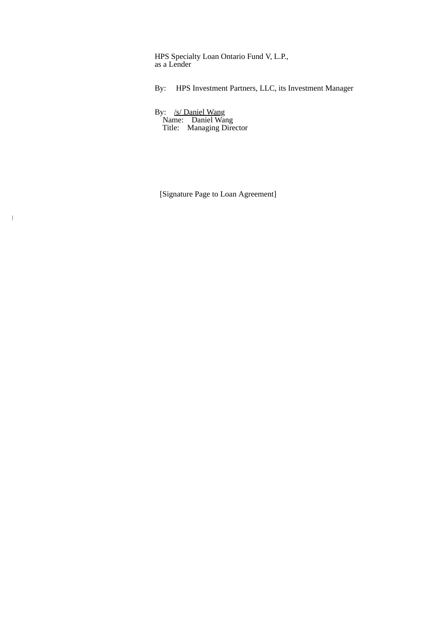HPS Specialty Loan Ontario Fund V, L.P., as a Lender

By: HPS Investment Partners, LLC, its Investment Manager

By: /s/ Daniel Wang Name: Daniel Wang Title: Managing Director

 $\overline{\phantom{a}}$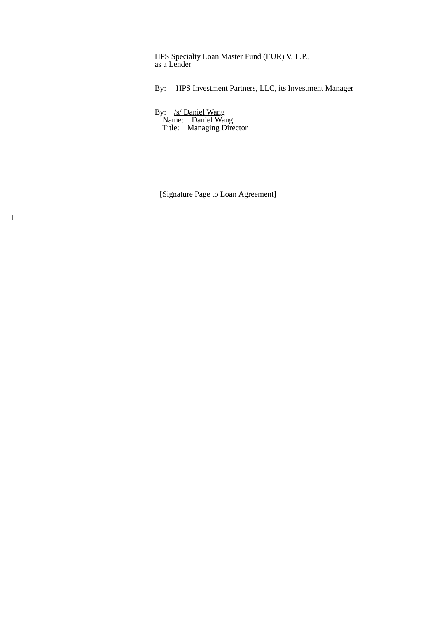HPS Specialty Loan Master Fund (EUR) V, L.P., as a Lender

By: HPS Investment Partners, LLC, its Investment Manager

By: /s/ Daniel Wang Name: Daniel Wang Title: Managing Director

 $\overline{\phantom{a}}$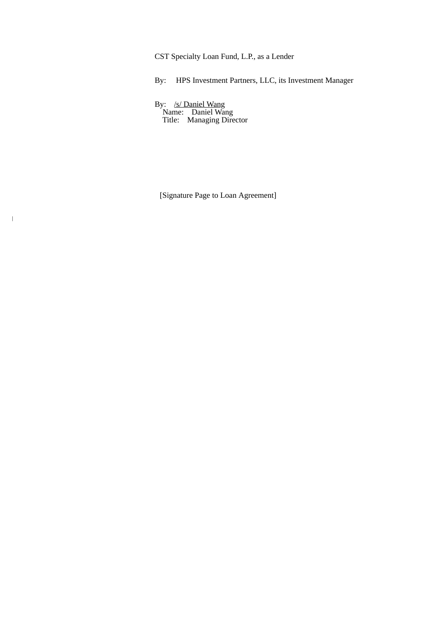CST Specialty Loan Fund, L.P., as a Lender

By: HPS Investment Partners, LLC, its Investment Manager

By: /s/ Daniel Wang Name: Daniel Wang Title: Managing Director

 $\,$   $\,$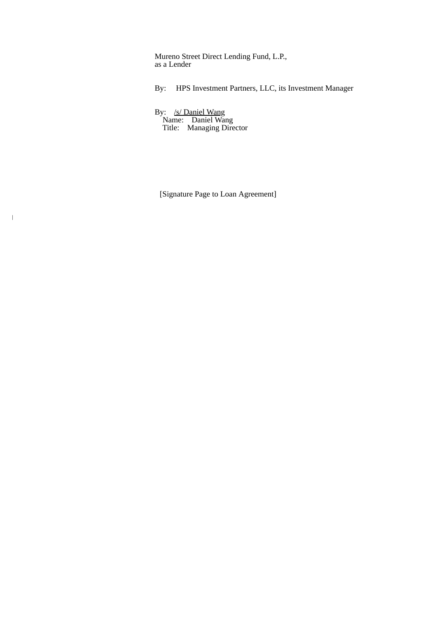Mureno Street Direct Lending Fund, L.P., as a Lender

By: HPS Investment Partners, LLC, its Investment Manager

By: /s/ Daniel Wang Name: Daniel Wang Title: Managing Director

 $\overline{\phantom{a}}$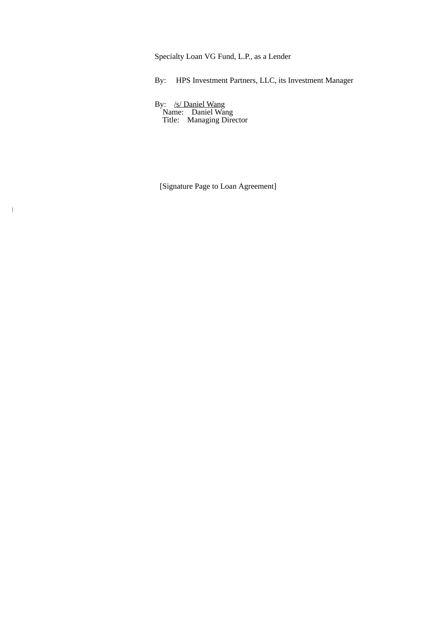Specialty Loan VG Fund, L.P., as a Lender

By: HPS Investment Partners, LLC, its Investment Manager

By: /s/ Daniel Wang Name: Daniel Wang Title: Managing Director

|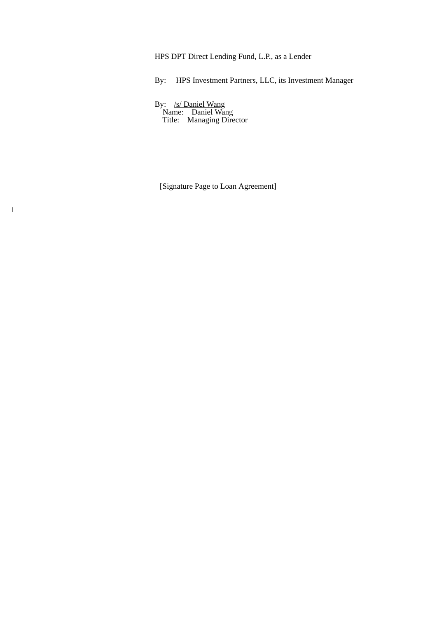HPS DPT Direct Lending Fund, L.P., as a Lender

By: HPS Investment Partners, LLC, its Investment Manager

By: /s/ Daniel Wang Name: Daniel Wang Title: Managing Director

|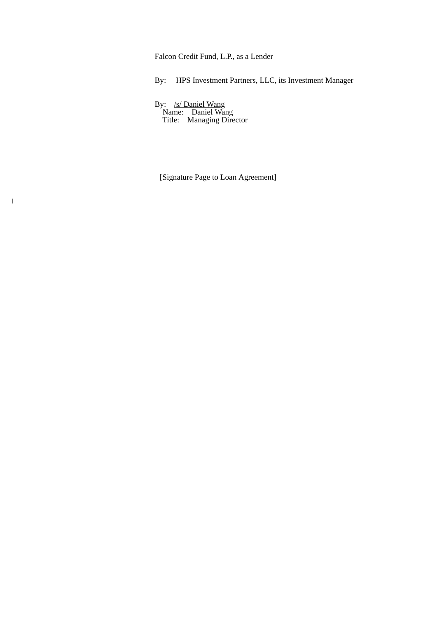Falcon Credit Fund, L.P., as a Lender

By: HPS Investment Partners, LLC, its Investment Manager

By: /s/ Daniel Wang Name: Daniel Wang Title: Managing Director

|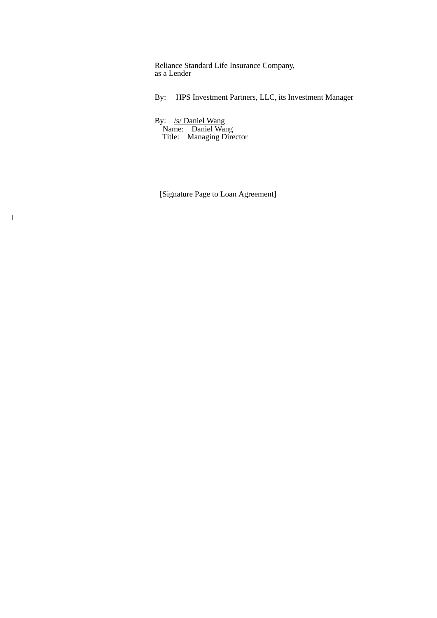Reliance Standard Life Insurance Company, as a Lender

By: HPS Investment Partners, LLC, its Investment Manager

By: /s/ Daniel Wang Name: Daniel Wang Title: Managing Director

 $\overline{\phantom{a}}$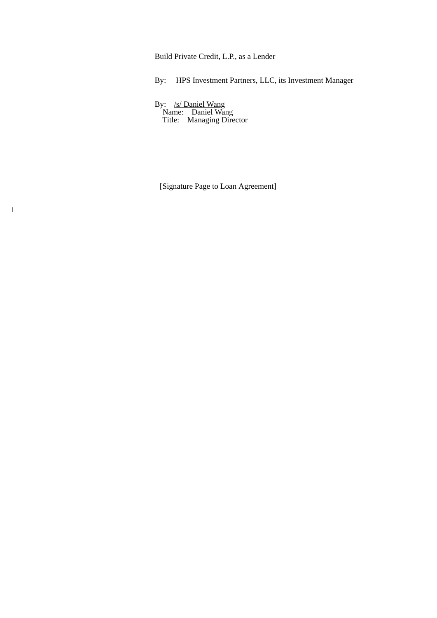Build Private Credit, L.P., as a Lender

By: HPS Investment Partners, LLC, its Investment Manager

By: /s/ Daniel Wang Name: Daniel Wang Title: Managing Director

|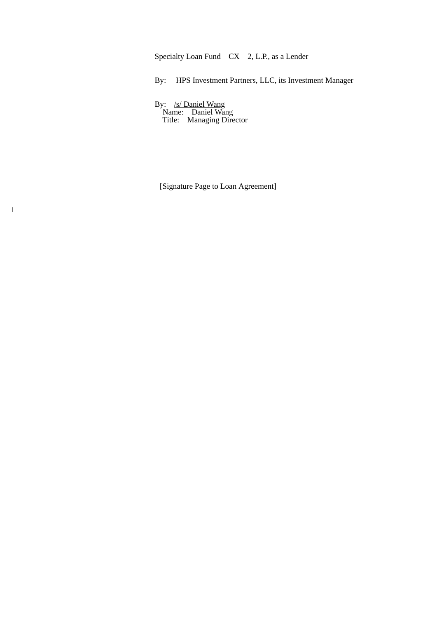Specialty Loan Fund –  $CX - 2$ , L.P., as a Lender

By: HPS Investment Partners, LLC, its Investment Manager

By: /s/ Daniel Wang Name: Daniel Wang Title: Managing Director

|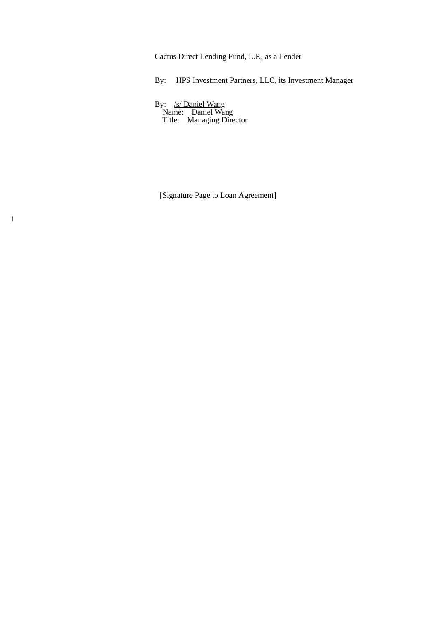Cactus Direct Lending Fund, L.P., as a Lender

By: HPS Investment Partners, LLC, its Investment Manager

By: /s/ Daniel Wang Name: Daniel Wang Title: Managing Director

 $\,$   $\,$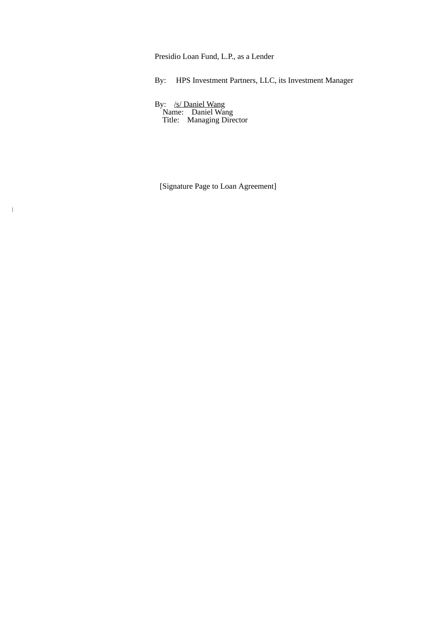Presidio Loan Fund, L.P., as a Lender

By: HPS Investment Partners, LLC, its Investment Manager

By: /s/ Daniel Wang Name: Daniel Wang Title: Managing Director

|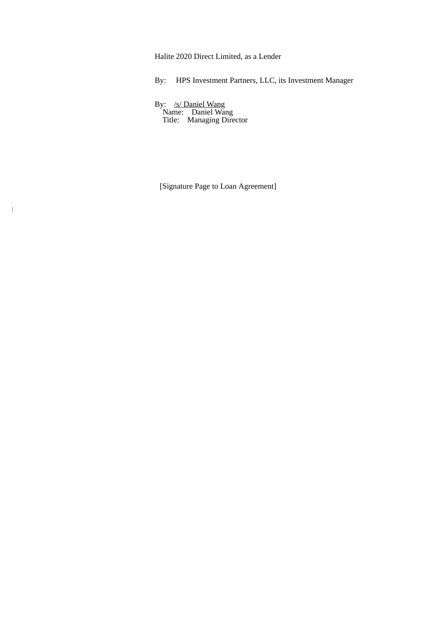Halite 2020 Direct Limited, as a Lender

By: HPS Investment Partners, LLC, its Investment Manager

By: /s/ Daniel Wang Name: Daniel Wang Title: Managing Director

|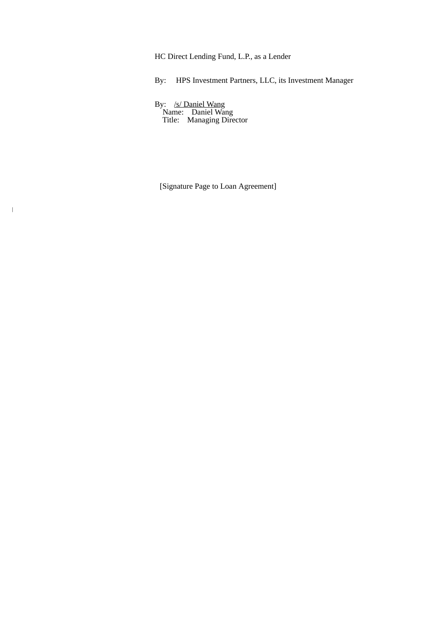HC Direct Lending Fund, L.P., as a Lender

By: HPS Investment Partners, LLC, its Investment Manager

By: /s/ Daniel Wang Name: Daniel Wang Title: Managing Director

|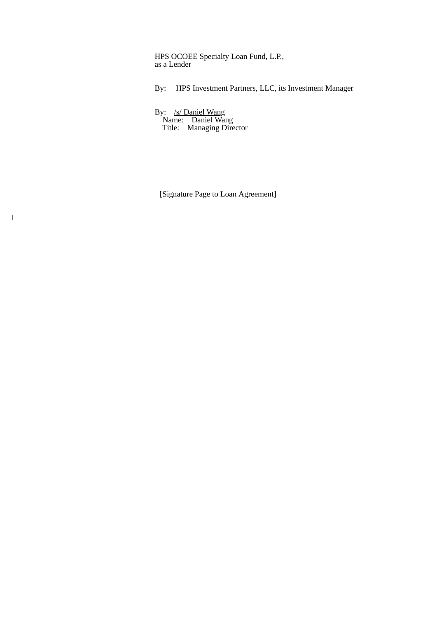HPS OCOEE Specialty Loan Fund, L.P., as a Lender

By: HPS Investment Partners, LLC, its Investment Manager

By: /s/ Daniel Wang Name: Daniel Wang Title: Managing Director

 $\overline{\phantom{a}}$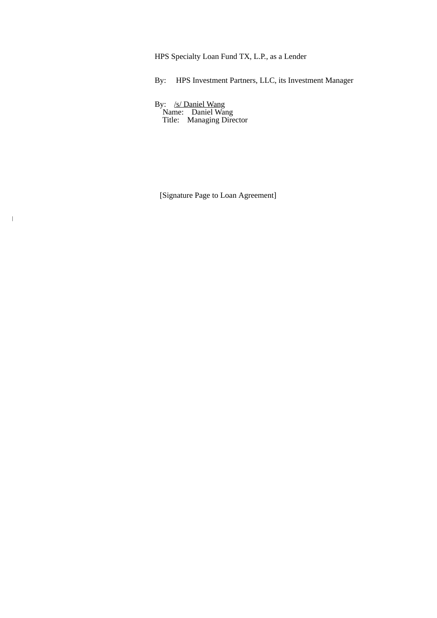HPS Specialty Loan Fund TX, L.P., as a Lender

By: HPS Investment Partners, LLC, its Investment Manager

By: /s/ Daniel Wang Name: Daniel Wang Title: Managing Director

 $\|$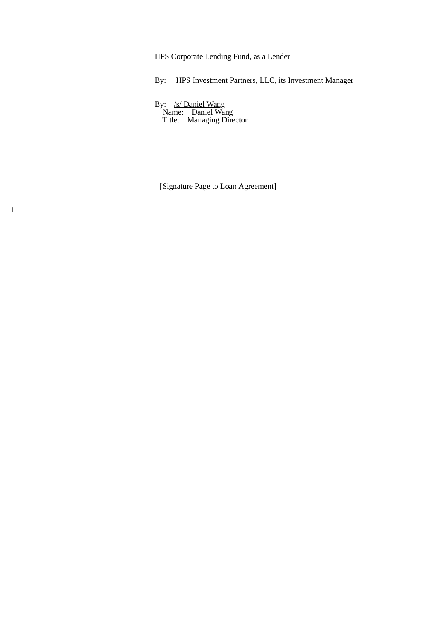HPS Corporate Lending Fund, as a Lender

By: HPS Investment Partners, LLC, its Investment Manager

By: /s/ Daniel Wang Name: Daniel Wang Title: Managing Director

|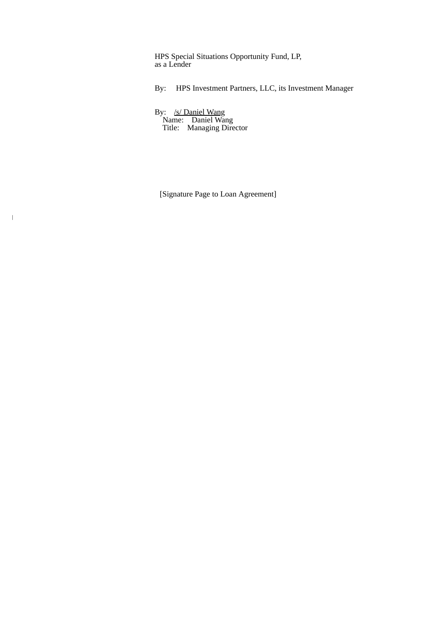HPS Special Situations Opportunity Fund, LP, as a Lender

By: HPS Investment Partners, LLC, its Investment Manager

By: /s/ Daniel Wang Name: Daniel Wang Title: Managing Director

 $\overline{\phantom{a}}$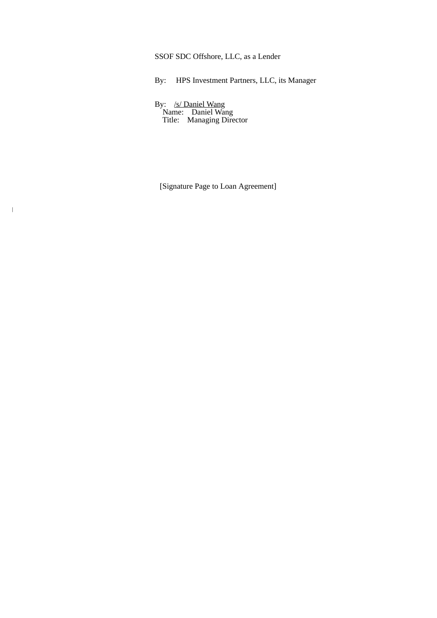SSOF SDC Offshore, LLC, as a Lender

By: HPS Investment Partners, LLC, its Manager

By: /s/ Daniel Wang Name: Daniel Wang Title: Managing Director

|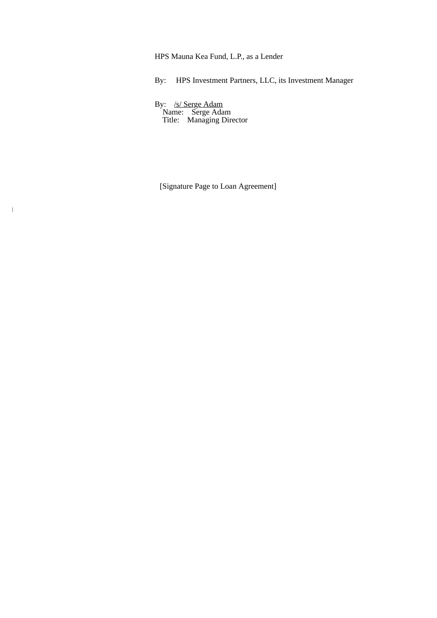HPS Mauna Kea Fund, L.P., as a Lender

By: HPS Investment Partners, LLC, its Investment Manager

By: /s/ Serge Adam Name: Serge Adam Title: Managing Director

|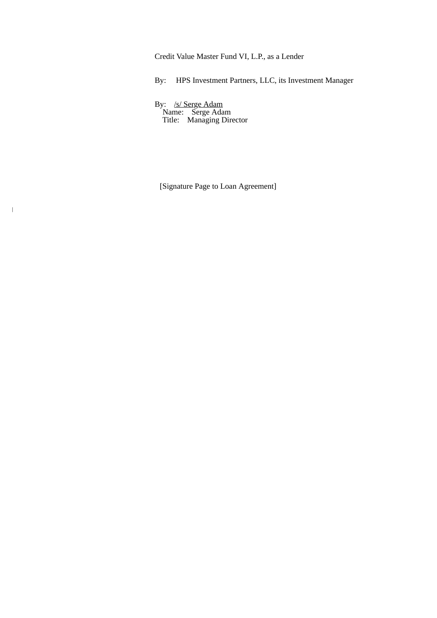Credit Value Master Fund VI, L.P., as a Lender

By: HPS Investment Partners, LLC, its Investment Manager

By: /s/ Serge Adam Name: Serge Adam Title: Managing Director

|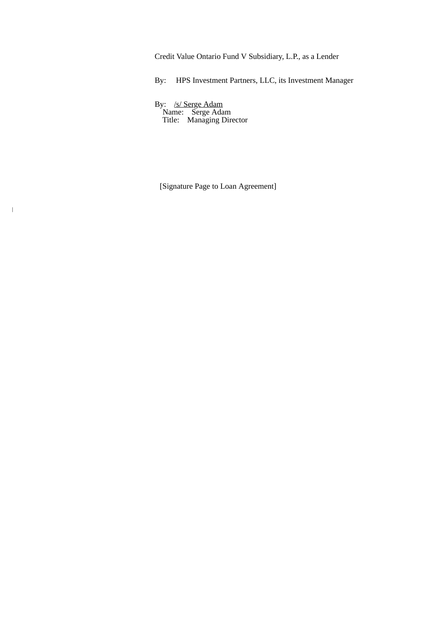Credit Value Ontario Fund V Subsidiary, L.P., as a Lender

By: HPS Investment Partners, LLC, its Investment Manager

By: /s/ Serge Adam Name: Serge Adam Title: Managing Director

|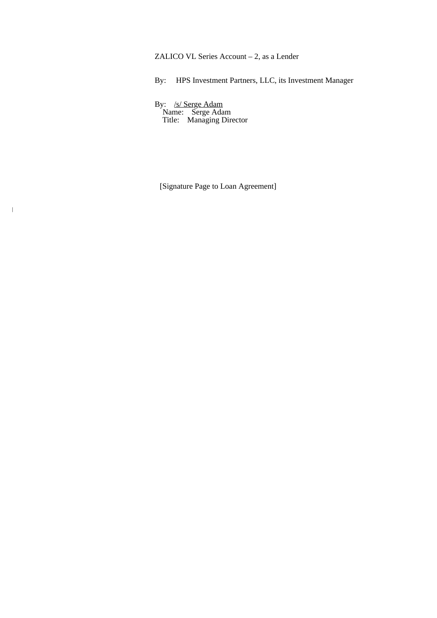ZALICO VL Series Account – 2, as a Lender

By: HPS Investment Partners, LLC, its Investment Manager

By: /s/ Serge Adam Name: Serge Adam Title: Managing Director

|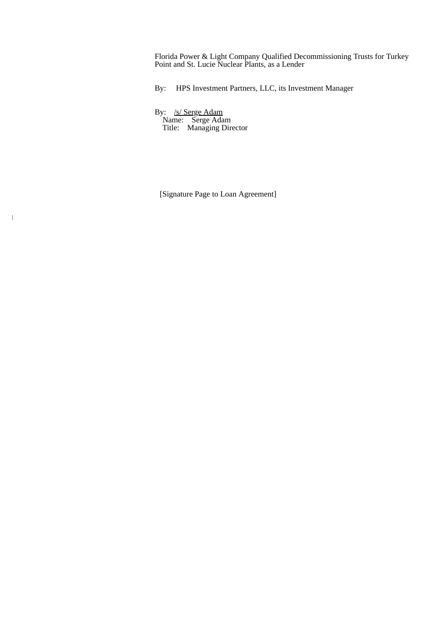Florida Power & Light Company Qualified Decommissioning Trusts for Turkey Point and St. Lucie Nuclear Plants, as a Lender

By: HPS Investment Partners, LLC, its Investment Manager

By: /s/ Serge Adam Name: Serge Adam Title: Managing Director

 $\overline{\phantom{a}}$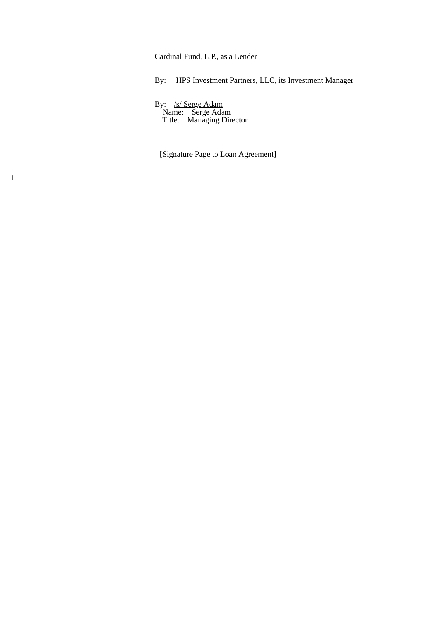Cardinal Fund, L.P., as a Lender

By: HPS Investment Partners, LLC, its Investment Manager

By: /s/ Serge Adam Name: Serge Adam Title: Managing Director

 $\overline{\phantom{a}}$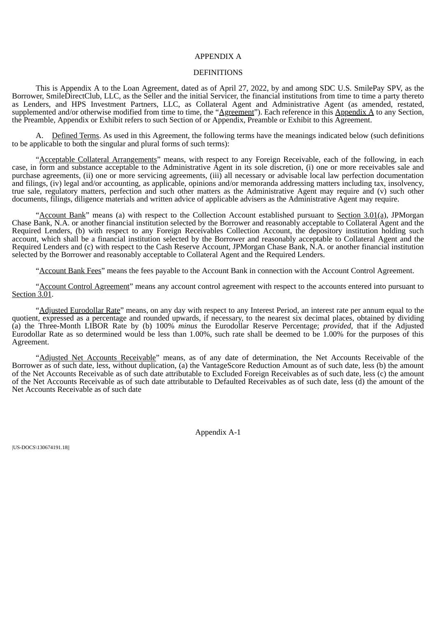## APPENDIX A

## **DEFINITIONS**

This is Appendix A to the Loan Agreement, dated as of April 27, 2022, by and among SDC U.S. SmilePay SPV, as the Borrower, SmileDirectClub, LLC, as the Seller and the initial Servicer, the financial institutions from time to time a party thereto as Lenders, and HPS Investment Partners, LLC, as Collateral Agent and Administrative Agent (as amended, restated, supplemented and/or otherwise modified from time to time, the " $\Delta$ greement"). Each reference in this  $\Delta$ ppendix  $\Delta$  to any Section, the Preamble, Appendix or Exhibit refers to such Section of or Appendix, Preamble or Exhibit to this Agreement.

A. Defined Terms. As used in this Agreement, the following terms have the meanings indicated below (such definitions to be applicable to both the singular and plural forms of such terms):

"Acceptable Collateral Arrangements" means, with respect to any Foreign Receivable, each of the following, in each case, in form and substance acceptable to the Administrative Agent in its sole discretion, (i) one or more receivables sale and purchase agreements, (ii) one or more servicing agreements, (iii) all necessary or advisable local law perfection documentation and filings, (iv) legal and/or accounting, as applicable, opinions and/or memoranda addressing matters including tax, insolvency, true sale, regulatory matters, perfection and such other matters as the Administrative Agent may require and (v) such other documents, filings, diligence materials and written advice of applicable advisers as the Administrative Agent may require.

"Account Bank" means (a) with respect to the Collection Account established pursuant to Section 3.01(a), JPMorgan Chase Bank, N.A. or another financial institution selected by the Borrower and reasonably acceptable to Collateral Agent and the Required Lenders, (b) with respect to any Foreign Receivables Collection Account, the depository institution holding such account, which shall be a financial institution selected by the Borrower and reasonably acceptable to Collateral Agent and the Required Lenders and (c) with respect to the Cash Reserve Account, JPMorgan Chase Bank, N.A. or another financial institution selected by the Borrower and reasonably acceptable to Collateral Agent and the Required Lenders.

"Account Bank Fees" means the fees payable to the Account Bank in connection with the Account Control Agreement.

"Account Control Agreement" means any account control agreement with respect to the accounts entered into pursuant to Section 3.01.

"Adjusted Eurodollar Rate" means, on any day with respect to any Interest Period, an interest rate per annum equal to the quotient, expressed as a percentage and rounded upwards, if necessary, to the nearest six decimal places, obtained by dividing (a) the Three-Month LIBOR Rate by (b) 100% *minus* the Eurodollar Reserve Percentage; *provided*, that if the Adjusted Eurodollar Rate as so determined would be less than 1.00%, such rate shall be deemed to be 1.00% for the purposes of this Agreement.

"Adjusted Net Accounts Receivable" means, as of any date of determination, the Net Accounts Receivable of the Borrower as of such date, less, without duplication, (a) the VantageScore Reduction Amount as of such date, less (b) the amount of the Net Accounts Receivable as of such date attributable to Excluded Foreign Receivables as of such date, less (c) the amount of the Net Accounts Receivable as of such date attributable to Defaulted Receivables as of such date, less (d) the amount of the Net Accounts Receivable as of such date

Appendix A-1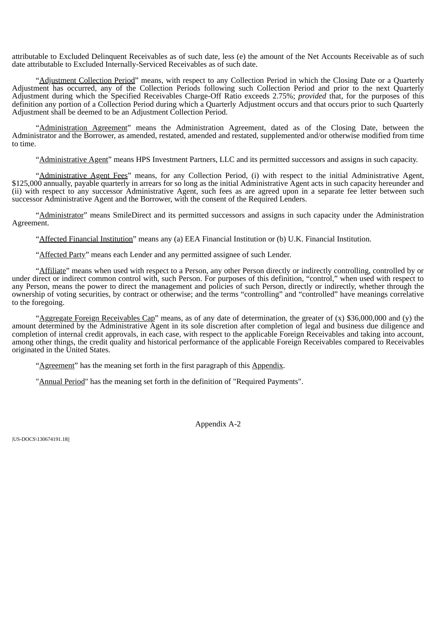attributable to Excluded Delinquent Receivables as of such date, less (e) the amount of the Net Accounts Receivable as of such date attributable to Excluded Internally-Serviced Receivables as of such date.

"Adjustment Collection Period" means, with respect to any Collection Period in which the Closing Date or a Quarterly Adjustment has occurred, any of the Collection Periods following such Collection Period and prior to the next Quarterly Adjustment during which the Specified Receivables Charge-Off Ratio exceeds 2.75%; *provided* that, for the purposes of this definition any portion of a Collection Period during which a Quarterly Adjustment occurs and that occurs prior to such Quarterly Adjustment shall be deemed to be an Adjustment Collection Period.

"Administration Agreement" means the Administration Agreement, dated as of the Closing Date, between the Administrator and the Borrower, as amended, restated, amended and restated, supplemented and/or otherwise modified from time to time.

"Administrative Agent" means HPS Investment Partners, LLC and its permitted successors and assigns in such capacity.

"Administrative Agent Fees" means, for any Collection Period, (i) with respect to the initial Administrative Agent, \$125,000 annually, payable quarterly in arrears for so long as the initial Administrative Agent acts in such capacity hereunder and (ii) with respect to any successor Administrative Agent, such fees as are agreed upon in a separate fee letter between such successor Administrative Agent and the Borrower, with the consent of the Required Lenders.

"Administrator" means SmileDirect and its permitted successors and assigns in such capacity under the Administration Agreement.

"Affected Financial Institution" means any (a) EEA Financial Institution or (b) U.K. Financial Institution.

"Affected Party" means each Lender and any permitted assignee of such Lender.

"Affiliate" means when used with respect to a Person, any other Person directly or indirectly controlling, controlled by or under direct or indirect common control with, such Person. For purposes of this definition, "control," when used with respect to any Person, means the power to direct the management and policies of such Person, directly or indirectly, whether through the ownership of voting securities, by contract or otherwise; and the terms "controlling" and "controlled" have meanings correlative to the foregoing.

"Aggregate Foreign Receivables Cap" means, as of any date of determination, the greater of  $(x)$  \$36,000,000 and  $(y)$  the amount determined by the Administrative Agent in its sole discretion after completion of legal and business due diligence and completion of internal credit approvals, in each case, with respect to the applicable Foreign Receivables and taking into account, among other things, the credit quality and historical performance of the applicable Foreign Receivables compared to Receivables originated in the United States.

"Agreement" has the meaning set forth in the first paragraph of this Appendix.

"Annual Period" has the meaning set forth in the definition of "Required Payments".

Appendix A-2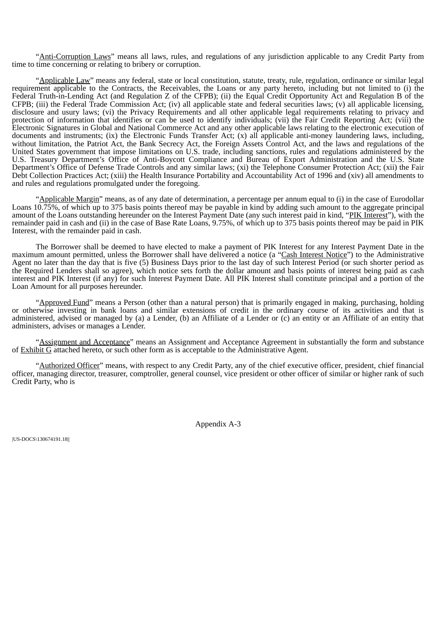"Anti-Corruption Laws" means all laws, rules, and regulations of any jurisdiction applicable to any Credit Party from time to time concerning or relating to bribery or corruption.

"Applicable Law" means any federal, state or local constitution, statute, treaty, rule, regulation, ordinance or similar legal requirement applicable to the Contracts, the Receivables, the Loans or any party hereto, including but not limited to (i) the Federal Truth-in-Lending Act (and Regulation Z of the CFPB); (ii) the Equal Credit Opportunity Act and Regulation B of the CFPB; (iii) the Federal Trade Commission Act; (iv) all applicable state and federal securities laws; (v) all applicable licensing, disclosure and usury laws; (vi) the Privacy Requirements and all other applicable legal requirements relating to privacy and protection of information that identifies or can be used to identify individuals; (vii) the Fair Credit Reporting Act; (viii) the Electronic Signatures in Global and National Commerce Act and any other applicable laws relating to the electronic execution of documents and instruments; (ix) the Electronic Funds Transfer Act; (x) all applicable anti-money laundering laws, including, without limitation, the Patriot Act, the Bank Secrecy Act, the Foreign Assets Control Act, and the laws and regulations of the United States government that impose limitations on U.S. trade, including sanctions, rules and regulations administered by the U.S. Treasury Department's Office of Anti-Boycott Compliance and Bureau of Export Administration and the U.S. State Department's Office of Defense Trade Controls and any similar laws; (xi) the Telephone Consumer Protection Act; (xii) the Fair Debt Collection Practices Act; (xiii) the Health Insurance Portability and Accountability Act of 1996 and (xiv) all amendments to and rules and regulations promulgated under the foregoing.

"Applicable Margin" means, as of any date of determination, a percentage per annum equal to (i) in the case of Eurodollar Loans  $10.75\%$ , of which up to 375 basis points thereof may be payable in kind by adding such amount to the aggregate principal amount of the Loans outstanding hereunder on the Interest Payment Date (any such interest paid in kind, "PIK Interest"), with the remainder paid in cash and (ii) in the case of Base Rate Loans, 9.75%, of which up to 375 basis points thereof may be paid in PIK Interest, with the remainder paid in cash.

The Borrower shall be deemed to have elected to make a payment of PIK Interest for any Interest Payment Date in the maximum amount permitted, unless the Borrower shall have delivered a notice (a "Cash Interest Notice") to the Administrative Agent no later than the day that is five (5) Business Days prior to the last day of such Interest Period (or such shorter period as the Required Lenders shall so agree), which notice sets forth the dollar amount and basis points of interest being paid as cash interest and PIK Interest (if any) for such Interest Payment Date. All PIK Interest shall constitute principal and a portion of the Loan Amount for all purposes hereunder.

"Approved Fund" means a Person (other than a natural person) that is primarily engaged in making, purchasing, holding or otherwise investing in bank loans and similar extensions of credit in the ordinary course of its activities and that is administered, advised or managed by (a) a Lender, (b) an Affiliate of a Lender or (c) an entity or an Affiliate of an entity that administers, advises or manages a Lender.

"Assignment and Acceptance" means an Assignment and Acceptance Agreement in substantially the form and substance of Exhibit G attached hereto, or such other form as is acceptable to the Administrative Agent.

"Authorized Officer" means, with respect to any Credit Party, any of the chief executive officer, president, chief financial officer, managing director, treasurer, comptroller, general counsel, vice president or other officer of similar or higher rank of such Credit Party, who is

Appendix A-3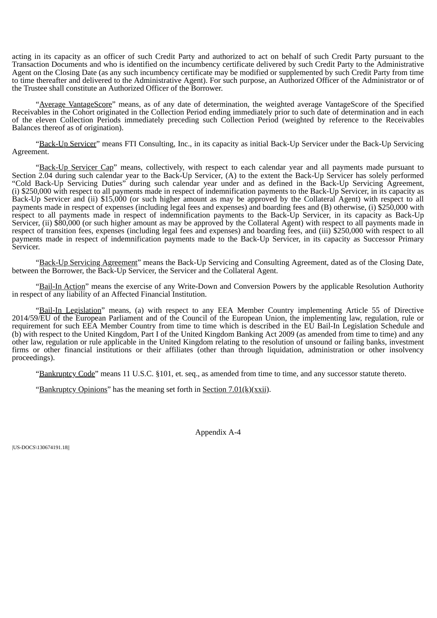acting in its capacity as an officer of such Credit Party and authorized to act on behalf of such Credit Party pursuant to the Transaction Documents and who is identified on the incumbency certificate delivered by such Credit Party to the Administrative Agent on the Closing Date (as any such incumbency certificate may be modified or supplemented by such Credit Party from time to time thereafter and delivered to the Administrative Agent). For such purpose, an Authorized Officer of the Administrator or of the Trustee shall constitute an Authorized Officer of the Borrower.

"Average VantageScore" means, as of any date of determination, the weighted average VantageScore of the Specified Receivables in the Cohort originated in the Collection Period ending immediately prior to such date of determination and in each of the eleven Collection Periods immediately preceding such Collection Period (weighted by reference to the Receivables Balances thereof as of origination).

"Back-Up Servicer" means FTI Consulting, Inc., in its capacity as initial Back-Up Servicer under the Back-Up Servicing Agreement.

"Back-Up Servicer Cap" means, collectively, with respect to each calendar year and all payments made pursuant to Section 2.04 during such calendar year to the Back-Up Servicer, (A) to the extent the Back-Up Servicer has solely performed "Cold Back-Up Servicing Duties" during such calendar year under and as defined in the Back-Up Servicing Agreement, (i) \$250,000 with respect to all payments made in respect of indemnification payments to the Back-Up Servicer, in its capacity as Back-Up Servicer and (ii) \$15,000 (or such higher amount as may be approved by the Collateral Agent) with respect to all payments made in respect of expenses (including legal fees and expenses) and boarding fees and (B) otherwise, (i) \$250,000 with respect to all payments made in respect of indemnification payments to the Back-Up Servicer, in its capacity as Back-Up Servicer, (ii) \$80,000 (or such higher amount as may be approved by the Collateral Agent) with respect to all payments made in respect of transition fees, expenses (including legal fees and expenses) and boarding fees, and (iii) \$250,000 with respect to all payments made in respect of indemnification payments made to the Back-Up Servicer, in its capacity as Successor Primary Servicer.

"Back-Up Servicing Agreement" means the Back-Up Servicing and Consulting Agreement, dated as of the Closing Date, between the Borrower, the Back-Up Servicer, the Servicer and the Collateral Agent.

"Bail-In Action" means the exercise of any Write-Down and Conversion Powers by the applicable Resolution Authority in respect of any liability of an Affected Financial Institution.

"Bail-In Legislation" means, (a) with respect to any EEA Member Country implementing Article 55 of Directive 2014/59/EU of the European Parliament and of the Council of the European Union, the implementing law, regulation, rule or requirement for such EEA Member Country from time to time which is described in the EU Bail-In Legislation Schedule and (b) with respect to the United Kingdom, Part I of the United Kingdom Banking Act 2009 (as amended from time to time) and any other law, regulation or rule applicable in the United Kingdom relating to the resolution of unsound or failing banks, investment firms or other financial institutions or their affiliates (other than through liquidation, administration or other insolvency proceedings).

"Bankruptcy Code" means 11 U.S.C. §101, et. seq., as amended from time to time, and any successor statute thereto.

"Bankruptcy Opinions" has the meaning set forth in Section 7.01(k)(xxii).

Appendix A-4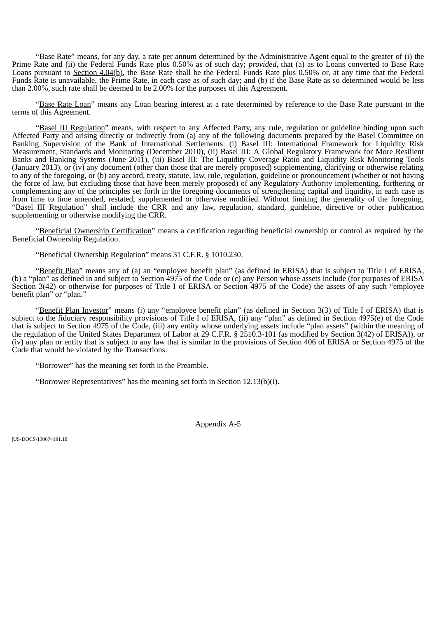"Base Rate" means, for any day, a rate per annum determined by the Administrative Agent equal to the greater of (i) the Prime Rate and (ii) the Federal Funds Rate plus 0.50% as of such day; *provided,* that (a) as to Loans converted to Base Rate Loans pursuant to Section 4.04(b), the Base Rate shall be the Federal Funds Rate plus  $0.50\%$  or, at any time that the Federal Funds Rate is unavailable, the Prime Rate, in each case as of such day; and (b) if the Base Rate as so determined would be less than 2.00%, such rate shall be deemed to be 2.00% for the purposes of this Agreement.

"Base Rate Loan" means any Loan bearing interest at a rate determined by reference to the Base Rate pursuant to the terms of this Agreement.

"Basel III Regulation" means, with respect to any Affected Party, any rule, regulation or guideline binding upon such Affected Party and arising directly or indirectly from (a) any of the following documents prepared by the Basel Committee on Banking Supervision of the Bank of International Settlements: (i) Basel III: International Framework for Liquidity Risk Measurement, Standards and Monitoring (December 2010), (ii) Basel III: A Global Regulatory Framework for More Resilient Banks and Banking Systems (June 2011), (iii) Basel III: The Liquidity Coverage Ratio and Liquidity Risk Monitoring Tools (January 2013), or (iv) any document (other than those that are merely proposed) supplementing, clarifying or otherwise relating to any of the foregoing, or (b) any accord, treaty, statute, law, rule, regulation, guideline or pronouncement (whether or not having the force of law, but excluding those that have been merely proposed) of any Regulatory Authority implementing, furthering or complementing any of the principles set forth in the foregoing documents of strengthening capital and liquidity, in each case as from time to time amended, restated, supplemented or otherwise modified. Without limiting the generality of the foregoing, "Basel III Regulation" shall include the CRR and any law, regulation, standard, guideline, directive or other publication supplementing or otherwise modifying the CRR.

"Beneficial Ownership Certification" means a certification regarding beneficial ownership or control as required by the Beneficial Ownership Regulation.

"Beneficial Ownership Regulation" means 31 C.F.R. § 1010.230.

"Benefit Plan" means any of (a) an "employee benefit plan" (as defined in ERISA) that is subject to Title I of ERISA, (b) a "plan" as defined in and subject to Section 4975 of the Code or (c) any Person whose assets include (for purposes of ERISA Section 3(42) or otherwise for purposes of Title I of ERISA or Section 4975 of the Code) the assets of any such "employee benefit plan" or "plan."

"Benefit Plan Investor" means (i) any "employee benefit plan" (as defined in Section 3(3) of Title I of ERISA) that is subject to the fiduciary responsibility provisions of Title I of ERISA, (ii) any "plan" as defined in Section 4975(e) of the Code that is subject to Section 4975 of the Code, (iii) any entity whose underlying assets include "plan assets" (within the meaning of the regulation of the United States Department of Labor at 29 C.F.R. § 2510.3-101 (as modified by Section 3(42) of ERISA)), or (iv) any plan or entity that is subject to any law that is similar to the provisions of Section 406 of ERISA or Section 4975 of the Code that would be violated by the Transactions.

"Borrower" has the meaning set forth in the Preamble.

"Borrower Representatives" has the meaning set forth in Section 12.13(b)(i).

Appendix A-5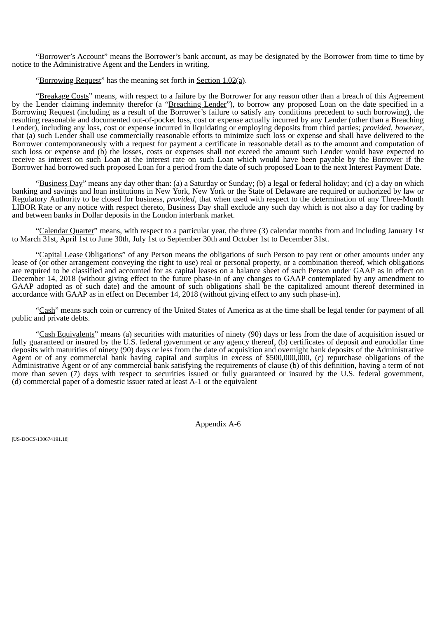"Borrower's Account" means the Borrower's bank account, as may be designated by the Borrower from time to time by notice to the Administrative Agent and the Lenders in writing.

"Borrowing Request" has the meaning set forth in Section 1.02(a).

"Breakage Costs" means, with respect to a failure by the Borrower for any reason other than a breach of this Agreement by the Lender claiming indemnity therefor (a "Breaching Lender"), to borrow any proposed Loan on the date specified in a Borrowing Request (including as a result of the Borrower's failure to satisfy any conditions precedent to such borrowing), the resulting reasonable and documented out-of-pocket loss, cost or expense actually incurred by any Lender (other than a Breaching Lender), including any loss, cost or expense incurred in liquidating or employing deposits from third parties; *provided*, *however*, that (a) such Lender shall use commercially reasonable efforts to minimize such loss or expense and shall have delivered to the Borrower contemporaneously with a request for payment a certificate in reasonable detail as to the amount and computation of such loss or expense and (b) the losses, costs or expenses shall not exceed the amount such Lender would have expected to receive as interest on such Loan at the interest rate on such Loan which would have been payable by the Borrower if the Borrower had borrowed such proposed Loan for a period from the date of such proposed Loan to the next Interest Payment Date.

"Business Day" means any day other than: (a) a Saturday or Sunday; (b) a legal or federal holiday; and (c) a day on which banking and savings and loan institutions in New York, New York or the State of Delaware are required or authorized by law or Regulatory Authority to be closed for business, *provided*, that when used with respect to the determination of any Three-Month LIBOR Rate or any notice with respect thereto, Business Day shall exclude any such day which is not also a day for trading by and between banks in Dollar deposits in the London interbank market.

"Calendar Quarter" means, with respect to a particular year, the three (3) calendar months from and including January 1st to March 31st, April 1st to June 30th, July 1st to September 30th and October 1st to December 31st.

"Capital Lease Obligations" of any Person means the obligations of such Person to pay rent or other amounts under any lease of (or other arrangement conveying the right to use) real or personal property, or a combination thereof, which obligations are required to be classified and accounted for as capital leases on a balance sheet of such Person under GAAP as in effect on December 14, 2018 (without giving effect to the future phase-in of any changes to GAAP contemplated by any amendment to GAAP adopted as of such date) and the amount of such obligations shall be the capitalized amount thereof determined in accordance with GAAP as in effect on December 14, 2018 (without giving effect to any such phase-in).

"Cash" means such coin or currency of the United States of America as at the time shall be legal tender for payment of all public and private debts.

"Cash Equivalents" means (a) securities with maturities of ninety (90) days or less from the date of acquisition issued or fully guaranteed or insured by the U.S. federal government or any agency thereof, (b) certificates of deposit and eurodollar time deposits with maturities of ninety (90) days or less from the date of acquisition and overnight bank deposits of the Administrative Agent or of any commercial bank having capital and surplus in excess of \$500,000,000, (c) repurchase obligations of the Administrative Agent or of any commercial bank satisfying the requirements of clause (b) of this definition, having a term of not more than seven (7) days with respect to securities issued or fully guaranteed or insured by the U.S. federal government, (d) commercial paper of a domestic issuer rated at least A-1 or the equivalent

Appendix A-6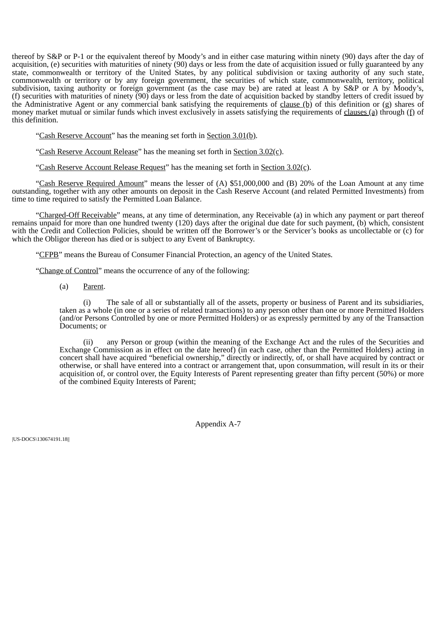thereof by S&P or P-1 or the equivalent thereof by Moody's and in either case maturing within ninety (90) days after the day of acquisition, (e) securities with maturities of ninety (90) days or less from the date of acquisition issued or fully guaranteed by any state, commonwealth or territory of the United States, by any political subdivision or taxing authority of any such state, commonwealth or territory or by any foreign government, the securities of which state, commonwealth, territory, political subdivision, taxing authority or foreign government (as the case may be) are rated at least A by S&P or A by Moody's, (f) securities with maturities of ninety (90) days or less from the date of acquisition backed by standby letters of credit issued by the Administrative Agent or any commercial bank satisfying the requirements of clause (b) of this definition or (g) shares of money market mutual or similar funds which invest exclusively in assets satisfying the requirements of clauses (a) through (f) of this definition.

"Cash Reserve Account" has the meaning set forth in Section 3.01(b).

"Cash Reserve Account Release" has the meaning set forth in Section 3.02(c).

"Cash Reserve Account Release Request" has the meaning set forth in Section 3.02(c).

"Cash Reserve Required Amount" means the lesser of (A) \$51,000,000 and (B) 20% of the Loan Amount at any time outstanding, together with any other amounts on deposit in the Cash Reserve Account (and related Permitted Investments) from time to time required to satisfy the Permitted Loan Balance.

"Charged-Off Receivable" means, at any time of determination, any Receivable (a) in which any payment or part thereof remains unpaid for more than one hundred twenty (120) days after the original due date for such payment, (b) which, consistent with the Credit and Collection Policies, should be written off the Borrower's or the Servicer's books as uncollectable or (c) for which the Obligor thereon has died or is subject to any Event of Bankruptcy.

"CFPB" means the Bureau of Consumer Financial Protection, an agency of the United States.

"Change of Control" means the occurrence of any of the following:

(a) Parent.

(i) The sale of all or substantially all of the assets, property or business of Parent and its subsidiaries, taken as a whole (in one or a series of related transactions) to any person other than one or more Permitted Holders (and/or Persons Controlled by one or more Permitted Holders) or as expressly permitted by any of the Transaction Documents; or

(ii) any Person or group (within the meaning of the Exchange Act and the rules of the Securities and Exchange Commission as in effect on the date hereof) (in each case, other than the Permitted Holders) acting in concert shall have acquired "beneficial ownership," directly or indirectly, of, or shall have acquired by contract or otherwise, or shall have entered into a contract or arrangement that, upon consummation, will result in its or their acquisition of, or control over, the Equity Interests of Parent representing greater than fifty percent (50%) or more of the combined Equity Interests of Parent;

Appendix A-7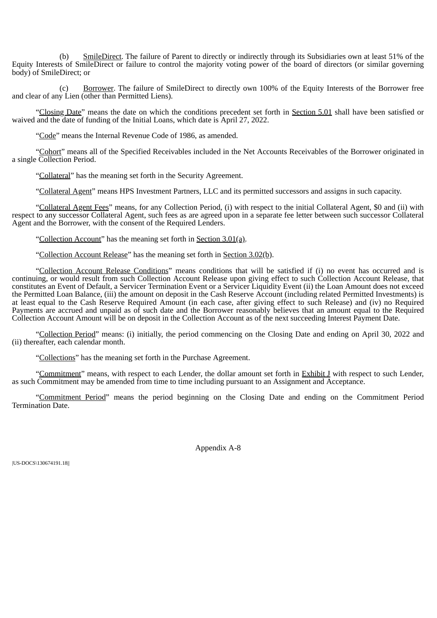(b) SmileDirect. The failure of Parent to directly or indirectly through its Subsidiaries own at least 51% of the Equity Interests of SmileDirect or failure to control the majority voting power of the board of directors (or similar governing body) of SmileDirect; or

(c) Borrower. The failure of SmileDirect to directly own 100% of the Equity Interests of the Borrower free and clear of any Lien (other than Permitted Liens).

"Closing Date" means the date on which the conditions precedent set forth in Section 5.01 shall have been satisfied or waived and the date of funding of the Initial Loans, which date is April 27, 2022.

"Code" means the Internal Revenue Code of 1986, as amended.

"Cohort" means all of the Specified Receivables included in the Net Accounts Receivables of the Borrower originated in a single Collection Period.

"Collateral" has the meaning set forth in the Security Agreement.

"Collateral Agent" means HPS Investment Partners, LLC and its permitted successors and assigns in such capacity.

"Collateral Agent Fees" means, for any Collection Period, (i) with respect to the initial Collateral Agent, \$0 and (ii) with respect to any successor Collateral Agent, such fees as are agreed upon in a separate fee letter between such successor Collateral Agent and the Borrower, with the consent of the Required Lenders.

"Collection Account" has the meaning set forth in Section 3.01(a).

"Collection Account Release" has the meaning set forth in Section 3.02(b).

"Collection Account Release Conditions" means conditions that will be satisfied if (i) no event has occurred and is continuing, or would result from such Collection Account Release upon giving effect to such Collection Account Release, that constitutes an Event of Default, a Servicer Termination Event or a Servicer Liquidity Event (ii) the Loan Amount does not exceed the Permitted Loan Balance, (iii) the amount on deposit in the Cash Reserve Account (including related Permitted Investments) is at least equal to the Cash Reserve Required Amount (in each case, after giving effect to such Release) and (iv) no Required Payments are accrued and unpaid as of such date and the Borrower reasonably believes that an amount equal to the Required Collection Account Amount will be on deposit in the Collection Account as of the next succeeding Interest Payment Date.

"Collection Period" means: (i) initially, the period commencing on the Closing Date and ending on April 30, 2022 and (ii) thereafter, each calendar month.

"Collections" has the meaning set forth in the Purchase Agreement.

"Commitment" means, with respect to each Lender, the dollar amount set forth in Exhibit J with respect to such Lender, as such Commitment may be amended from time to time including pursuant to an Assignment and Acceptance.

"Commitment Period" means the period beginning on the Closing Date and ending on the Commitment Period Termination Date.

Appendix A-8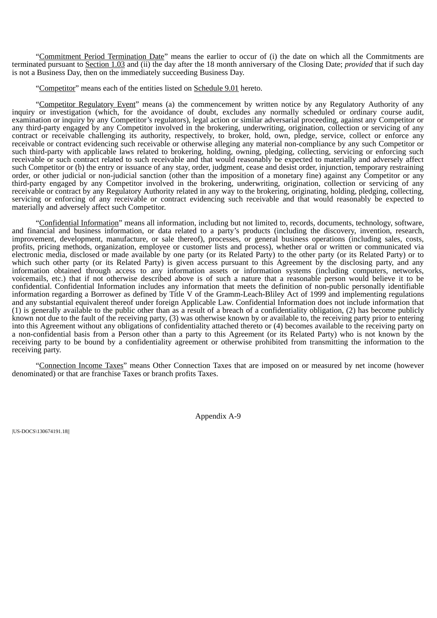"Commitment Period Termination Date" means the earlier to occur of (i) the date on which all the Commitments are terminated pursuant to Section 1.03 and (ii) the day after the 18 month anniversary of the Closing Date; *provided* that if such day is not a Business Day, then on the immediately succeeding Business Day.

"Competitor" means each of the entities listed on Schedule 9.01 hereto.

"Competitor Regulatory Event" means (a) the commencement by written notice by any Regulatory Authority of any inquiry or investigation (which, for the avoidance of doubt, excludes any normally scheduled or ordinary course audit, examination or inquiry by any Competitor's regulators), legal action or similar adversarial proceeding, against any Competitor or any third-party engaged by any Competitor involved in the brokering, underwriting, origination, collection or servicing of any contract or receivable challenging its authority, respectively, to broker, hold, own, pledge, service, collect or enforce any receivable or contract evidencing such receivable or otherwise alleging any material non-compliance by any such Competitor or such third-party with applicable laws related to brokering, holding, owning, pledging, collecting, servicing or enforcing such receivable or such contract related to such receivable and that would reasonably be expected to materially and adversely affect such Competitor or (b) the entry or issuance of any stay, order, judgment, cease and desist order, injunction, temporary restraining order, or other judicial or non-judicial sanction (other than the imposition of a monetary fine) against any Competitor or any third-party engaged by any Competitor involved in the brokering, underwriting, origination, collection or servicing of any receivable or contract by any Regulatory Authority related in any way to the brokering, originating, holding, pledging, collecting, servicing or enforcing of any receivable or contract evidencing such receivable and that would reasonably be expected to materially and adversely affect such Competitor.

"Confidential Information" means all information, including but not limited to, records, documents, technology, software, and financial and business information, or data related to a party's products (including the discovery, invention, research, improvement, development, manufacture, or sale thereof), processes, or general business operations (including sales, costs, profits, pricing methods, organization, employee or customer lists and process), whether oral or written or communicated via electronic media, disclosed or made available by one party (or its Related Party) to the other party (or its Related Party) or to which such other party (or its Related Party) is given access pursuant to this Agreement by the disclosing party, and any information obtained through access to any information assets or information systems (including computers, networks, voicemails, etc.) that if not otherwise described above is of such a nature that a reasonable person would believe it to be confidential. Confidential Information includes any information that meets the definition of non-public personally identifiable information regarding a Borrower as defined by Title V of the Gramm-Leach-Bliley Act of 1999 and implementing regulations and any substantial equivalent thereof under foreign Applicable Law. Confidential Information does not include information that (1) is generally available to the public other than as a result of a breach of a confidentiality obligation, (2) has become publicly known not due to the fault of the receiving party, (3) was otherwise known by or available to, the receiving party prior to entering into this Agreement without any obligations of confidentiality attached thereto or (4) becomes available to the receiving party on a non-confidential basis from a Person other than a party to this Agreement (or its Related Party) who is not known by the receiving party to be bound by a confidentiality agreement or otherwise prohibited from transmitting the information to the receiving party.

"Connection Income Taxes" means Other Connection Taxes that are imposed on or measured by net income (however denominated) or that are franchise Taxes or branch profits Taxes.

Appendix A-9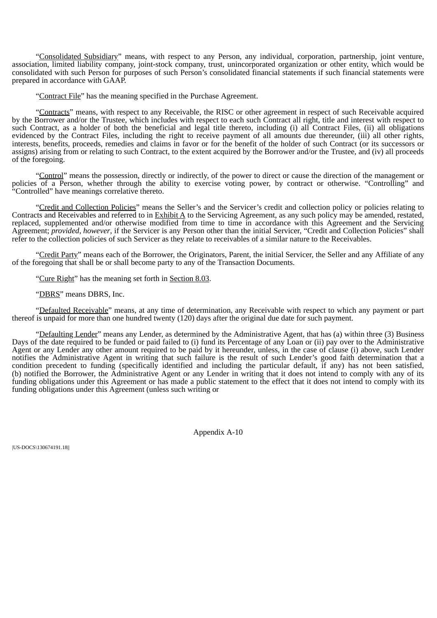"Consolidated Subsidiary" means, with respect to any Person, any individual, corporation, partnership, joint venture, association, limited liability company, joint-stock company, trust, unincorporated organization or other entity, which would be consolidated with such Person for purposes of such Person's consolidated financial statements if such financial statements were prepared in accordance with GAAP.

"Contract File" has the meaning specified in the Purchase Agreement.

"Contracts" means, with respect to any Receivable, the RISC or other agreement in respect of such Receivable acquired by the Borrower and/or the Trustee, which includes with respect to each such Contract all right, title and interest with respect to such Contract, as a holder of both the beneficial and legal title thereto, including (i) all Contract Files, (ii) all obligations evidenced by the Contract Files, including the right to receive payment of all amounts due thereunder, (iii) all other rights, interests, benefits, proceeds, remedies and claims in favor or for the benefit of the holder of such Contract (or its successors or assigns) arising from or relating to such Contract, to the extent acquired by the Borrower and/or the Trustee, and (iv) all proceeds of the foregoing.

"Control" means the possession, directly or indirectly, of the power to direct or cause the direction of the management or policies of a Person, whether through the ability to exercise voting power, by contract or otherwise. "Controlling" and "Controlled" have meanings correlative thereto.

"Credit and Collection Policies" means the Seller's and the Servicer's credit and collection policy or policies relating to Contracts and Receivables and referred to in Exhibit A to the Servicing Agreement, as any such policy may be amended, restated, replaced, supplemented and/or otherwise modified from time to time in accordance with this Agreement and the Servicing Agreement; *provided*, *however*, if the Servicer is any Person other than the initial Servicer, "Credit and Collection Policies" shall refer to the collection policies of such Servicer as they relate to receivables of a similar nature to the Receivables.

"Credit Party" means each of the Borrower, the Originators, Parent, the initial Servicer, the Seller and any Affiliate of any of the foregoing that shall be or shall become party to any of the Transaction Documents.

"Cure Right" has the meaning set forth in Section 8.03.

"DBRS" means DBRS, Inc.

"Defaulted Receivable" means, at any time of determination, any Receivable with respect to which any payment or part thereof is unpaid for more than one hundred twenty (120) days after the original due date for such payment.

"Defaulting Lender" means any Lender, as determined by the Administrative Agent, that has (a) within three (3) Business Days of the date required to be funded or paid failed to (i) fund its Percentage of any Loan or (ii) pay over to the Administrative Agent or any Lender any other amount required to be paid by it hereunder, unless, in the case of clause (i) above, such Lender notifies the Administrative Agent in writing that such failure is the result of such Lender's good faith determination that a condition precedent to funding (specifically identified and including the particular default, if any) has not been satisfied, (b) notified the Borrower, the Administrative Agent or any Lender in writing that it does not intend to comply with any of its funding obligations under this Agreement or has made a public statement to the effect that it does not intend to comply with its funding obligations under this Agreement (unless such writing or

Appendix A-10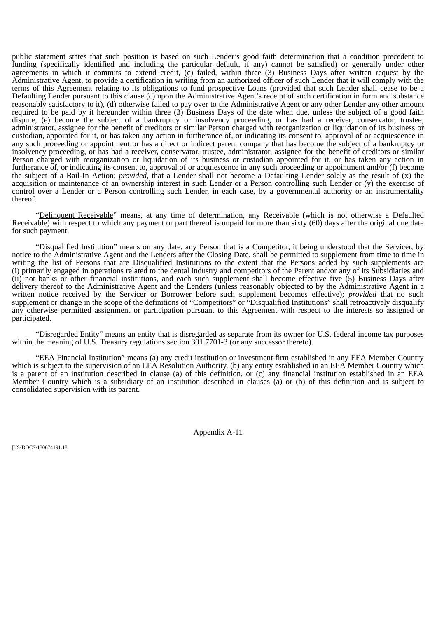public statement states that such position is based on such Lender's good faith determination that a condition precedent to funding (specifically identified and including the particular default, if any) cannot be satisfied) or generally under other agreements in which it commits to extend credit, (c) failed, within three (3) Business Days after written request by the Administrative Agent, to provide a certification in writing from an authorized officer of such Lender that it will comply with the terms of this Agreement relating to its obligations to fund prospective Loans (provided that such Lender shall cease to be a Defaulting Lender pursuant to this clause (c) upon the Administrative Agent's receipt of such certification in form and substance reasonably satisfactory to it), (d) otherwise failed to pay over to the Administrative Agent or any other Lender any other amount required to be paid by it hereunder within three (3) Business Days of the date when due, unless the subject of a good faith dispute, (e) become the subject of a bankruptcy or insolvency proceeding, or has had a receiver, conservator, trustee, administrator, assignee for the benefit of creditors or similar Person charged with reorganization or liquidation of its business or custodian, appointed for it, or has taken any action in furtherance of, or indicating its consent to, approval of or acquiescence in any such proceeding or appointment or has a direct or indirect parent company that has become the subject of a bankruptcy or insolvency proceeding, or has had a receiver, conservator, trustee, administrator, assignee for the benefit of creditors or similar Person charged with reorganization or liquidation of its business or custodian appointed for it, or has taken any action in furtherance of, or indicating its consent to, approval of or acquiescence in any such proceeding or appointment and/or (f) become the subject of a Bail-In Action; *provided*, that a Lender shall not become a Defaulting Lender solely as the result of (x) the acquisition or maintenance of an ownership interest in such Lender or a Person controlling such Lender or (y) the exercise of control over a Lender or a Person controlling such Lender, in each case, by a governmental authority or an instrumentality thereof.

"Delinquent Receivable" means, at any time of determination, any Receivable (which is not otherwise a Defaulted Receivable) with respect to which any payment or part thereof is unpaid for more than sixty (60) days after the original due date for such payment.

"Disqualified Institution" means on any date, any Person that is a Competitor, it being understood that the Servicer, by notice to the Administrative Agent and the Lenders after the Closing Date, shall be permitted to supplement from time to time in writing the list of Persons that are Disqualified Institutions to the extent that the Persons added by such supplements are (i) primarily engaged in operations related to the dental industry and competitors of the Parent and/or any of its Subsidiaries and (ii) not banks or other financial institutions, and each such supplement shall become effective five (5) Business Days after delivery thereof to the Administrative Agent and the Lenders (unless reasonably objected to by the Administrative Agent in a written notice received by the Servicer or Borrower before such supplement becomes effective); *provided* that no such supplement or change in the scope of the definitions of "Competitors" or "Disqualified Institutions" shall retroactively disqualify any otherwise permitted assignment or participation pursuant to this Agreement with respect to the interests so assigned or participated.

"Disregarded Entity" means an entity that is disregarded as separate from its owner for U.S. federal income tax purposes within the meaning of U.S. Treasury regulations section  $301.7701-3$  (or any successor thereto).

"EEA Financial Institution" means (a) any credit institution or investment firm established in any EEA Member Country which is subject to the supervision of an EEA Resolution Authority, (b) any entity established in an EEA Member Country which is a parent of an institution described in clause (a) of this definition, or (c) any financial institution established in an EEA Member Country which is a subsidiary of an institution described in clauses (a) or (b) of this definition and is subject to consolidated supervision with its parent.

Appendix A-11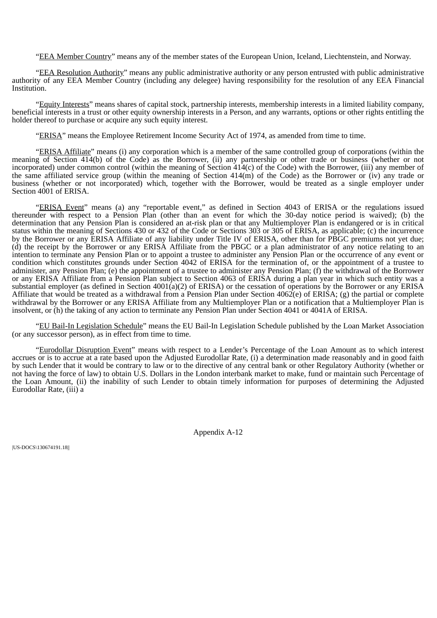"EEA Member Country" means any of the member states of the European Union, Iceland, Liechtenstein, and Norway.

"EEA Resolution Authority" means any public administrative authority or any person entrusted with public administrative authority of any EEA Member Country (including any delegee) having responsibility for the resolution of any EEA Financial Institution.

"Equity Interests" means shares of capital stock, partnership interests, membership interests in a limited liability company, beneficial interests in a trust or other equity ownership interests in a Person, and any warrants, options or other rights entitling the holder thereof to purchase or acquire any such equity interest.

"ERISA" means the Employee Retirement Income Security Act of 1974, as amended from time to time.

"ERISA Affiliate" means (i) any corporation which is a member of the same controlled group of corporations (within the meaning of Section 414(b) of the Code) as the Borrower, (ii) any partnership or other trade or business (whether or not incorporated) under common control (within the meaning of Section 414(c) of the Code) with the Borrower, (iii) any member of the same affiliated service group (within the meaning of Section 414(m) of the Code) as the Borrower or (iv) any trade or business (whether or not incorporated) which, together with the Borrower, would be treated as a single employer under Section 4001 of ERISA.

"ERISA Event" means (a) any "reportable event," as defined in Section 4043 of ERISA or the regulations issued thereunder with respect to a Pension Plan (other than an event for which the 30-day notice period is waived); (b) the determination that any Pension Plan is considered an at-risk plan or that any Multiemployer Plan is endangered or is in critical status within the meaning of Sections 430 or 432 of the Code or Sections 303 or 305 of ERISA, as applicable; (c) the incurrence by the Borrower or any ERISA Affiliate of any liability under Title IV of ERISA, other than for PBGC premiums not yet due; (d) the receipt by the Borrower or any ERISA Affiliate from the PBGC or a plan administrator of any notice relating to an intention to terminate any Pension Plan or to appoint a trustee to administer any Pension Plan or the occurrence of any event or condition which constitutes grounds under Section 4042 of ERISA for the termination of, or the appointment of a trustee to administer, any Pension Plan; (e) the appointment of a trustee to administer any Pension Plan; (f) the withdrawal of the Borrower or any ERISA Affiliate from a Pension Plan subject to Section 4063 of ERISA during a plan year in which such entity was a substantial employer (as defined in Section 4001(a)(2) of ERISA) or the cessation of operations by the Borrower or any ERISA Affiliate that would be treated as a withdrawal from a Pension Plan under Section 4062(e) of ERISA; (g) the partial or complete withdrawal by the Borrower or any ERISA Affiliate from any Multiemployer Plan or a notification that a Multiemployer Plan is insolvent, or (h) the taking of any action to terminate any Pension Plan under Section 4041 or 4041A of ERISA.

"EU Bail-In Legislation Schedule" means the EU Bail-In Legislation Schedule published by the Loan Market Association (or any successor person), as in effect from time to time.

"Eurodollar Disruption Event" means with respect to a Lender's Percentage of the Loan Amount as to which interest accrues or is to accrue at a rate based upon the Adjusted Eurodollar Rate, (i) a determination made reasonably and in good faith by such Lender that it would be contrary to law or to the directive of any central bank or other Regulatory Authority (whether or not having the force of law) to obtain U.S. Dollars in the London interbank market to make, fund or maintain such Percentage of the Loan Amount, (ii) the inability of such Lender to obtain timely information for purposes of determining the Adjusted Eurodollar Rate, (iii) a

Appendix A-12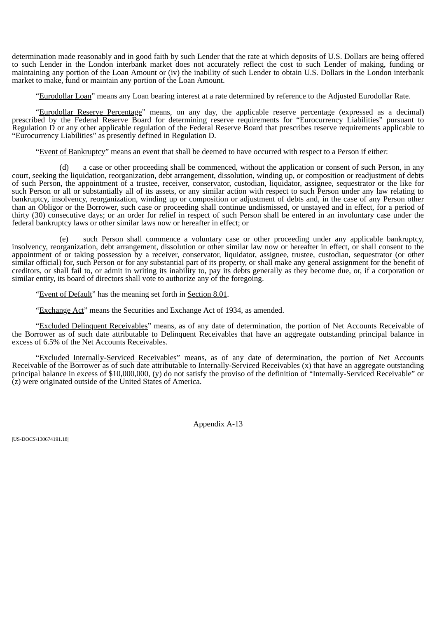determination made reasonably and in good faith by such Lender that the rate at which deposits of U.S. Dollars are being offered to such Lender in the London interbank market does not accurately reflect the cost to such Lender of making, funding or maintaining any portion of the Loan Amount or (iv) the inability of such Lender to obtain U.S. Dollars in the London interbank market to make, fund or maintain any portion of the Loan Amount.

"Eurodollar Loan" means any Loan bearing interest at a rate determined by reference to the Adjusted Eurodollar Rate.

"Eurodollar Reserve Percentage" means, on any day, the applicable reserve percentage (expressed as a decimal) prescribed by the Federal Reserve Board for determining reserve requirements for "Eurocurrency Liabilities" pursuant to Regulation D or any other applicable regulation of the Federal Reserve Board that prescribes reserve requirements applicable to "Eurocurrency Liabilities" as presently defined in Regulation D.

"Event of Bankruptcy" means an event that shall be deemed to have occurred with respect to a Person if either:

(d) a case or other proceeding shall be commenced, without the application or consent of such Person, in any court, seeking the liquidation, reorganization, debt arrangement, dissolution, winding up, or composition or readjustment of debts of such Person, the appointment of a trustee, receiver, conservator, custodian, liquidator, assignee, sequestrator or the like for such Person or all or substantially all of its assets, or any similar action with respect to such Person under any law relating to bankruptcy, insolvency, reorganization, winding up or composition or adjustment of debts and, in the case of any Person other than an Obligor or the Borrower, such case or proceeding shall continue undismissed, or unstayed and in effect, for a period of thirty (30) consecutive days; or an order for relief in respect of such Person shall be entered in an involuntary case under the federal bankruptcy laws or other similar laws now or hereafter in effect; or

(e) such Person shall commence a voluntary case or other proceeding under any applicable bankruptcy, insolvency, reorganization, debt arrangement, dissolution or other similar law now or hereafter in effect, or shall consent to the appointment of or taking possession by a receiver, conservator, liquidator, assignee, trustee, custodian, sequestrator (or other similar official) for, such Person or for any substantial part of its property, or shall make any general assignment for the benefit of creditors, or shall fail to, or admit in writing its inability to, pay its debts generally as they become due, or, if a corporation or similar entity, its board of directors shall vote to authorize any of the foregoing.

"Event of Default" has the meaning set forth in Section 8.01.

"Exchange Act" means the Securities and Exchange Act of 1934, as amended.

"Excluded Delinquent Receivables" means, as of any date of determination, the portion of Net Accounts Receivable of the Borrower as of such date attributable to Delinquent Receivables that have an aggregate outstanding principal balance in excess of 6.5% of the Net Accounts Receivables.

"Excluded Internally-Serviced Receivables" means, as of any date of determination, the portion of Net Accounts Receivable of the Borrower as of such date attributable to Internally-Serviced Receivables (x) that have an aggregate outstanding principal balance in excess of \$10,000,000, (y) do not satisfy the proviso of the definition of "Internally-Serviced Receivable" or (z) were originated outside of the United States of America.

Appendix A-13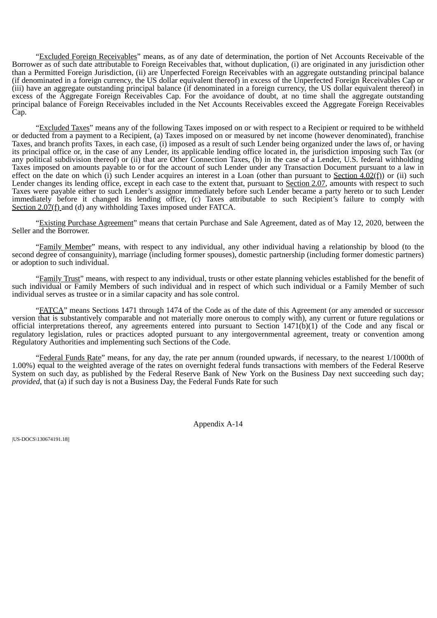"Excluded Foreign Receivables" means, as of any date of determination, the portion of Net Accounts Receivable of the Borrower as of such date attributable to Foreign Receivables that, without duplication, (i) are originated in any jurisdiction other than a Permitted Foreign Jurisdiction, (ii) are Unperfected Foreign Receivables with an aggregate outstanding principal balance (if denominated in a foreign currency, the US dollar equivalent thereof) in excess of the Unperfected Foreign Receivables Cap or (iii) have an aggregate outstanding principal balance (if denominated in a foreign currency, the US dollar equivalent thereof) in excess of the Aggregate Foreign Receivables Cap. For the avoidance of doubt, at no time shall the aggregate outstanding principal balance of Foreign Receivables included in the Net Accounts Receivables exceed the Aggregate Foreign Receivables Cap.

"Excluded Taxes" means any of the following Taxes imposed on or with respect to a Recipient or required to be withheld or deducted from a payment to a Recipient, (a) Taxes imposed on or measured by net income (however denominated), franchise Taxes, and branch profits Taxes, in each case, (i) imposed as a result of such Lender being organized under the laws of, or having its principal office or, in the case of any Lender, its applicable lending office located in, the jurisdiction imposing such Tax (or any political subdivision thereof) or (ii) that are Other Connection Taxes, (b) in the case of a Lender, U.S. federal withholding Taxes imposed on amounts payable to or for the account of such Lender under any Transaction Document pursuant to a law in effect on the date on which (i) such Lender acquires an interest in a Loan (other than pursuant to Section  $4.02(f)$ ) or (ii) such Lender changes its lending office, except in each case to the extent that, pursuant to Section 2.07, amounts with respect to such Taxes were payable either to such Lender's assignor immediately before such Lender became a party hereto or to such Lender immediately before it changed its lending office, (c) Taxes attributable to such Recipient's failure to comply with Section 2.07(f) and (d) any withholding Taxes imposed under FATCA.

"Existing Purchase Agreement" means that certain Purchase and Sale Agreement, dated as of May 12, 2020, between the Seller and the Borrower.

"Family Member" means, with respect to any individual, any other individual having a relationship by blood (to the second degree of consanguinity), marriage (including former spouses), domestic partnership (including former domestic partners) or adoption to such individual.

"Family Trust" means, with respect to any individual, trusts or other estate planning vehicles established for the benefit of such individual or Family Members of such individual and in respect of which such individual or a Family Member of such individual serves as trustee or in a similar capacity and has sole control.

"FATCA" means Sections 1471 through 1474 of the Code as of the date of this Agreement (or any amended or successor version that is substantively comparable and not materially more onerous to comply with), any current or future regulations or official interpretations thereof, any agreements entered into pursuant to Section  $1471(b)(1)$  of the Code and any fiscal or regulatory legislation, rules or practices adopted pursuant to any intergovernmental agreement, treaty or convention among Regulatory Authorities and implementing such Sections of the Code.

"Federal Funds Rate" means, for any day, the rate per annum (rounded upwards, if necessary, to the nearest 1/1000th of 1.00%) equal to the weighted average of the rates on overnight federal funds transactions with members of the Federal Reserve System on such day, as published by the Federal Reserve Bank of New York on the Business Day next succeeding such day; *provided*, that (a) if such day is not a Business Day, the Federal Funds Rate for such

Appendix A-14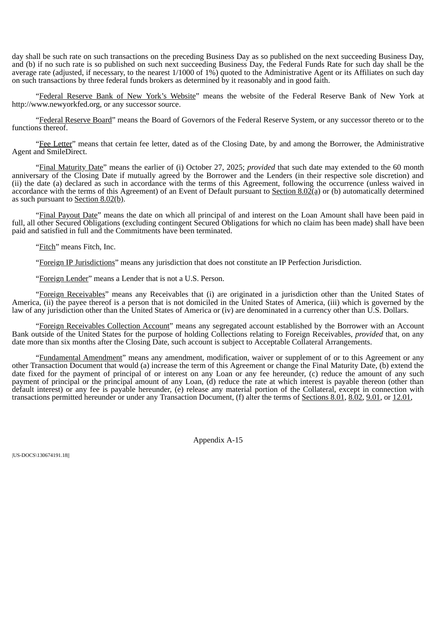day shall be such rate on such transactions on the preceding Business Day as so published on the next succeeding Business Day, and (b) if no such rate is so published on such next succeeding Business Day, the Federal Funds Rate for such day shall be the average rate (adjusted, if necessary, to the nearest 1/1000 of 1%) quoted to the Administrative Agent or its Affiliates on such day on such transactions by three federal funds brokers as determined by it reasonably and in good faith.

"Federal Reserve Bank of New York's Website" means the website of the Federal Reserve Bank of New York at http://www.newyorkfed.org, or any successor source.

"Federal Reserve Board" means the Board of Governors of the Federal Reserve System, or any successor thereto or to the functions thereof.

"Fee Letter" means that certain fee letter, dated as of the Closing Date, by and among the Borrower, the Administrative Agent and SmileDirect.

"Final Maturity Date" means the earlier of (i) October 27, 2025; *provided* that such date may extended to the 60 month anniversary of the Closing Date if mutually agreed by the Borrower and the Lenders (in their respective sole discretion) and (ii) the date (a) declared as such in accordance with the terms of this Agreement, following the occurrence (unless waived in accordance with the terms of this Agreement) of an Event of Default pursuant to Section 8.02(a) or (b) automatically determined as such pursuant to Section 8.02(b).

"Final Payout Date" means the date on which all principal of and interest on the Loan Amount shall have been paid in full, all other Secured Obligations (excluding contingent Secured Obligations for which no claim has been made) shall have been paid and satisfied in full and the Commitments have been terminated.

"Fitch" means Fitch, Inc.

"Foreign IP Jurisdictions" means any jurisdiction that does not constitute an IP Perfection Jurisdiction.

"Foreign Lender" means a Lender that is not a U.S. Person.

"Foreign Receivables" means any Receivables that (i) are originated in a jurisdiction other than the United States of America, (ii) the payee thereof is a person that is not domiciled in the United States of America, (iii) which is governed by the law of any jurisdiction other than the United States of America or (iv) are denominated in a currency other than U.S. Dollars.

"Foreign Receivables Collection Account" means any segregated account established by the Borrower with an Account Bank outside of the United States for the purpose of holding Collections relating to Foreign Receivables, *provided* that, on any date more than six months after the Closing Date, such account is subject to Acceptable Collateral Arrangements.

"Fundamental Amendment" means any amendment, modification, waiver or supplement of or to this Agreement or any other Transaction Document that would (a) increase the term of this Agreement or change the Final Maturity Date, (b) extend the date fixed for the payment of principal of or interest on any Loan or any fee hereunder, (c) reduce the amount of any such payment of principal or the principal amount of any Loan, (d) reduce the rate at which interest is payable thereon (other than default interest) or any fee is payable hereunder, (e) release any material portion of the Collateral, except in connection with transactions permitted hereunder or under any Transaction Document, (f) alter the terms of Sections 8.01, 8.02, 9.01, or 12.01,

Appendix A-15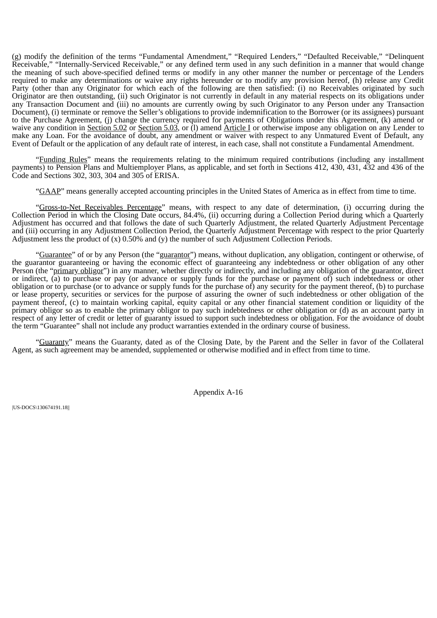(g) modify the definition of the terms "Fundamental Amendment," "Required Lenders," "Defaulted Receivable," "Delinquent Receivable," "Internally-Serviced Receivable," or any defined term used in any such definition in a manner that would change the meaning of such above-specified defined terms or modify in any other manner the number or percentage of the Lenders required to make any determinations or waive any rights hereunder or to modify any provision hereof, (h) release any Credit Party (other than any Originator for which each of the following are then satisfied: (i) no Receivables originated by such Originator are then outstanding, (ii) such Originator is not currently in default in any material respects on its obligations under any Transaction Document and (iii) no amounts are currently owing by such Originator to any Person under any Transaction Document), (i) terminate or remove the Seller's obligations to provide indemnification to the Borrower (or its assignees) pursuant to the Purchase Agreement, (j) change the currency required for payments of Obligations under this Agreement, (k) amend or waive any condition in Section 5.02 or Section 5.03, or (1) amend Article I or otherwise impose any obligation on any Lender to make any Loan. For the avoidance of doubt, any amendment or waiver with respect to any Unmatured Event of Default, any Event of Default or the application of any default rate of interest, in each case, shall not constitute a Fundamental Amendment.

"Funding Rules" means the requirements relating to the minimum required contributions (including any installment payments) to Pension Plans and Multiemployer Plans, as applicable, and set forth in Sections 412, 430, 431, 432 and 436 of the Code and Sections 302, 303, 304 and 305 of ERISA.

"GAAP" means generally accepted accounting principles in the United States of America as in effect from time to time.

"Gross-to-Net Receivables Percentage" means, with respect to any date of determination, (i) occurring during the Collection Period in which the Closing Date occurs, 84.4%, (ii) occurring during a Collection Period during which a Quarterly Adjustment has occurred and that follows the date of such Quarterly Adjustment, the related Quarterly Adjustment Percentage and (iii) occurring in any Adjustment Collection Period, the Quarterly Adjustment Percentage with respect to the prior Quarterly Adjustment less the product of (x) 0.50% and (y) the number of such Adjustment Collection Periods.

"Guarantee" of or by any Person (the "guarantor") means, without duplication, any obligation, contingent or otherwise, of the guarantor guaranteeing or having the economic effect of guaranteeing any indebtedness or other obligation of any other Person (the "primary obligor") in any manner, whether directly or indirectly, and including any obligation of the guarantor, direct or indirect, (a) to purchase or pay (or advance or supply funds for the purchase or payment of) such indebtedness or other obligation or to purchase (or to advance or supply funds for the purchase of) any security for the payment thereof, (b) to purchase or lease property, securities or services for the purpose of assuring the owner of such indebtedness or other obligation of the payment thereof, (c) to maintain working capital, equity capital or any other financial statement condition or liquidity of the primary obligor so as to enable the primary obligor to pay such indebtedness or other obligation or (d) as an account party in respect of any letter of credit or letter of guaranty issued to support such indebtedness or obligation. For the avoidance of doubt the term "Guarantee" shall not include any product warranties extended in the ordinary course of business.

"Guaranty" means the Guaranty, dated as of the Closing Date, by the Parent and the Seller in favor of the Collateral Agent, as such agreement may be amended, supplemented or otherwise modified and in effect from time to time.

Appendix A-16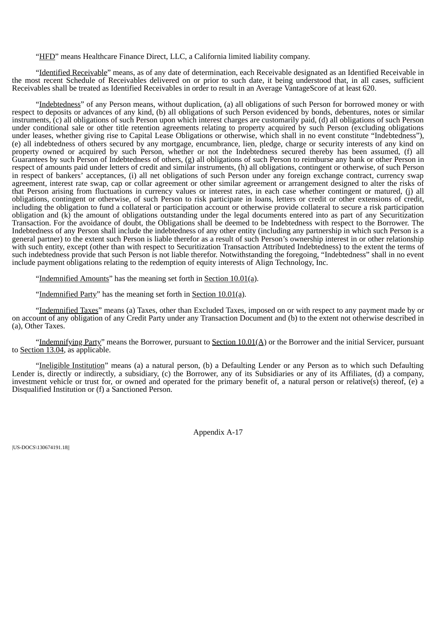"HFD" means Healthcare Finance Direct, LLC, a California limited liability company.

"Identified Receivable" means, as of any date of determination, each Receivable designated as an Identified Receivable in the most recent Schedule of Receivables delivered on or prior to such date, it being understood that, in all cases, sufficient Receivables shall be treated as Identified Receivables in order to result in an Average VantageScore of at least 620.

"Indebtedness" of any Person means, without duplication, (a) all obligations of such Person for borrowed money or with respect to deposits or advances of any kind, (b) all obligations of such Person evidenced by bonds, debentures, notes or similar instruments, (c) all obligations of such Person upon which interest charges are customarily paid, (d) all obligations of such Person under conditional sale or other title retention agreements relating to property acquired by such Person (excluding obligations under leases, whether giving rise to Capital Lease Obligations or otherwise, which shall in no event constitute "Indebtedness"), (e) all indebtedness of others secured by any mortgage, encumbrance, lien, pledge, charge or security interests of any kind on property owned or acquired by such Person, whether or not the Indebtedness secured thereby has been assumed, (f) all Guarantees by such Person of Indebtedness of others, (g) all obligations of such Person to reimburse any bank or other Person in respect of amounts paid under letters of credit and similar instruments, (h) all obligations, contingent or otherwise, of such Person in respect of bankers' acceptances, (i) all net obligations of such Person under any foreign exchange contract, currency swap agreement, interest rate swap, cap or collar agreement or other similar agreement or arrangement designed to alter the risks of that Person arising from fluctuations in currency values or interest rates, in each case whether contingent or matured, (j) all obligations, contingent or otherwise, of such Person to risk participate in loans, letters or credit or other extensions of credit, including the obligation to fund a collateral or participation account or otherwise provide collateral to secure a risk participation obligation and (k) the amount of obligations outstanding under the legal documents entered into as part of any Securitization Transaction. For the avoidance of doubt, the Obligations shall be deemed to be Indebtedness with respect to the Borrower. The Indebtedness of any Person shall include the indebtedness of any other entity (including any partnership in which such Person is a general partner) to the extent such Person is liable therefor as a result of such Person's ownership interest in or other relationship with such entity, except (other than with respect to Securitization Transaction Attributed Indebtedness) to the extent the terms of such indebtedness provide that such Person is not liable therefor. Notwithstanding the foregoing, "Indebtedness" shall in no event include payment obligations relating to the redemption of equity interests of Align Technology, Inc.

"Indemnified Amounts" has the meaning set forth in Section 10.01(a).

"Indemnified Party" has the meaning set forth in Section 10.01(a).

"Indemnified Taxes" means (a) Taxes, other than Excluded Taxes, imposed on or with respect to any payment made by or on account of any obligation of any Credit Party under any Transaction Document and (b) to the extent not otherwise described in (a), Other Taxes.

"Indemnifying Party" means the Borrower, pursuant to Section 10.01(A) or the Borrower and the initial Servicer, pursuant to Section 13.04, as applicable.

"Ineligible Institution" means (a) a natural person, (b) a Defaulting Lender or any Person as to which such Defaulting Lender is, directly or indirectly, a subsidiary, (c) the Borrower, any of its Subsidiaries or any of its Affiliates, (d) a company, investment vehicle or trust for, or owned and operated for the primary benefit of, a natural person or relative(s) thereof, (e) a Disqualified Institution or (f) a Sanctioned Person.

Appendix A-17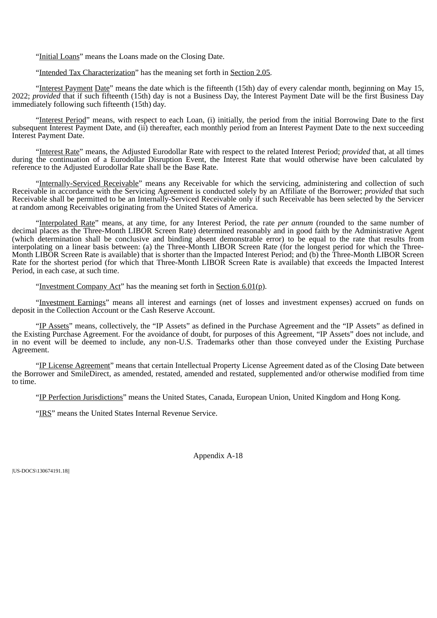"Initial Loans" means the Loans made on the Closing Date.

"Intended Tax Characterization" has the meaning set forth in Section 2.05.

"Interest Payment Date" means the date which is the fifteenth (15th) day of every calendar month, beginning on May 15, 2022; *provided* that if such fifteenth (15th) day is not a Business Day, the Interest Payment Date will be the first Business Day immediately following such fifteenth (15th) day.

"Interest Period" means, with respect to each Loan, (i) initially, the period from the initial Borrowing Date to the first subsequent Interest Payment Date, and (ii) thereafter, each monthly period from an Interest Payment Date to the next succeeding Interest Payment Date.

"Interest Rate" means, the Adjusted Eurodollar Rate with respect to the related Interest Period; *provided* that, at all times during the continuation of a Eurodollar Disruption Event, the Interest Rate that would otherwise have been calculated by reference to the Adjusted Eurodollar Rate shall be the Base Rate.

"Internally-Serviced Receivable" means any Receivable for which the servicing, administering and collection of such Receivable in accordance with the Servicing Agreement is conducted solely by an Affiliate of the Borrower; *provided* that such Receivable shall be permitted to be an Internally-Serviced Receivable only if such Receivable has been selected by the Servicer at random among Receivables originating from the United States of America.

"Interpolated Rate" means, at any time, for any Interest Period, the rate *per annum* (rounded to the same number of decimal places as the Three-Month LIBOR Screen Rate) determined reasonably and in good faith by the Administrative Agent (which determination shall be conclusive and binding absent demonstrable error) to be equal to the rate that results from interpolating on a linear basis between: (a) the Three-Month LIBOR Screen Rate (for the longest period for which the Three-Month LIBOR Screen Rate is available) that is shorter than the Impacted Interest Period; and (b) the Three-Month LIBOR Screen Rate for the shortest period (for which that Three-Month LIBOR Screen Rate is available) that exceeds the Impacted Interest Period, in each case, at such time.

"Investment Company Act" has the meaning set forth in Section 6.01(p).

"Investment Earnings" means all interest and earnings (net of losses and investment expenses) accrued on funds on deposit in the Collection Account or the Cash Reserve Account.

"IP Assets" means, collectively, the "IP Assets" as defined in the Purchase Agreement and the "IP Assets" as defined in the Existing Purchase Agreement. For the avoidance of doubt, for purposes of this Agreement, "IP Assets" does not include, and in no event will be deemed to include, any non-U.S. Trademarks other than those conveyed under the Existing Purchase Agreement.

"IP License Agreement" means that certain Intellectual Property License Agreement dated as of the Closing Date between the Borrower and SmileDirect, as amended, restated, amended and restated, supplemented and/or otherwise modified from time to time.

"IP Perfection Jurisdictions" means the United States, Canada, European Union, United Kingdom and Hong Kong.

"IRS" means the United States Internal Revenue Service.

Appendix A-18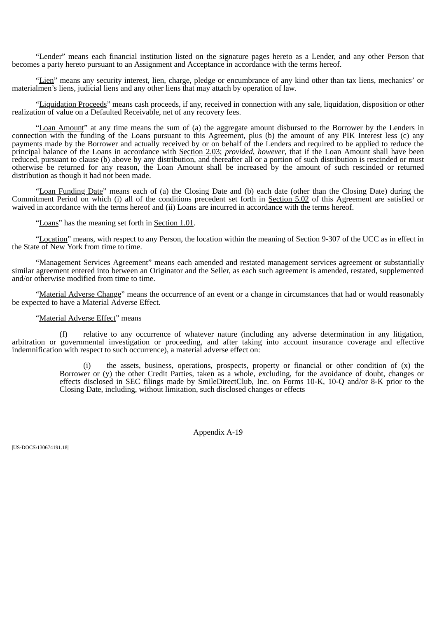"Lender" means each financial institution listed on the signature pages hereto as a Lender, and any other Person that becomes a party hereto pursuant to an Assignment and Acceptance in accordance with the terms hereof.

"Lien" means any security interest, lien, charge, pledge or encumbrance of any kind other than tax liens, mechanics' or materialmen's liens, judicial liens and any other liens that may attach by operation of law.

"Liquidation Proceeds" means cash proceeds, if any, received in connection with any sale, liquidation, disposition or other realization of value on a Defaulted Receivable, net of any recovery fees.

"Loan Amount" at any time means the sum of (a) the aggregate amount disbursed to the Borrower by the Lenders in connection with the funding of the Loans pursuant to this Agreement, plus (b) the amount of any PIK Interest less (c) any payments made by the Borrower and actually received by or on behalf of the Lenders and required to be applied to reduce the principal balance of the Loans in accordance with Section 2.03; *provided*, *however*, that if the Loan Amount shall have been reduced, pursuant to clause (b) above by any distribution, and thereafter all or a portion of such distribution is rescinded or must otherwise be returned for any reason, the Loan Amount shall be increased by the amount of such rescinded or returned distribution as though it had not been made.

"Loan Funding Date" means each of (a) the Closing Date and (b) each date (other than the Closing Date) during the Commitment Period on which (i) all of the conditions precedent set forth in Section 5.02 of this Agreement are satisfied or waived in accordance with the terms hereof and (ii) Loans are incurred in accordance with the terms hereof.

"Loans" has the meaning set forth in Section 1.01.

"Location" means, with respect to any Person, the location within the meaning of Section 9-307 of the UCC as in effect in the State of New York from time to time.

"Management Services Agreement" means each amended and restated management services agreement or substantially similar agreement entered into between an Originator and the Seller, as each such agreement is amended, restated, supplemented and/or otherwise modified from time to time.

"Material Adverse Change" means the occurrence of an event or a change in circumstances that had or would reasonably be expected to have a Material Adverse Effect.

## "Material Adverse Effect" means

(f) relative to any occurrence of whatever nature (including any adverse determination in any litigation, arbitration or governmental investigation or proceeding, and after taking into account insurance coverage and effective indemnification with respect to such occurrence), a material adverse effect on:

> $(i)$  the assets, business, operations, prospects, property or financial or other condition of  $(x)$  the Borrower or (y) the other Credit Parties, taken as a whole, excluding, for the avoidance of doubt, changes or effects disclosed in SEC filings made by SmileDirectClub, Inc. on Forms 10-K, 10-Q and/or 8-K prior to the Closing Date, including, without limitation, such disclosed changes or effects

> > Appendix A-19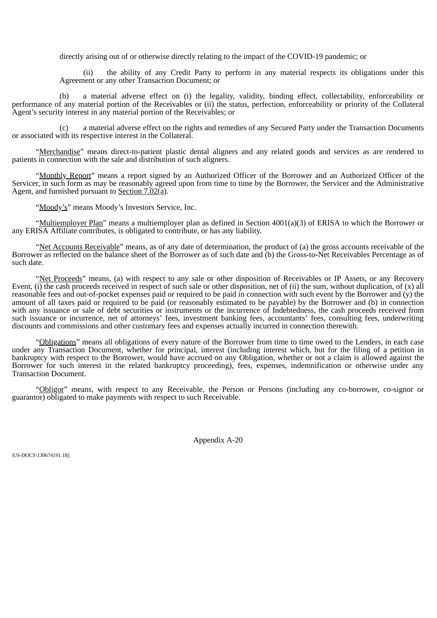directly arising out of or otherwise directly relating to the impact of the COVID-19 pandemic; or

(ii) the ability of any Credit Party to perform in any material respects its obligations under this Agreement or any other Transaction Document; or

(b) a material adverse effect on (i) the legality, validity, binding effect, collectability, enforceability or performance of any material portion of the Receivables or (ii) the status, perfection, enforceability or priority of the Collateral Agent's security interest in any material portion of the Receivables; or

(c) a material adverse effect on the rights and remedies of any Secured Party under the Transaction Documents or associated with its respective interest in the Collateral.

"Merchandise" means direct-to-patient plastic dental aligners and any related goods and services as are rendered to patients in connection with the sale and distribution of such aligners.

"Monthly Report" means a report signed by an Authorized Officer of the Borrower and an Authorized Officer of the Servicer, in such form as may be reasonably agreed upon from time to time by the Borrower, the Servicer and the Administrative Agent, and furnished pursuant to Section 7.02(a).

"Moody's" means Moody's Investors Service, Inc.

"Multiemployer Plan" means a multiemployer plan as defined in Section 4001(a)(3) of ERISA to which the Borrower or any ERISA Affiliate contributes, is obligated to contribute, or has any liability.

"Net Accounts Receivable" means, as of any date of determination, the product of (a) the gross accounts receivable of the Borrower as reflected on the balance sheet of the Borrower as of such date and (b) the Gross-to-Net Receivables Percentage as of such date.

"Net Proceeds" means, (a) with respect to any sale or other disposition of Receivables or IP Assets, or any Recovery Event, (i) the cash proceeds received in respect of such sale or other disposition, net of (ii) the sum, without duplication, of (x) all reasonable fees and out-of-pocket expenses paid or required to be paid in connection with such event by the Borrower and (y) the amount of all taxes paid or required to be paid (or reasonably estimated to be payable) by the Borrower and (b) in connection with any issuance or sale of debt securities or instruments or the incurrence of Indebtedness, the cash proceeds received from such issuance or incurrence, net of attorneys' fees, investment banking fees, accountants' fees, consulting fees, underwriting discounts and commissions and other customary fees and expenses actually incurred in connection therewith.

"Obligations" means all obligations of every nature of the Borrower from time to time owed to the Lenders, in each case under any Transaction Document, whether for principal, interest (including interest which, but for the filing of a petition in bankruptcy with respect to the Borrower, would have accrued on any Obligation, whether or not a claim is allowed against the Borrower for such interest in the related bankruptcy proceeding), fees, expenses, indemnification or otherwise under any Transaction Document.

"Obligor" means, with respect to any Receivable, the Person or Persons (including any co-borrower, co-signor or guarantor) obligated to make payments with respect to such Receivable.

Appendix A-20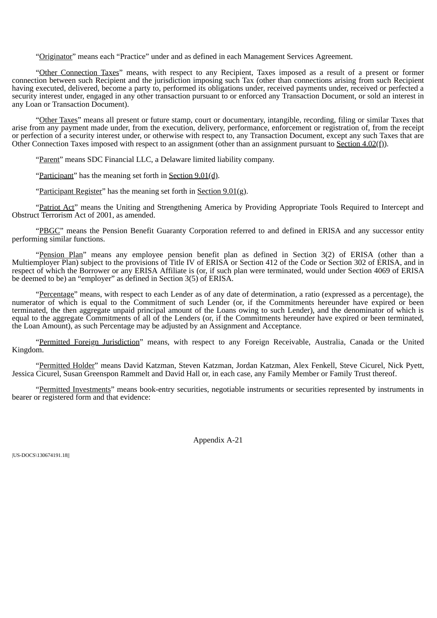"Originator" means each "Practice" under and as defined in each Management Services Agreement.

"Other Connection Taxes" means, with respect to any Recipient, Taxes imposed as a result of a present or former connection between such Recipient and the jurisdiction imposing such Tax (other than connections arising from such Recipient having executed, delivered, become a party to, performed its obligations under, received payments under, received or perfected a security interest under, engaged in any other transaction pursuant to or enforced any Transaction Document, or sold an interest in any Loan or Transaction Document).

"Other Taxes" means all present or future stamp, court or documentary, intangible, recording, filing or similar Taxes that arise from any payment made under, from the execution, delivery, performance, enforcement or registration of, from the receipt or perfection of a security interest under, or otherwise with respect to, any Transaction Document, except any such Taxes that are Other Connection Taxes imposed with respect to an assignment (other than an assignment pursuant to Section 4.02(f)).

"Parent" means SDC Financial LLC, a Delaware limited liability company.

"Participant" has the meaning set forth in Section 9.01(d).

"Participant Register" has the meaning set forth in Section  $9.01$ (g).

"Patriot Act" means the Uniting and Strengthening America by Providing Appropriate Tools Required to Intercept and Obstruct Terrorism Act of 2001, as amended.

"PBGC" means the Pension Benefit Guaranty Corporation referred to and defined in ERISA and any successor entity performing similar functions.

"Pension Plan" means any employee pension benefit plan as defined in Section 3(2) of ERISA (other than a Multiemployer Plan) subject to the provisions of Title IV of ERISA or Section 412 of the Code or Section 302 of ERISA, and in respect of which the Borrower or any ERISA Affiliate is (or, if such plan were terminated, would under Section 4069 of ERISA be deemed to be) an "employer" as defined in Section 3(5) of ERISA.

"Percentage" means, with respect to each Lender as of any date of determination, a ratio (expressed as a percentage), the numerator of which is equal to the Commitment of such Lender (or, if the Commitments hereunder have expired or been terminated, the then aggregate unpaid principal amount of the Loans owing to such Lender), and the denominator of which is equal to the aggregate Commitments of all of the Lenders (or, if the Commitments hereunder have expired or been terminated, the Loan Amount), as such Percentage may be adjusted by an Assignment and Acceptance.

"Permitted Foreign Jurisdiction" means, with respect to any Foreign Receivable, Australia, Canada or the United Kingdom.

"Permitted Holder" means David Katzman, Steven Katzman, Jordan Katzman, Alex Fenkell, Steve Cicurel, Nick Pyett, Jessica Cicurel, Susan Greenspon Rammelt and David Hall or, in each case, any Family Member or Family Trust thereof.

"Permitted Investments" means book-entry securities, negotiable instruments or securities represented by instruments in bearer or registered form and that evidence:

Appendix A-21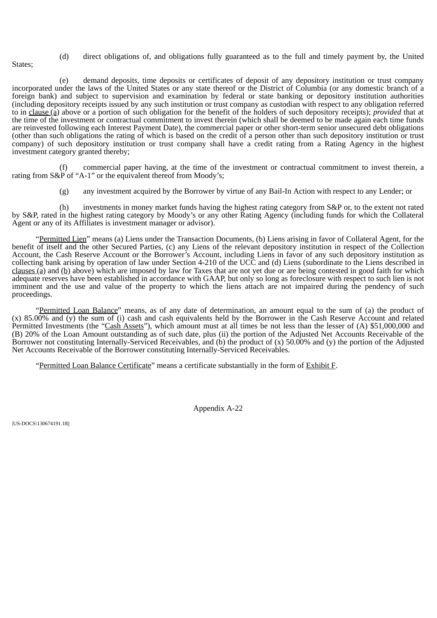(d) direct obligations of, and obligations fully guaranteed as to the full and timely payment by, the United

States;

(e) demand deposits, time deposits or certificates of deposit of any depository institution or trust company incorporated under the laws of the United States or any state thereof or the District of Columbia (or any domestic branch of a foreign bank) and subject to supervision and examination by federal or state banking or depository institution authorities (including depository receipts issued by any such institution or trust company as custodian with respect to any obligation referred to in clause (a) above or a portion of such obligation for the benefit of the holders of such depository receipts); *provided* that at the time of the investment or contractual commitment to invest therein (which shall be deemed to be made again each time funds are reinvested following each Interest Payment Date), the commercial paper or other short-term senior unsecured debt obligations (other than such obligations the rating of which is based on the credit of a person other than such depository institution or trust company) of such depository institution or trust company shall have a credit rating from a Rating Agency in the highest investment category granted thereby;

(f) commercial paper having, at the time of the investment or contractual commitment to invest therein, a rating from S&P of "A-1" or the equivalent thereof from Moody's;

(g) any investment acquired by the Borrower by virtue of any Bail-In Action with respect to any Lender; or

(h) investments in money market funds having the highest rating category from S&P or, to the extent not rated by S&P, rated in the highest rating category by Moody's or any other Rating Agency (including funds for which the Collateral Agent or any of its Affiliates is investment manager or advisor).

"Permitted Lien" means (a) Liens under the Transaction Documents, (b) Liens arising in favor of Collateral Agent, for the benefit of itself and the other Secured Parties, (c) any Liens of the relevant depository institution in respect of the Collection Account, the Cash Reserve Account or the Borrower's Account, including Liens in favor of any such depository institution as collecting bank arising by operation of law under Section 4-210 of the UCC and (d) Liens (subordinate to the Liens described in clauses (a) and (b) above) which are imposed by law for Taxes that are not yet due or are being contested in good faith for which adequate reserves have been established in accordance with GAAP, but only so long as foreclosure with respect to such lien is not imminent and the use and value of the property to which the liens attach are not impaired during the pendency of such proceedings.

"Permitted Loan Balance" means, as of any date of determination, an amount equal to the sum of (a) the product of (x) 85.00% and (y) the sum of (i) cash and cash equivalents held by the Borrower in the Cash Reserve Account and related Permitted Investments (the "Cash Assets"), which amount must at all times be not less than the lesser of (A) \$51,000,000 and (B) 20% of the Loan Amount outstanding as of such date, plus (ii) the portion of the Adjusted Net Accounts Receivable of the Borrower not constituting Internally-Serviced Receivables, and (b) the product of (x) 50.00% and (y) the portion of the Adjusted Net Accounts Receivable of the Borrower constituting Internally-Serviced Receivables.

"Permitted Loan Balance Certificate" means a certificate substantially in the form of Exhibit F.

Appendix A-22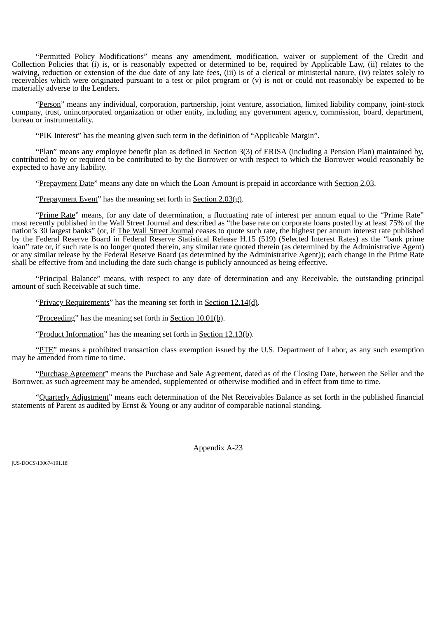"Permitted Policy Modifications" means any amendment, modification, waiver or supplement of the Credit and Collection Policies that (i) is, or is reasonably expected or determined to be, required by Applicable Law, (ii) relates to the waiving, reduction or extension of the due date of any late fees, (iii) is of a clerical or ministerial nature, (iv) relates solely to receivables which were originated pursuant to a test or pilot program or  $(v)$  is not or could not reasonably be expected to be materially adverse to the Lenders.

"Person" means any individual, corporation, partnership, joint venture, association, limited liability company, joint-stock company, trust, unincorporated organization or other entity, including any government agency, commission, board, department, bureau or instrumentality.

"PIK Interest" has the meaning given such term in the definition of "Applicable Margin".

"Plan" means any employee benefit plan as defined in Section 3(3) of ERISA (including a Pension Plan) maintained by, contributed to by or required to be contributed to by the Borrower or with respect to which the Borrower would reasonably be expected to have any liability.

"Prepayment Date" means any date on which the Loan Amount is prepaid in accordance with Section 2.03.

"Prepayment Event" has the meaning set forth in Section 2.03(g).

"Prime Rate" means, for any date of determination, a fluctuating rate of interest per annum equal to the "Prime Rate" most recently published in the Wall Street Journal and described as "the base rate on corporate loans posted by at least 75% of the nation's 30 largest banks" (or, if <u>The Wall Street Journal</u> ceases to quote such rate, the highest per annum interest rate published by the Federal Reserve Board in Federal Reserve Statistical Release H.15 (519) (Selected Interest Rates) as the "bank prime loan" rate or, if such rate is no longer quoted therein, any similar rate quoted therein (as determined by the Administrative Agent) or any similar release by the Federal Reserve Board (as determined by the Administrative Agent)); each change in the Prime Rate shall be effective from and including the date such change is publicly announced as being effective.

"Principal Balance" means, with respect to any date of determination and any Receivable, the outstanding principal amount of such Receivable at such time.

"Privacy Requirements" has the meaning set forth in Section 12.14(d).

"Proceeding" has the meaning set forth in Section 10.01(b).

"Product Information" has the meaning set forth in Section 12.13(b).

"PTE" means a prohibited transaction class exemption issued by the U.S. Department of Labor, as any such exemption may be amended from time to time.

"Purchase Agreement" means the Purchase and Sale Agreement, dated as of the Closing Date, between the Seller and the Borrower, as such agreement may be amended, supplemented or otherwise modified and in effect from time to time.

"Quarterly Adjustment" means each determination of the Net Receivables Balance as set forth in the published financial statements of Parent as audited by Ernst & Young or any auditor of comparable national standing.

Appendix A-23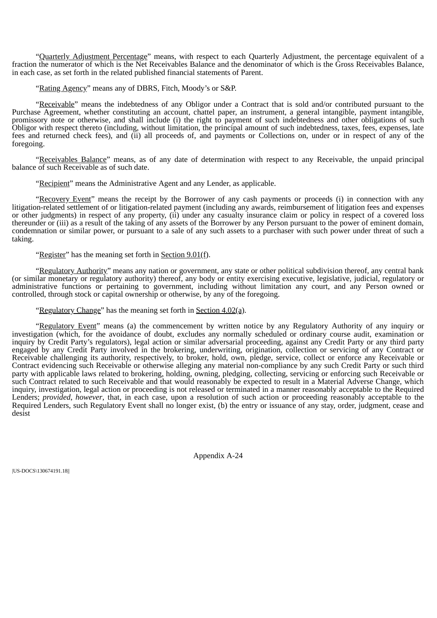"Quarterly Adjustment Percentage" means, with respect to each Quarterly Adjustment, the percentage equivalent of a fraction the numerator of which is the Net Receivables Balance and the denominator of which is the Gross Receivables Balance, in each case, as set forth in the related published financial statements of Parent.

"Rating Agency" means any of DBRS, Fitch, Moody's or S&P.

"Receivable" means the indebtedness of any Obligor under a Contract that is sold and/or contributed pursuant to the Purchase Agreement, whether constituting an account, chattel paper, an instrument, a general intangible, payment intangible, promissory note or otherwise, and shall include (i) the right to payment of such indebtedness and other obligations of such Obligor with respect thereto (including, without limitation, the principal amount of such indebtedness, taxes, fees, expenses, late fees and returned check fees), and (ii) all proceeds of, and payments or Collections on, under or in respect of any of the foregoing.

"Receivables Balance" means, as of any date of determination with respect to any Receivable, the unpaid principal balance of such Receivable as of such date.

"Recipient" means the Administrative Agent and any Lender, as applicable.

"Recovery Event" means the receipt by the Borrower of any cash payments or proceeds (i) in connection with any litigation-related settlement of or litigation-related payment (including any awards, reimbursement of litigation fees and expenses or other judgments) in respect of any property, (ii) under any casualty insurance claim or policy in respect of a covered loss thereunder or (iii) as a result of the taking of any assets of the Borrower by any Person pursuant to the power of eminent domain, condemnation or similar power, or pursuant to a sale of any such assets to a purchaser with such power under threat of such a taking.

"Register" has the meaning set forth in Section 9.01(f).

"Regulatory Authority" means any nation or government, any state or other political subdivision thereof, any central bank (or similar monetary or regulatory authority) thereof, any body or entity exercising executive, legislative, judicial, regulatory or administrative functions or pertaining to government, including without limitation any court, and any Person owned or controlled, through stock or capital ownership or otherwise, by any of the foregoing.

"Regulatory Change" has the meaning set forth in Section 4.02(a).

"Regulatory Event" means (a) the commencement by written notice by any Regulatory Authority of any inquiry or investigation (which, for the avoidance of doubt, excludes any normally scheduled or ordinary course audit, examination or inquiry by Credit Party's regulators), legal action or similar adversarial proceeding, against any Credit Party or any third party engaged by any Credit Party involved in the brokering, underwriting, origination, collection or servicing of any Contract or Receivable challenging its authority, respectively, to broker, hold, own, pledge, service, collect or enforce any Receivable or Contract evidencing such Receivable or otherwise alleging any material non-compliance by any such Credit Party or such third party with applicable laws related to brokering, holding, owning, pledging, collecting, servicing or enforcing such Receivable or such Contract related to such Receivable and that would reasonably be expected to result in a Material Adverse Change, which inquiry, investigation, legal action or proceeding is not released or terminated in a manner reasonably acceptable to the Required Lenders; *provided*, *however*, that, in each case, upon a resolution of such action or proceeding reasonably acceptable to the Required Lenders, such Regulatory Event shall no longer exist, (b) the entry or issuance of any stay, order, judgment, cease and desist

Appendix A-24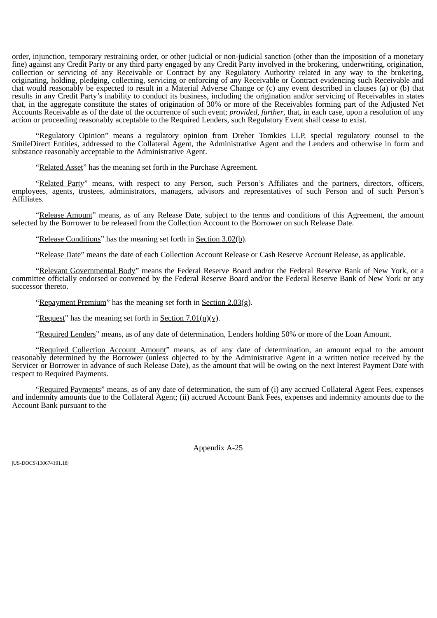order, injunction, temporary restraining order, or other judicial or non-judicial sanction (other than the imposition of a monetary fine) against any Credit Party or any third party engaged by any Credit Party involved in the brokering, underwriting, origination, collection or servicing of any Receivable or Contract by any Regulatory Authority related in any way to the brokering, originating, holding, pledging, collecting, servicing or enforcing of any Receivable or Contract evidencing such Receivable and that would reasonably be expected to result in a Material Adverse Change or (c) any event described in clauses (a) or (b) that results in any Credit Party's inability to conduct its business, including the origination and/or servicing of Receivables in states that, in the aggregate constitute the states of origination of 30% or more of the Receivables forming part of the Adjusted Net Accounts Receivable as of the date of the occurrence of such event; *provided*, *further*, that, in each case, upon a resolution of any action or proceeding reasonably acceptable to the Required Lenders, such Regulatory Event shall cease to exist.

"Regulatory Opinion" means a regulatory opinion from Dreher Tomkies LLP, special regulatory counsel to the SmileDirect Entities, addressed to the Collateral Agent, the Administrative Agent and the Lenders and otherwise in form and substance reasonably acceptable to the Administrative Agent.

"Related Asset" has the meaning set forth in the Purchase Agreement.

"Related Party" means, with respect to any Person, such Person's Affiliates and the partners, directors, officers, employees, agents, trustees, administrators, managers, advisors and representatives of such Person and of such Person's Affiliates.

"Release Amount" means, as of any Release Date, subject to the terms and conditions of this Agreement, the amount selected by the Borrower to be released from the Collection Account to the Borrower on such Release Date.

"Release Conditions" has the meaning set forth in Section 3.02(b).

"Release Date" means the date of each Collection Account Release or Cash Reserve Account Release, as applicable.

"Relevant Governmental Body" means the Federal Reserve Board and/or the Federal Reserve Bank of New York, or a committee officially endorsed or convened by the Federal Reserve Board and/or the Federal Reserve Bank of New York or any successor thereto.

"Repayment Premium" has the meaning set forth in Section 2.03(g).

"Request" has the meaning set forth in Section  $7.01(n)(v)$ .

"Required Lenders" means, as of any date of determination, Lenders holding 50% or more of the Loan Amount.

"Required Collection Account Amount" means, as of any date of determination, an amount equal to the amount reasonably determined by the Borrower (unless objected to by the Administrative Agent in a written notice received by the Servicer or Borrower in advance of such Release Date), as the amount that will be owing on the next Interest Payment Date with respect to Required Payments.

"Required Payments" means, as of any date of determination, the sum of (i) any accrued Collateral Agent Fees, expenses and indemnity amounts due to the Collateral Agent; (ii) accrued Account Bank Fees, expenses and indemnity amounts due to the Account Bank pursuant to the

Appendix A-25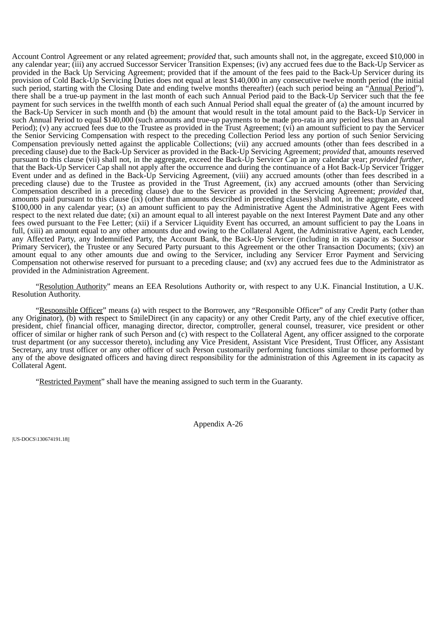Account Control Agreement or any related agreement; *provided* that, such amounts shall not, in the aggregate, exceed \$10,000 in any calendar year; (iii) any accrued Successor Servicer Transition Expenses; (iv) any accrued fees due to the Back-Up Servicer as provided in the Back Up Servicing Agreement; provided that if the amount of the fees paid to the Back-Up Servicer during its provision of Cold Back-Up Servicing Duties does not equal at least \$140,000 in any consecutive twelve month period (the initial such period, starting with the Closing Date and ending twelve months thereafter) (each such period being an "Annual Period"), there shall be a true-up payment in the last month of each such Annual Period paid to the Back-Up Servicer such that the fee payment for such services in the twelfth month of each such Annual Period shall equal the greater of (a) the amount incurred by the Back-Up Servicer in such month and (b) the amount that would result in the total amount paid to the Back-Up Servicer in such Annual Period to equal \$140,000 (such amounts and true-up payments to be made pro-rata in any period less than an Annual Period); (v) any accrued fees due to the Trustee as provided in the Trust Agreement; (vi) an amount sufficient to pay the Servicer the Senior Servicing Compensation with respect to the preceding Collection Period less any portion of such Senior Servicing Compensation previously netted against the applicable Collections; (vii) any accrued amounts (other than fees described in a preceding clause) due to the Back-Up Servicer as provided in the Back-Up Servicing Agreement; *provided* that, amounts reserved pursuant to this clause (vii) shall not, in the aggregate, exceed the Back-Up Servicer Cap in any calendar year; *provided further*, that the Back-Up Servicer Cap shall not apply after the occurrence and during the continuance of a Hot Back-Up Servicer Trigger Event under and as defined in the Back-Up Servicing Agreement, (viii) any accrued amounts (other than fees described in a preceding clause) due to the Trustee as provided in the Trust Agreement, (ix) any accrued amounts (other than Servicing Compensation described in a preceding clause) due to the Servicer as provided in the Servicing Agreement; *provided* that, amounts paid pursuant to this clause (ix) (other than amounts described in preceding clauses) shall not, in the aggregate, exceed \$100,000 in any calendar year; (x) an amount sufficient to pay the Administrative Agent the Administrative Agent Fees with respect to the next related due date; (xi) an amount equal to all interest payable on the next Interest Payment Date and any other fees owed pursuant to the Fee Letter; (xii) if a Servicer Liquidity Event has occurred, an amount sufficient to pay the Loans in full, (xiii) an amount equal to any other amounts due and owing to the Collateral Agent, the Administrative Agent, each Lender, any Affected Party, any Indemnified Party, the Account Bank, the Back-Up Servicer (including in its capacity as Successor Primary Servicer), the Trustee or any Secured Party pursuant to this Agreement or the other Transaction Documents; (xiv) an amount equal to any other amounts due and owing to the Servicer, including any Servicer Error Payment and Servicing Compensation not otherwise reserved for pursuant to a preceding clause; and (xv) any accrued fees due to the Administrator as provided in the Administration Agreement.

"Resolution Authority" means an EEA Resolutions Authority or, with respect to any U.K. Financial Institution, a U.K. Resolution Authority.

"Responsible Officer" means (a) with respect to the Borrower, any "Responsible Officer" of any Credit Party (other than any Originator), (b) with respect to SmileDirect (in any capacity) or any other Credit Party, any of the chief executive officer, president, chief financial officer, managing director, director, comptroller, general counsel, treasurer, vice president or other officer of similar or higher rank of such Person and (c) with respect to the Collateral Agent, any officer assigned to the corporate trust department (or any successor thereto), including any Vice President, Assistant Vice President, Trust Officer, any Assistant Secretary, any trust officer or any other officer of such Person customarily performing functions similar to those performed by any of the above designated officers and having direct responsibility for the administration of this Agreement in its capacity as Collateral Agent.

"Restricted Payment" shall have the meaning assigned to such term in the Guaranty.

Appendix A-26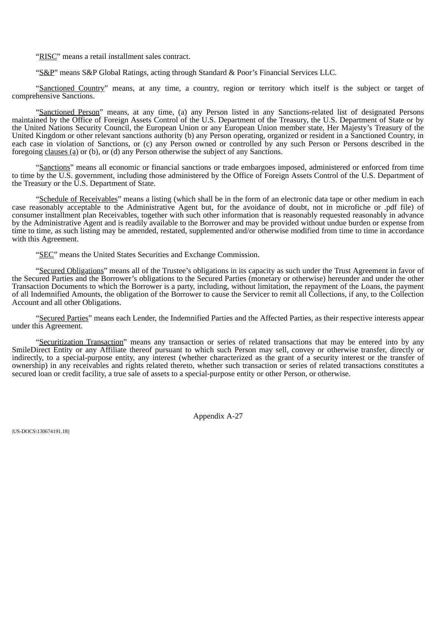"RISC" means a retail installment sales contract.

"S&P" means S&P Global Ratings, acting through Standard & Poor's Financial Services LLC.

"Sanctioned Country" means, at any time, a country, region or territory which itself is the subject or target of comprehensive Sanctions.

"Sanctioned Person" means, at any time, (a) any Person listed in any Sanctions-related list of designated Persons maintained by the Office of Foreign Assets Control of the U.S. Department of the Treasury, the U.S. Department of State or by the United Nations Security Council, the European Union or any European Union member state, Her Majesty's Treasury of the United Kingdom or other relevant sanctions authority (b) any Person operating, organized or resident in a Sanctioned Country, in each case in violation of Sanctions, or (c) any Person owned or controlled by any such Person or Persons described in the foregoing clauses (a) or (b), or (d) any Person otherwise the subject of any Sanctions.

"Sanctions" means all economic or financial sanctions or trade embargoes imposed, administered or enforced from time to time by the U.S. government, including those administered by the Office of Foreign Assets Control of the U.S. Department of the Treasury or the U.S. Department of State.

"Schedule of Receivables" means a listing (which shall be in the form of an electronic data tape or other medium in each case reasonably acceptable to the Administrative Agent but, for the avoidance of doubt, not in microfiche or .pdf file) of consumer installment plan Receivables, together with such other information that is reasonably requested reasonably in advance by the Administrative Agent and is readily available to the Borrower and may be provided without undue burden or expense from time to time, as such listing may be amended, restated, supplemented and/or otherwise modified from time to time in accordance with this Agreement.

"SEC" means the United States Securities and Exchange Commission.

"Secured Obligations" means all of the Trustee's obligations in its capacity as such under the Trust Agreement in favor of the Secured Parties and the Borrower's obligations to the Secured Parties (monetary or otherwise) hereunder and under the other Transaction Documents to which the Borrower is a party, including, without limitation, the repayment of the Loans, the payment of all Indemnified Amounts, the obligation of the Borrower to cause the Servicer to remit all Collections, if any, to the Collection Account and all other Obligations.

"Secured Parties" means each Lender, the Indemnified Parties and the Affected Parties, as their respective interests appear under this Agreement.

"Securitization Transaction" means any transaction or series of related transactions that may be entered into by any SmileDirect Entity or any Affiliate thereof pursuant to which such Person may sell, convey or otherwise transfer, directly or indirectly, to a special-purpose entity, any interest (whether characterized as the grant of a security interest or the transfer of ownership) in any receivables and rights related thereto, whether such transaction or series of related transactions constitutes a secured loan or credit facility, a true sale of assets to a special-purpose entity or other Person, or otherwise.

Appendix A-27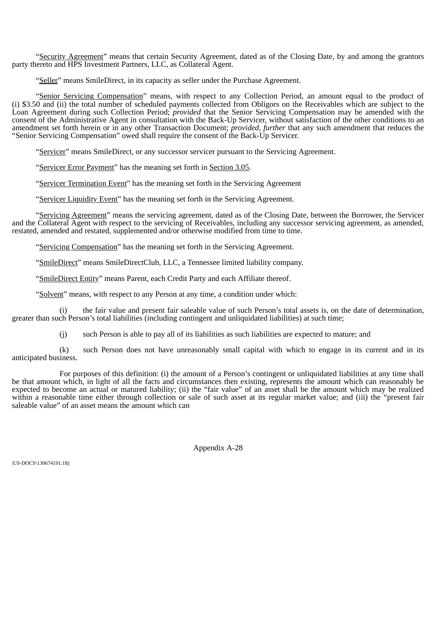"Security Agreement" means that certain Security Agreement, dated as of the Closing Date, by and among the grantors party thereto and HPS Investment Partners, LLC, as Collateral Agent.

"Seller" means SmileDirect, in its capacity as seller under the Purchase Agreement.

"Senior Servicing Compensation" means, with respect to any Collection Period, an amount equal to the product of (i) \$3.50 and (ii) the total number of scheduled payments collected from Obligors on the Receivables which are subject to the Loan Agreement during such Collection Period; *provided* that the Senior Servicing Compensation may be amended with the consent of the Administrative Agent in consultation with the Back-Up Servicer, without satisfaction of the other conditions to an amendment set forth herein or in any other Transaction Document; *provided*, *further* that any such amendment that reduces the "Senior Servicing Compensation" owed shall require the consent of the Back-Up Servicer.

"Servicer" means SmileDirect, or any successor servicer pursuant to the Servicing Agreement.

"Servicer Error Payment" has the meaning set forth in Section 3.05.

"Servicer Termination Event" has the meaning set forth in the Servicing Agreement

"Servicer Liquidity Event" has the meaning set forth in the Servicing Agreement.

"Servicing Agreement" means the servicing agreement, dated as of the Closing Date, between the Borrower, the Servicer and the Collateral Agent with respect to the servicing of Receivables, including any successor servicing agreement, as amended, restated, amended and restated, supplemented and/or otherwise modified from time to time.

"Servicing Compensation" has the meaning set forth in the Servicing Agreement.

"SmileDirect" means SmileDirectClub, LLC, a Tennessee limited liability company.

"SmileDirect Entity" means Parent, each Credit Party and each Affiliate thereof.

"Solvent" means, with respect to any Person at any time, a condition under which:

(i) the fair value and present fair saleable value of such Person's total assets is, on the date of determination, greater than such Person's total liabilities (including contingent and unliquidated liabilities) at such time;

(j) such Person is able to pay all of its liabilities as such liabilities are expected to mature; and

(k) such Person does not have unreasonably small capital with which to engage in its current and in its anticipated business.

For purposes of this definition: (i) the amount of a Person's contingent or unliquidated liabilities at any time shall be that amount which, in light of all the facts and circumstances then existing, represents the amount which can reasonably be expected to become an actual or matured liability; (ii) the "fair value" of an asset shall be the amount which may be realized within a reasonable time either through collection or sale of such asset at its regular market value; and (iii) the "present fair saleable value" of an asset means the amount which can

Appendix A-28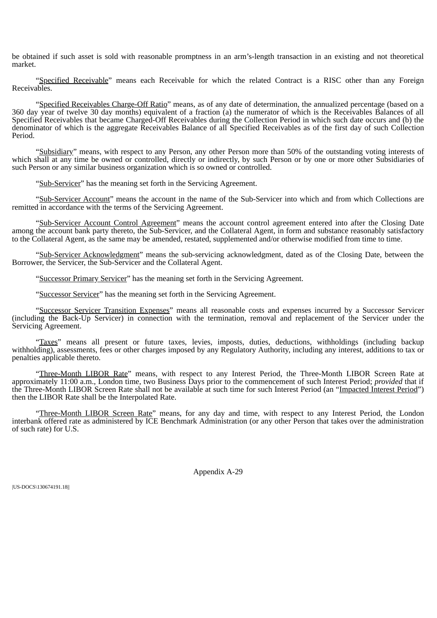be obtained if such asset is sold with reasonable promptness in an arm's-length transaction in an existing and not theoretical market.

"Specified Receivable" means each Receivable for which the related Contract is a RISC other than any Foreign Receivables.

"Specified Receivables Charge-Off Ratio" means, as of any date of determination, the annualized percentage (based on a 360 day year of twelve 30 day months) equivalent of a fraction (a) the numerator of which is the Receivables Balances of all Specified Receivables that became Charged-Off Receivables during the Collection Period in which such date occurs and (b) the denominator of which is the aggregate Receivables Balance of all Specified Receivables as of the first day of such Collection Period.

"Subsidiary" means, with respect to any Person, any other Person more than 50% of the outstanding voting interests of which shall at any time be owned or controlled, directly or indirectly, by such Person or by one or more other Subsidiaries of such Person or any similar business organization which is so owned or controlled.

"Sub-Servicer" has the meaning set forth in the Servicing Agreement.

"Sub-Servicer Account" means the account in the name of the Sub-Servicer into which and from which Collections are remitted in accordance with the terms of the Servicing Agreement.

"Sub-Servicer Account Control Agreement" means the account control agreement entered into after the Closing Date among the account bank party thereto, the Sub-Servicer, and the Collateral Agent, in form and substance reasonably satisfactory to the Collateral Agent, as the same may be amended, restated, supplemented and/or otherwise modified from time to time.

"Sub-Servicer Acknowledgment" means the sub-servicing acknowledgment, dated as of the Closing Date, between the Borrower, the Servicer, the Sub-Servicer and the Collateral Agent.

"Successor Primary Servicer" has the meaning set forth in the Servicing Agreement.

"Successor Servicer" has the meaning set forth in the Servicing Agreement.

"Successor Servicer Transition Expenses" means all reasonable costs and expenses incurred by a Successor Servicer (including the Back-Up Servicer) in connection with the termination, removal and replacement of the Servicer under the Servicing Agreement.

"Taxes" means all present or future taxes, levies, imposts, duties, deductions, withholdings (including backup withholding), assessments, fees or other charges imposed by any Regulatory Authority, including any interest, additions to tax or penalties applicable thereto.

"Three-Month LIBOR Rate" means, with respect to any Interest Period, the Three-Month LIBOR Screen Rate at approximately 11:00 a.m., London time, two Business Days prior to the commencement of such Interest Period; *provided* that if the Three-Month LIBOR Screen Rate shall not be available at such time for such Interest Period (an "Impacted Interest Period") then the LIBOR Rate shall be the Interpolated Rate.

"Three-Month LIBOR Screen Rate" means, for any day and time, with respect to any Interest Period, the London interbank offered rate as administered by ICE Benchmark Administration (or any other Person that takes over the administration of such rate) for U.S.

Appendix A-29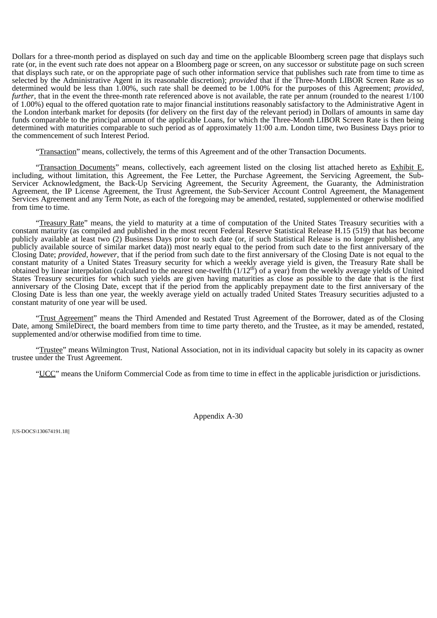Dollars for a three-month period as displayed on such day and time on the applicable Bloomberg screen page that displays such rate (or, in the event such rate does not appear on a Bloomberg page or screen, on any successor or substitute page on such screen that displays such rate, or on the appropriate page of such other information service that publishes such rate from time to time as selected by the Administrative Agent in its reasonable discretion); *provided* that if the Three-Month LIBOR Screen Rate as so determined would be less than 1.00%, such rate shall be deemed to be 1.00% for the purposes of this Agreement; *provided*, *further*, that in the event the three-month rate referenced above is not available, the rate per annum (rounded to the nearest  $1/100$ of 1.00%) equal to the offered quotation rate to major financial institutions reasonably satisfactory to the Administrative Agent in the London interbank market for deposits (for delivery on the first day of the relevant period) in Dollars of amounts in same day funds comparable to the principal amount of the applicable Loans, for which the Three-Month LIBOR Screen Rate is then being determined with maturities comparable to such period as of approximately 11:00 a.m. London time, two Business Days prior to the commencement of such Interest Period.

"Transaction" means, collectively, the terms of this Agreement and of the other Transaction Documents.

"Transaction Documents" means, collectively, each agreement listed on the closing list attached hereto as Exhibit E, including, without limitation, this Agreement, the Fee Letter, the Purchase Agreement, the Servicing Agreement, the Sub-Servicer Acknowledgment, the Back-Up Servicing Agreement, the Security Agreement, the Guaranty, the Administration Agreement, the IP License Agreement, the Trust Agreement, the Sub-Servicer Account Control Agreement, the Management Services Agreement and any Term Note, as each of the foregoing may be amended, restated, supplemented or otherwise modified from time to time.

"Treasury Rate" means, the yield to maturity at a time of computation of the United States Treasury securities with a constant maturity (as compiled and published in the most recent Federal Reserve Statistical Release H.15 (519) that has become publicly available at least two (2) Business Days prior to such date (or, if such Statistical Release is no longer published, any publicly available source of similar market data)) most nearly equal to the period from such date to the first anniversary of the Closing Date; *provided*, *however*, that if the period from such date to the first anniversary of the Closing Date is not equal to the constant maturity of a United States Treasury security for which a weekly average yield is given, the Treasury Rate shall be obtained by linear interpolation (calculated to the nearest one-twelfth  $(1/12^{\text{th}})$  of a year) from the weekly average yields of United States Treasury securities for which such yields are given having maturities as close as possible to the date that is the first anniversary of the Closing Date, except that if the period from the applicably prepayment date to the first anniversary of the Closing Date is less than one year, the weekly average yield on actually traded United States Treasury securities adjusted to a constant maturity of one year will be used.

"Trust Agreement" means the Third Amended and Restated Trust Agreement of the Borrower, dated as of the Closing Date, among SmileDirect, the board members from time to time party thereto, and the Trustee, as it may be amended, restated, supplemented and/or otherwise modified from time to time.

"Trustee" means Wilmington Trust, National Association, not in its individual capacity but solely in its capacity as owner trustee under the Trust Agreement.

"UCC" means the Uniform Commercial Code as from time to time in effect in the applicable jurisdiction or jurisdictions.

Appendix A-30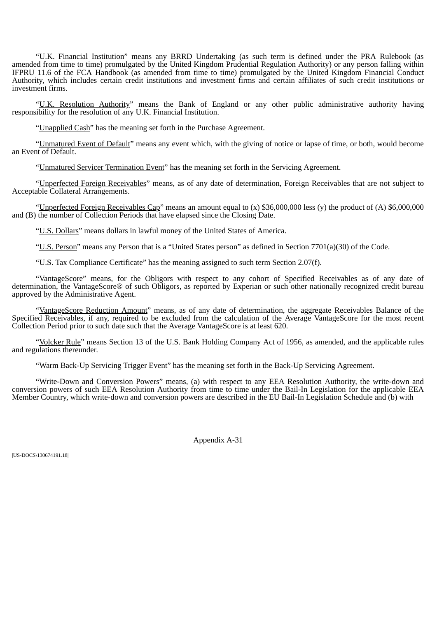"U.K. Financial Institution" means any BRRD Undertaking (as such term is defined under the PRA Rulebook (as amended from time to time) promulgated by the United Kingdom Prudential Regulation Authority) or any person falling within IFPRU 11.6 of the FCA Handbook (as amended from time to time) promulgated by the United Kingdom Financial Conduct Authority, which includes certain credit institutions and investment firms and certain affiliates of such credit institutions or investment firms.

"U.K. Resolution Authority" means the Bank of England or any other public administrative authority having responsibility for the resolution of any U.K. Financial Institution.

"Unapplied Cash" has the meaning set forth in the Purchase Agreement.

"Unmatured Event of Default" means any event which, with the giving of notice or lapse of time, or both, would become an Event of Default.

"Unmatured Servicer Termination Event" has the meaning set forth in the Servicing Agreement.

"Unperfected Foreign Receivables" means, as of any date of determination, Foreign Receivables that are not subject to Acceptable Collateral Arrangements.

"Unperfected Foreign Receivables Cap" means an amount equal to (x) \$36,000,000 less (y) the product of (A) \$6,000,000 and (B) the number of Collection Periods that have elapsed since the Closing Date.

"U.S. Dollars" means dollars in lawful money of the United States of America.

"U.S. Person" means any Person that is a "United States person" as defined in Section 7701(a)(30) of the Code.

"U.S. Tax Compliance Certificate" has the meaning assigned to such term Section 2.07(f).

"VantageScore" means, for the Obligors with respect to any cohort of Specified Receivables as of any date of determination, the VantageScore® of such Obligors, as reported by Experian or such other nationally recognized credit bureau approved by the Administrative Agent.

"VantageScore Reduction Amount" means, as of any date of determination, the aggregate Receivables Balance of the Specified Receivables, if any, required to be excluded from the calculation of the Average VantageScore for the most recent Collection Period prior to such date such that the Average VantageScore is at least 620.

"Volcker Rule" means Section 13 of the U.S. Bank Holding Company Act of 1956, as amended, and the applicable rules and regulations thereunder.

"Warm Back-Up Servicing Trigger Event" has the meaning set forth in the Back-Up Servicing Agreement.

"Write-Down and Conversion Powers" means, (a) with respect to any EEA Resolution Authority, the write-down and conversion powers of such EEA Resolution Authority from time to time under the Bail-In Legislation for the applicable EEA Member Country, which write-down and conversion powers are described in the EU Bail-In Legislation Schedule and (b) with

Appendix A-31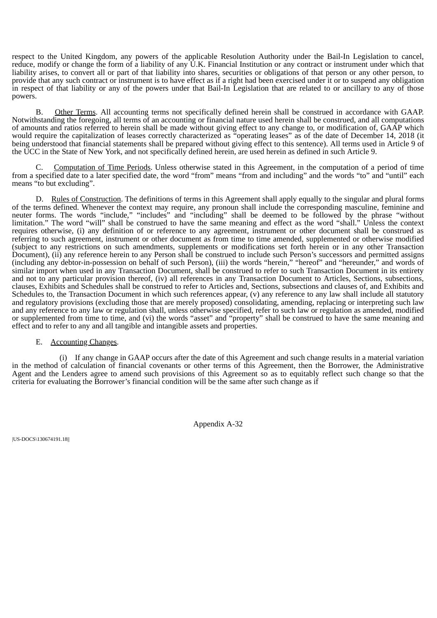respect to the United Kingdom, any powers of the applicable Resolution Authority under the Bail-In Legislation to cancel, reduce, modify or change the form of a liability of any U.K. Financial Institution or any contract or instrument under which that liability arises, to convert all or part of that liability into shares, securities or obligations of that person or any other person, to provide that any such contract or instrument is to have effect as if a right had been exercised under it or to suspend any obligation in respect of that liability or any of the powers under that Bail-In Legislation that are related to or ancillary to any of those powers.

B. Other Terms. All accounting terms not specifically defined herein shall be construed in accordance with GAAP. Notwithstanding the foregoing, all terms of an accounting or financial nature used herein shall be construed, and all computations of amounts and ratios referred to herein shall be made without giving effect to any change to, or modification of, GAAP which would require the capitalization of leases correctly characterized as "operating leases" as of the date of December 14, 2018 (it being understood that financial statements shall be prepared without giving effect to this sentence). All terms used in Article 9 of the UCC in the State of New York, and not specifically defined herein, are used herein as defined in such Article 9.

C. Computation of Time Periods. Unless otherwise stated in this Agreement, in the computation of a period of time from a specified date to a later specified date, the word "from" means "from and including" and the words "to" and "until" each means "to but excluding".

D. Rules of Construction. The definitions of terms in this Agreement shall apply equally to the singular and plural forms of the terms defined. Whenever the context may require, any pronoun shall include the corresponding masculine, feminine and neuter forms. The words "include," "includes" and "including" shall be deemed to be followed by the phrase "without limitation." The word "will" shall be construed to have the same meaning and effect as the word "shall." Unless the context requires otherwise, (i) any definition of or reference to any agreement, instrument or other document shall be construed as referring to such agreement, instrument or other document as from time to time amended, supplemented or otherwise modified (subject to any restrictions on such amendments, supplements or modifications set forth herein or in any other Transaction Document), (ii) any reference herein to any Person shall be construed to include such Person's successors and permitted assigns (including any debtor-in-possession on behalf of such Person), (iii) the words "herein," "hereof" and "hereunder," and words of similar import when used in any Transaction Document, shall be construed to refer to such Transaction Document in its entirety and not to any particular provision thereof, (iv) all references in any Transaction Document to Articles, Sections, subsections, clauses, Exhibits and Schedules shall be construed to refer to Articles and, Sections, subsections and clauses of, and Exhibits and Schedules to, the Transaction Document in which such references appear, (v) any reference to any law shall include all statutory and regulatory provisions (excluding those that are merely proposed) consolidating, amending, replacing or interpreting such law and any reference to any law or regulation shall, unless otherwise specified, refer to such law or regulation as amended, modified or supplemented from time to time, and (vi) the words "asset" and "property" shall be construed to have the same meaning and effect and to refer to any and all tangible and intangible assets and properties.

## E. Accounting Changes.

(i) If any change in GAAP occurs after the date of this Agreement and such change results in a material variation in the method of calculation of financial covenants or other terms of this Agreement, then the Borrower, the Administrative Agent and the Lenders agree to amend such provisions of this Agreement so as to equitably reflect such change so that the criteria for evaluating the Borrower's financial condition will be the same after such change as if

Appendix A-32